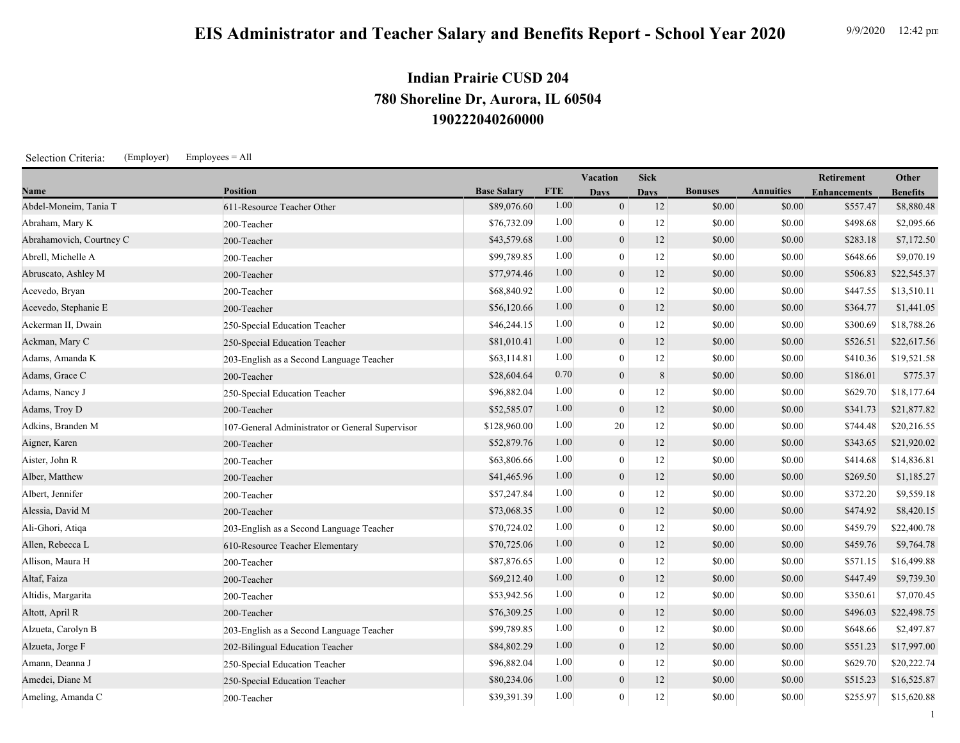1

## **190222040260000 780 Shoreline Dr, Aurora, IL 60504 Indian Prairie CUSD 204**

Selection Criteria: (Employer) Employees = All

|                          |                                                 |                    |            | Vacation         | <b>Sick</b> |                |                  | Retirement          | Other           |
|--------------------------|-------------------------------------------------|--------------------|------------|------------------|-------------|----------------|------------------|---------------------|-----------------|
| Name                     | <b>Position</b>                                 | <b>Base Salary</b> | <b>FTE</b> | <b>Davs</b>      | <b>Davs</b> | <b>Bonuses</b> | <b>Annuities</b> | <b>Enhancements</b> | <b>Benefits</b> |
| Abdel-Moneim, Tania T    | 611-Resource Teacher Other                      | \$89,076.60        | 1.00       | $\overline{0}$   | 12          | \$0.00         | \$0.00           | \$557.47            | \$8,880.48      |
| Abraham, Mary K          | 200-Teacher                                     | \$76,732.09        | 1.00       | $\theta$         | 12          | \$0.00         | \$0.00           | \$498.68            | \$2,095.66      |
| Abrahamovich, Courtney C | 200-Teacher                                     | \$43,579.68        | 1.00       | $\theta$         | 12          | \$0.00         | \$0.00           | \$283.18            | \$7,172.50      |
| Abrell, Michelle A       | 200-Teacher                                     | \$99,789.85        | 1.00       | $\mathbf{0}$     | 12          | \$0.00         | \$0.00           | \$648.66            | \$9,070.19      |
| Abruscato, Ashley M      | 200-Teacher                                     | \$77,974.46        | 1.00       | $\mathbf{0}$     | 12          | \$0.00         | \$0.00           | \$506.83            | \$22,545.37     |
| Acevedo, Bryan           | 200-Teacher                                     | \$68,840.92        | 1.00       | $\theta$         | 12          | \$0.00         | \$0.00           | \$447.55            | \$13,510.11     |
| Acevedo, Stephanie E     | 200-Teacher                                     | \$56,120.66        | 1.00       | $\mathbf{0}$     | 12          | \$0.00         | \$0.00           | \$364.77            | \$1,441.05      |
| Ackerman II, Dwain       | 250-Special Education Teacher                   | \$46,244.15        | 1.00       | $\theta$         | 12          | \$0.00         | \$0.00           | \$300.69            | \$18,788.26     |
| Ackman, Mary C           | 250-Special Education Teacher                   | \$81,010.41        | 1.00       | $\mathbf{0}$     | 12          | \$0.00         | \$0.00           | \$526.51            | \$22,617.56     |
| Adams, Amanda K          | 203-English as a Second Language Teacher        | \$63,114.81        | 1.00       | $\theta$         | 12          | \$0.00         | \$0.00           | \$410.36            | \$19,521.58     |
| Adams, Grace C           | 200-Teacher                                     | \$28,604.64        | 0.70       | $\mathbf{0}$     | 8           | \$0.00         | \$0.00           | \$186.01            | \$775.37        |
| Adams, Nancy J           | 250-Special Education Teacher                   | \$96,882.04        | 1.00       | $\theta$         | 12          | \$0.00         | \$0.00           | \$629.70            | \$18,177.64     |
| Adams, Troy D            | 200-Teacher                                     | \$52,585.07        | 1.00       | $\mathbf{0}$     | 12          | \$0.00         | \$0.00           | \$341.73            | \$21,877.82     |
| Adkins, Branden M        | 107-General Administrator or General Supervisor | \$128,960.00       | 1.00       | 20               | 12          | \$0.00         | \$0.00           | \$744.48            | \$20,216.55     |
| Aigner, Karen            | 200-Teacher                                     | \$52,879.76        | 1.00       | $\boldsymbol{0}$ | 12          | \$0.00         | \$0.00           | \$343.65            | \$21,920.02     |
| Aister, John R           | 200-Teacher                                     | \$63,806.66        | 1.00       | $\theta$         | 12          | \$0.00         | \$0.00           | \$414.68            | \$14,836.81     |
| Alber, Matthew           | 200-Teacher                                     | \$41,465.96        | 1.00       | $\mathbf{0}$     | 12          | \$0.00         | \$0.00           | \$269.50            | \$1,185.27      |
| Albert, Jennifer         | 200-Teacher                                     | \$57,247.84        | 1.00       | $\theta$         | 12          | \$0.00         | \$0.00           | \$372.20            | \$9,559.18      |
| Alessia, David M         | 200-Teacher                                     | \$73,068.35        | 1.00       | $\overline{0}$   | 12          | \$0.00         | \$0.00           | \$474.92            | \$8,420.15      |
| Ali-Ghori, Atiqa         | 203-English as a Second Language Teacher        | \$70,724.02        | 1.00       | $\mathbf{0}$     | $12\,$      | \$0.00         | \$0.00           | \$459.79            | \$22,400.78     |
| Allen, Rebecca L         | 610-Resource Teacher Elementary                 | \$70,725.06        | 1.00       | $\mathbf{0}$     | 12          | \$0.00         | \$0.00           | \$459.76            | \$9,764.78      |
| Allison, Maura H         | 200-Teacher                                     | \$87,876.65        | 1.00       | $\mathbf{0}$     | 12          | \$0.00         | \$0.00           | \$571.15            | \$16,499.88     |
| Altaf, Faiza             | 200-Teacher                                     | \$69,212.40        | 1.00       | $\mathbf{0}$     | 12          | \$0.00         | \$0.00           | \$447.49            | \$9,739.30      |
| Altidis, Margarita       | 200-Teacher                                     | \$53,942.56        | 1.00       | $\theta$         | 12          | \$0.00         | \$0.00           | \$350.61            | \$7,070.45      |
| Altott, April R          | 200-Teacher                                     | \$76,309.25        | 1.00       | $\mathbf{0}$     | 12          | \$0.00         | \$0.00           | \$496.03            | \$22,498.75     |
| Alzueta, Carolyn B       | 203-English as a Second Language Teacher        | \$99,789.85        | 1.00       | $\theta$         | 12          | \$0.00         | \$0.00           | \$648.66            | \$2,497.87      |
| Alzueta, Jorge F         | 202-Bilingual Education Teacher                 | \$84,802.29        | 1.00       | $\mathbf{0}$     | 12          | \$0.00         | \$0.00           | \$551.23            | \$17,997.00     |
| Amann, Deanna J          | 250-Special Education Teacher                   | \$96,882.04        | 1.00       | $\mathbf{0}$     | 12          | \$0.00         | \$0.00           | \$629.70            | \$20,222.74     |
| Amedei, Diane M          | 250-Special Education Teacher                   | \$80,234.06        | 1.00       | $\theta$         | 12          | \$0.00         | \$0.00           | \$515.23            | \$16,525.87     |
| Ameling, Amanda C        | 200-Teacher                                     | \$39,391.39        | 1.00       | $\mathbf{0}$     | 12          | \$0.00         | \$0.00           | \$255.97            | \$15,620.88     |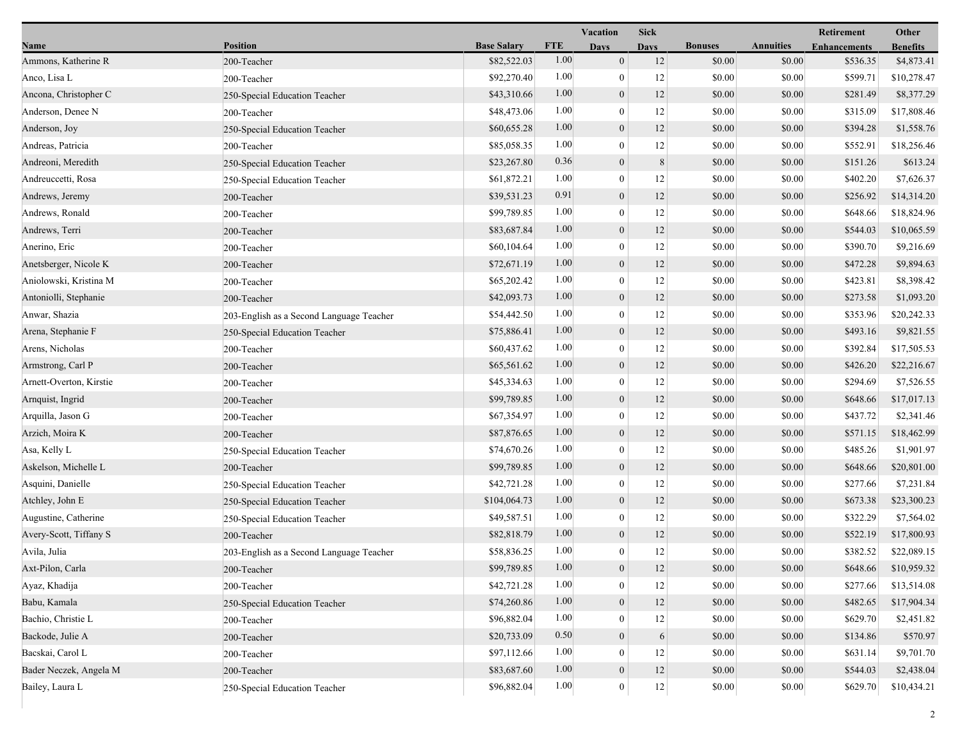|                         |                                          |                    |            | <b>Vacation</b>  | <b>Sick</b> |                |                  | Retirement          | Other           |
|-------------------------|------------------------------------------|--------------------|------------|------------------|-------------|----------------|------------------|---------------------|-----------------|
| Name                    | <b>Position</b>                          | <b>Base Salary</b> | <b>FTE</b> | <b>Days</b>      | <b>Days</b> | <b>Bonuses</b> | <b>Annuities</b> | <b>Enhancements</b> | <b>Benefits</b> |
| Ammons, Katherine R     | 200-Teacher                              | \$82,522.03        | 1.00       | $\mathbf{0}$     | 12          | \$0.00         | \$0.00           | \$536.35            | \$4,873.41      |
| Anco, Lisa L            | 200-Teacher                              | \$92,270.40        | 1.00       | $\mathbf{0}$     | 12          | \$0.00         | \$0.00           | \$599.71            | \$10,278.47     |
| Ancona, Christopher C   | 250-Special Education Teacher            | \$43,310.66        | 1.00       | $\boldsymbol{0}$ | 12          | \$0.00         | \$0.00           | \$281.49            | \$8,377.29      |
| Anderson, Denee N       | 200-Teacher                              | \$48,473.06        | 1.00       | $\mathbf{0}$     | 12          | \$0.00         | \$0.00           | \$315.09            | \$17,808.46     |
| Anderson, Joy           | 250-Special Education Teacher            | \$60,655.28        | 1.00       | $\mathbf{0}$     | 12          | \$0.00         | \$0.00           | \$394.28            | \$1,558.76      |
| Andreas, Patricia       | 200-Teacher                              | \$85,058.35        | 1.00       | $\bf{0}$         | 12          | \$0.00         | \$0.00           | \$552.91            | \$18,256.46     |
| Andreoni, Meredith      | 250-Special Education Teacher            | \$23,267.80        | 0.36       | $\mathbf{0}$     | 8           | \$0.00         | \$0.00           | \$151.26            | \$613.24        |
| Andreuccetti, Rosa      | 250-Special Education Teacher            | \$61,872.21        | 1.00       | $\bf{0}$         | 12          | \$0.00         | \$0.00           | \$402.20            | \$7,626.37      |
| Andrews, Jeremy         | 200-Teacher                              | \$39,531.23        | 0.91       | $\boldsymbol{0}$ | 12          | \$0.00         | \$0.00           | \$256.92            | \$14,314.20     |
| Andrews, Ronald         | 200-Teacher                              | \$99,789.85        | 1.00       | $\mathbf{0}$     | 12          | \$0.00         | \$0.00           | \$648.66            | \$18,824.96     |
| Andrews, Terri          | 200-Teacher                              | \$83,687.84        | 1.00       | $\mathbf{0}$     | 12          | \$0.00         | \$0.00           | \$544.03            | \$10,065.59     |
| Anerino, Eric           | 200-Teacher                              | \$60,104.64        | 1.00       | $\bf{0}$         | 12          | \$0.00         | \$0.00           | \$390.70            | \$9,216.69      |
| Anetsberger, Nicole K   | 200-Teacher                              | \$72,671.19        | 1.00       | $\mathbf{0}$     | 12          | \$0.00         | \$0.00           | \$472.28            | \$9,894.63      |
| Aniolowski, Kristina M  | 200-Teacher                              | \$65,202.42        | 1.00       | $\bf{0}$         | 12          | \$0.00         | \$0.00           | \$423.81            | \$8,398.42      |
| Antoniolli, Stephanie   | 200-Teacher                              | \$42,093.73        | 1.00       | $\mathbf{0}$     | 12          | \$0.00         | \$0.00           | \$273.58            | \$1,093.20      |
| Anwar, Shazia           | 203-English as a Second Language Teacher | \$54,442.50        | 1.00       | $\mathbf{0}$     | 12          | \$0.00         | \$0.00           | \$353.96            | \$20,242.33     |
| Arena, Stephanie F      | 250-Special Education Teacher            | \$75,886.41        | 1.00       | $\mathbf{0}$     | 12          | \$0.00         | \$0.00           | \$493.16            | \$9,821.55      |
| Arens, Nicholas         | 200-Teacher                              | \$60,437.62        | 1.00       | $\bf{0}$         | 12          | \$0.00         | \$0.00           | \$392.84            | \$17,505.53     |
| Armstrong, Carl P       | 200-Teacher                              | \$65,561.62        | 1.00       | $\mathbf{0}$     | 12          | \$0.00         | \$0.00           | \$426.20            | \$22,216.67     |
| Arnett-Overton, Kirstie | 200-Teacher                              | \$45,334.63        | 1.00       | $\mathbf{0}$     | 12          | \$0.00         | \$0.00           | \$294.69            | \$7,526.55      |
| Arnquist, Ingrid        | 200-Teacher                              | \$99,789.85        | 1.00       | $\mathbf{0}$     | 12          | \$0.00         | \$0.00           | \$648.66            | \$17,017.13     |
| Arquilla, Jason G       | 200-Teacher                              | \$67,354.97        | 1.00       | $\mathbf{0}$     | 12          | \$0.00         | \$0.00           | \$437.72            | \$2,341.46      |
| Arzich, Moira K         | 200-Teacher                              | \$87,876.65        | 1.00       | $\mathbf{0}$     | 12          | \$0.00         | \$0.00           | \$571.15            | \$18,462.99     |
| Asa, Kelly L            | 250-Special Education Teacher            | \$74,670.26        | 1.00       | $\boldsymbol{0}$ | 12          | \$0.00         | \$0.00           | \$485.26            | \$1,901.97      |
| Askelson, Michelle L    | 200-Teacher                              | \$99,789.85        | 1.00       | $\mathbf{0}$     | 12          | \$0.00         | \$0.00           | \$648.66            | \$20,801.00     |
| Asquini, Danielle       | 250-Special Education Teacher            | \$42,721.28        | 1.00       | $\mathbf{0}$     | 12          | \$0.00         | \$0.00           | \$277.66            | \$7,231.84      |
| Atchley, John E         | 250-Special Education Teacher            | \$104,064.73       | 1.00       | $\mathbf{0}$     | 12          | \$0.00         | \$0.00           | \$673.38            | \$23,300.23     |
| Augustine, Catherine    | 250-Special Education Teacher            | \$49,587.51        | 1.00       | $\bf{0}$         | 12          | \$0.00         | \$0.00           | \$322.29            | \$7,564.02      |
| Avery-Scott, Tiffany S  | 200-Teacher                              | \$82,818.79        | 1.00       | $\mathbf{0}$     | 12          | \$0.00         | \$0.00           | \$522.19            | \$17,800.93     |
| Avila, Julia            | 203-English as a Second Language Teacher | \$58,836.25        | 1.00       | $\bf{0}$         | 12          | \$0.00         | \$0.00           | \$382.52            | \$22,089.15     |
| Axt-Pilon, Carla        | 200-Teacher                              | \$99,789.85        | 1.00       | $\boldsymbol{0}$ | 12          | \$0.00         | \$0.00           | \$648.66            | \$10,959.32     |
| Ayaz, Khadija           | 200-Teacher                              | \$42,721.28        | 1.00       | $\mathbf{0}$     | 12          | \$0.00         | \$0.00           | \$277.66            | \$13,514.08     |
| Babu, Kamala            | 250-Special Education Teacher            | \$74,260.86        | 1.00       | $\boldsymbol{0}$ | 12          | \$0.00         | \$0.00           | \$482.65            | \$17,904.34     |
| Bachio, Christie L      | 200-Teacher                              | \$96,882.04        | 1.00       | $\mathbf{0}$     | 12          | \$0.00         | \$0.00           | \$629.70            | \$2,451.82      |
| Backode, Julie A        | 200-Teacher                              | \$20,733.09        | 0.50       | $\mathbf{0}$     | 6           | \$0.00         | \$0.00           | \$134.86            | \$570.97        |
| Bacskai, Carol L        | 200-Teacher                              | \$97,112.66        | 1.00       | $\mathbf{0}$     | 12          | \$0.00         | \$0.00           | \$631.14            | \$9,701.70      |
| Bader Neczek, Angela M  | 200-Teacher                              | \$83,687.60        | 1.00       | $\boldsymbol{0}$ | 12          | \$0.00         | \$0.00           | \$544.03            | \$2,438.04      |
| Bailey, Laura L         | 250-Special Education Teacher            | \$96,882.04        | 1.00       | $\bf{0}$         | $12 \mid$   | \$0.00         | \$0.00           | \$629.70            | \$10,434.21     |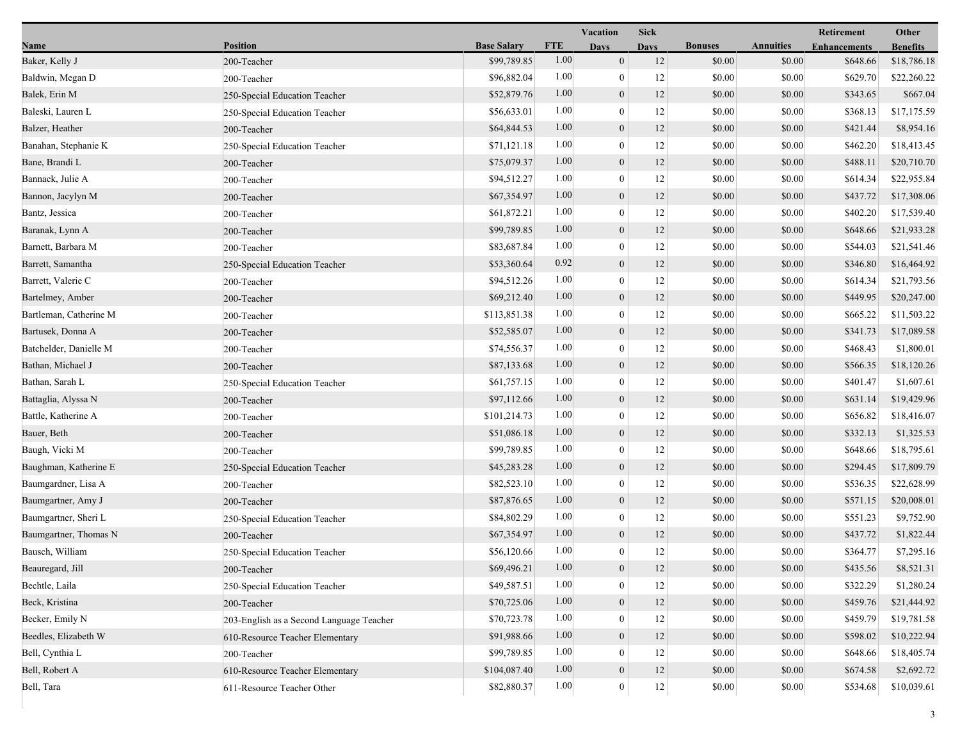|                        |                                          |                    |            | Vacation         | <b>Sick</b> |                |                  | <b>Retirement</b>   | Other           |
|------------------------|------------------------------------------|--------------------|------------|------------------|-------------|----------------|------------------|---------------------|-----------------|
| <b>Name</b>            | <b>Position</b>                          | <b>Base Salary</b> | <b>FTE</b> | <b>Days</b>      | <b>Days</b> | <b>Bonuses</b> | <b>Annuities</b> | <b>Enhancements</b> | <b>Benefits</b> |
| Baker, Kelly J         | 200-Teacher                              | \$99,789.85        | 1.00       | $\mathbf{0}$     | 12          | \$0.00         | \$0.00           | \$648.66            | \$18,786.18     |
| Baldwin, Megan D       | 200-Teacher                              | \$96,882.04        | 1.00       | $\overline{0}$   | 12          | \$0.00         | \$0.00           | \$629.70            | \$22,260.22     |
| Balek, Erin M          | 250-Special Education Teacher            | \$52,879.76        | 1.00       | $\boldsymbol{0}$ | 12          | \$0.00         | \$0.00           | \$343.65            | \$667.04        |
| Baleski, Lauren L      | 250-Special Education Teacher            | \$56,633.01        | 1.00       | $\overline{0}$   | 12          | \$0.00         | \$0.00           | \$368.13            | \$17,175.59     |
| Balzer, Heather        | 200-Teacher                              | \$64,844.53        | 1.00       | $\boldsymbol{0}$ | 12          | \$0.00         | \$0.00           | \$421.44            | \$8,954.16      |
| Banahan, Stephanie K   | 250-Special Education Teacher            | \$71,121.18        | 1.00       | $\mathbf{0}$     | 12          | \$0.00         | \$0.00           | \$462.20            | \$18,413.45     |
| Bane, Brandi L         | 200-Teacher                              | \$75,079.37        | 1.00       | $\mathbf{0}$     | 12          | \$0.00         | \$0.00           | \$488.11            | \$20,710.70     |
| Bannack, Julie A       | 200-Teacher                              | \$94,512.27        | 1.00       | $\mathbf{0}$     | 12          | \$0.00         | \$0.00           | \$614.34            | \$22,955.84     |
| Bannon, Jacylyn M      | 200-Teacher                              | \$67,354.97        | 1.00       | $\boldsymbol{0}$ | 12          | \$0.00         | \$0.00           | \$437.72            | \$17,308.06     |
| Bantz, Jessica         | 200-Teacher                              | \$61,872.21        | 1.00       | $\overline{0}$   | 12          | \$0.00         | \$0.00           | \$402.20            | \$17,539.40     |
| Baranak, Lynn A        | 200-Teacher                              | \$99,789.85        | 1.00       | $\boldsymbol{0}$ | 12          | \$0.00         | \$0.00           | \$648.66            | \$21,933.28     |
| Barnett, Barbara M     | 200-Teacher                              | \$83,687.84        | 1.00       | $\mathbf{0}$     | 12          | \$0.00         | \$0.00           | \$544.03            | \$21,541.46     |
| Barrett, Samantha      | 250-Special Education Teacher            | \$53,360.64        | 0.92       | $\mathbf{0}$     | 12          | \$0.00         | \$0.00           | \$346.80            | \$16,464.92     |
| Barrett, Valerie C     | 200-Teacher                              | \$94,512.26        | 1.00       | $\mathbf{0}$     | 12          | \$0.00         | \$0.00           | \$614.34            | \$21,793.56     |
| Bartelmey, Amber       | 200-Teacher                              | \$69,212.40        | 1.00       | $\boldsymbol{0}$ | 12          | \$0.00         | \$0.00           | \$449.95            | \$20,247.00     |
| Bartleman, Catherine M | 200-Teacher                              | \$113,851.38       | 1.00       | $\overline{0}$   | 12          | \$0.00         | \$0.00           | \$665.22            | \$11,503.22     |
| Bartusek, Donna A      | 200-Teacher                              | \$52,585.07        | 1.00       | $\boldsymbol{0}$ | 12          | \$0.00         | \$0.00           | \$341.73            | \$17,089.58     |
| Batchelder, Danielle M | 200-Teacher                              | \$74,556.37        | 1.00       | $\boldsymbol{0}$ | 12          | \$0.00         | \$0.00           | \$468.43            | \$1,800.01      |
| Bathan, Michael J      | 200-Teacher                              | \$87,133.68        | 1.00       | $\mathbf{0}$     | 12          | \$0.00         | \$0.00           | \$566.35            | \$18,120.26     |
| Bathan, Sarah L        | 250-Special Education Teacher            | \$61,757.15        | 1.00       | $\overline{0}$   | 12          | \$0.00         | \$0.00           | \$401.47            | \$1,607.61      |
| Battaglia, Alyssa N    | 200-Teacher                              | \$97,112.66        | 1.00       | $\boldsymbol{0}$ | 12          | \$0.00         | \$0.00           | \$631.14            | \$19,429.96     |
| Battle, Katherine A    | 200-Teacher                              | \$101,214.73       | 1.00       | $\overline{0}$   | 12          | \$0.00         | \$0.00           | \$656.82            | \$18,416.07     |
| Bauer, Beth            | 200-Teacher                              | \$51,086.18        | 1.00       | $\boldsymbol{0}$ | 12          | \$0.00         | \$0.00           | \$332.13            | \$1,325.53      |
| Baugh, Vicki M         | 200-Teacher                              | \$99,789.85        | 1.00       | $\boldsymbol{0}$ | 12          | \$0.00         | \$0.00           | \$648.66            | \$18,795.61     |
| Baughman, Katherine E  | 250-Special Education Teacher            | \$45,283.28        | 1.00       | $\theta$         | 12          | \$0.00         | \$0.00           | \$294.45            | \$17,809.79     |
| Baumgardner, Lisa A    | 200-Teacher                              | \$82,523.10        | 1.00       | $\overline{0}$   | 12          | \$0.00         | \$0.00           | \$536.35            | \$22,628.99     |
| Baumgartner, Amy J     | 200-Teacher                              | \$87,876.65        | 1.00       | $\mathbf{0}$     | 12          | \$0.00         | \$0.00           | \$571.15            | \$20,008.01     |
| Baumgartner, Sheri L   | 250-Special Education Teacher            | \$84,802.29        | 1.00       | $\overline{0}$   | 12          | \$0.00         | \$0.00           | \$551.23            | \$9,752.90      |
| Baumgartner, Thomas N  | 200-Teacher                              | \$67,354.97        | 1.00       | $\mathbf{0}$     | 12          | \$0.00         | \$0.00           | \$437.72            | \$1,822.44      |
| Bausch, William        | 250-Special Education Teacher            | \$56,120.66        | 1.00       | $\boldsymbol{0}$ | 12          | \$0.00         | \$0.00           | \$364.77            | \$7,295.16      |
| Beauregard, Jill       | 200-Teacher                              | \$69,496.21        | $1.00\,$   | $\boldsymbol{0}$ | 12          | \$0.00         | \$0.00           | \$435.56            | \$8,521.31      |
| Bechtle, Laila         | 250-Special Education Teacher            | \$49,587.51        | 1.00       | $\theta$         | 12          | \$0.00         | \$0.00           | \$322.29            | \$1,280.24      |
| Beck, Kristina         | 200-Teacher                              | \$70,725.06        | 1.00       | $\mathbf{0}$     | 12          | \$0.00         | \$0.00           | \$459.76            | \$21,444.92     |
| Becker, Emily N        | 203-English as a Second Language Teacher | \$70,723.78        | 1.00       | $\overline{0}$   | 12          | \$0.00         | \$0.00           | \$459.79            | \$19,781.58     |
| Beedles, Elizabeth W   | 610-Resource Teacher Elementary          | \$91,988.66        | 1.00       | $\mathbf{0}$     | 12          | \$0.00         | \$0.00           | \$598.02            | \$10,222.94     |
| Bell, Cynthia L        | 200-Teacher                              | \$99,789.85        | 1.00       | 0                | 12          | \$0.00         | \$0.00           | \$648.66            | \$18,405.74     |
| Bell, Robert A         | 610-Resource Teacher Elementary          | \$104,087.40       | $1.00\,$   | $\boldsymbol{0}$ | 12          | \$0.00         | \$0.00           | \$674.58            | \$2,692.72      |
| Bell, Tara             | 611-Resource Teacher Other               | \$82,880.37        | 1.00       | $\mathbf{0}$     | 12          | \$0.00         | \$0.00           | \$534.68            | \$10,039.61     |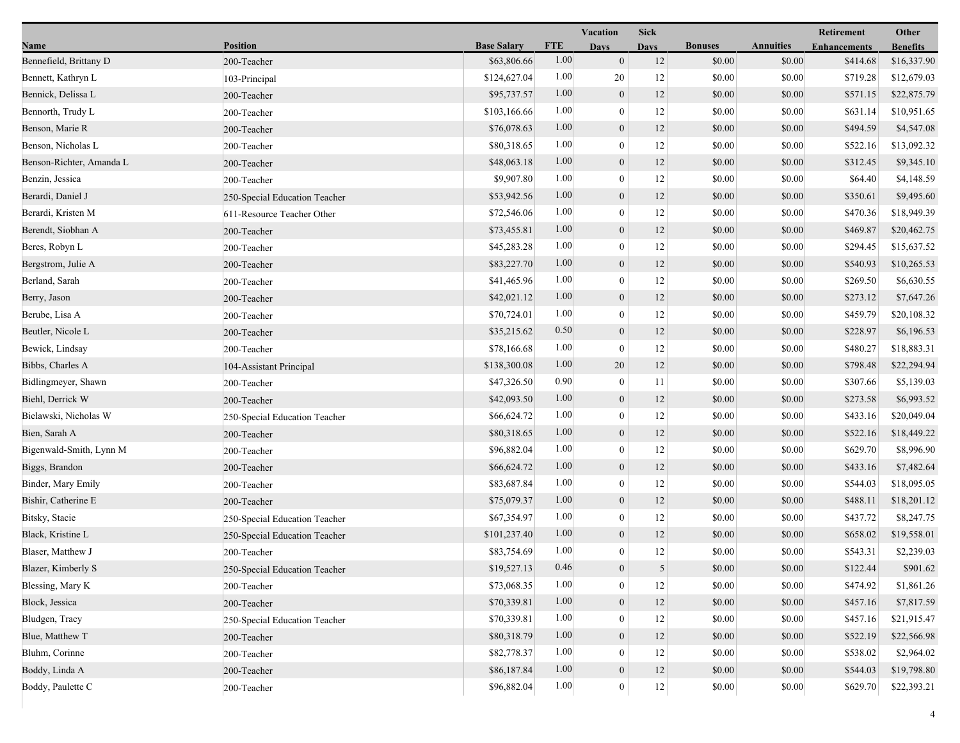|                          |                               |                    |            | Vacation         | <b>Sick</b> |                |                  | Retirement          | Other           |
|--------------------------|-------------------------------|--------------------|------------|------------------|-------------|----------------|------------------|---------------------|-----------------|
| Name                     | <b>Position</b>               | <b>Base Salary</b> | <b>FTE</b> | <b>Days</b>      | <b>Davs</b> | <b>Bonuses</b> | <b>Annuities</b> | <b>Enhancements</b> | <b>Benefits</b> |
| Bennefield, Brittany D   | 200-Teacher                   | \$63,806.66        | 1.00       | $\mathbf{0}$     | 12          | \$0.00         | \$0.00           | \$414.68            | \$16,337.90     |
| Bennett, Kathryn L       | 103-Principal                 | \$124,627.04       | 1.00       | 20               | 12          | \$0.00         | \$0.00           | \$719.28            | \$12,679.03     |
| Bennick, Delissa L       | 200-Teacher                   | \$95,737.57        | 1.00       | $\boldsymbol{0}$ | 12          | \$0.00         | \$0.00           | \$571.15            | \$22,875.79     |
| Bennorth, Trudy L        | 200-Teacher                   | \$103,166.66       | 1.00       | $\theta$         | 12          | \$0.00         | \$0.00           | \$631.14            | \$10,951.65     |
| Benson, Marie R          | 200-Teacher                   | \$76,078.63        | 1.00       | $\mathbf{0}$     | 12          | \$0.00         | \$0.00           | \$494.59            | \$4,547.08      |
| Benson, Nicholas L       | 200-Teacher                   | \$80,318.65        | 1.00       | $\overline{0}$   | 12          | \$0.00         | \$0.00           | \$522.16            | \$13,092.32     |
| Benson-Richter, Amanda L | 200-Teacher                   | \$48,063.18        | 1.00       | $\mathbf{0}$     | 12          | \$0.00         | \$0.00           | \$312.45            | \$9,345.10      |
| Benzin, Jessica          | 200-Teacher                   | \$9,907.80         | 1.00       | $\boldsymbol{0}$ | 12          | \$0.00         | \$0.00           | \$64.40             | \$4,148.59      |
| Berardi, Daniel J        | 250-Special Education Teacher | \$53,942.56        | 1.00       | $\boldsymbol{0}$ | 12          | \$0.00         | \$0.00           | \$350.61            | \$9,495.60      |
| Berardi, Kristen M       | 611-Resource Teacher Other    | \$72,546.06        | 1.00       | $\theta$         | 12          | \$0.00         | \$0.00           | \$470.36            | \$18,949.39     |
| Berendt, Siobhan A       | 200-Teacher                   | \$73,455.81        | 1.00       | $\mathbf{0}$     | 12          | \$0.00         | \$0.00           | \$469.87            | \$20,462.75     |
| Beres, Robyn L           | 200-Teacher                   | \$45,283.28        | 1.00       | $\boldsymbol{0}$ | 12          | \$0.00         | \$0.00           | \$294.45            | \$15,637.52     |
| Bergstrom, Julie A       | 200-Teacher                   | \$83,227.70        | 1.00       | $\mathbf{0}$     | 12          | \$0.00         | \$0.00           | \$540.93            | \$10,265.53     |
| Berland, Sarah           | 200-Teacher                   | \$41,465.96        | 1.00       | $\overline{0}$   | 12          | \$0.00         | \$0.00           | \$269.50            | \$6,630.55      |
| Berry, Jason             | 200-Teacher                   | \$42,021.12        | 1.00       | $\boldsymbol{0}$ | 12          | \$0.00         | \$0.00           | \$273.12            | \$7,647.26      |
| Berube, Lisa A           | 200-Teacher                   | \$70,724.01        | 1.00       | $\overline{0}$   | 12          | \$0.00         | \$0.00           | \$459.79            | \$20,108.32     |
| Beutler, Nicole L        | 200-Teacher                   | \$35,215.62        | 0.50       | $\boldsymbol{0}$ | 12          | \$0.00         | \$0.00           | \$228.97            | \$6,196.53      |
| Bewick, Lindsay          | 200-Teacher                   | \$78,166.68        | 1.00       | $\mathbf{0}$     | 12          | \$0.00         | \$0.00           | \$480.27            | \$18,883.31     |
| Bibbs, Charles A         | 104-Assistant Principal       | \$138,300.08       | 1.00       | 20               | 12          | \$0.00         | \$0.00           | \$798.48            | \$22,294.94     |
| Bidlingmeyer, Shawn      | 200-Teacher                   | \$47,326.50        | 0.90       | $\mathbf{0}$     | 11          | \$0.00         | \$0.00           | \$307.66            | \$5,139.03      |
| Biehl, Derrick W         | 200-Teacher                   | \$42,093.50        | 1.00       | $\boldsymbol{0}$ | 12          | \$0.00         | \$0.00           | \$273.58            | \$6,993.52      |
| Bielawski, Nicholas W    | 250-Special Education Teacher | \$66,624.72        | 1.00       | $\overline{0}$   | 12          | \$0.00         | \$0.00           | \$433.16            | \$20,049.04     |
| Bien, Sarah A            | 200-Teacher                   | \$80,318.65        | 1.00       | $\boldsymbol{0}$ | 12          | \$0.00         | \$0.00           | \$522.16            | \$18,449.22     |
| Bigenwald-Smith, Lynn M  | 200-Teacher                   | \$96,882.04        | 1.00       | $\overline{0}$   | 12          | \$0.00         | \$0.00           | \$629.70            | \$8,996.90      |
| Biggs, Brandon           | 200-Teacher                   | \$66,624.72        | 1.00       | $\mathbf{0}$     | 12          | \$0.00         | \$0.00           | \$433.16            | \$7,482.64      |
| Binder, Mary Emily       | 200-Teacher                   | \$83,687.84        | 1.00       | $\overline{0}$   | 12          | \$0.00         | \$0.00           | \$544.03            | \$18,095.05     |
| Bishir, Catherine E      | 200-Teacher                   | \$75,079.37        | 1.00       | $\mathbf{0}$     | 12          | \$0.00         | \$0.00           | \$488.11            | \$18,201.12     |
| Bitsky, Stacie           | 250-Special Education Teacher | \$67,354.97        | 1.00       | $\overline{0}$   | 12          | \$0.00         | \$0.00           | \$437.72            | \$8,247.75      |
| Black, Kristine L        | 250-Special Education Teacher | \$101,237.40       | 1.00       | $\mathbf{0}$     | 12          | \$0.00         | \$0.00           | \$658.02            | \$19,558.01     |
| Blaser, Matthew J        | 200-Teacher                   | \$83,754.69        | 1.00       | $\overline{0}$   | 12          | \$0.00         | \$0.00           | \$543.31            | \$2,239.03      |
| Blazer, Kimberly S       | 250-Special Education Teacher | \$19,527.13        | 0.46       | $\boldsymbol{0}$ | 5           | \$0.00         | \$0.00           | \$122.44            | \$901.62        |
| Blessing, Mary K         | 200-Teacher                   | \$73,068.35        | 1.00       | $\overline{0}$   | 12          | \$0.00         | \$0.00           | \$474.92            | \$1,861.26      |
| Block, Jessica           | 200-Teacher                   | \$70,339.81        | 1.00       | $\mathbf{0}$     | 12          | \$0.00         | \$0.00           | \$457.16            | \$7,817.59      |
| Bludgen, Tracy           | 250-Special Education Teacher | \$70,339.81        | 1.00       | $\overline{0}$   | 12          | \$0.00         | \$0.00           | \$457.16            | \$21,915.47     |
| Blue, Matthew T          | 200-Teacher                   | \$80,318.79        | 1.00       | $\mathbf{0}$     | 12          | \$0.00         | \$0.00           | \$522.19            | \$22,566.98     |
| Bluhm, Corinne           | 200-Teacher                   | \$82,778.37        | 1.00       | $\overline{0}$   | 12          | \$0.00         | \$0.00           | \$538.02            | \$2,964.02      |
| Boddy, Linda A           | 200-Teacher                   | \$86,187.84        | 1.00       | $\boldsymbol{0}$ | 12          | \$0.00         | \$0.00           | \$544.03            | \$19,798.80     |
| Boddy, Paulette C        | 200-Teacher                   | \$96,882.04        | $1.00\,$   | 0                | 12          | \$0.00         | \$0.00           | \$629.70            | \$22,393.21     |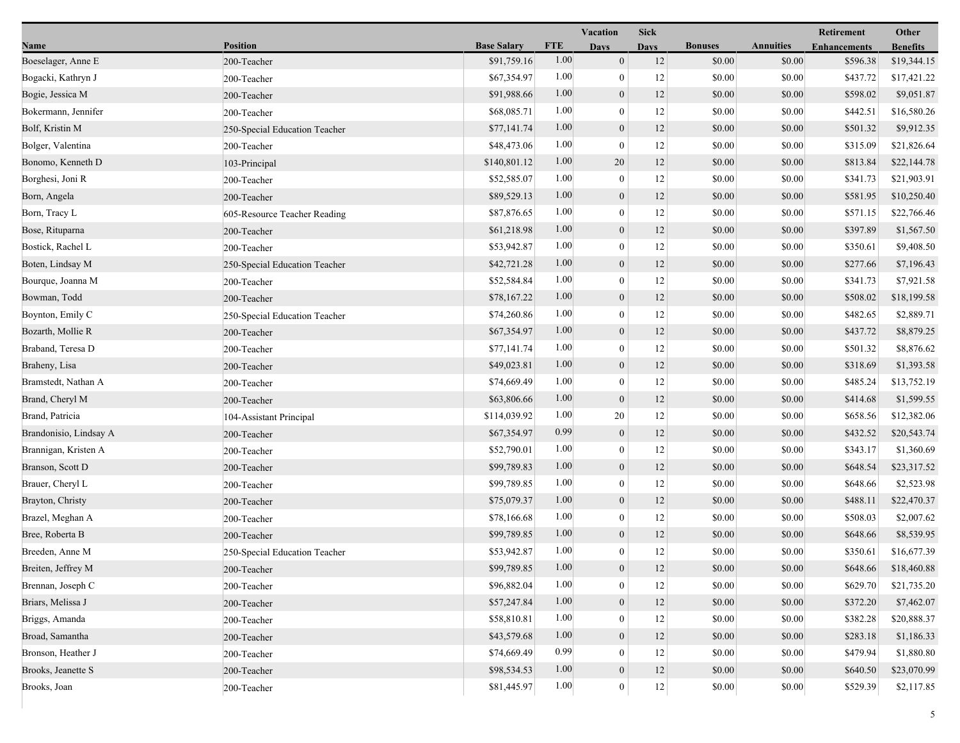|                        |                               |                    |            | Vacation         | <b>Sick</b> |                |                  | Retirement          | Other           |
|------------------------|-------------------------------|--------------------|------------|------------------|-------------|----------------|------------------|---------------------|-----------------|
| Name                   | <b>Position</b>               | <b>Base Salary</b> | <b>FTE</b> | <b>Days</b>      | <b>Davs</b> | <b>Bonuses</b> | <b>Annuities</b> | <b>Enhancements</b> | <b>Benefits</b> |
| Boeselager, Anne E     | 200-Teacher                   | \$91,759.16        | 1.00       | $\mathbf{0}$     | 12          | \$0.00         | \$0.00           | \$596.38            | \$19,344.15     |
| Bogacki, Kathryn J     | 200-Teacher                   | \$67,354.97        | 1.00       | $\mathbf{0}$     | 12          | \$0.00         | \$0.00           | \$437.72            | \$17,421.22     |
| Bogie, Jessica M       | 200-Teacher                   | \$91,988.66        | 1.00       | $\boldsymbol{0}$ | 12          | \$0.00         | \$0.00           | \$598.02            | \$9,051.87      |
| Bokermann, Jennifer    | 200-Teacher                   | \$68,085.71        | 1.00       | $\mathbf{0}$     | 12          | \$0.00         | \$0.00           | \$442.51            | \$16,580.26     |
| Bolf, Kristin M        | 250-Special Education Teacher | \$77,141.74        | 1.00       | $\boldsymbol{0}$ | 12          | \$0.00         | \$0.00           | \$501.32            | \$9,912.35      |
| Bolger, Valentina      | 200-Teacher                   | \$48,473.06        | 1.00       | $\overline{0}$   | 12          | \$0.00         | \$0.00           | \$315.09            | \$21,826.64     |
| Bonomo, Kenneth D      | 103-Principal                 | \$140,801.12       | 1.00       | 20               | 12          | \$0.00         | \$0.00           | \$813.84            | \$22,144.78     |
| Borghesi, Joni R       | 200-Teacher                   | \$52,585.07        | 1.00       | $\bf{0}$         | 12          | \$0.00         | \$0.00           | \$341.73            | \$21,903.91     |
| Born, Angela           | 200-Teacher                   | \$89,529.13        | 1.00       | $\boldsymbol{0}$ | 12          | \$0.00         | \$0.00           | \$581.95            | \$10,250.40     |
| Born, Tracy L          | 605-Resource Teacher Reading  | \$87,876.65        | 1.00       | $\mathbf{0}$     | 12          | \$0.00         | \$0.00           | \$571.15            | \$22,766.46     |
| Bose, Rituparna        | 200-Teacher                   | \$61,218.98        | 1.00       | $\boldsymbol{0}$ | 12          | \$0.00         | \$0.00           | \$397.89            | \$1,567.50      |
| Bostick, Rachel L      | 200-Teacher                   | \$53,942.87        | 1.00       | $\boldsymbol{0}$ | 12          | \$0.00         | \$0.00           | \$350.61            | \$9,408.50      |
| Boten, Lindsay M       | 250-Special Education Teacher | \$42,721.28        | 1.00       | $\overline{0}$   | 12          | \$0.00         | \$0.00           | \$277.66            | \$7,196.43      |
| Bourque, Joanna M      | 200-Teacher                   | \$52,584.84        | 1.00       | $\mathbf{0}$     | 12          | \$0.00         | \$0.00           | \$341.73            | \$7,921.58      |
| Bowman, Todd           | 200-Teacher                   | \$78,167.22        | 1.00       | $\boldsymbol{0}$ | 12          | \$0.00         | \$0.00           | \$508.02            | \$18,199.58     |
| Boynton, Emily C       | 250-Special Education Teacher | \$74,260.86        | 1.00       | $\overline{0}$   | 12          | \$0.00         | \$0.00           | \$482.65            | \$2,889.71      |
| Bozarth, Mollie R      | 200-Teacher                   | \$67,354.97        | 1.00       | $\boldsymbol{0}$ | 12          | \$0.00         | \$0.00           | \$437.72            | \$8,879.25      |
| Braband, Teresa D      | 200-Teacher                   | \$77,141.74        | 1.00       | $\boldsymbol{0}$ | 12          | \$0.00         | \$0.00           | \$501.32            | \$8,876.62      |
| Braheny, Lisa          | 200-Teacher                   | \$49,023.81        | 1.00       | $\mathbf{0}$     | 12          | \$0.00         | \$0.00           | \$318.69            | \$1,393.58      |
| Bramstedt, Nathan A    | 200-Teacher                   | \$74,669.49        | 1.00       | $\overline{0}$   | 12          | \$0.00         | \$0.00           | \$485.24            | \$13,752.19     |
| Brand, Cheryl M        | 200-Teacher                   | \$63,806.66        | 1.00       | $\boldsymbol{0}$ | 12          | \$0.00         | \$0.00           | \$414.68            | \$1,599.55      |
| Brand, Patricia        | 104-Assistant Principal       | \$114,039.92       | 1.00       | 20               | 12          | \$0.00         | \$0.00           | \$658.56            | \$12,382.06     |
| Brandonisio, Lindsay A | 200-Teacher                   | \$67,354.97        | 0.99       | $\boldsymbol{0}$ | 12          | \$0.00         | \$0.00           | \$432.52            | \$20,543.74     |
| Brannigan, Kristen A   | 200-Teacher                   | \$52,790.01        | 1.00       | $\boldsymbol{0}$ | 12          | \$0.00         | \$0.00           | \$343.17            | \$1,360.69      |
| Branson, Scott D       | 200-Teacher                   | \$99,789.83        | 1.00       | $\mathbf{0}$     | 12          | \$0.00         | \$0.00           | \$648.54            | \$23,317.52     |
| Brauer, Cheryl L       | 200-Teacher                   | \$99,789.85        | 1.00       | $\overline{0}$   | 12          | \$0.00         | \$0.00           | \$648.66            | \$2,523.98      |
| Brayton, Christy       | 200-Teacher                   | \$75,079.37        | 1.00       | $\boldsymbol{0}$ | 12          | \$0.00         | \$0.00           | \$488.11            | \$22,470.37     |
| Brazel, Meghan A       | 200-Teacher                   | \$78,166.68        | 1.00       | $\bf{0}$         | 12          | \$0.00         | \$0.00           | \$508.03            | \$2,007.62      |
| Bree, Roberta B        | 200-Teacher                   | \$99,789.85        | 1.00       | $\mathbf{0}$     | 12          | \$0.00         | \$0.00           | \$648.66            | \$8,539.95      |
| Breeden, Anne M        | 250-Special Education Teacher | \$53,942.87        | 1.00       | $\overline{0}$   | 12          | \$0.00         | \$0.00           | \$350.61            | \$16,677.39     |
| Breiten, Jeffrey M     | 200-Teacher                   | \$99,789.85        | 1.00       | $\boldsymbol{0}$ | 12          | \$0.00         | \$0.00           | \$648.66            | \$18,460.88     |
| Brennan, Joseph C      | 200-Teacher                   | \$96,882.04        | 1.00       | $\bf{0}$         | 12          | \$0.00         | \$0.00           | \$629.70            | \$21,735.20     |
| Briars, Melissa J      | 200-Teacher                   | \$57,247.84        | 1.00       | $\mathbf{0}$     | 12          | \$0.00         | \$0.00           | \$372.20            | \$7,462.07      |
| Briggs, Amanda         | 200-Teacher                   | \$58,810.81        | 1.00       | $\theta$         | 12          | \$0.00         | \$0.00           | \$382.28            | \$20,888.37     |
| Broad, Samantha        | 200-Teacher                   | \$43,579.68        | 1.00       | $\overline{0}$   | 12          | \$0.00         | \$0.00           | \$283.18            | \$1,186.33      |
| Bronson, Heather J     | 200-Teacher                   | \$74,669.49        | 0.99       | $\overline{0}$   | 12          | \$0.00         | \$0.00           | \$479.94            | \$1,880.80      |
| Brooks, Jeanette S     | 200-Teacher                   | \$98,534.53        | 1.00       | $\mathbf{0}$     | 12          | \$0.00         | \$0.00           | \$640.50            | \$23,070.99     |
| Brooks, Joan           | 200-Teacher                   | \$81,445.97        | 1.00       | 0                | 12          | \$0.00         | \$0.00           | \$529.39            | \$2,117.85      |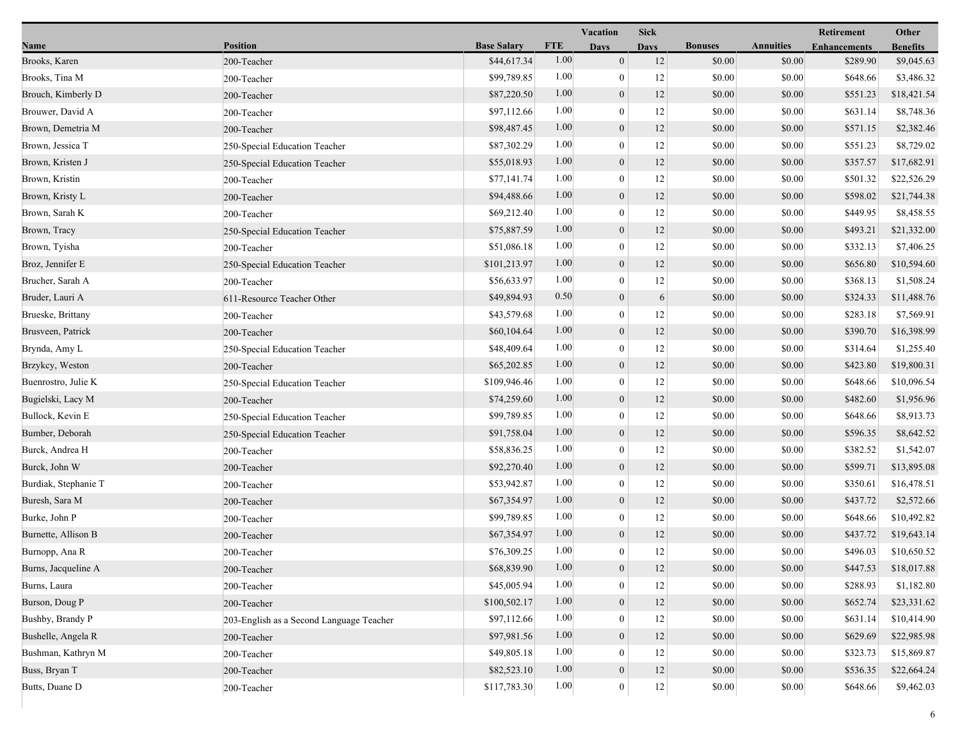|                      |                                          |                    |            | Vacation         | <b>Sick</b> |                |                  | Retirement          | Other           |
|----------------------|------------------------------------------|--------------------|------------|------------------|-------------|----------------|------------------|---------------------|-----------------|
| Name                 | <b>Position</b>                          | <b>Base Salary</b> | <b>FTE</b> | <b>Days</b>      | <b>Days</b> | <b>Bonuses</b> | <b>Annuities</b> | <b>Enhancements</b> | <b>Benefits</b> |
| Brooks, Karen        | 200-Teacher                              | \$44,617.34        | 1.00       | $\mathbf{0}$     | 12          | \$0.00         | \$0.00           | \$289.90            | \$9,045.63      |
| Brooks, Tina M       | 200-Teacher                              | \$99,789.85        | 1.00       | $\overline{0}$   | 12          | \$0.00         | \$0.00           | \$648.66            | \$3,486.32      |
| Brouch, Kimberly D   | 200-Teacher                              | \$87,220.50        | 1.00       | $\boldsymbol{0}$ | 12          | \$0.00         | \$0.00           | \$551.23            | \$18,421.54     |
| Brouwer, David A     | 200-Teacher                              | \$97,112.66        | 1.00       | $\theta$         | 12          | \$0.00         | \$0.00           | \$631.14            | \$8,748.36      |
| Brown, Demetria M    | 200-Teacher                              | \$98,487.45        | 1.00       | $\boldsymbol{0}$ | 12          | \$0.00         | \$0.00           | \$571.15            | \$2,382.46      |
| Brown, Jessica T     | 250-Special Education Teacher            | \$87,302.29        | 1.00       | $\mathbf{0}$     | 12          | \$0.00         | \$0.00           | \$551.23            | \$8,729.02      |
| Brown, Kristen J     | 250-Special Education Teacher            | \$55,018.93        | 1.00       | $\mathbf{0}$     | 12          | \$0.00         | \$0.00           | \$357.57            | \$17,682.91     |
| Brown, Kristin       | 200-Teacher                              | \$77,141.74        | 1.00       | $\overline{0}$   | 12          | \$0.00         | \$0.00           | \$501.32            | \$22,526.29     |
| Brown, Kristy L      | 200-Teacher                              | \$94,488.66        | 1.00       | $\boldsymbol{0}$ | 12          | \$0.00         | \$0.00           | \$598.02            | \$21,744.38     |
| Brown, Sarah K       | 200-Teacher                              | \$69,212.40        | 1.00       | $\overline{0}$   | 12          | \$0.00         | \$0.00           | \$449.95            | \$8,458.55      |
| Brown, Tracy         | 250-Special Education Teacher            | \$75,887.59        | 1.00       | $\boldsymbol{0}$ | 12          | \$0.00         | \$0.00           | \$493.21            | \$21,332.00     |
| Brown, Tyisha        | 200-Teacher                              | \$51,086.18        | 1.00       | $\mathbf{0}$     | 12          | \$0.00         | \$0.00           | \$332.13            | \$7,406.25      |
| Broz, Jennifer E     | 250-Special Education Teacher            | \$101,213.97       | 1.00       | $\mathbf{0}$     | 12          | \$0.00         | \$0.00           | \$656.80            | \$10,594.60     |
| Brucher, Sarah A     | 200-Teacher                              | \$56,633.97        | 1.00       | $\mathbf{0}$     | 12          | \$0.00         | \$0.00           | \$368.13            | \$1,508.24      |
| Bruder, Lauri A      | 611-Resource Teacher Other               | \$49,894.93        | 0.50       | $\boldsymbol{0}$ | 6           | \$0.00         | \$0.00           | \$324.33            | \$11,488.76     |
| Brueske, Brittany    | 200-Teacher                              | \$43,579.68        | 1.00       | $\overline{0}$   | 12          | \$0.00         | \$0.00           | \$283.18            | \$7,569.91      |
| Brusveen, Patrick    | 200-Teacher                              | \$60,104.64        | 1.00       | $\boldsymbol{0}$ | 12          | \$0.00         | \$0.00           | \$390.70            | \$16,398.99     |
| Brynda, Amy L        | 250-Special Education Teacher            | \$48,409.64        | 1.00       | $\boldsymbol{0}$ | 12          | \$0.00         | \$0.00           | \$314.64            | \$1,255.40      |
| Brzykcy, Weston      | 200-Teacher                              | \$65,202.85        | 1.00       | $\mathbf{0}$     | 12          | \$0.00         | \$0.00           | \$423.80            | \$19,800.31     |
| Buenrostro, Julie K  | 250-Special Education Teacher            | \$109,946.46       | 1.00       | $\overline{0}$   | 12          | \$0.00         | \$0.00           | \$648.66            | \$10,096.54     |
| Bugielski, Lacy M    | 200-Teacher                              | \$74,259.60        | 1.00       | $\boldsymbol{0}$ | 12          | \$0.00         | \$0.00           | \$482.60            | \$1,956.96      |
| Bullock, Kevin E     | 250-Special Education Teacher            | \$99,789.85        | 1.00       | $\overline{0}$   | 12          | \$0.00         | \$0.00           | \$648.66            | \$8,913.73      |
| Bumber, Deborah      | 250-Special Education Teacher            | \$91,758.04        | 1.00       | $\boldsymbol{0}$ | 12          | \$0.00         | \$0.00           | \$596.35            | \$8,642.52      |
| Burck, Andrea H      | 200-Teacher                              | \$58,836.25        | 1.00       | $\mathbf{0}$     | 12          | \$0.00         | \$0.00           | \$382.52            | \$1,542.07      |
| Burck, John W        | 200-Teacher                              | \$92,270.40        | 1.00       | $\theta$         | 12          | \$0.00         | \$0.00           | \$599.71            | \$13,895.08     |
| Burdiak, Stephanie T | 200-Teacher                              | \$53,942.87        | 1.00       | $\overline{0}$   | 12          | \$0.00         | \$0.00           | \$350.61            | \$16,478.51     |
| Buresh, Sara M       | 200-Teacher                              | \$67,354.97        | 1.00       | $\overline{0}$   | 12          | \$0.00         | \$0.00           | \$437.72            | \$2,572.66      |
| Burke, John P        | 200-Teacher                              | \$99,789.85        | 1.00       | $\overline{0}$   | 12          | \$0.00         | \$0.00           | \$648.66            | \$10,492.82     |
| Burnette, Allison B  | 200-Teacher                              | \$67,354.97        | 1.00       | $\mathbf{0}$     | 12          | \$0.00         | \$0.00           | \$437.72            | \$19,643.14     |
| Burnopp, Ana R       | 200-Teacher                              | \$76,309.25        | 1.00       | $\mathbf{0}$     | 12          | \$0.00         | \$0.00           | \$496.03            | \$10,650.52     |
| Burns, Jacqueline A  | 200-Teacher                              | \$68,839.90        | 1.00       | $\mathbf{0}$     | 12          | \$0.00         | \$0.00           | \$447.53            | \$18,017.88     |
| Burns, Laura         | 200-Teacher                              | \$45,005.94        | 1.00       | $\overline{0}$   | 12          | \$0.00         | \$0.00           | \$288.93            | \$1,182.80      |
| Burson, Doug P       | 200-Teacher                              | \$100,502.17       | 1.00       | $\mathbf{0}$     | 12          | \$0.00         | \$0.00           | \$652.74            | \$23,331.62     |
| Bushby, Brandy P     | 203-English as a Second Language Teacher | \$97,112.66        | 1.00       | $\overline{0}$   | 12          | \$0.00         | \$0.00           | \$631.14            | \$10,414.90     |
| Bushelle, Angela R   | 200-Teacher                              | \$97,981.56        | 1.00       | $\mathbf{0}$     | 12          | \$0.00         | \$0.00           | \$629.69            | \$22,985.98     |
| Bushman, Kathryn M   | 200-Teacher                              | \$49,805.18        | 1.00       | $\overline{0}$   | 12          | \$0.00         | \$0.00           | \$323.73            | \$15,869.87     |
| Buss, Bryan T        | 200-Teacher                              | \$82,523.10        | 1.00       | $\boldsymbol{0}$ | 12          | \$0.00         | \$0.00           | \$536.35            | \$22,664.24     |
| Butts, Duane D       | 200-Teacher                              | \$117,783.30       | 1.00       | $\boldsymbol{0}$ | 12          | \$0.00         | \$0.00           | \$648.66            | \$9,462.03      |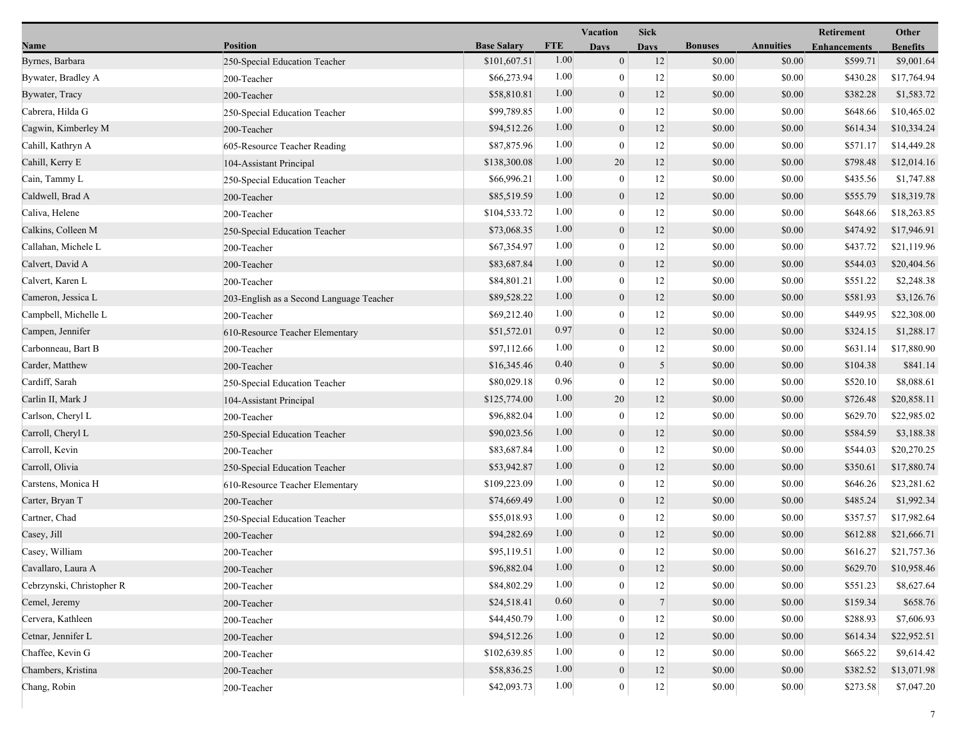|                           |                                          |                    |            | Vacation         | <b>Sick</b>      |                |                  | Retirement          | Other           |
|---------------------------|------------------------------------------|--------------------|------------|------------------|------------------|----------------|------------------|---------------------|-----------------|
| Name                      | <b>Position</b>                          | <b>Base Salary</b> | <b>FTE</b> | <b>Days</b>      | <b>Days</b>      | <b>Bonuses</b> | <b>Annuities</b> | <b>Enhancements</b> | <b>Benefits</b> |
| Byrnes, Barbara           | 250-Special Education Teacher            | \$101,607.51       | 1.00       | $\overline{0}$   | 12               | \$0.00         | \$0.00           | \$599.71            | \$9,001.64      |
| Bywater, Bradley A        | 200-Teacher                              | \$66,273.94        | 1.00       | $\bf{0}$         | 12               | \$0.00         | \$0.00           | \$430.28            | \$17,764.94     |
| Bywater, Tracy            | 200-Teacher                              | \$58,810.81        | 1.00       | $\boldsymbol{0}$ | 12               | \$0.00         | \$0.00           | \$382.28            | \$1,583.72      |
| Cabrera, Hilda G          | 250-Special Education Teacher            | \$99,789.85        | 1.00       | $\overline{0}$   | 12               | \$0.00         | \$0.00           | \$648.66            | \$10,465.02     |
| Cagwin, Kimberley M       | 200-Teacher                              | \$94,512.26        | 1.00       | $\boldsymbol{0}$ | 12               | \$0.00         | \$0.00           | \$614.34            | \$10,334.24     |
| Cahill, Kathryn A         | 605-Resource Teacher Reading             | \$87,875.96        | 1.00       | $\bf{0}$         | 12               | \$0.00         | \$0.00           | \$571.17            | \$14,449.28     |
| Cahill, Kerry E           | 104-Assistant Principal                  | \$138,300.08       | 1.00       | 20               | 12               | \$0.00         | \$0.00           | \$798.48            | \$12,014.16     |
| Cain, Tammy L             | 250-Special Education Teacher            | \$66,996.21        | 1.00       | $\boldsymbol{0}$ | 12               | \$0.00         | \$0.00           | \$435.56            | \$1,747.88      |
| Caldwell, Brad A          | 200-Teacher                              | \$85,519.59        | 1.00       | $\boldsymbol{0}$ | 12               | \$0.00         | \$0.00           | \$555.79            | \$18,319.78     |
| Caliva, Helene            | 200-Teacher                              | \$104,533.72       | 1.00       | $\overline{0}$   | 12               | \$0.00         | \$0.00           | \$648.66            | \$18,263.85     |
| Calkins, Colleen M        | 250-Special Education Teacher            | \$73,068.35        | 1.00       | $\overline{0}$   | 12               | \$0.00         | \$0.00           | \$474.92            | \$17,946.91     |
| Callahan, Michele L       | 200-Teacher                              | \$67,354.97        | 1.00       | $\boldsymbol{0}$ | 12               | \$0.00         | \$0.00           | \$437.72            | \$21,119.96     |
| Calvert, David A          | 200-Teacher                              | \$83,687.84        | 1.00       | $\mathbf{0}$     | 12               | \$0.00         | \$0.00           | \$544.03            | \$20,404.56     |
| Calvert, Karen L          | 200-Teacher                              | \$84,801.21        | 1.00       | 0                | 12               | \$0.00         | \$0.00           | \$551.22            | \$2,248.38      |
| Cameron, Jessica L        | 203-English as a Second Language Teacher | \$89,528.22        | 1.00       | $\boldsymbol{0}$ | 12               | \$0.00         | \$0.00           | \$581.93            | \$3,126.76      |
| Campbell, Michelle L      | 200-Teacher                              | \$69,212.40        | 1.00       | $\overline{0}$   | 12               | \$0.00         | \$0.00           | \$449.95            | \$22,308.00     |
| Campen, Jennifer          | 610-Resource Teacher Elementary          | \$51,572.01        | 0.97       | $\overline{0}$   | 12               | \$0.00         | \$0.00           | \$324.15            | \$1,288.17      |
| Carbonneau, Bart B        | 200-Teacher                              | \$97,112.66        | 1.00       | $\boldsymbol{0}$ | 12               | \$0.00         | \$0.00           | \$631.14            | \$17,880.90     |
| Carder, Matthew           | 200-Teacher                              | \$16,345.46        | 0.40       | $\mathbf{0}$     | 5                | \$0.00         | \$0.00           | \$104.38            | \$841.14        |
| Cardiff, Sarah            | 250-Special Education Teacher            | \$80,029.18        | 0.96       | $\overline{0}$   | 12               | \$0.00         | \$0.00           | \$520.10            | \$8,088.61      |
| Carlin II, Mark J         | 104-Assistant Principal                  | \$125,774.00       | 1.00       | 20               | 12               | \$0.00         | \$0.00           | \$726.48            | \$20,858.11     |
| Carlson, Cheryl L         | 200-Teacher                              | \$96,882.04        | 1.00       | $\bf{0}$         | 12               | \$0.00         | \$0.00           | \$629.70            | \$22,985.02     |
| Carroll, Cheryl L         | 250-Special Education Teacher            | \$90,023.56        | 1.00       | $\mathbf{0}$     | 12               | \$0.00         | \$0.00           | \$584.59            | \$3,188.38      |
| Carroll, Kevin            | 200-Teacher                              | \$83,687.84        | 1.00       | $\boldsymbol{0}$ | 12               | \$0.00         | \$0.00           | \$544.03            | \$20,270.25     |
| Carroll, Olivia           | 250-Special Education Teacher            | \$53,942.87        | 1.00       | $\mathbf{0}$     | 12               | \$0.00         | \$0.00           | \$350.61            | \$17,880.74     |
| Carstens, Monica H        | 610-Resource Teacher Elementary          | \$109,223.09       | 1.00       | $\theta$         | 12               | \$0.00         | \$0.00           | \$646.26            | \$23,281.62     |
| Carter, Bryan T           | 200-Teacher                              | \$74,669.49        | 1.00       | $\boldsymbol{0}$ | 12               | \$0.00         | \$0.00           | \$485.24            | \$1,992.34      |
| Cartner, Chad             | 250-Special Education Teacher            | \$55,018.93        | 1.00       | $\bf{0}$         | 12               | \$0.00         | \$0.00           | \$357.57            | \$17,982.64     |
| Casey, Jill               | 200-Teacher                              | \$94,282.69        | 1.00       | $\overline{0}$   | 12               | \$0.00         | \$0.00           | \$612.88            | \$21,666.71     |
| Casey, William            | 200-Teacher                              | \$95,119.51        | 1.00       | $\mathbf{0}$     | 12               | \$0.00         | \$0.00           | \$616.27            | \$21,757.36     |
| Cavallaro, Laura A        | 200-Teacher                              | \$96,882.04        | $1.00\,$   | $\overline{0}$   | 12               | \$0.00         | \$0.00           | \$629.70            | \$10,958.46     |
| Cebrzynski, Christopher R | 200-Teacher                              | \$84,802.29        | 1.00       | 0                | 12               | \$0.00         | \$0.00           | \$551.23            | \$8,627.64      |
| Cemel, Jeremy             | 200-Teacher                              | \$24,518.41        | 0.60       | $\overline{0}$   | $\boldsymbol{7}$ | \$0.00         | \$0.00           | \$159.34            | \$658.76        |
| Cervera, Kathleen         | 200-Teacher                              | \$44,450.79        | 1.00       | $\overline{0}$   | 12               | \$0.00         | \$0.00           | \$288.93            | \$7,606.93      |
| Cetnar, Jennifer L        | 200-Teacher                              | \$94,512.26        | 1.00       | $\overline{0}$   | 12               | \$0.00         | \$0.00           | \$614.34            | \$22,952.51     |
| Chaffee, Kevin G          | 200-Teacher                              | \$102,639.85       | 1.00       | $\theta$         | 12               | \$0.00         | \$0.00           | \$665.22            | \$9,614.42      |
| Chambers, Kristina        | 200-Teacher                              | \$58,836.25        | 1.00       | $\boldsymbol{0}$ | $12\,$           | \$0.00         | \$0.00           | \$382.52            | \$13,071.98     |
| Chang, Robin              | 200-Teacher                              | \$42,093.73        | 1.00       | $\mathbf{0}$     | $12\,$           | \$0.00         | \$0.00           | \$273.58            | \$7,047.20      |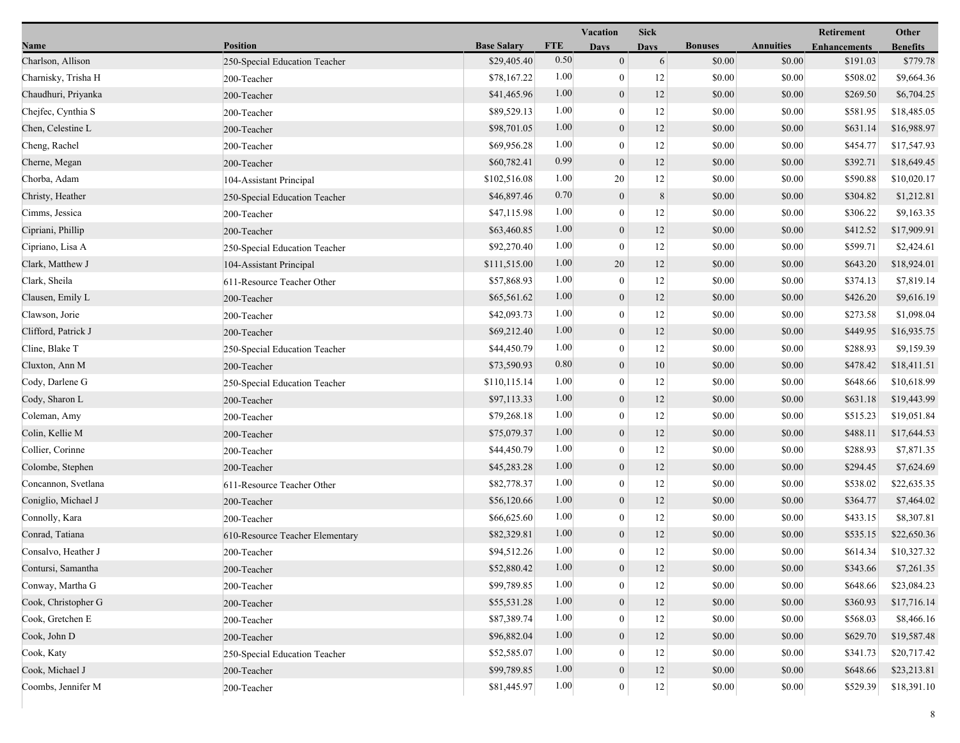|                     |                                 |                    |            | <b>Vacation</b>  | <b>Sick</b> |                |                  | Retirement          | Other           |
|---------------------|---------------------------------|--------------------|------------|------------------|-------------|----------------|------------------|---------------------|-----------------|
| Name                | <b>Position</b>                 | <b>Base Salary</b> | <b>FTE</b> | <b>Days</b>      | <b>Davs</b> | <b>Bonuses</b> | <b>Annuities</b> | <b>Enhancements</b> | <b>Benefits</b> |
| Charlson, Allison   | 250-Special Education Teacher   | \$29,405.40        | 0.50       | $\mathbf{0}$     | 6           | \$0.00         | \$0.00           | \$191.03            | \$779.78        |
| Charnisky, Trisha H | 200-Teacher                     | \$78,167.22        | 1.00       | $\mathbf{0}$     | 12          | \$0.00         | \$0.00           | \$508.02            | \$9,664.36      |
| Chaudhuri, Priyanka | 200-Teacher                     | \$41,465.96        | 1.00       | $\boldsymbol{0}$ | 12          | \$0.00         | \$0.00           | \$269.50            | \$6,704.25      |
| Chejfec, Cynthia S  | 200-Teacher                     | \$89,529.13        | 1.00       | $\mathbf{0}$     | 12          | \$0.00         | \$0.00           | \$581.95            | \$18,485.05     |
| Chen, Celestine L   | 200-Teacher                     | \$98,701.05        | 1.00       | $\mathbf{0}$     | 12          | \$0.00         | \$0.00           | \$631.14            | \$16,988.97     |
| Cheng, Rachel       | 200-Teacher                     | \$69,956.28        | 1.00       | $\overline{0}$   | 12          | \$0.00         | \$0.00           | \$454.77            | \$17,547.93     |
| Cherne, Megan       | 200-Teacher                     | \$60,782.41        | 0.99       | $\mathbf{0}$     | 12          | \$0.00         | \$0.00           | \$392.71            | \$18,649.45     |
| Chorba, Adam        | 104-Assistant Principal         | \$102,516.08       | 1.00       | 20               | $12\,$      | \$0.00         | \$0.00           | \$590.88            | \$10,020.17     |
| Christy, Heather    | 250-Special Education Teacher   | \$46,897.46        | 0.70       | $\boldsymbol{0}$ | 8           | \$0.00         | \$0.00           | \$304.82            | \$1,212.81      |
| Cimms, Jessica      | 200-Teacher                     | \$47,115.98        | 1.00       | $\mathbf{0}$     | 12          | \$0.00         | \$0.00           | \$306.22            | \$9,163.35      |
| Cipriani, Phillip   | 200-Teacher                     | \$63,460.85        | 1.00       | $\mathbf{0}$     | 12          | \$0.00         | \$0.00           | \$412.52            | \$17,909.91     |
| Cipriano, Lisa A    | 250-Special Education Teacher   | \$92,270.40        | 1.00       | $\mathbf{0}$     | 12          | \$0.00         | \$0.00           | \$599.71            | \$2,424.61      |
| Clark, Matthew J    | 104-Assistant Principal         | \$111,515.00       | 1.00       | 20               | 12          | \$0.00         | \$0.00           | \$643.20            | \$18,924.01     |
| Clark, Sheila       | 611-Resource Teacher Other      | \$57,868.93        | 1.00       | $\boldsymbol{0}$ | 12          | \$0.00         | \$0.00           | \$374.13            | \$7,819.14      |
| Clausen, Emily L    | 200-Teacher                     | \$65,561.62        | 1.00       | $\boldsymbol{0}$ | $12\,$      | \$0.00         | \$0.00           | \$426.20            | \$9,616.19      |
| Clawson, Jorie      | 200-Teacher                     | \$42,093.73        | 1.00       | $\mathbf{0}$     | 12          | \$0.00         | \$0.00           | \$273.58            | \$1,098.04      |
| Clifford, Patrick J | 200-Teacher                     | \$69,212.40        | 1.00       | $\mathbf{0}$     | 12          | \$0.00         | \$0.00           | \$449.95            | \$16,935.75     |
| Cline, Blake T      | 250-Special Education Teacher   | \$44,450.79        | 1.00       | $\boldsymbol{0}$ | 12          | \$0.00         | \$0.00           | \$288.93            | \$9,159.39      |
| Cluxton, Ann M      | 200-Teacher                     | \$73,590.93        | 0.80       | $\overline{0}$   | 10          | \$0.00         | \$0.00           | \$478.42            | \$18,411.51     |
| Cody, Darlene G     | 250-Special Education Teacher   | \$110,115.14       | 1.00       | $\mathbf{0}$     | 12          | \$0.00         | \$0.00           | \$648.66            | \$10,618.99     |
| Cody, Sharon L      | 200-Teacher                     | \$97,113.33        | 1.00       | $\mathbf{0}$     | 12          | \$0.00         | \$0.00           | \$631.18            | \$19,443.99     |
| Coleman, Amy        | 200-Teacher                     | \$79,268.18        | 1.00       | $\mathbf{0}$     | 12          | \$0.00         | \$0.00           | \$515.23            | \$19,051.84     |
| Colin, Kellie M     | 200-Teacher                     | \$75,079.37        | 1.00       | $\overline{0}$   | 12          | \$0.00         | \$0.00           | \$488.11            | \$17,644.53     |
| Collier, Corinne    | 200-Teacher                     | \$44,450.79        | 1.00       | $\overline{0}$   | 12          | \$0.00         | \$0.00           | \$288.93            | \$7,871.35      |
| Colombe, Stephen    | 200-Teacher                     | \$45,283.28        | 1.00       | $\boldsymbol{0}$ | 12          | \$0.00         | \$0.00           | \$294.45            | \$7,624.69      |
| Concannon, Svetlana | 611-Resource Teacher Other      | \$82,778.37        | 1.00       | $\overline{0}$   | 12          | \$0.00         | \$0.00           | \$538.02            | \$22,635.35     |
| Coniglio, Michael J | 200-Teacher                     | \$56,120.66        | 1.00       | $\mathbf{0}$     | 12          | \$0.00         | \$0.00           | \$364.77            | \$7,464.02      |
| Connolly, Kara      | 200-Teacher                     | \$66,625.60        | 1.00       | $\overline{0}$   | 12          | \$0.00         | \$0.00           | \$433.15            | \$8,307.81      |
| Conrad, Tatiana     | 610-Resource Teacher Elementary | \$82,329.81        | 1.00       | $\overline{0}$   | 12          | \$0.00         | \$0.00           | \$535.15            | \$22,650.36     |
| Consalvo, Heather J | 200-Teacher                     | \$94,512.26        | 1.00       | $\overline{0}$   | 12          | \$0.00         | \$0.00           | \$614.34            | \$10,327.32     |
| Contursi, Samantha  | 200-Teacher                     | \$52,880.42        | $1.00\,$   | $\boldsymbol{0}$ | 12          | \$0.00         | \$0.00           | \$343.66            | \$7,261.35      |
| Conway, Martha G    | 200-Teacher                     | \$99,789.85        | 1.00       | $\overline{0}$   | 12          | \$0.00         | \$0.00           | \$648.66            | \$23,084.23     |
| Cook, Christopher G | 200-Teacher                     | \$55,531.28        | 1.00       | $\mathbf{0}$     | 12          | \$0.00         | \$0.00           | \$360.93            | \$17,716.14     |
| Cook, Gretchen E    | 200-Teacher                     | \$87,389.74        | 1.00       | $\overline{0}$   | 12          | \$0.00         | \$0.00           | \$568.03            | \$8,466.16      |
| Cook, John D        | 200-Teacher                     | \$96,882.04        | 1.00       | $\mathbf{0}$     | 12          | \$0.00         | \$0.00           | \$629.70            | \$19,587.48     |
| Cook, Katy          | 250-Special Education Teacher   | \$52,585.07        | 1.00       | $\boldsymbol{0}$ | 12          | \$0.00         | \$0.00           | \$341.73            | \$20,717.42     |
| Cook, Michael J     | 200-Teacher                     | \$99,789.85        | 1.00       | $\mathbf{0}$     | $12\,$      | \$0.00         | \$0.00           | \$648.66            | \$23,213.81     |
| Coombs, Jennifer M  | 200-Teacher                     | \$81,445.97        | 1.00       | $\overline{0}$   | 12          | \$0.00         | \$0.00           | \$529.39            | \$18,391.10     |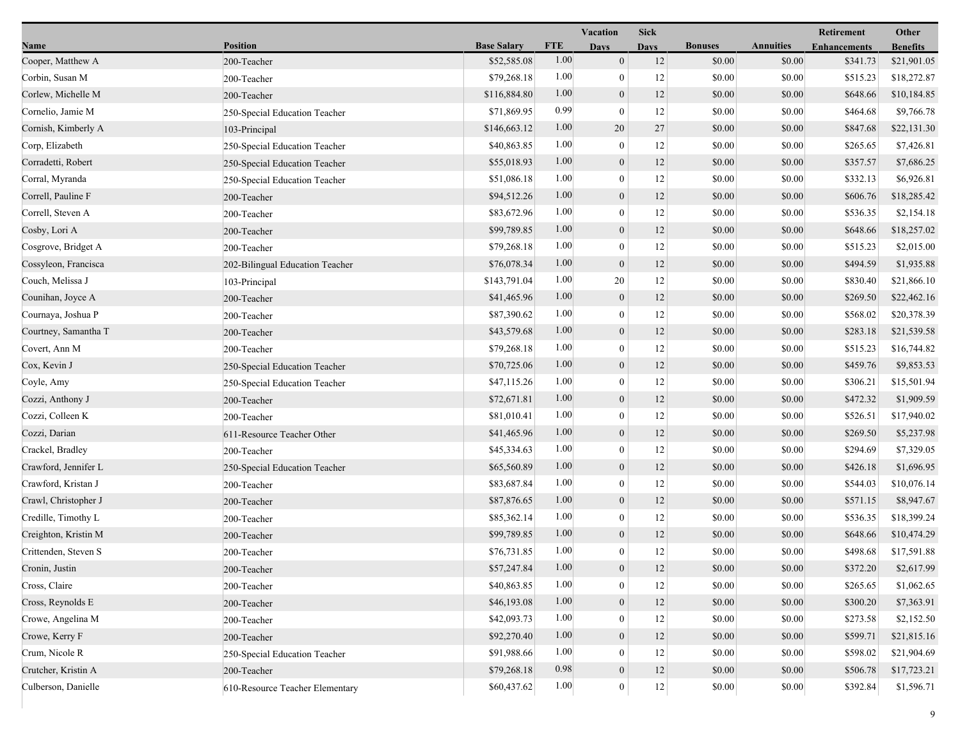|                      |                                 |                    |            | Vacation         | <b>Sick</b> |                |                  | <b>Retirement</b>   | Other           |
|----------------------|---------------------------------|--------------------|------------|------------------|-------------|----------------|------------------|---------------------|-----------------|
| <b>Name</b>          | <b>Position</b>                 | <b>Base Salary</b> | <b>FTE</b> | <b>Days</b>      | <b>Days</b> | <b>Bonuses</b> | <b>Annuities</b> | <b>Enhancements</b> | <b>Benefits</b> |
| Cooper, Matthew A    | 200-Teacher                     | \$52,585.08        | 1.00       | $\mathbf{0}$     | 12          | \$0.00         | \$0.00           | \$341.73            | \$21,901.05     |
| Corbin, Susan M      | 200-Teacher                     | \$79,268.18        | 1.00       | $\bf{0}$         | 12          | \$0.00         | \$0.00           | \$515.23            | \$18,272.87     |
| Corlew, Michelle M   | 200-Teacher                     | \$116,884.80       | 1.00       | $\boldsymbol{0}$ | 12          | \$0.00         | \$0.00           | \$648.66            | \$10,184.85     |
| Cornelio, Jamie M    | 250-Special Education Teacher   | \$71,869.95        | 0.99       | $\mathbf{0}$     | 12          | \$0.00         | \$0.00           | \$464.68            | \$9,766.78      |
| Cornish, Kimberly A  | 103-Principal                   | \$146,663.12       | 1.00       | 20               | 27          | \$0.00         | \$0.00           | \$847.68            | \$22,131.30     |
| Corp, Elizabeth      | 250-Special Education Teacher   | \$40,863.85        | 1.00       | $\boldsymbol{0}$ | 12          | \$0.00         | \$0.00           | \$265.65            | \$7,426.81      |
| Corradetti, Robert   | 250-Special Education Teacher   | \$55,018.93        | 1.00       | $\mathbf{0}$     | 12          | \$0.00         | \$0.00           | \$357.57            | \$7,686.25      |
| Corral, Myranda      | 250-Special Education Teacher   | \$51,086.18        | 1.00       | $\bf{0}$         | 12          | \$0.00         | \$0.00           | \$332.13            | \$6,926.81      |
| Correll, Pauline F   | 200-Teacher                     | \$94,512.26        | 1.00       | $\boldsymbol{0}$ | 12          | \$0.00         | \$0.00           | \$606.76            | \$18,285.42     |
| Correll, Steven A    | 200-Teacher                     | \$83,672.96        | 1.00       | $\overline{0}$   | 12          | \$0.00         | \$0.00           | \$536.35            | \$2,154.18      |
| Cosby, Lori A        | 200-Teacher                     | \$99,789.85        | 1.00       | $\boldsymbol{0}$ | 12          | \$0.00         | \$0.00           | \$648.66            | \$18,257.02     |
| Cosgrove, Bridget A  | 200-Teacher                     | \$79,268.18        | 1.00       | $\mathbf{0}$     | 12          | \$0.00         | \$0.00           | \$515.23            | \$2,015.00      |
| Cossyleon, Francisca | 202-Bilingual Education Teacher | \$76,078.34        | 1.00       | $\mathbf{0}$     | 12          | \$0.00         | \$0.00           | \$494.59            | \$1,935.88      |
| Couch, Melissa J     | 103-Principal                   | \$143,791.04       | 1.00       | 20               | 12          | \$0.00         | \$0.00           | \$830.40            | \$21,866.10     |
| Counihan, Joyce A    | 200-Teacher                     | \$41,465.96        | 1.00       | $\boldsymbol{0}$ | 12          | \$0.00         | \$0.00           | \$269.50            | \$22,462.16     |
| Cournaya, Joshua P   | 200-Teacher                     | \$87,390.62        | 1.00       | $\overline{0}$   | 12          | \$0.00         | \$0.00           | \$568.02            | \$20,378.39     |
| Courtney, Samantha T | 200-Teacher                     | \$43,579.68        | 1.00       | $\mathbf{0}$     | 12          | \$0.00         | \$0.00           | \$283.18            | \$21,539.58     |
| Covert, Ann M        | 200-Teacher                     | \$79,268.18        | 1.00       | $\mathbf{0}$     | 12          | \$0.00         | \$0.00           | \$515.23            | \$16,744.82     |
| Cox, Kevin J         | 250-Special Education Teacher   | \$70,725.06        | 1.00       | $\boldsymbol{0}$ | 12          | \$0.00         | \$0.00           | \$459.76            | \$9,853.53      |
| Coyle, Amy           | 250-Special Education Teacher   | \$47,115.26        | 1.00       | $\overline{0}$   | 12          | \$0.00         | \$0.00           | \$306.21            | \$15,501.94     |
| Cozzi, Anthony J     | 200-Teacher                     | \$72,671.81        | 1.00       | $\boldsymbol{0}$ | 12          | \$0.00         | \$0.00           | \$472.32            | \$1,909.59      |
| Cozzi, Colleen K     | 200-Teacher                     | \$81,010.41        | 1.00       | $\overline{0}$   | 12          | \$0.00         | \$0.00           | \$526.51            | \$17,940.02     |
| Cozzi, Darian        | 611-Resource Teacher Other      | \$41,465.96        | 1.00       | $\mathbf{0}$     | 12          | \$0.00         | \$0.00           | \$269.50            | \$5,237.98      |
| Crackel, Bradley     | 200-Teacher                     | \$45,334.63        | 1.00       | $\mathbf{0}$     | 12          | \$0.00         | \$0.00           | \$294.69            | \$7,329.05      |
| Crawford, Jennifer L | 250-Special Education Teacher   | \$65,560.89        | 1.00       | $\overline{0}$   | 12          | \$0.00         | \$0.00           | \$426.18            | \$1,696.95      |
| Crawford, Kristan J  | 200-Teacher                     | \$83,687.84        | 1.00       | $\overline{0}$   | 12          | \$0.00         | \$0.00           | \$544.03            | \$10,076.14     |
| Crawl, Christopher J | 200-Teacher                     | \$87,876.65        | 1.00       | $\mathbf{0}$     | 12          | \$0.00         | \$0.00           | \$571.15            | \$8,947.67      |
| Credille, Timothy L  | 200-Teacher                     | \$85,362.14        | 1.00       | $\mathbf{0}$     | 12          | \$0.00         | \$0.00           | \$536.35            | \$18,399.24     |
| Creighton, Kristin M | 200-Teacher                     | \$99,789.85        | 1.00       | $\mathbf{0}$     | 12          | \$0.00         | \$0.00           | \$648.66            | \$10,474.29     |
| Crittenden, Steven S | 200-Teacher                     | \$76,731.85        | 1.00       | $\overline{0}$   | 12          | \$0.00         | \$0.00           | \$498.68            | \$17,591.88     |
| Cronin, Justin       | 200-Teacher                     | \$57,247.84        | $1.00\,$   | $\boldsymbol{0}$ | 12          | \$0.00         | \$0.00           | \$372.20            | \$2,617.99      |
| Cross, Claire        | 200-Teacher                     | \$40,863.85        | 1.00       | $\mathbf{0}$     | 12          | \$0.00         | \$0.00           | \$265.65            | \$1,062.65      |
| Cross, Reynolds E    | 200-Teacher                     | \$46,193.08        | 1.00       | $\boldsymbol{0}$ | 12          | \$0.00         | \$0.00           | \$300.20            | \$7,363.91      |
| Crowe, Angelina M    | 200-Teacher                     | \$42,093.73        | 1.00       | $\mathbf{0}$     | 12          | \$0.00         | \$0.00           | \$273.58            | \$2,152.50      |
| Crowe, Kerry F       | 200-Teacher                     | \$92,270.40        | 1.00       | $\mathbf{0}$     | 12          | \$0.00         | \$0.00           | \$599.71            | \$21,815.16     |
| Crum, Nicole R       | 250-Special Education Teacher   | \$91,988.66        | 1.00       | $\overline{0}$   | 12          | \$0.00         | \$0.00           | \$598.02            | \$21,904.69     |
| Crutcher, Kristin A  | 200-Teacher                     | \$79,268.18        | 0.98       | $\boldsymbol{0}$ | 12          | \$0.00         | \$0.00           | \$506.78            | \$17,723.21     |
| Culberson, Danielle  | 610-Resource Teacher Elementary | \$60,437.62        | 1.00       | $\mathbf{0}$     | $12\,$      | \$0.00         | \$0.00           | \$392.84            | \$1,596.71      |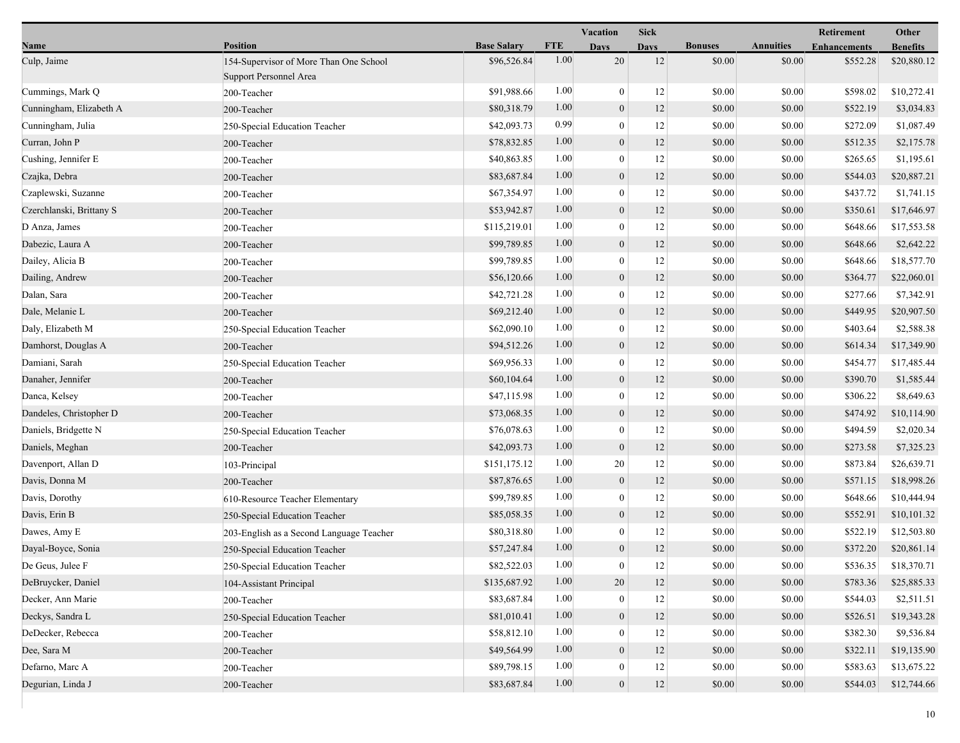|                          |                                                                  |                    |            | <b>Vacation</b>  | <b>Sick</b> |                |                  | Retirement          | Other           |
|--------------------------|------------------------------------------------------------------|--------------------|------------|------------------|-------------|----------------|------------------|---------------------|-----------------|
| Name                     | <b>Position</b>                                                  | <b>Base Salary</b> | <b>FTE</b> | <b>Days</b>      | <b>Davs</b> | <b>Bonuses</b> | <b>Annuities</b> | <b>Enhancements</b> | <b>Benefits</b> |
| Culp, Jaime              | 154-Supervisor of More Than One School<br>Support Personnel Area | \$96,526.84        | 1.00       | 20               | 12          | \$0.00         | \$0.00           | \$552.28            | \$20,880.12     |
| Cummings, Mark Q         | 200-Teacher                                                      | \$91,988.66        | 1.00       | $\mathbf{0}$     | 12          | \$0.00         | \$0.00           | \$598.02            | \$10,272.41     |
| Cunningham, Elizabeth A  | 200-Teacher                                                      | \$80,318.79        | 1.00       | $\mathbf{0}$     | 12          | \$0.00         | \$0.00           | \$522.19            | \$3,034.83      |
| Cunningham, Julia        | 250-Special Education Teacher                                    | \$42,093.73        | 0.99       | $\theta$         | 12          | \$0.00         | \$0.00           | \$272.09            | \$1,087.49      |
| Curran, John P           | 200-Teacher                                                      | \$78,832.85        | 1.00       | $\overline{0}$   | 12          | \$0.00         | \$0.00           | \$512.35            | \$2,175.78      |
| Cushing, Jennifer E      | 200-Teacher                                                      | \$40,863.85        | 1.00       | $\overline{0}$   | 12          | \$0.00         | \$0.00           | \$265.65            | \$1,195.61      |
| Czajka, Debra            | 200-Teacher                                                      | \$83,687.84        | 1.00       | $\mathbf{0}$     | 12          | \$0.00         | \$0.00           | \$544.03            | \$20,887.21     |
| Czaplewski, Suzanne      | 200-Teacher                                                      | \$67,354.97        | 1.00       | $\theta$         | 12          | \$0.00         | \$0.00           | \$437.72            | \$1,741.15      |
| Czerchlanski, Brittany S | 200-Teacher                                                      | \$53,942.87        | 1.00       | $\boldsymbol{0}$ | 12          | \$0.00         | \$0.00           | \$350.61            | \$17,646.97     |
| D Anza, James            | 200-Teacher                                                      | \$115,219.01       | 1.00       | $\boldsymbol{0}$ | 12          | \$0.00         | \$0.00           | \$648.66            | \$17,553.58     |
| Dabezic, Laura A         | 200-Teacher                                                      | \$99,789.85        | 1.00       | $\boldsymbol{0}$ | 12          | \$0.00         | \$0.00           | \$648.66            | \$2,642.22      |
| Dailey, Alicia B         | 200-Teacher                                                      | \$99,789.85        | 1.00       | $\mathbf{0}$     | 12          | \$0.00         | \$0.00           | \$648.66            | \$18,577.70     |
| Dailing, Andrew          | 200-Teacher                                                      | \$56,120.66        | 1.00       | $\mathbf{0}$     | 12          | \$0.00         | \$0.00           | \$364.77            | \$22,060.01     |
| Dalan, Sara              | 200-Teacher                                                      | \$42,721.28        | 1.00       | $\theta$         | 12          | \$0.00         | \$0.00           | \$277.66            | \$7,342.91      |
| Dale, Melanie L          | 200-Teacher                                                      | \$69,212.40        | 1.00       | $\boldsymbol{0}$ | 12          | \$0.00         | \$0.00           | \$449.95            | \$20,907.50     |
| Daly, Elizabeth M        | 250-Special Education Teacher                                    | \$62,090.10        | 1.00       | $\mathbf{0}$     | 12          | \$0.00         | \$0.00           | \$403.64            | \$2,588.38      |
| Damhorst, Douglas A      | 200-Teacher                                                      | \$94,512.26        | 1.00       | $\boldsymbol{0}$ | 12          | \$0.00         | \$0.00           | \$614.34            | \$17,349.90     |
| Damiani, Sarah           | 250-Special Education Teacher                                    | \$69,956.33        | 1.00       | $\boldsymbol{0}$ | 12          | \$0.00         | \$0.00           | \$454.77            | \$17,485.44     |
| Danaher, Jennifer        | 200-Teacher                                                      | \$60,104.64        | 1.00       | $\mathbf{0}$     | 12          | \$0.00         | \$0.00           | \$390.70            | \$1,585.44      |
| Danca, Kelsey            | 200-Teacher                                                      | \$47,115.98        | 1.00       | $\Omega$         | 12          | \$0.00         | \$0.00           | \$306.22            | \$8,649.63      |
| Dandeles, Christopher D  | 200-Teacher                                                      | \$73,068.35        | 1.00       | $\boldsymbol{0}$ | 12          | \$0.00         | \$0.00           | \$474.92            | \$10,114.90     |
| Daniels, Bridgette N     | 250-Special Education Teacher                                    | \$76,078.63        | 1.00       | $\mathbf{0}$     | 12          | \$0.00         | \$0.00           | \$494.59            | \$2,020.34      |
| Daniels, Meghan          | 200-Teacher                                                      | \$42,093.73        | 1.00       | $\mathbf{0}$     | 12          | \$0.00         | \$0.00           | \$273.58            | \$7,325.23      |
| Davenport, Allan D       | 103-Principal                                                    | \$151,175.12       | 1.00       | 20               | 12          | \$0.00         | \$0.00           | \$873.84            | \$26,639.71     |
| Davis, Donna M           | 200-Teacher                                                      | \$87,876.65        | 1.00       | $\mathbf{0}$     | 12          | \$0.00         | \$0.00           | \$571.15            | \$18,998.26     |
| Davis, Dorothy           | 610-Resource Teacher Elementary                                  | \$99,789.85        | 1.00       | $\Omega$         | 12          | \$0.00         | \$0.00           | \$648.66            | \$10,444.94     |
| Davis, Erin B            | 250-Special Education Teacher                                    | \$85,058.35        | 1.00       | $\boldsymbol{0}$ | 12          | \$0.00         | \$0.00           | \$552.91            | \$10,101.32     |
| Dawes, Amy E             | 203-English as a Second Language Teacher                         | \$80,318.80        | 1.00       | $\boldsymbol{0}$ | 12          | \$0.00         | \$0.00           | \$522.19            | \$12,503.80     |
| Dayal-Boyce, Sonia       | 250-Special Education Teacher                                    | \$57,247.84        | 1.00       | $\boldsymbol{0}$ | 12          | \$0.00         | \$0.00           | \$372.20            | \$20,861.14     |
| De Geus, Julee F         | 250-Special Education Teacher                                    | \$82,522.03        | 1.00       | $\Omega$         | 12          | $\$0.00$       | $\$0.00$         | \$536.35            | \$18,370.71     |
| DeBruycker, Daniel       | 104-Assistant Principal                                          | \$135,687.92       | 1.00       | 20               | 12          | \$0.00         | \$0.00           | \$783.36            | \$25,885.33     |
| Decker, Ann Marie        | 200-Teacher                                                      | \$83,687.84        | 1.00       | $\theta$         | 12          | \$0.00         | \$0.00           | \$544.03            | \$2,511.51      |
| Deckys, Sandra L         | 250-Special Education Teacher                                    | \$81,010.41        | 1.00       | $\overline{0}$   | 12          | \$0.00         | \$0.00           | \$526.51            | \$19,343.28     |
| DeDecker, Rebecca        | 200-Teacher                                                      | \$58,812.10        | 1.00       | $\theta$         | 12          | \$0.00         | \$0.00           | \$382.30            | \$9,536.84      |
| Dee, Sara M              | 200-Teacher                                                      | \$49,564.99        | 1.00       | $\theta$         | 12          | \$0.00         | \$0.00           | \$322.11            | \$19,135.90     |
| Defarno, Marc A          | 200-Teacher                                                      | \$89,798.15        | 1.00       | $\boldsymbol{0}$ | 12          | \$0.00         | \$0.00           | \$583.63            | \$13,675.22     |
| Degurian, Linda J        | 200-Teacher                                                      | \$83,687.84        | 1.00       | $\boldsymbol{0}$ | 12          | \$0.00         | \$0.00           | \$544.03            | \$12,744.66     |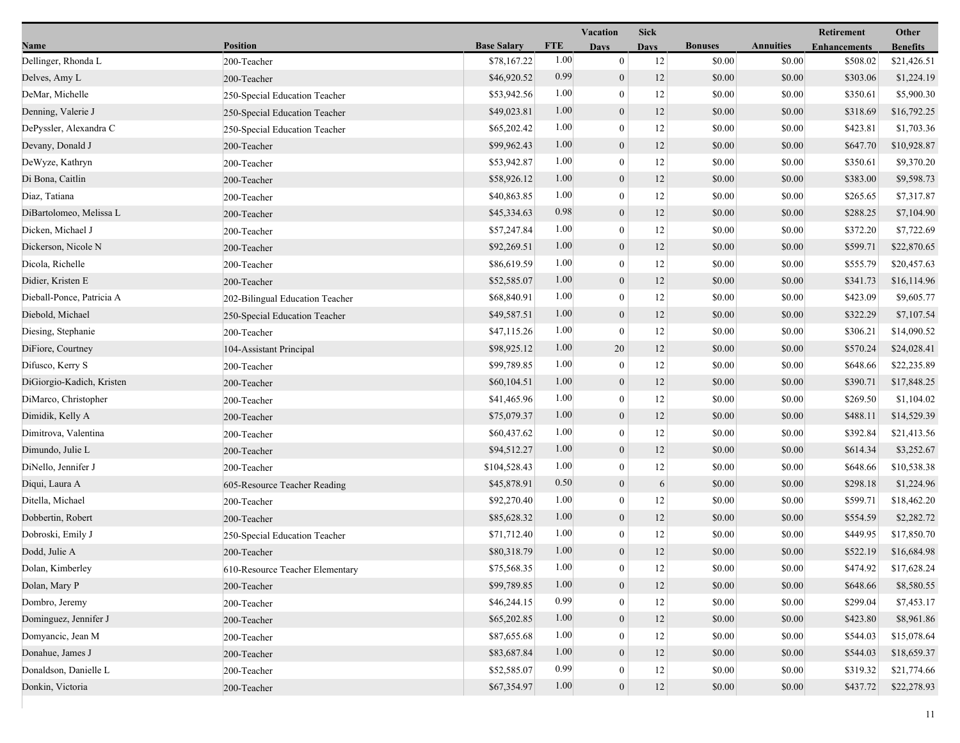|                           |                                 |                    |            | Vacation         | <b>Sick</b> |                |                  | Retirement          | Other           |
|---------------------------|---------------------------------|--------------------|------------|------------------|-------------|----------------|------------------|---------------------|-----------------|
| Name                      | <b>Position</b>                 | <b>Base Salary</b> | <b>FTE</b> | <b>Days</b>      | <b>Days</b> | <b>Bonuses</b> | <b>Annuities</b> | <b>Enhancements</b> | <b>Benefits</b> |
| Dellinger, Rhonda L       | 200-Teacher                     | \$78,167.22        | 1.00       | $\mathbf{0}$     | 12          | \$0.00         | \$0.00           | \$508.02            | \$21,426.51     |
| Delves, Amy L             | 200-Teacher                     | \$46,920.52        | 0.99       | $\mathbf{0}$     | 12          | \$0.00         | \$0.00           | \$303.06            | \$1,224.19      |
| DeMar, Michelle           | 250-Special Education Teacher   | \$53,942.56        | 1.00       | $\bf{0}$         | 12          | \$0.00         | \$0.00           | \$350.61            | \$5,900.30      |
| Denning, Valerie J        | 250-Special Education Teacher   | \$49,023.81        | 1.00       | $\mathbf{0}$     | 12          | \$0.00         | \$0.00           | \$318.69            | \$16,792.25     |
| DePyssler, Alexandra C    | 250-Special Education Teacher   | \$65,202.42        | 1.00       | $\boldsymbol{0}$ | 12          | \$0.00         | \$0.00           | \$423.81            | \$1,703.36      |
| Devany, Donald J          | 200-Teacher                     | \$99,962.43        | 1.00       | $\mathbf{0}$     | 12          | \$0.00         | \$0.00           | \$647.70            | \$10,928.87     |
| DeWyze, Kathryn           | 200-Teacher                     | \$53,942.87        | 1.00       | $\mathbf{0}$     | 12          | \$0.00         | \$0.00           | \$350.61            | \$9,370.20      |
| Di Bona, Caitlin          | 200-Teacher                     | \$58,926.12        | 1.00       | $\mathbf{0}$     | 12          | \$0.00         | \$0.00           | \$383.00            | \$9,598.73      |
| Diaz, Tatiana             | 200-Teacher                     | \$40,863.85        | 1.00       | $\bf{0}$         | 12          | \$0.00         | \$0.00           | \$265.65            | \$7,317.87      |
| DiBartolomeo, Melissa L   | 200-Teacher                     | \$45,334.63        | 0.98       | $\mathbf{0}$     | 12          | \$0.00         | \$0.00           | \$288.25            | \$7,104.90      |
| Dicken, Michael J         | 200-Teacher                     | \$57,247.84        | 1.00       | $\bf{0}$         | 12          | \$0.00         | \$0.00           | \$372.20            | \$7,722.69      |
| Dickerson, Nicole N       | 200-Teacher                     | \$92,269.51        | 1.00       | $\mathbf{0}$     | 12          | \$0.00         | \$0.00           | \$599.71            | \$22,870.65     |
| Dicola, Richelle          | 200-Teacher                     | \$86,619.59        | 1.00       | $\mathbf{0}$     | 12          | \$0.00         | \$0.00           | \$555.79            | \$20,457.63     |
| Didier, Kristen E         | 200-Teacher                     | \$52,585.07        | 1.00       | $\mathbf{0}$     | 12          | \$0.00         | \$0.00           | \$341.73            | \$16,114.96     |
| Dieball-Ponce, Patricia A | 202-Bilingual Education Teacher | \$68,840.91        | 1.00       | $\boldsymbol{0}$ | 12          | \$0.00         | \$0.00           | \$423.09            | \$9,605.77      |
| Diebold, Michael          | 250-Special Education Teacher   | \$49,587.51        | 1.00       | $\mathbf{0}$     | 12          | \$0.00         | \$0.00           | \$322.29            | \$7,107.54      |
| Diesing, Stephanie        | 200-Teacher                     | \$47,115.26        | 1.00       | $\mathbf{0}$     | 12          | \$0.00         | \$0.00           | \$306.21            | \$14,090.52     |
| DiFiore, Courtney         | 104-Assistant Principal         | \$98,925.12        | 1.00       | 20               | 12          | \$0.00         | \$0.00           | \$570.24            | \$24,028.41     |
| Difusco, Kerry S          | 200-Teacher                     | \$99,789.85        | 1.00       | $\mathbf{0}$     | 12          | \$0.00         | \$0.00           | \$648.66            | \$22,235.89     |
| DiGiorgio-Kadich, Kristen | 200-Teacher                     | \$60,104.51        | 1.00       | $\mathbf{0}$     | 12          | \$0.00         | \$0.00           | \$390.71            | \$17,848.25     |
| DiMarco, Christopher      | 200-Teacher                     | \$41,465.96        | 1.00       | $\boldsymbol{0}$ | 12          | \$0.00         | \$0.00           | \$269.50            | \$1,104.02      |
| Dimidik, Kelly A          | 200-Teacher                     | \$75,079.37        | 1.00       | $\mathbf{0}$     | 12          | \$0.00         | \$0.00           | \$488.11            | \$14,529.39     |
| Dimitrova, Valentina      | 200-Teacher                     | \$60,437.62        | 1.00       | $\bf{0}$         | 12          | \$0.00         | \$0.00           | \$392.84            | \$21,413.56     |
| Dimundo, Julie L          | 200-Teacher                     | \$94,512.27        | 1.00       | $\mathbf{0}$     | 12          | \$0.00         | \$0.00           | \$614.34            | \$3,252.67      |
| DiNello, Jennifer J       | 200-Teacher                     | \$104,528.43       | 1.00       | $\mathbf{0}$     | 12          | \$0.00         | \$0.00           | \$648.66            | \$10,538.38     |
| Diqui, Laura A            | 605-Resource Teacher Reading    | \$45,878.91        | 0.50       | $\mathbf{0}$     | 6           | \$0.00         | \$0.00           | \$298.18            | \$1,224.96      |
| Ditella, Michael          | 200-Teacher                     | \$92,270.40        | 1.00       | $\mathbf{0}$     | 12          | \$0.00         | \$0.00           | \$599.71            | \$18,462.20     |
| Dobbertin, Robert         | 200-Teacher                     | \$85,628.32        | 1.00       | $\mathbf{0}$     | 12          | \$0.00         | \$0.00           | \$554.59            | \$2,282.72      |
| Dobroski, Emily J         | 250-Special Education Teacher   | \$71,712.40        | 1.00       | $\bf{0}$         | 12          | \$0.00         | \$0.00           | \$449.95            | \$17,850.70     |
| Dodd, Julie A             | 200-Teacher                     | \$80,318.79        | 1.00       | $\overline{0}$   | 12          | \$0.00         | \$0.00           | \$522.19            | \$16,684.98     |
| Dolan, Kimberley          | 610-Resource Teacher Elementary | \$75,568.35        | 1.00       | $\theta$         | 12          | \$0.00         | \$0.00           | \$474.92            | \$17,628.24     |
| Dolan, Mary P             | 200-Teacher                     | \$99,789.85        | 1.00       | $\mathbf{0}$     | 12          | \$0.00         | \$0.00           | \$648.66            | \$8,580.55      |
| Dombro, Jeremy            | 200-Teacher                     | \$46,244.15        | 0.99       | $\mathbf{0}$     | 12          | \$0.00         | \$0.00           | \$299.04            | \$7,453.17      |
| Dominguez, Jennifer J     | 200-Teacher                     | \$65,202.85        | 1.00       | $\mathbf{0}$     | 12          | \$0.00         | \$0.00           | \$423.80            | \$8,961.86      |
| Domyancic, Jean M         | 200-Teacher                     | \$87,655.68        | 1.00       | $\mathbf{0}$     | 12          | \$0.00         | \$0.00           | \$544.03            | \$15,078.64     |
| Donahue, James J          | 200-Teacher                     | \$83,687.84        | 1.00       | $\mathbf{0}$     | 12          | \$0.00         | \$0.00           | \$544.03            | \$18,659.37     |
| Donaldson, Danielle L     | 200-Teacher                     | \$52,585.07        | 0.99       | $\mathbf{0}$     | 12          | \$0.00         | \$0.00           | \$319.32            | \$21,774.66     |
| Donkin, Victoria          | 200-Teacher                     | \$67,354.97        | 1.00       | $\overline{0}$   | 12          | \$0.00         | \$0.00           | \$437.72            | \$22,278.93     |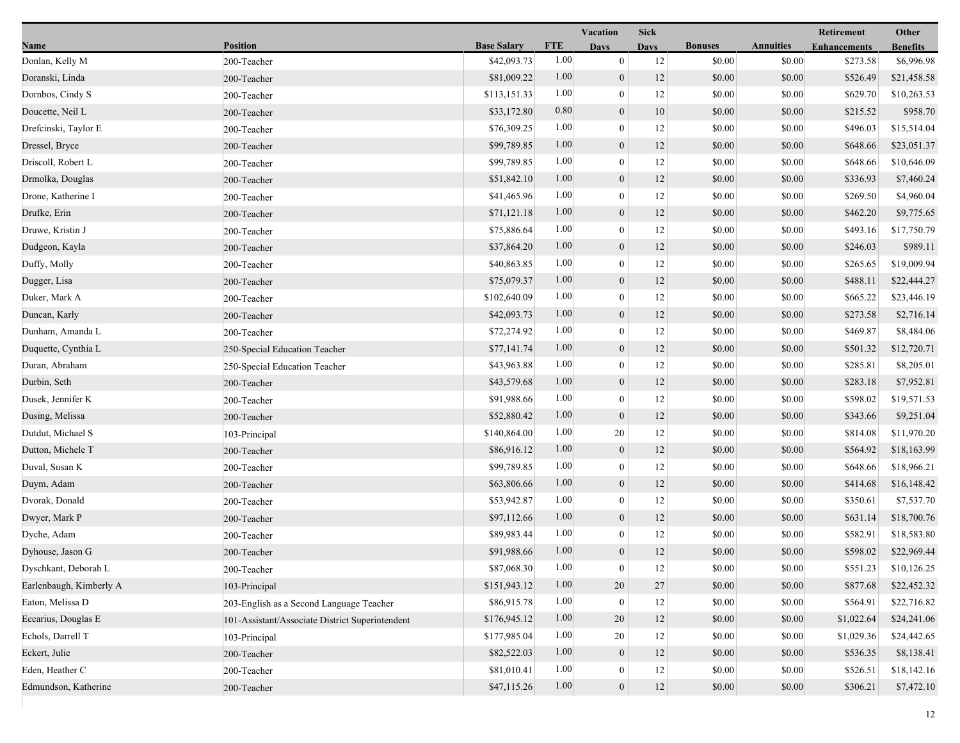|                         |                                                 |                    |            | Vacation         | Sick        |                |                  | Retirement          | Other           |
|-------------------------|-------------------------------------------------|--------------------|------------|------------------|-------------|----------------|------------------|---------------------|-----------------|
| Name                    | <b>Position</b>                                 | <b>Base Salary</b> | <b>FTE</b> | <b>Days</b>      | <b>Davs</b> | <b>Bonuses</b> | <b>Annuities</b> | <b>Enhancements</b> | <b>Benefits</b> |
| Donlan, Kelly M         | 200-Teacher                                     | \$42,093.73        | 1.00       | $\mathbf{0}$     | 12          | \$0.00         | \$0.00           | \$273.58            | \$6,996.98      |
| Doranski, Linda         | 200-Teacher                                     | \$81,009.22        | 1.00       | $\boldsymbol{0}$ | 12          | \$0.00         | \$0.00           | \$526.49            | \$21,458.58     |
| Dornbos, Cindy S        | 200-Teacher                                     | \$113,151.33       | 1.00       | $\boldsymbol{0}$ | 12          | \$0.00         | \$0.00           | \$629.70            | \$10,263.53     |
| Doucette, Neil L        | 200-Teacher                                     | \$33,172.80        | 0.80       | $\boldsymbol{0}$ | 10          | \$0.00         | \$0.00           | \$215.52            | \$958.70        |
| Drefcinski, Taylor E    | 200-Teacher                                     | \$76,309.25        | 1.00       | $\boldsymbol{0}$ | 12          | \$0.00         | \$0.00           | \$496.03            | \$15,514.04     |
| Dressel, Bryce          | 200-Teacher                                     | \$99,789.85        | 1.00       | $\boldsymbol{0}$ | 12          | \$0.00         | \$0.00           | \$648.66            | \$23,051.37     |
| Driscoll, Robert L      | 200-Teacher                                     | \$99,789.85        | 1.00       | $\mathbf{0}$     | 12          | \$0.00         | \$0.00           | \$648.66            | \$10,646.09     |
| Drmolka, Douglas        | 200-Teacher                                     | \$51,842.10        | 1.00       | $\boldsymbol{0}$ | 12          | \$0.00         | \$0.00           | \$336.93            | \$7,460.24      |
| Drone, Katherine I      | 200-Teacher                                     | \$41,465.96        | 1.00       | $\boldsymbol{0}$ | 12          | \$0.00         | \$0.00           | \$269.50            | \$4,960.04      |
| Drufke, Erin            | 200-Teacher                                     | \$71,121.18        | 1.00       | $\boldsymbol{0}$ | 12          | \$0.00         | \$0.00           | \$462.20            | \$9,775.65      |
| Druwe, Kristin J        | 200-Teacher                                     | \$75,886.64        | 1.00       | $\boldsymbol{0}$ | 12          | \$0.00         | \$0.00           | \$493.16            | \$17,750.79     |
| Dudgeon, Kayla          | 200-Teacher                                     | \$37,864.20        | 1.00       | $\boldsymbol{0}$ | 12          | \$0.00         | \$0.00           | \$246.03            | \$989.11        |
| Duffy, Molly            | 200-Teacher                                     | \$40,863.85        | 1.00       | $\mathbf{0}$     | 12          | \$0.00         | \$0.00           | \$265.65            | \$19,009.94     |
| Dugger, Lisa            | 200-Teacher                                     | \$75,079.37        | 1.00       | $\boldsymbol{0}$ | 12          | \$0.00         | \$0.00           | \$488.11            | \$22,444.27     |
| Duker, Mark A           | 200-Teacher                                     | \$102,640.09       | 1.00       | $\boldsymbol{0}$ | 12          | \$0.00         | \$0.00           | \$665.22            | \$23,446.19     |
| Duncan, Karly           | 200-Teacher                                     | \$42,093.73        | 1.00       | $\boldsymbol{0}$ | 12          | \$0.00         | \$0.00           | \$273.58            | \$2,716.14      |
| Dunham, Amanda L        | 200-Teacher                                     | \$72,274.92        | 1.00       | $\boldsymbol{0}$ | 12          | \$0.00         | \$0.00           | \$469.87            | \$8,484.06      |
| Duquette, Cynthia L     | 250-Special Education Teacher                   | \$77,141.74        | 1.00       | $\boldsymbol{0}$ | 12          | \$0.00         | \$0.00           | \$501.32            | \$12,720.71     |
| Duran, Abraham          | 250-Special Education Teacher                   | \$43,963.88        | 1.00       | $\boldsymbol{0}$ | 12          | \$0.00         | \$0.00           | \$285.81            | \$8,205.01      |
| Durbin, Seth            | 200-Teacher                                     | \$43,579.68        | 1.00       | $\boldsymbol{0}$ | 12          | \$0.00         | \$0.00           | \$283.18            | \$7,952.81      |
| Dusek, Jennifer K       | 200-Teacher                                     | \$91,988.66        | 1.00       | $\boldsymbol{0}$ | 12          | \$0.00         | \$0.00           | \$598.02            | \$19,571.53     |
| Dusing, Melissa         | 200-Teacher                                     | \$52,880.42        | 1.00       | $\boldsymbol{0}$ | 12          | \$0.00         | \$0.00           | \$343.66            | \$9,251.04      |
| Dutdut, Michael S       | 103-Principal                                   | \$140,864.00       | 1.00       | 20               | 12          | \$0.00         | \$0.00           | \$814.08            | \$11,970.20     |
| Dutton, Michele T       | 200-Teacher                                     | \$86,916.12        | 1.00       | $\mathbf{0}$     | 12          | \$0.00         | \$0.00           | \$564.92            | \$18,163.99     |
| Duval, Susan K          | 200-Teacher                                     | \$99,789.85        | 1.00       | $\mathbf{0}$     | 12          | \$0.00         | \$0.00           | \$648.66            | \$18,966.21     |
| Duym, Adam              | 200-Teacher                                     | \$63,806.66        | 1.00       | $\boldsymbol{0}$ | 12          | \$0.00         | \$0.00           | \$414.68            | \$16,148.42     |
| Dvorak, Donald          | 200-Teacher                                     | \$53,942.87        | 1.00       | $\boldsymbol{0}$ | 12          | \$0.00         | \$0.00           | \$350.61            | \$7,537.70      |
| Dwyer, Mark P           | 200-Teacher                                     | \$97,112.66        | 1.00       | $\boldsymbol{0}$ | 12          | \$0.00         | \$0.00           | \$631.14            | \$18,700.76     |
| Dyche, Adam             | 200-Teacher                                     | \$89,983.44        | 1.00       | $\boldsymbol{0}$ | 12          | \$0.00         | \$0.00           | \$582.91            | \$18,583.80     |
| Dyhouse, Jason G        | 200-Teacher                                     | \$91,988.66        | 1.00       | $\mathbf{0}$     | 12          | \$0.00         | \$0.00           | \$598.02            | \$22,969.44     |
| Dyschkant, Deborah L    | 200-Teacher                                     | \$87,068.30        | $1.00\,$   | $\bf{0}$         | 12          | \$0.00         | \$0.00           | \$551.23            | \$10,126.25     |
| Earlenbaugh, Kimberly A | 103-Principal                                   | \$151,943.12       | 1.00       | 20               | 27          | \$0.00         | \$0.00           | \$877.68            | \$22,452.32     |
| Eaton, Melissa D        | 203-English as a Second Language Teacher        | \$86,915.78        | 1.00       | $\boldsymbol{0}$ | 12          | \$0.00         | \$0.00           | \$564.91            | \$22,716.82     |
| Eccarius, Douglas E     | 101-Assistant/Associate District Superintendent | \$176,945.12       | 1.00       | 20               | 12          | \$0.00         | \$0.00           | \$1,022.64          | \$24,241.06     |
| Echols, Darrell T       | 103-Principal                                   | \$177,985.04       | 1.00       | 20               | 12          | \$0.00         | \$0.00           | \$1,029.36          | \$24,442.65     |
| Eckert, Julie           | 200-Teacher                                     | \$82,522.03        | 1.00       | $\boldsymbol{0}$ | 12          | \$0.00         | \$0.00           | \$536.35            | \$8,138.41      |
| Eden, Heather C         | 200-Teacher                                     | \$81,010.41        | 1.00       | $\boldsymbol{0}$ | 12          | \$0.00         | \$0.00           | \$526.51            | \$18,142.16     |
| Edmundson, Katherine    | 200-Teacher                                     | \$47,115.26        | 1.00       | $\mathbf{0}$     | 12          | \$0.00         | \$0.00           | \$306.21            | \$7,472.10      |
|                         |                                                 |                    |            |                  |             |                |                  |                     |                 |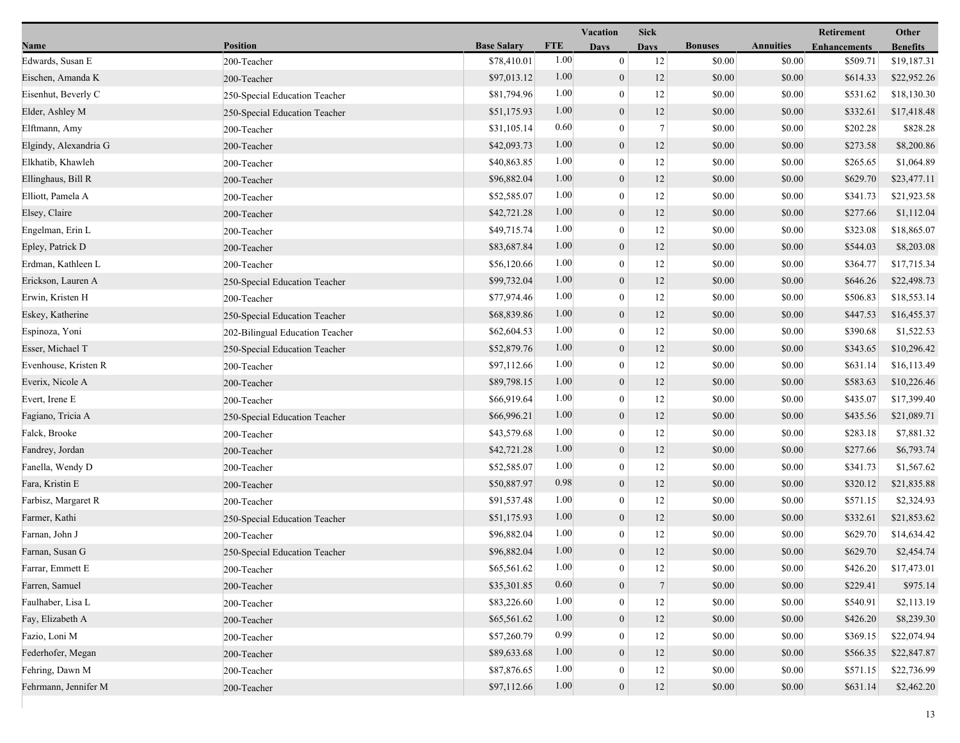|                       |                                 |                    |            | <b>Vacation</b>  | <b>Sick</b>    |                |                  | Retirement          | Other           |
|-----------------------|---------------------------------|--------------------|------------|------------------|----------------|----------------|------------------|---------------------|-----------------|
| Name                  | <b>Position</b>                 | <b>Base Salary</b> | <b>FTE</b> | <b>Days</b>      | <b>Days</b>    | <b>Bonuses</b> | <b>Annuities</b> | <b>Enhancements</b> | <b>Benefits</b> |
| Edwards, Susan E      | 200-Teacher                     | \$78,410.01        | 1.00       | $\mathbf{0}$     | 12             | \$0.00         | \$0.00           | \$509.71            | \$19,187.31     |
| Eischen, Amanda K     | 200-Teacher                     | \$97,013.12        | 1.00       | $\mathbf{0}$     | 12             | \$0.00         | \$0.00           | \$614.33            | \$22,952.26     |
| Eisenhut, Beverly C   | 250-Special Education Teacher   | \$81,794.96        | 1.00       | $\boldsymbol{0}$ | 12             | \$0.00         | \$0.00           | \$531.62            | \$18,130.30     |
| Elder, Ashley M       | 250-Special Education Teacher   | \$51,175.93        | 1.00       | $\mathbf{0}$     | 12             | \$0.00         | \$0.00           | \$332.61            | \$17,418.48     |
| Elftmann, Amy         | 200-Teacher                     | \$31,105.14        | 0.60       | $\mathbf{0}$     | $\overline{7}$ | \$0.00         | \$0.00           | \$202.28            | \$828.28        |
| Elgindy, Alexandria G | 200-Teacher                     | \$42,093.73        | 1.00       | $\mathbf{0}$     | 12             | \$0.00         | \$0.00           | \$273.58            | \$8,200.86      |
| Elkhatib, Khawleh     | 200-Teacher                     | \$40,863.85        | 1.00       | $\mathbf{0}$     | 12             | \$0.00         | \$0.00           | \$265.65            | \$1,064.89      |
| Ellinghaus, Bill R    | 200-Teacher                     | \$96,882.04        | 1.00       | $\mathbf{0}$     | 12             | \$0.00         | \$0.00           | \$629.70            | \$23,477.11     |
| Elliott, Pamela A     | 200-Teacher                     | \$52,585.07        | 1.00       | $\mathbf{0}$     | 12             | \$0.00         | \$0.00           | \$341.73            | \$21,923.58     |
| Elsey, Claire         | 200-Teacher                     | \$42,721.28        | 1.00       | $\mathbf{0}$     | 12             | \$0.00         | \$0.00           | \$277.66            | \$1,112.04      |
| Engelman, Erin L      | 200-Teacher                     | \$49,715.74        | 1.00       | $\boldsymbol{0}$ | 12             | \$0.00         | \$0.00           | \$323.08            | \$18,865.07     |
| Epley, Patrick D      | 200-Teacher                     | \$83,687.84        | 1.00       | $\mathbf{0}$     | 12             | \$0.00         | \$0.00           | \$544.03            | \$8,203.08      |
| Erdman, Kathleen L    | 200-Teacher                     | \$56,120.66        | 1.00       | $\mathbf{0}$     | 12             | \$0.00         | \$0.00           | \$364.77            | \$17,715.34     |
| Erickson, Lauren A    | 250-Special Education Teacher   | \$99,732.04        | 1.00       | $\mathbf{0}$     | 12             | \$0.00         | \$0.00           | \$646.26            | \$22,498.73     |
| Erwin, Kristen H      | 200-Teacher                     | \$77,974.46        | 1.00       | $\boldsymbol{0}$ | 12             | \$0.00         | \$0.00           | \$506.83            | \$18,553.14     |
| Eskey, Katherine      | 250-Special Education Teacher   | \$68,839.86        | 1.00       | $\mathbf{0}$     | 12             | \$0.00         | \$0.00           | \$447.53            | \$16,455.37     |
| Espinoza, Yoni        | 202-Bilingual Education Teacher | \$62,604.53        | 1.00       | $\boldsymbol{0}$ | 12             | \$0.00         | \$0.00           | \$390.68            | \$1,522.53      |
| Esser, Michael T      | 250-Special Education Teacher   | \$52,879.76        | 1.00       | $\boldsymbol{0}$ | 12             | \$0.00         | \$0.00           | \$343.65            | \$10,296.42     |
| Evenhouse, Kristen R  | 200-Teacher                     | \$97,112.66        | 1.00       | $\mathbf{0}$     | 12             | \$0.00         | \$0.00           | \$631.14            | \$16,113.49     |
| Everix, Nicole A      | 200-Teacher                     | \$89,798.15        | 1.00       | $\mathbf{0}$     | 12             | \$0.00         | \$0.00           | \$583.63            | \$10,226.46     |
| Evert, Irene E        | 200-Teacher                     | \$66,919.64        | 1.00       | $\boldsymbol{0}$ | 12             | \$0.00         | \$0.00           | \$435.07            | \$17,399.40     |
| Fagiano, Tricia A     | 250-Special Education Teacher   | \$66,996.21        | 1.00       | $\mathbf{0}$     | 12             | \$0.00         | \$0.00           | \$435.56            | \$21,089.71     |
| Falck, Brooke         | 200-Teacher                     | \$43,579.68        | 1.00       | $\mathbf{0}$     | 12             | \$0.00         | \$0.00           | \$283.18            | \$7,881.32      |
| Fandrey, Jordan       | 200-Teacher                     | \$42,721.28        | 1.00       | $\mathbf{0}$     | 12             | \$0.00         | \$0.00           | \$277.66            | \$6,793.74      |
| Fanella, Wendy D      | 200-Teacher                     | \$52,585.07        | 1.00       | $\theta$         | 12             | \$0.00         | \$0.00           | \$341.73            | \$1,567.62      |
| Fara, Kristin E       | 200-Teacher                     | \$50,887.97        | 0.98       | $\mathbf{0}$     | 12             | \$0.00         | \$0.00           | \$320.12            | \$21,835.88     |
| Farbisz, Margaret R   | 200-Teacher                     | \$91,537.48        | 1.00       | $\overline{0}$   | 12             | \$0.00         | \$0.00           | \$571.15            | \$2,324.93      |
| Farmer, Kathi         | 250-Special Education Teacher   | \$51,175.93        | 1.00       | $\mathbf{0}$     | 12             | \$0.00         | \$0.00           | \$332.61            | \$21,853.62     |
| Farnan, John J        | 200-Teacher                     | \$96,882.04        | 1.00       | $\mathbf{0}$     | 12             | \$0.00         | \$0.00           | \$629.70            | \$14,634.42     |
| Farnan, Susan G       | 250-Special Education Teacher   | \$96,882.04        | 1.00       | $\overline{0}$   | 12             | \$0.00         | \$0.00           | \$629.70            | \$2,454.74      |
| Farrar, Emmett E      | 200-Teacher                     | \$65,561.62        | 1.00       | $\bf{0}$         | 12             | \$0.00         | \$0.00           | \$426.20            | \$17,473.01     |
| Farren, Samuel        | 200-Teacher                     | \$35,301.85        | 0.60       | $\boldsymbol{0}$ | $\overline{7}$ | \$0.00         | \$0.00           | \$229.41            | \$975.14        |
| Faulhaber, Lisa L     | 200-Teacher                     | \$83,226.60        | 1.00       | $\boldsymbol{0}$ | 12             | \$0.00         | \$0.00           | \$540.91            | \$2,113.19      |
| Fay, Elizabeth A      | 200-Teacher                     | \$65,561.62        | 1.00       | $\mathbf{0}$     | 12             | \$0.00         | \$0.00           | \$426.20            | \$8,239.30      |
| Fazio, Loni M         | 200-Teacher                     | \$57,260.79        | 0.99       | $\Omega$         | 12             | \$0.00         | \$0.00           | \$369.15            | \$22,074.94     |
| Federhofer, Megan     | 200-Teacher                     | \$89,633.68        | 1.00       | $\mathbf{0}$     | 12             | \$0.00         | \$0.00           | \$566.35            | \$22,847.87     |
| Fehring, Dawn M       | 200-Teacher                     | \$87,876.65        | 1.00       | $\overline{0}$   | 12             | \$0.00         | \$0.00           | \$571.15            | \$22,736.99     |
| Fehrmann, Jennifer M  | 200-Teacher                     | \$97,112.66        | 1.00       | $\mathbf{0}$     | 12             | \$0.00         | \$0.00           | \$631.14            | \$2,462.20      |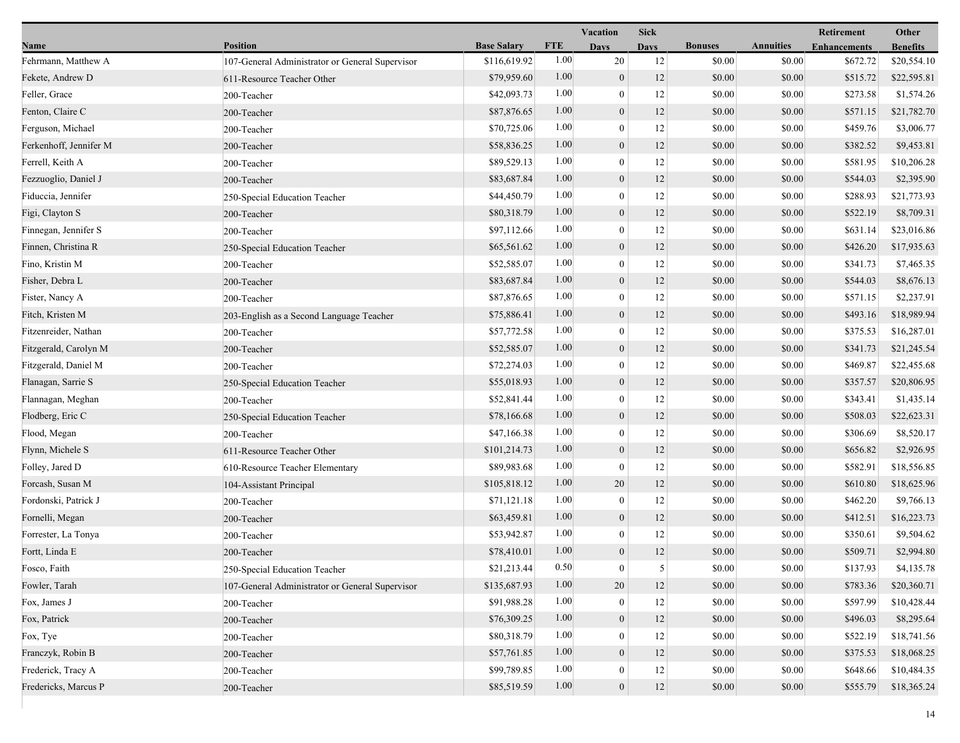|                        |                                                 |                    |            | Vacation         | <b>Sick</b> |                |                  | Retirement          | Other           |
|------------------------|-------------------------------------------------|--------------------|------------|------------------|-------------|----------------|------------------|---------------------|-----------------|
| Name                   | <b>Position</b>                                 | <b>Base Salary</b> | <b>FTE</b> | <b>Days</b>      | <b>Days</b> | <b>Bonuses</b> | <b>Annuities</b> | <b>Enhancements</b> | <b>Benefits</b> |
| Fehrmann, Matthew A    | 107-General Administrator or General Supervisor | \$116,619.92       | 1.00       | 20               | 12          | \$0.00         | \$0.00           | \$672.72            | \$20,554.10     |
| Fekete, Andrew D       | 611-Resource Teacher Other                      | \$79,959.60        | 1.00       | $\mathbf{0}$     | 12          | \$0.00         | \$0.00           | \$515.72            | \$22,595.81     |
| Feller, Grace          | 200-Teacher                                     | \$42,093.73        | 1.00       | $\boldsymbol{0}$ | 12          | \$0.00         | \$0.00           | \$273.58            | \$1,574.26      |
| Fenton, Claire C       | 200-Teacher                                     | \$87,876.65        | 1.00       | $\mathbf{0}$     | 12          | \$0.00         | \$0.00           | \$571.15            | \$21,782.70     |
| Ferguson, Michael      | 200-Teacher                                     | \$70,725.06        | 1.00       | $\boldsymbol{0}$ | 12          | \$0.00         | \$0.00           | \$459.76            | \$3,006.77      |
| Ferkenhoff, Jennifer M | 200-Teacher                                     | \$58,836.25        | 1.00       | $\mathbf{0}$     | 12          | \$0.00         | \$0.00           | \$382.52            | \$9,453.81      |
| Ferrell, Keith A       | 200-Teacher                                     | \$89,529.13        | 1.00       | $\theta$         | 12          | \$0.00         | \$0.00           | \$581.95            | \$10,206.28     |
| Fezzuoglio, Daniel J   | 200-Teacher                                     | \$83,687.84        | 1.00       | $\mathbf{0}$     | 12          | \$0.00         | \$0.00           | \$544.03            | \$2,395.90      |
| Fiduccia, Jennifer     | 250-Special Education Teacher                   | \$44,450.79        | 1.00       | $\boldsymbol{0}$ | 12          | \$0.00         | \$0.00           | \$288.93            | \$21,773.93     |
| Figi, Clayton S        | 200-Teacher                                     | \$80,318.79        | 1.00       | $\boldsymbol{0}$ | 12          | \$0.00         | \$0.00           | \$522.19            | \$8,709.31      |
| Finnegan, Jennifer S   | 200-Teacher                                     | \$97,112.66        | 1.00       | $\boldsymbol{0}$ | 12          | \$0.00         | \$0.00           | \$631.14            | \$23,016.86     |
| Finnen, Christina R    | 250-Special Education Teacher                   | \$65,561.62        | 1.00       | $\mathbf{0}$     | 12          | \$0.00         | \$0.00           | \$426.20            | \$17,935.63     |
| Fino, Kristin M        | 200-Teacher                                     | \$52,585.07        | 1.00       | $\mathbf{0}$     | 12          | \$0.00         | \$0.00           | \$341.73            | \$7,465.35      |
| Fisher, Debra L        | 200-Teacher                                     | \$83,687.84        | 1.00       | $\mathbf{0}$     | 12          | \$0.00         | \$0.00           | \$544.03            | \$8,676.13      |
| Fister, Nancy A        | 200-Teacher                                     | \$87,876.65        | 1.00       | $\boldsymbol{0}$ | 12          | \$0.00         | \$0.00           | \$571.15            | \$2,237.91      |
| Fitch, Kristen M       | 203-English as a Second Language Teacher        | \$75,886.41        | 1.00       | $\boldsymbol{0}$ | 12          | \$0.00         | \$0.00           | \$493.16            | \$18,989.94     |
| Fitzenreider, Nathan   | 200-Teacher                                     | \$57,772.58        | 1.00       | $\mathbf{0}$     | 12          | \$0.00         | \$0.00           | \$375.53            | \$16,287.01     |
| Fitzgerald, Carolyn M  | 200-Teacher                                     | \$52,585.07        | 1.00       | $\boldsymbol{0}$ | 12          | \$0.00         | \$0.00           | \$341.73            | \$21,245.54     |
| Fitzgerald, Daniel M   | 200-Teacher                                     | \$72,274.03        | 1.00       | $\mathbf{0}$     | 12          | \$0.00         | \$0.00           | \$469.87            | \$22,455.68     |
| Flanagan, Sarrie S     | 250-Special Education Teacher                   | \$55,018.93        | 1.00       | $\mathbf{0}$     | 12          | \$0.00         | \$0.00           | \$357.57            | \$20,806.95     |
| Flannagan, Meghan      | 200-Teacher                                     | \$52,841.44        | 1.00       | $\mathbf{0}$     | 12          | \$0.00         | \$0.00           | \$343.41            | \$1,435.14      |
| Flodberg, Eric C       | 250-Special Education Teacher                   | \$78,166.68        | 1.00       | $\mathbf{0}$     | 12          | \$0.00         | \$0.00           | \$508.03            | \$22,623.31     |
| Flood, Megan           | 200-Teacher                                     | \$47,166.38        | 1.00       | $\mathbf{0}$     | 12          | \$0.00         | \$0.00           | \$306.69            | \$8,520.17      |
| Flynn, Michele S       | 611-Resource Teacher Other                      | \$101,214.73       | 1.00       | $\mathbf{0}$     | 12          | \$0.00         | \$0.00           | \$656.82            | \$2,926.95      |
| Folley, Jared D        | 610-Resource Teacher Elementary                 | \$89,983.68        | 1.00       | $\mathbf{0}$     | 12          | \$0.00         | \$0.00           | \$582.91            | \$18,556.85     |
| Forcash, Susan M       | 104-Assistant Principal                         | \$105,818.12       | 1.00       | 20               | 12          | \$0.00         | \$0.00           | \$610.80            | \$18,625.96     |
| Fordonski, Patrick J   | 200-Teacher                                     | \$71,121.18        | 1.00       | $\boldsymbol{0}$ | 12          | \$0.00         | \$0.00           | \$462.20            | \$9,766.13      |
| Fornelli, Megan        | 200-Teacher                                     | \$63,459.81        | 1.00       | $\mathbf{0}$     | 12          | \$0.00         | \$0.00           | \$412.51            | \$16,223.73     |
| Forrester, La Tonya    | 200-Teacher                                     | \$53,942.87        | 1.00       | $\mathbf{0}$     | 12          | \$0.00         | \$0.00           | \$350.61            | \$9,504.62      |
| Fortt, Linda E         | 200-Teacher                                     | \$78,410.01        | 1.00       | $\overline{0}$   | 12          | \$0.00         | \$0.00           | \$509.71            | \$2,994.80      |
| Fosco, Faith           | 250-Special Education Teacher                   | \$21,213.44        | 0.50       | $\bf{0}$         | 5           | \$0.00         | \$0.00           | \$137.93            | \$4,135.78      |
| Fowler, Tarah          | 107-General Administrator or General Supervisor | \$135,687.93       | 1.00       | 20               | 12          | \$0.00         | \$0.00           | \$783.36            | \$20,360.71     |
| Fox, James J           | 200-Teacher                                     | \$91,988.28        | 1.00       | $\mathbf{0}$     | 12          | \$0.00         | \$0.00           | \$597.99            | \$10,428.44     |
| Fox, Patrick           | 200-Teacher                                     | \$76,309.25        | 1.00       | $\theta$         | 12          | \$0.00         | \$0.00           | \$496.03            | \$8,295.64      |
| Fox, Tye               | 200-Teacher                                     | \$80,318.79        | 1.00       | $\theta$         | 12          | \$0.00         | \$0.00           | \$522.19            | \$18,741.56     |
| Franczyk, Robin B      | 200-Teacher                                     | \$57,761.85        | 1.00       | $\mathbf{0}$     | 12          | \$0.00         | \$0.00           | \$375.53            | \$18,068.25     |
| Frederick, Tracy A     | 200-Teacher                                     | \$99,789.85        | 1.00       | $\boldsymbol{0}$ | 12          | \$0.00         | \$0.00           | \$648.66            | \$10,484.35     |
| Fredericks, Marcus P   | 200-Teacher                                     | \$85,519.59        | 1.00       | $\boldsymbol{0}$ | 12          | \$0.00         | \$0.00           | \$555.79            | \$18,365.24     |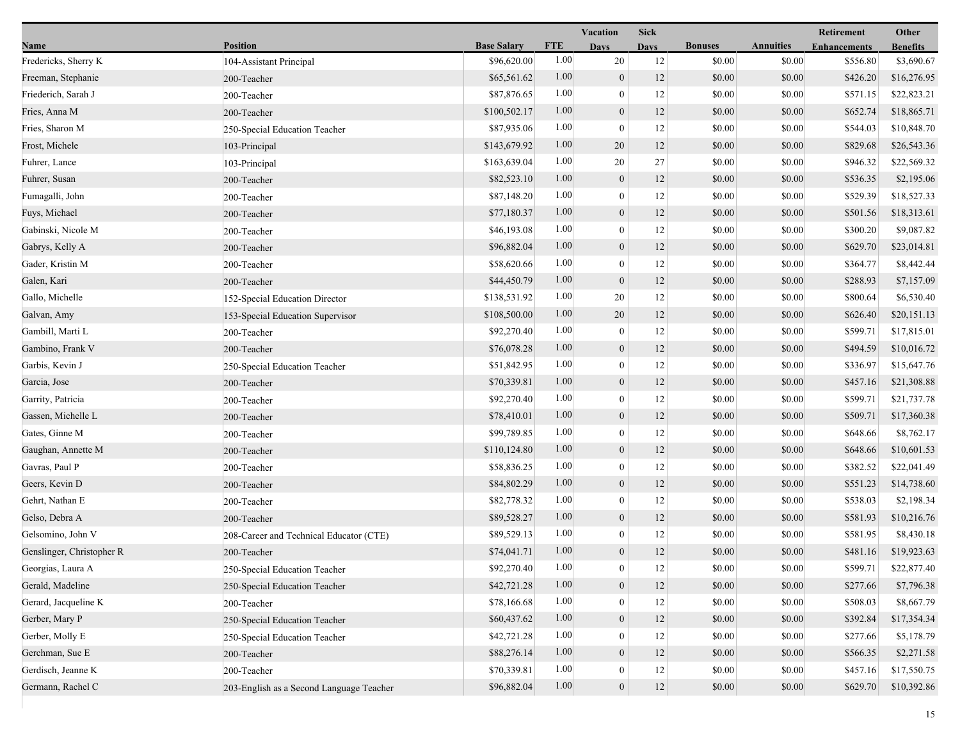|                           |                                          |                    |            | Vacation<br><b>Sick</b> |             |                |                  | Retirement          | Other           |  |
|---------------------------|------------------------------------------|--------------------|------------|-------------------------|-------------|----------------|------------------|---------------------|-----------------|--|
| Name                      | <b>Position</b>                          | <b>Base Salary</b> | <b>FTE</b> | <b>Days</b>             | <b>Days</b> | <b>Bonuses</b> | <b>Annuities</b> | <b>Enhancements</b> | <b>Benefits</b> |  |
| Fredericks, Sherry K      | 104-Assistant Principal                  | \$96,620.00        | 1.00       | 20                      | 12          | \$0.00         | \$0.00           | \$556.80            | \$3,690.67      |  |
| Freeman, Stephanie        | 200-Teacher                              | \$65,561.62        | 1.00       | $\mathbf{0}$            | 12          | \$0.00         | \$0.00           | \$426.20            | \$16,276.95     |  |
| Friederich, Sarah J       | 200-Teacher                              | \$87,876.65        | 1.00       | $\bf{0}$                | 12          | \$0.00         | \$0.00           | \$571.15            | \$22,823.21     |  |
| Fries, Anna M             | 200-Teacher                              | \$100,502.17       | 1.00       | $\mathbf{0}$            | 12          | \$0.00         | \$0.00           | \$652.74            | \$18,865.71     |  |
| Fries, Sharon M           | 250-Special Education Teacher            | \$87,935.06        | 1.00       | $\boldsymbol{0}$        | 12          | \$0.00         | \$0.00           | \$544.03            | \$10,848.70     |  |
| Frost, Michele            | 103-Principal                            | \$143,679.92       | 1.00       | 20                      | 12          | \$0.00         | \$0.00           | \$829.68            | \$26,543.36     |  |
| Fuhrer, Lance             | 103-Principal                            | \$163,639.04       | 1.00       | 20                      | 27          | \$0.00         | \$0.00           | \$946.32            | \$22,569.32     |  |
| Fuhrer, Susan             | 200-Teacher                              | \$82,523.10        | 1.00       | $\mathbf{0}$            | 12          | \$0.00         | \$0.00           | \$536.35            | \$2,195.06      |  |
| Fumagalli, John           | 200-Teacher                              | \$87,148.20        | 1.00       | $\bf{0}$                | 12          | \$0.00         | \$0.00           | \$529.39            | \$18,527.33     |  |
| Fuys, Michael             | 200-Teacher                              | \$77,180.37        | 1.00       | $\mathbf{0}$            | 12          | \$0.00         | \$0.00           | \$501.56            | \$18,313.61     |  |
| Gabinski, Nicole M        | 200-Teacher                              | \$46,193.08        | 1.00       | $\bf{0}$                | 12          | \$0.00         | \$0.00           | \$300.20            | \$9,087.82      |  |
| Gabrys, Kelly A           | 200-Teacher                              | \$96,882.04        | 1.00       | $\mathbf{0}$            | 12          | \$0.00         | \$0.00           | \$629.70            | \$23,014.81     |  |
| Gader, Kristin M          | 200-Teacher                              | \$58,620.66        | 1.00       | $\mathbf{0}$            | 12          | \$0.00         | \$0.00           | \$364.77            | \$8,442.44      |  |
| Galen, Kari               | 200-Teacher                              | \$44,450.79        | 1.00       | $\mathbf{0}$            | 12          | \$0.00         | \$0.00           | \$288.93            | \$7,157.09      |  |
| Gallo, Michelle           | 152-Special Education Director           | \$138,531.92       | 1.00       | 20                      | 12          | \$0.00         | \$0.00           | \$800.64            | \$6,530.40      |  |
| Galvan, Amy               | 153-Special Education Supervisor         | \$108,500.00       | 1.00       | 20                      | 12          | \$0.00         | \$0.00           | \$626.40            | \$20,151.13     |  |
| Gambill, Marti L          | 200-Teacher                              | \$92,270.40        | 1.00       | $\bf{0}$                | 12          | \$0.00         | \$0.00           | \$599.71            | \$17,815.01     |  |
| Gambino, Frank V          | 200-Teacher                              | \$76,078.28        | 1.00       | $\mathbf{0}$            | 12          | \$0.00         | \$0.00           | \$494.59            | \$10,016.72     |  |
| Garbis, Kevin J           | 250-Special Education Teacher            | \$51,842.95        | 1.00       | $\mathbf{0}$            | 12          | \$0.00         | \$0.00           | \$336.97            | \$15,647.76     |  |
| Garcia, Jose              | 200-Teacher                              | \$70,339.81        | 1.00       | $\mathbf{0}$            | 12          | \$0.00         | \$0.00           | \$457.16            | \$21,308.88     |  |
| Garrity, Patricia         | 200-Teacher                              | \$92,270.40        | 1.00       | $\boldsymbol{0}$        | 12          | \$0.00         | \$0.00           | \$599.71            | \$21,737.78     |  |
| Gassen, Michelle L        | 200-Teacher                              | \$78,410.01        | 1.00       | $\mathbf{0}$            | 12          | \$0.00         | \$0.00           | \$509.71            | \$17,360.38     |  |
| Gates, Ginne M            | 200-Teacher                              | \$99,789.85        | 1.00       | $\bf{0}$                | 12          | \$0.00         | \$0.00           | \$648.66            | \$8,762.17      |  |
| Gaughan, Annette M        | 200-Teacher                              | \$110,124.80       | 1.00       | $\mathbf{0}$            | 12          | \$0.00         | \$0.00           | \$648.66            | \$10,601.53     |  |
| Gavras, Paul P            | 200-Teacher                              | \$58,836.25        | 1.00       | $\mathbf{0}$            | 12          | \$0.00         | \$0.00           | \$382.52            | \$22,041.49     |  |
| Geers, Kevin D            | 200-Teacher                              | \$84,802.29        | 1.00       | $\mathbf{0}$            | 12          | \$0.00         | \$0.00           | \$551.23            | \$14,738.60     |  |
| Gehrt, Nathan E           | 200-Teacher                              | \$82,778.32        | 1.00       | $\boldsymbol{0}$        | 12          | \$0.00         | \$0.00           | \$538.03            | \$2,198.34      |  |
| Gelso, Debra A            | 200-Teacher                              | \$89,528.27        | 1.00       | $\mathbf{0}$            | 12          | \$0.00         | \$0.00           | \$581.93            | \$10,216.76     |  |
| Gelsomino, John V         | 208-Career and Technical Educator (CTE)  | \$89,529.13        | 1.00       | $\bf{0}$                | 12          | \$0.00         | \$0.00           | \$581.95            | \$8,430.18      |  |
| Genslinger, Christopher R | 200-Teacher                              | \$74,041.71        | 1.00       | $\overline{0}$          | 12          | \$0.00         | \$0.00           | \$481.16            | \$19,923.63     |  |
| Georgias, Laura A         | 250-Special Education Teacher            | \$92,270.40        | 1.00       | $\bf{0}$                | 12          | \$0.00         | \$0.00           | \$599.71            | \$22,877.40     |  |
| Gerald, Madeline          | 250-Special Education Teacher            | \$42,721.28        | 1.00       | $\mathbf{0}$            | 12          | \$0.00         | \$0.00           | \$277.66            | \$7,796.38      |  |
| Gerard, Jacqueline K      | 200-Teacher                              | \$78,166.68        | 1.00       | $\mathbf{0}$            | 12          | \$0.00         | \$0.00           | \$508.03            | \$8,667.79      |  |
| Gerber, Mary P            | 250-Special Education Teacher            | \$60,437.62        | 1.00       | $\mathbf{0}$            | 12          | \$0.00         | \$0.00           | \$392.84            | \$17,354.34     |  |
| Gerber, Molly E           | 250-Special Education Teacher            | \$42,721.28        | 1.00       | $\theta$                | 12          | \$0.00         | \$0.00           | \$277.66            | \$5,178.79      |  |
| Gerchman, Sue E           | 200-Teacher                              | \$88,276.14        | 1.00       | $\mathbf{0}$            | 12          | \$0.00         | \$0.00           | \$566.35            | \$2,271.58      |  |
| Gerdisch, Jeanne K        | 200-Teacher                              | \$70,339.81        | 1.00       | $\mathbf{0}$            | 12          | \$0.00         | \$0.00           | \$457.16            | \$17,550.75     |  |
| Germann, Rachel C         | 203-English as a Second Language Teacher | \$96,882.04        | 1.00       | $\overline{0}$          | $12 \,$     | \$0.00         | \$0.00           | \$629.70            | \$10,392.86     |  |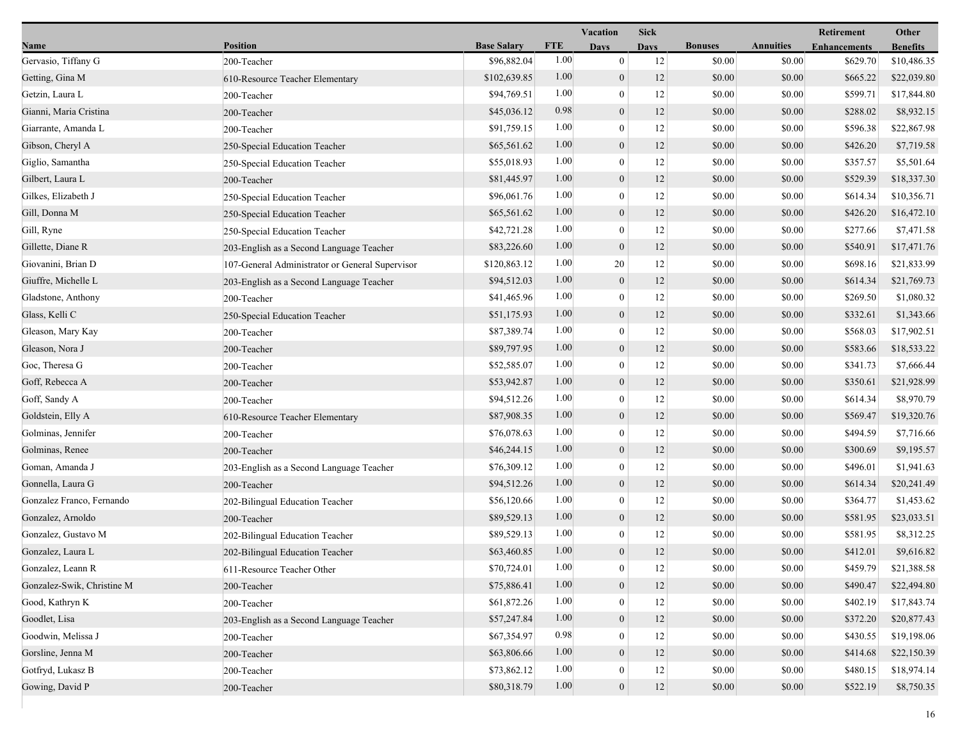|                            |                                                 |                    |            | <b>Vacation</b>  | <b>Sick</b> |                |                  | Retirement          | Other           |
|----------------------------|-------------------------------------------------|--------------------|------------|------------------|-------------|----------------|------------------|---------------------|-----------------|
| Name                       | <b>Position</b>                                 | <b>Base Salary</b> | <b>FTE</b> | <b>Days</b>      | <b>Days</b> | <b>Bonuses</b> | <b>Annuities</b> | <b>Enhancements</b> | <b>Benefits</b> |
| Gervasio, Tiffany G        | 200-Teacher                                     | \$96,882.04        | 1.00       | $\boldsymbol{0}$ | 12          | \$0.00         | \$0.00           | \$629.70            | \$10,486.35     |
| Getting, Gina M            | 610-Resource Teacher Elementary                 | \$102,639.85       | 1.00       | $\mathbf{0}$     | 12          | \$0.00         | \$0.00           | \$665.22            | \$22,039.80     |
| Getzin, Laura L            | 200-Teacher                                     | \$94,769.51        | 1.00       | $\bf{0}$         | 12          | \$0.00         | \$0.00           | \$599.71            | \$17,844.80     |
| Gianni, Maria Cristina     | 200-Teacher                                     | \$45,036.12        | 0.98       | $\mathbf{0}$     | 12          | \$0.00         | \$0.00           | \$288.02            | \$8,932.15      |
| Giarrante, Amanda L        | 200-Teacher                                     | \$91,759.15        | 1.00       | $\bf{0}$         | 12          | \$0.00         | \$0.00           | \$596.38            | \$22,867.98     |
| Gibson, Cheryl A           | 250-Special Education Teacher                   | \$65,561.62        | 1.00       | $\mathbf{0}$     | 12          | \$0.00         | \$0.00           | \$426.20            | \$7,719.58      |
| Giglio, Samantha           | 250-Special Education Teacher                   | \$55,018.93        | 1.00       | $\mathbf{0}$     | 12          | \$0.00         | \$0.00           | \$357.57            | \$5,501.64      |
| Gilbert, Laura L           | 200-Teacher                                     | \$81,445.97        | 1.00       | $\mathbf{0}$     | 12          | \$0.00         | \$0.00           | \$529.39            | \$18,337.30     |
| Gilkes, Elizabeth J        | 250-Special Education Teacher                   | \$96,061.76        | 1.00       | $\bf{0}$         | 12          | \$0.00         | \$0.00           | \$614.34            | \$10,356.71     |
| Gill, Donna M              | 250-Special Education Teacher                   | \$65,561.62        | 1.00       | $\mathbf{0}$     | 12          | \$0.00         | \$0.00           | \$426.20            | \$16,472.10     |
| Gill, Ryne                 | 250-Special Education Teacher                   | \$42,721.28        | 1.00       | $\mathbf{0}$     | 12          | \$0.00         | \$0.00           | \$277.66            | \$7,471.58      |
| Gillette, Diane R          | 203-English as a Second Language Teacher        | \$83,226.60        | 1.00       | $\boldsymbol{0}$ | 12          | \$0.00         | \$0.00           | \$540.91            | \$17,471.76     |
| Giovanini, Brian D         | 107-General Administrator or General Supervisor | \$120,863.12       | 1.00       | 20               | 12          | \$0.00         | \$0.00           | \$698.16            | \$21,833.99     |
| Giuffre, Michelle L        | 203-English as a Second Language Teacher        | \$94,512.03        | 1.00       | $\mathbf{0}$     | 12          | \$0.00         | \$0.00           | \$614.34            | \$21,769.73     |
| Gladstone, Anthony         | 200-Teacher                                     | \$41,465.96        | 1.00       | $\boldsymbol{0}$ | 12          | \$0.00         | \$0.00           | \$269.50            | \$1,080.32      |
| Glass, Kelli C             | 250-Special Education Teacher                   | \$51,175.93        | 1.00       | $\mathbf{0}$     | 12          | \$0.00         | \$0.00           | \$332.61            | \$1,343.66      |
| Gleason, Mary Kay          | 200-Teacher                                     | \$87,389.74        | 1.00       | $\bf{0}$         | 12          | \$0.00         | \$0.00           | \$568.03            | \$17,902.51     |
| Gleason, Nora J            | 200-Teacher                                     | \$89,797.95        | 1.00       | $\mathbf{0}$     | 12          | \$0.00         | \$0.00           | \$583.66            | \$18,533.22     |
| Goc, Theresa G             | 200-Teacher                                     | \$52,585.07        | 1.00       | $\mathbf{0}$     | 12          | \$0.00         | \$0.00           | \$341.73            | \$7,666.44      |
| Goff, Rebecca A            | 200-Teacher                                     | \$53,942.87        | 1.00       | $\mathbf{0}$     | 12          | \$0.00         | \$0.00           | \$350.61            | \$21,928.99     |
| Goff, Sandy A              | 200-Teacher                                     | \$94,512.26        | 1.00       | $\boldsymbol{0}$ | 12          | \$0.00         | \$0.00           | \$614.34            | \$8,970.79      |
| Goldstein, Elly A          | 610-Resource Teacher Elementary                 | \$87,908.35        | 1.00       | $\boldsymbol{0}$ | 12          | \$0.00         | \$0.00           | \$569.47            | \$19,320.76     |
| Golminas, Jennifer         | 200-Teacher                                     | \$76,078.63        | 1.00       | $\bf{0}$         | 12          | \$0.00         | \$0.00           | \$494.59            | \$7,716.66      |
| Golminas, Renee            | 200-Teacher                                     | \$46,244.15        | 1.00       | $\overline{0}$   | 12          | \$0.00         | \$0.00           | \$300.69            | \$9,195.57      |
| Goman, Amanda J            | 203-English as a Second Language Teacher        | \$76,309.12        | 1.00       | $\mathbf{0}$     | 12          | \$0.00         | \$0.00           | \$496.01            | \$1,941.63      |
| Gonnella, Laura G          | 200-Teacher                                     | \$94,512.26        | 1.00       | $\mathbf{0}$     | 12          | \$0.00         | \$0.00           | \$614.34            | \$20,241.49     |
| Gonzalez Franco, Fernando  | 202-Bilingual Education Teacher                 | \$56,120.66        | 1.00       | $\mathbf{0}$     | 12          | \$0.00         | \$0.00           | \$364.77            | \$1,453.62      |
| Gonzalez, Arnoldo          | 200-Teacher                                     | \$89,529.13        | 1.00       | $\mathbf{0}$     | 12          | \$0.00         | \$0.00           | \$581.95            | \$23,033.51     |
| Gonzalez, Gustavo M        | 202-Bilingual Education Teacher                 | \$89,529.13        | 1.00       | $\mathbf{0}$     | 12          | \$0.00         | \$0.00           | \$581.95            | \$8,312.25      |
| Gonzalez, Laura L          | 202-Bilingual Education Teacher                 | \$63,460.85        | 1.00       | $\mathbf{0}$     | 12          | \$0.00         | \$0.00           | \$412.01            | \$9,616.82      |
| Gonzalez, Leann R          | 611-Resource Teacher Other                      | \$70,724.01        | 1.00       | $\bf{0}$         | 12          | \$0.00         | \$0.00           | \$459.79            | \$21,388.58     |
| Gonzalez-Swik, Christine M | 200-Teacher                                     | \$75,886.41        | 1.00       | $\mathbf{0}$     | 12          | \$0.00         | \$0.00           | \$490.47            | \$22,494.80     |
| Good, Kathryn K            | 200-Teacher                                     | \$61,872.26        | 1.00       | $\mathbf{0}$     | 12          | \$0.00         | \$0.00           | \$402.19            | \$17,843.74     |
| Goodlet, Lisa              | 203-English as a Second Language Teacher        | \$57,247.84        | 1.00       | $\mathbf{0}$     | 12          | \$0.00         | \$0.00           | \$372.20            | \$20,877.43     |
| Goodwin, Melissa J         | 200-Teacher                                     | \$67,354.97        | 0.98       | $\theta$         | 12          | \$0.00         | \$0.00           | \$430.55            | \$19,198.06     |
| Gorsline, Jenna M          | 200-Teacher                                     | \$63,806.66        | 1.00       | $\overline{0}$   | 12          | \$0.00         | \$0.00           | \$414.68            | \$22,150.39     |
| Gotfryd, Lukasz B          | 200-Teacher                                     | \$73,862.12        | 1.00       | $\mathbf{0}$     | 12          | \$0.00         | \$0.00           | \$480.15            | \$18,974.14     |
| Gowing, David P            | 200-Teacher                                     | \$80,318.79        | 1.00       | $\mathbf{0}$     | 12          | \$0.00         | \$0.00           | \$522.19            | \$8,750.35      |
|                            |                                                 |                    |            |                  |             |                |                  |                     |                 |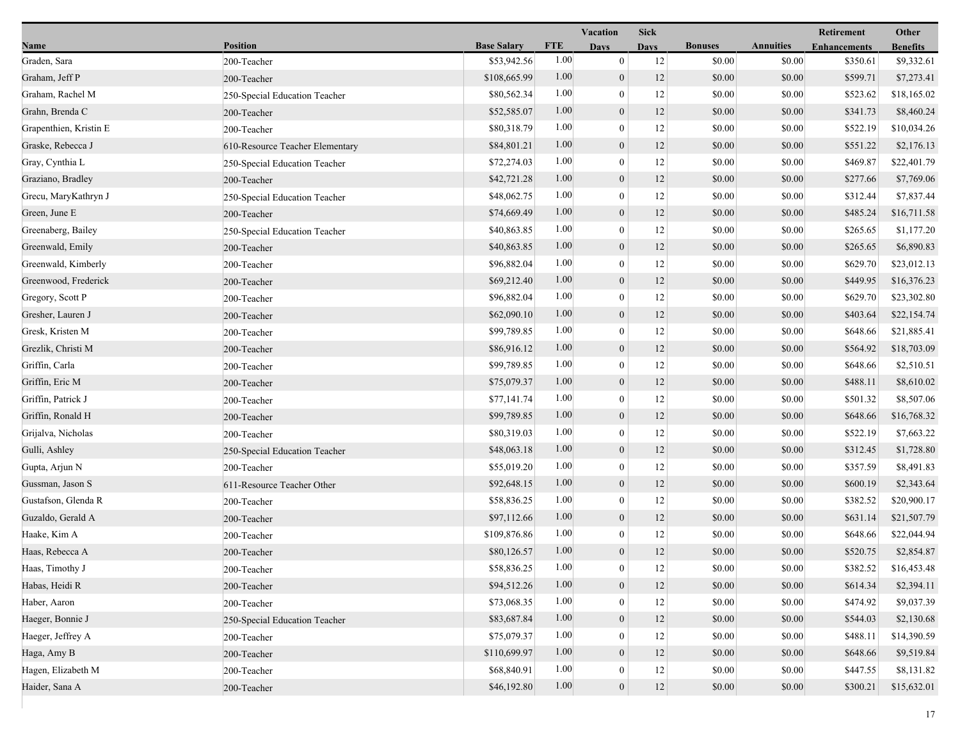|                        |                                 |                    |            | Vacation         | <b>Sick</b> |                |                  | Retirement          | Other           |
|------------------------|---------------------------------|--------------------|------------|------------------|-------------|----------------|------------------|---------------------|-----------------|
| Name                   | <b>Position</b>                 | <b>Base Salary</b> | <b>FTE</b> | <b>Days</b>      | <b>Days</b> | <b>Bonuses</b> | <b>Annuities</b> | <b>Enhancements</b> | <b>Benefits</b> |
| Graden, Sara           | 200-Teacher                     | \$53,942.56        | 1.00       | $\bf{0}$         | 12          | \$0.00         | \$0.00           | \$350.61            | \$9,332.61      |
| Graham, Jeff P         | 200-Teacher                     | \$108,665.99       | 1.00       | $\mathbf{0}$     | 12          | \$0.00         | \$0.00           | \$599.71            | \$7,273.41      |
| Graham, Rachel M       | 250-Special Education Teacher   | \$80,562.34        | 1.00       | $\boldsymbol{0}$ | 12          | \$0.00         | \$0.00           | \$523.62            | \$18,165.02     |
| Grahn, Brenda C        | 200-Teacher                     | \$52,585.07        | 1.00       | $\boldsymbol{0}$ | 12          | \$0.00         | \$0.00           | \$341.73            | \$8,460.24      |
| Grapenthien, Kristin E | 200-Teacher                     | \$80,318.79        | 1.00       | $\bf{0}$         | 12          | \$0.00         | \$0.00           | \$522.19            | \$10,034.26     |
| Graske, Rebecca J      | 610-Resource Teacher Elementary | \$84,801.21        | 1.00       | $\boldsymbol{0}$ | 12          | \$0.00         | \$0.00           | \$551.22            | \$2,176.13      |
| Gray, Cynthia L        | 250-Special Education Teacher   | \$72,274.03        | 1.00       | $\bf{0}$         | 12          | \$0.00         | \$0.00           | \$469.87            | \$22,401.79     |
| Graziano, Bradley      | 200-Teacher                     | \$42,721.28        | 1.00       | $\mathbf{0}$     | 12          | \$0.00         | \$0.00           | \$277.66            | \$7,769.06      |
| Grecu, MaryKathryn J   | 250-Special Education Teacher   | \$48,062.75        | 1.00       | $\bf{0}$         | 12          | \$0.00         | \$0.00           | \$312.44            | \$7,837.44      |
| Green, June E          | 200-Teacher                     | \$74,669.49        | 1.00       | $\boldsymbol{0}$ | 12          | \$0.00         | \$0.00           | \$485.24            | \$16,711.58     |
| Greenaberg, Bailey     | 250-Special Education Teacher   | \$40,863.85        | 1.00       | $\bf{0}$         | 12          | \$0.00         | \$0.00           | \$265.65            | \$1,177.20      |
| Greenwald, Emily       | 200-Teacher                     | \$40,863.85        | 1.00       | $\mathbf{0}$     | 12          | \$0.00         | \$0.00           | \$265.65            | \$6,890.83      |
| Greenwald, Kimberly    | 200-Teacher                     | \$96,882.04        | 1.00       | $\overline{0}$   | 12          | \$0.00         | \$0.00           | \$629.70            | \$23,012.13     |
| Greenwood, Frederick   | 200-Teacher                     | \$69,212.40        | 1.00       | $\boldsymbol{0}$ | 12          | \$0.00         | \$0.00           | \$449.95            | \$16,376.23     |
| Gregory, Scott P       | 200-Teacher                     | \$96,882.04        | 1.00       | $\bf{0}$         | 12          | \$0.00         | \$0.00           | \$629.70            | \$23,302.80     |
| Gresher, Lauren J      | 200-Teacher                     | \$62,090.10        | 1.00       | $\mathbf{0}$     | 12          | \$0.00         | \$0.00           | \$403.64            | \$22,154.74     |
| Gresk, Kristen M       | 200-Teacher                     | \$99,789.85        | 1.00       | $\bf{0}$         | 12          | \$0.00         | \$0.00           | \$648.66            | \$21,885.41     |
| Grezlik, Christi M     | 200-Teacher                     | \$86,916.12        | 1.00       | $\mathbf{0}$     | 12          | \$0.00         | \$0.00           | \$564.92            | \$18,703.09     |
| Griffin, Carla         | 200-Teacher                     | \$99,789.85        | 1.00       | $\boldsymbol{0}$ | 12          | \$0.00         | \$0.00           | \$648.66            | \$2,510.51      |
| Griffin, Eric M        | 200-Teacher                     | \$75,079.37        | 1.00       | $\boldsymbol{0}$ | 12          | \$0.00         | \$0.00           | \$488.11            | \$8,610.02      |
| Griffin, Patrick J     | 200-Teacher                     | \$77,141.74        | 1.00       | $\bf{0}$         | 12          | \$0.00         | \$0.00           | \$501.32            | \$8,507.06      |
| Griffin, Ronald H      | 200-Teacher                     | \$99,789.85        | 1.00       | $\mathbf{0}$     | 12          | \$0.00         | \$0.00           | \$648.66            | \$16,768.32     |
| Grijalva, Nicholas     | 200-Teacher                     | \$80,319.03        | 1.00       | $\boldsymbol{0}$ | 12          | \$0.00         | \$0.00           | \$522.19            | \$7,663.22      |
| Gulli, Ashley          | 250-Special Education Teacher   | \$48,063.18        | 1.00       | $\mathbf{0}$     | 12          | \$0.00         | \$0.00           | \$312.45            | \$1,728.80      |
| Gupta, Arjun N         | 200-Teacher                     | \$55,019.20        | 1.00       | $\overline{0}$   | 12          | \$0.00         | \$0.00           | \$357.59            | \$8,491.83      |
| Gussman, Jason S       | 611-Resource Teacher Other      | \$92,648.15        | 1.00       | $\mathbf{0}$     | 12          | \$0.00         | \$0.00           | \$600.19            | \$2,343.64      |
| Gustafson, Glenda R    | 200-Teacher                     | \$58,836.25        | 1.00       | $\bf{0}$         | 12          | \$0.00         | \$0.00           | \$382.52            | \$20,900.17     |
| Guzaldo, Gerald A      | 200-Teacher                     | \$97,112.66        | 1.00       | $\boldsymbol{0}$ | 12          | \$0.00         | \$0.00           | \$631.14            | \$21,507.79     |
| Haake, Kim A           | 200-Teacher                     | \$109,876.86       | 1.00       | $\boldsymbol{0}$ | 12          | \$0.00         | \$0.00           | \$648.66            | \$22,044.94     |
| Haas, Rebecca A        | 200-Teacher                     | \$80,126.57        | 1.00       | $\overline{0}$   | 12          | \$0.00         | \$0.00           | \$520.75            | \$2,854.87      |
| Haas, Timothy J        | 200-Teacher                     | \$58,836.25        | 1.00       | $\bf{0}$         | 12          | \$0.00         | \$0.00           | \$382.52            | \$16,453.48     |
| Habas, Heidi R         | 200-Teacher                     | \$94,512.26        | 1.00       | $\mathbf{0}$     | 12          | \$0.00         | \$0.00           | \$614.34            | \$2,394.11      |
| Haber, Aaron           | 200-Teacher                     | \$73,068.35        | 1.00       | $\mathbf{0}$     | 12          | \$0.00         | \$0.00           | \$474.92            | \$9,037.39      |
| Haeger, Bonnie J       | 250-Special Education Teacher   | \$83,687.84        | 1.00       | $\overline{0}$   | 12          | \$0.00         | \$0.00           | \$544.03            | \$2,130.68      |
| Haeger, Jeffrey A      | 200-Teacher                     | \$75,079.37        | 1.00       | $\mathbf{0}$     | 12          | \$0.00         | \$0.00           | \$488.11            | \$14,390.59     |
| Haga, Amy B            | 200-Teacher                     | \$110,699.97       | 1.00       | $\overline{0}$   | 12          | \$0.00         | \$0.00           | \$648.66            | \$9,519.84      |
| Hagen, Elizabeth M     | 200-Teacher                     | \$68,840.91        | 1.00       | $\overline{0}$   | 12          | \$0.00         | \$0.00           | \$447.55            | \$8,131.82      |
| Haider, Sana A         | 200-Teacher                     | \$46,192.80        | 1.00       | $\mathbf{0}$     | $12\,$      | \$0.00         | \$0.00           | \$300.21            | \$15,632.01     |
|                        |                                 |                    |            |                  |             |                |                  |                     |                 |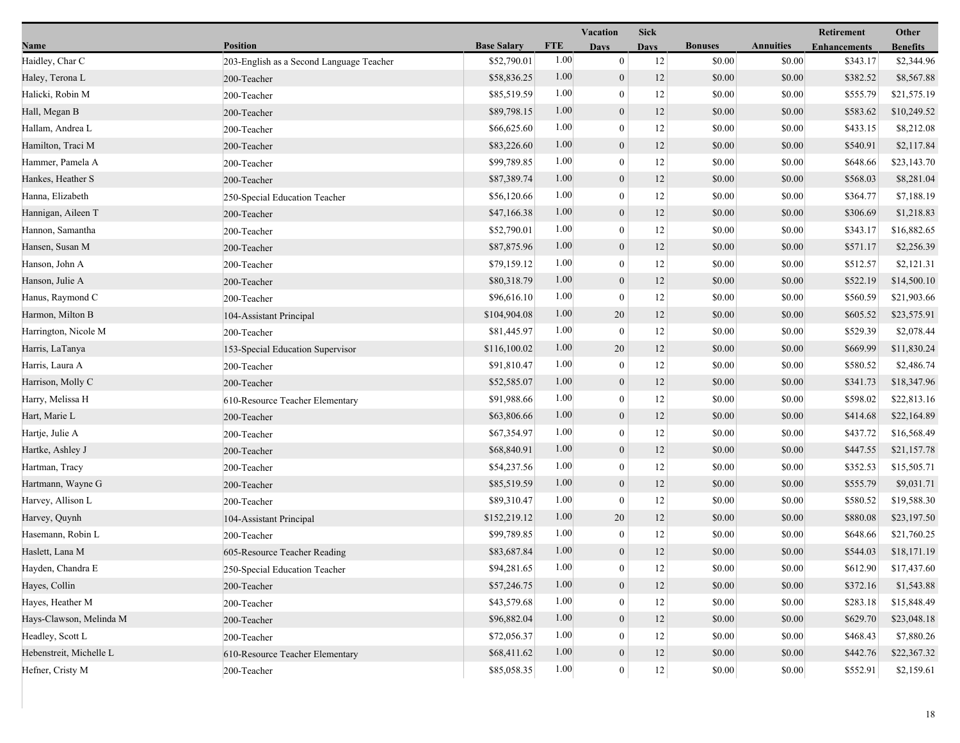|                         |                                          |                    | <b>Sick</b> |                  |             | Retirement     | Other            |                     |                 |
|-------------------------|------------------------------------------|--------------------|-------------|------------------|-------------|----------------|------------------|---------------------|-----------------|
| Name                    | <b>Position</b>                          | <b>Base Salary</b> | <b>FTE</b>  | <b>Days</b>      | <b>Days</b> | <b>Bonuses</b> | <b>Annuities</b> | <b>Enhancements</b> | <b>Benefits</b> |
| Haidley, Char C         | 203-English as a Second Language Teacher | \$52,790.01        | 1.00        | $\mathbf{0}$     | 12          | \$0.00         | \$0.00           | \$343.17            | \$2,344.96      |
| Haley, Terona L         | 200-Teacher                              | \$58,836.25        | 1.00        | $\mathbf{0}$     | 12          | \$0.00         | \$0.00           | \$382.52            | \$8,567.88      |
| Halicki, Robin M        | 200-Teacher                              | \$85,519.59        | 1.00        | $\mathbf{0}$     | 12          | \$0.00         | \$0.00           | \$555.79            | \$21,575.19     |
| Hall, Megan B           | 200-Teacher                              | \$89,798.15        | 1.00        | $\mathbf{0}$     | 12          | \$0.00         | \$0.00           | \$583.62            | \$10,249.52     |
| Hallam, Andrea L        | 200-Teacher                              | \$66,625.60        | 1.00        | $\mathbf{0}$     | 12          | \$0.00         | \$0.00           | \$433.15            | \$8,212.08      |
| Hamilton, Traci M       | 200-Teacher                              | \$83,226.60        | 1.00        | $\mathbf{0}$     | 12          | \$0.00         | \$0.00           | \$540.91            | \$2,117.84      |
| Hammer, Pamela A        | 200-Teacher                              | \$99,789.85        | 1.00        | $\theta$         | 12          | \$0.00         | \$0.00           | \$648.66            | \$23,143.70     |
| Hankes, Heather S       | 200-Teacher                              | \$87,389.74        | 1.00        | $\mathbf{0}$     | 12          | \$0.00         | \$0.00           | \$568.03            | \$8,281.04      |
| Hanna, Elizabeth        | 250-Special Education Teacher            | \$56,120.66        | 1.00        | $\mathbf{0}$     | 12          | \$0.00         | \$0.00           | \$364.77            | \$7,188.19      |
| Hannigan, Aileen T      | 200-Teacher                              | \$47,166.38        | 1.00        | $\boldsymbol{0}$ | 12          | \$0.00         | \$0.00           | \$306.69            | \$1,218.83      |
| Hannon, Samantha        | 200-Teacher                              | \$52,790.01        | 1.00        | $\mathbf{0}$     | 12          | \$0.00         | \$0.00           | \$343.17            | \$16,882.65     |
| Hansen, Susan M         | 200-Teacher                              | \$87,875.96        | 1.00        | $\mathbf{0}$     | 12          | \$0.00         | \$0.00           | \$571.17            | \$2,256.39      |
| Hanson, John A          | 200-Teacher                              | \$79,159.12        | 1.00        | $\mathbf{0}$     | 12          | \$0.00         | \$0.00           | \$512.57            | \$2,121.31      |
| Hanson, Julie A         | 200-Teacher                              | \$80,318.79        | 1.00        | $\mathbf{0}$     | 12          | \$0.00         | \$0.00           | \$522.19            | \$14,500.10     |
| Hanus, Raymond C        | 200-Teacher                              | \$96,616.10        | 1.00        | $\boldsymbol{0}$ | 12          | \$0.00         | \$0.00           | \$560.59            | \$21,903.66     |
| Harmon, Milton B        | 104-Assistant Principal                  | \$104,904.08       | 1.00        | 20               | 12          | \$0.00         | \$0.00           | \$605.52            | \$23,575.91     |
| Harrington, Nicole M    | 200-Teacher                              | \$81,445.97        | 1.00        | $\boldsymbol{0}$ | 12          | \$0.00         | \$0.00           | \$529.39            | \$2,078.44      |
| Harris, LaTanya         | 153-Special Education Supervisor         | \$116,100.02       | 1.00        | 20               | 12          | \$0.00         | \$0.00           | \$669.99            | \$11,830.24     |
| Harris, Laura A         | 200-Teacher                              | \$91,810.47        | 1.00        | $\mathbf{0}$     | 12          | \$0.00         | \$0.00           | \$580.52            | \$2,486.74      |
| Harrison, Molly C       | 200-Teacher                              | \$52,585.07        | 1.00        | $\mathbf{0}$     | 12          | \$0.00         | \$0.00           | \$341.73            | \$18,347.96     |
| Harry, Melissa H        | 610-Resource Teacher Elementary          | \$91,988.66        | 1.00        | $\boldsymbol{0}$ | 12          | \$0.00         | \$0.00           | \$598.02            | \$22,813.16     |
| Hart, Marie L           | 200-Teacher                              | \$63,806.66        | 1.00        | $\mathbf{0}$     | 12          | \$0.00         | \$0.00           | \$414.68            | \$22,164.89     |
| Hartje, Julie A         | 200-Teacher                              | \$67,354.97        | 1.00        | $\mathbf{0}$     | 12          | \$0.00         | \$0.00           | \$437.72            | \$16,568.49     |
| Hartke, Ashley J        | 200-Teacher                              | \$68,840.91        | 1.00        | $\mathbf{0}$     | 12          | \$0.00         | \$0.00           | \$447.55            | \$21,157.78     |
| Hartman, Tracy          | 200-Teacher                              | \$54,237.56        | 1.00        | $\mathbf{0}$     | 12          | \$0.00         | \$0.00           | \$352.53            | \$15,505.71     |
| Hartmann, Wayne G       | 200-Teacher                              | \$85,519.59        | 1.00        | $\mathbf{0}$     | 12          | \$0.00         | \$0.00           | \$555.79            | \$9,031.71      |
| Harvey, Allison L       | 200-Teacher                              | \$89,310.47        | 1.00        | $\mathbf{0}$     | 12          | \$0.00         | \$0.00           | \$580.52            | \$19,588.30     |
| Harvey, Quynh           | 104-Assistant Principal                  | \$152,219.12       | 1.00        | 20               | 12          | \$0.00         | \$0.00           | \$880.08            | \$23,197.50     |
| Hasemann, Robin L       | 200-Teacher                              | \$99,789.85        | 1.00        | $\mathbf{0}$     | 12          | \$0.00         | \$0.00           | \$648.66            | \$21,760.25     |
| Haslett, Lana M         | 605-Resource Teacher Reading             | \$83,687.84        | 1.00        | $\overline{0}$   | 12          | \$0.00         | \$0.00           | \$544.03            | \$18,171.19     |
| Hayden, Chandra E       | 250-Special Education Teacher            | \$94,281.65        | 1.00        | $\theta$         | 12          | \$0.00         | \$0.00           | \$612.90            | \$17,437.60     |
| Hayes, Collin           | 200-Teacher                              | \$57,246.75        | 1.00        | $\mathbf{0}$     | 12          | \$0.00         | \$0.00           | \$372.16            | \$1,543.88      |
| Hayes, Heather M        | 200-Teacher                              | \$43,579.68        | 1.00        | $\theta$         | 12          | \$0.00         | \$0.00           | \$283.18            | \$15,848.49     |
| Hays-Clawson, Melinda M | 200-Teacher                              | \$96,882.04        | 1.00        | $\theta$         | 12          | \$0.00         | \$0.00           | \$629.70            | \$23,048.18     |
| Headley, Scott L        | 200-Teacher                              | \$72,056.37        | 1.00        | $\Omega$         | 12          | \$0.00         | \$0.00           | \$468.43            | \$7,880.26      |
| Hebenstreit, Michelle L | 610-Resource Teacher Elementary          | \$68,411.62        | 1.00        | $\mathbf{0}$     | 12          | \$0.00         | \$0.00           | \$442.76            | \$22,367.32     |
| Hefner, Cristy M        | 200-Teacher                              | \$85,058.35        | 1.00        | $\boldsymbol{0}$ | $12 \,$     | \$0.00         | \$0.00           | \$552.91            | \$2,159.61      |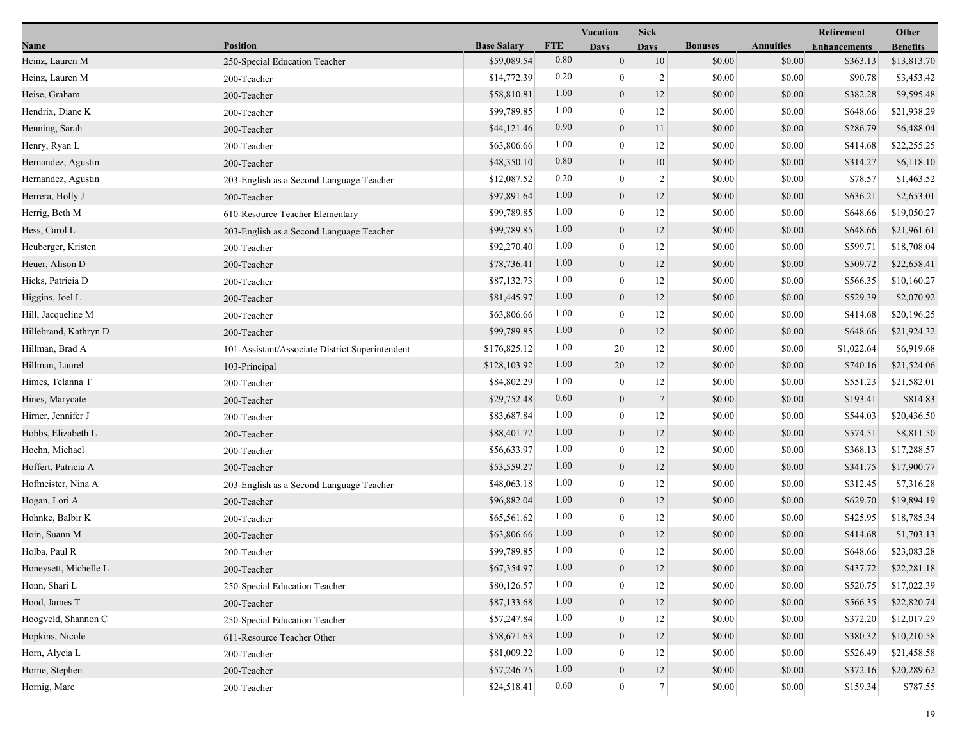|                       |                                                 |                    |            | <b>Vacation</b>  | <b>Sick</b>    |                |                  | <b>Retirement</b>   | Other           |
|-----------------------|-------------------------------------------------|--------------------|------------|------------------|----------------|----------------|------------------|---------------------|-----------------|
| Name                  | <b>Position</b>                                 | <b>Base Salary</b> | <b>FTE</b> | Days             | <b>Days</b>    | <b>Bonuses</b> | <b>Annuities</b> | <b>Enhancements</b> | <b>Benefits</b> |
| Heinz, Lauren M       | 250-Special Education Teacher                   | \$59,089.54        | 0.80       | $\boldsymbol{0}$ | 10             | \$0.00         | \$0.00           | \$363.13            | \$13,813.70     |
| Heinz, Lauren M       | 200-Teacher                                     | \$14,772.39        | 0.20       | $\boldsymbol{0}$ | $\overline{2}$ | \$0.00         | \$0.00           | \$90.78             | \$3,453.42      |
| Heise, Graham         | 200-Teacher                                     | \$58,810.81        | 1.00       | $\boldsymbol{0}$ | 12             | \$0.00         | \$0.00           | \$382.28            | \$9,595.48      |
| Hendrix, Diane K      | 200-Teacher                                     | \$99,789.85        | 1.00       | $\mathbf{0}$     | 12             | \$0.00         | \$0.00           | \$648.66            | \$21,938.29     |
| Henning, Sarah        | 200-Teacher                                     | \$44,121.46        | 0.90       | $\boldsymbol{0}$ | 11             | \$0.00         | \$0.00           | \$286.79            | \$6,488.04      |
| Henry, Ryan L         | 200-Teacher                                     | \$63,806.66        | 1.00       | $\boldsymbol{0}$ | 12             | \$0.00         | \$0.00           | \$414.68            | \$22,255.25     |
| Hernandez, Agustin    | 200-Teacher                                     | \$48,350.10        | 0.80       | $\boldsymbol{0}$ | 10             | \$0.00         | \$0.00           | \$314.27            | \$6,118.10      |
| Hernandez, Agustin    | 203-English as a Second Language Teacher        | \$12,087.52        | 0.20       | $\boldsymbol{0}$ | 2              | \$0.00         | \$0.00           | \$78.57             | \$1,463.52      |
| Herrera, Holly J      | 200-Teacher                                     | \$97,891.64        | 1.00       | $\boldsymbol{0}$ | 12             | \$0.00         | \$0.00           | \$636.21            | \$2,653.01      |
| Herrig, Beth M        | 610-Resource Teacher Elementary                 | \$99,789.85        | 1.00       | $\mathbf{0}$     | 12             | \$0.00         | \$0.00           | \$648.66            | \$19,050.27     |
| Hess, Carol L         | 203-English as a Second Language Teacher        | \$99,789.85        | 1.00       | $\boldsymbol{0}$ | 12             | \$0.00         | \$0.00           | \$648.66            | \$21,961.61     |
| Heuberger, Kristen    | 200-Teacher                                     | \$92,270.40        | 1.00       | $\boldsymbol{0}$ | 12             | \$0.00         | \$0.00           | \$599.71            | \$18,708.04     |
| Heuer, Alison D       | 200-Teacher                                     | \$78,736.41        | 1.00       | $\boldsymbol{0}$ | 12             | \$0.00         | \$0.00           | \$509.72            | \$22,658.41     |
| Hicks, Patricia D     | 200-Teacher                                     | \$87,132.73        | 1.00       | $\boldsymbol{0}$ | 12             | \$0.00         | \$0.00           | \$566.35            | \$10,160.27     |
| Higgins, Joel L       | 200-Teacher                                     | \$81,445.97        | 1.00       | $\boldsymbol{0}$ | 12             | \$0.00         | \$0.00           | \$529.39            | \$2,070.92      |
| Hill, Jacqueline M    | 200-Teacher                                     | \$63,806.66        | 1.00       | $\boldsymbol{0}$ | 12             | \$0.00         | \$0.00           | \$414.68            | \$20,196.25     |
| Hillebrand, Kathryn D | 200-Teacher                                     | \$99,789.85        | 1.00       | $\boldsymbol{0}$ | 12             | \$0.00         | \$0.00           | \$648.66            | \$21,924.32     |
| Hillman, Brad A       | 101-Assistant/Associate District Superintendent | \$176,825.12       | 1.00       | 20               | 12             | \$0.00         | \$0.00           | \$1,022.64          | \$6,919.68      |
| Hillman, Laurel       | 103-Principal                                   | \$128,103.92       | 1.00       | 20               | 12             | \$0.00         | \$0.00           | \$740.16            | \$21,524.06     |
| Himes, Telanna T      | 200-Teacher                                     | \$84,802.29        | 1.00       | $\boldsymbol{0}$ | 12             | \$0.00         | \$0.00           | \$551.23            | \$21,582.01     |
| Hines, Marycate       | 200-Teacher                                     | \$29,752.48        | 0.60       | $\boldsymbol{0}$ | $\tau$         | \$0.00         | \$0.00           | \$193.41            | \$814.83        |
| Hirner, Jennifer J    | 200-Teacher                                     | \$83,687.84        | 1.00       | $\boldsymbol{0}$ | 12             | \$0.00         | \$0.00           | \$544.03            | \$20,436.50     |
| Hobbs, Elizabeth L    | 200-Teacher                                     | \$88,401.72        | 1.00       | $\boldsymbol{0}$ | 12             | \$0.00         | \$0.00           | \$574.51            | \$8,811.50      |
| Hoehn, Michael        | 200-Teacher                                     | \$56,633.97        | 1.00       | $\boldsymbol{0}$ | 12             | \$0.00         | \$0.00           | \$368.13            | \$17,288.57     |
| Hoffert, Patricia A   | 200-Teacher                                     | \$53,559.27        | 1.00       | $\boldsymbol{0}$ | 12             | \$0.00         | \$0.00           | \$341.75            | \$17,900.77     |
| Hofmeister, Nina A    | 203-English as a Second Language Teacher        | \$48,063.18        | 1.00       | $\boldsymbol{0}$ | 12             | \$0.00         | \$0.00           | \$312.45            | \$7,316.28      |
| Hogan, Lori A         | 200-Teacher                                     | \$96,882.04        | 1.00       | $\boldsymbol{0}$ | 12             | \$0.00         | \$0.00           | \$629.70            | \$19,894.19     |
| Hohnke, Balbir K      | 200-Teacher                                     | \$65,561.62        | 1.00       | $\boldsymbol{0}$ | 12             | \$0.00         | \$0.00           | \$425.95            | \$18,785.34     |
| Hoin, Suann M         | 200-Teacher                                     | \$63,806.66        | 1.00       | $\boldsymbol{0}$ | 12             | \$0.00         | \$0.00           | \$414.68            | \$1,703.13      |
| Holba, Paul R         | 200-Teacher                                     | \$99,789.85        | 1.00       | $\boldsymbol{0}$ | 12             | \$0.00         | \$0.00           | \$648.66            | \$23,083.28     |
| Honeysett, Michelle L | 200-Teacher                                     | \$67,354.97        | $1.00\,$   | $\boldsymbol{0}$ | 12             | \$0.00         | \$0.00           | \$437.72            | \$22,281.18     |
| Honn, Shari L         | 250-Special Education Teacher                   | \$80,126.57        | 1.00       | $\theta$         | 12             | \$0.00         | \$0.00           | \$520.75            | \$17,022.39     |
| Hood, James T         | 200-Teacher                                     | \$87,133.68        | 1.00       | $\boldsymbol{0}$ | 12             | \$0.00         | \$0.00           | \$566.35            | \$22,820.74     |
| Hoogveld, Shannon C   | 250-Special Education Teacher                   | \$57,247.84        | 1.00       | $\boldsymbol{0}$ | 12             | \$0.00         | \$0.00           | \$372.20            | \$12,017.29     |
| Hopkins, Nicole       | 611-Resource Teacher Other                      | \$58,671.63        | 1.00       | $\mathbf{0}$     | 12             | \$0.00         | \$0.00           | \$380.32            | \$10,210.58     |
| Horn, Alycia L        | 200-Teacher                                     | \$81,009.22        | 1.00       | $\boldsymbol{0}$ | 12             | \$0.00         | \$0.00           | \$526.49            | \$21,458.58     |
| Horne, Stephen        | 200-Teacher                                     | \$57,246.75        | 1.00       | $\boldsymbol{0}$ | 12             | \$0.00         | \$0.00           | \$372.16            | \$20,289.62     |
| Hornig, Marc          | 200-Teacher                                     | \$24,518.41        | 0.60       | $\mathbf{0}$     | $7\vert$       | \$0.00         | \$0.00           | \$159.34            | \$787.55        |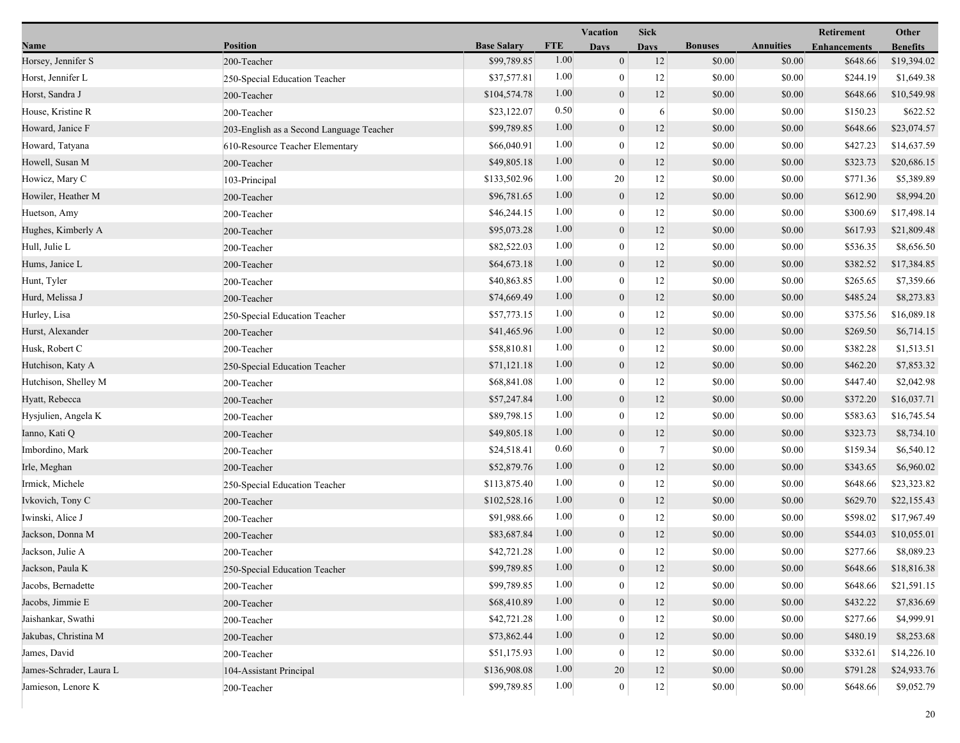|                         |                                          |                    |            | <b>Vacation</b>  | <b>Sick</b>    |                |                  | <b>Retirement</b>   | Other           |
|-------------------------|------------------------------------------|--------------------|------------|------------------|----------------|----------------|------------------|---------------------|-----------------|
| Name                    | <b>Position</b>                          | <b>Base Salary</b> | <b>FTE</b> | <b>Days</b>      | <b>Days</b>    | <b>Bonuses</b> | <b>Annuities</b> | <b>Enhancements</b> | <b>Benefits</b> |
| Horsey, Jennifer S      | 200-Teacher                              | \$99,789.85        | 1.00       | $\mathbf{0}$     | 12             | \$0.00         | \$0.00           | \$648.66            | \$19,394.02     |
| Horst, Jennifer L       | 250-Special Education Teacher            | \$37,577.81        | 1.00       | $\mathbf{0}$     | 12             | \$0.00         | \$0.00           | \$244.19            | \$1,649.38      |
| Horst, Sandra J         | 200-Teacher                              | \$104,574.78       | 1.00       | $\boldsymbol{0}$ | 12             | \$0.00         | \$0.00           | \$648.66            | \$10,549.98     |
| House, Kristine R       | 200-Teacher                              | \$23,122.07        | 0.50       | $\mathbf{0}$     | 6              | \$0.00         | \$0.00           | \$150.23            | \$622.52        |
| Howard, Janice F        | 203-English as a Second Language Teacher | \$99,789.85        | 1.00       | $\mathbf{0}$     | 12             | \$0.00         | \$0.00           | \$648.66            | \$23,074.57     |
| Howard, Tatyana         | 610-Resource Teacher Elementary          | \$66,040.91        | 1.00       | $\boldsymbol{0}$ | 12             | \$0.00         | \$0.00           | \$427.23            | \$14,637.59     |
| Howell, Susan M         | 200-Teacher                              | \$49,805.18        | 1.00       | $\mathbf{0}$     | 12             | \$0.00         | \$0.00           | \$323.73            | \$20,686.15     |
| Howicz, Mary C          | 103-Principal                            | \$133,502.96       | 1.00       | 20               | 12             | \$0.00         | \$0.00           | \$771.36            | \$5,389.89      |
| Howiler, Heather M      | 200-Teacher                              | \$96,781.65        | 1.00       | $\boldsymbol{0}$ | 12             | \$0.00         | \$0.00           | \$612.90            | \$8,994.20      |
| Huetson, Amy            | 200-Teacher                              | \$46,244.15        | 1.00       | $\mathbf{0}$     | 12             | \$0.00         | \$0.00           | \$300.69            | \$17,498.14     |
| Hughes, Kimberly A      | 200-Teacher                              | \$95,073.28        | 1.00       | $\mathbf{0}$     | 12             | \$0.00         | \$0.00           | \$617.93            | \$21,809.48     |
| Hull, Julie L           | 200-Teacher                              | \$82,522.03        | 1.00       | $\mathbf{0}$     | 12             | \$0.00         | \$0.00           | \$536.35            | \$8,656.50      |
| Hums, Janice L          | 200-Teacher                              | \$64,673.18        | 1.00       | $\mathbf{0}$     | 12             | \$0.00         | \$0.00           | \$382.52            | \$17,384.85     |
| Hunt, Tyler             | 200-Teacher                              | \$40,863.85        | 1.00       | $\mathbf{0}$     | 12             | \$0.00         | \$0.00           | \$265.65            | \$7,359.66      |
| Hurd, Melissa J         | 200-Teacher                              | \$74,669.49        | 1.00       | $\mathbf{0}$     | 12             | \$0.00         | \$0.00           | \$485.24            | \$8,273.83      |
| Hurley, Lisa            | 250-Special Education Teacher            | \$57,773.15        | 1.00       | $\mathbf{0}$     | 12             | \$0.00         | \$0.00           | \$375.56            | \$16,089.18     |
| Hurst, Alexander        | 200-Teacher                              | \$41,465.96        | 1.00       | $\mathbf{0}$     | 12             | \$0.00         | \$0.00           | \$269.50            | \$6,714.15      |
| Husk, Robert C          | 200-Teacher                              | \$58,810.81        | 1.00       | $\boldsymbol{0}$ | 12             | \$0.00         | \$0.00           | \$382.28            | \$1,513.51      |
| Hutchison, Katy A       | 250-Special Education Teacher            | \$71,121.18        | 1.00       | $\mathbf{0}$     | 12             | \$0.00         | \$0.00           | \$462.20            | \$7,853.32      |
| Hutchison, Shelley M    | 200-Teacher                              | \$68,841.08        | 1.00       | $\mathbf{0}$     | 12             | \$0.00         | \$0.00           | \$447.40            | \$2,042.98      |
| Hyatt, Rebecca          | 200-Teacher                              | \$57,247.84        | 1.00       | $\boldsymbol{0}$ | 12             | \$0.00         | \$0.00           | \$372.20            | \$16,037.71     |
| Hysjulien, Angela K     | 200-Teacher                              | \$89,798.15        | 1.00       | $\theta$         | 12             | \$0.00         | \$0.00           | \$583.63            | \$16,745.54     |
| Ianno, Kati Q           | 200-Teacher                              | \$49,805.18        | 1.00       | $\boldsymbol{0}$ | 12             | \$0.00         | \$0.00           | \$323.73            | \$8,734.10      |
| Imbordino, Mark         | 200-Teacher                              | \$24,518.41        | 0.60       | $\boldsymbol{0}$ | $\overline{7}$ | \$0.00         | \$0.00           | \$159.34            | \$6,540.12      |
| Irle, Meghan            | 200-Teacher                              | \$52,879.76        | 1.00       | $\mathbf{0}$     | 12             | \$0.00         | \$0.00           | \$343.65            | \$6,960.02      |
| Irmick, Michele         | 250-Special Education Teacher            | \$113,875.40       | 1.00       | $\overline{0}$   | 12             | \$0.00         | \$0.00           | \$648.66            | \$23,323.82     |
| Ivkovich, Tony C        | 200-Teacher                              | \$102,528.16       | 1.00       | $\mathbf{0}$     | 12             | \$0.00         | \$0.00           | \$629.70            | \$22,155.43     |
| Iwinski, Alice J        | 200-Teacher                              | \$91,988.66        | 1.00       | $\mathbf{0}$     | 12             | \$0.00         | \$0.00           | \$598.02            | \$17,967.49     |
| Jackson, Donna M        | 200-Teacher                              | \$83,687.84        | 1.00       | $\mathbf{0}$     | 12             | \$0.00         | \$0.00           | \$544.03            | \$10,055.01     |
| Jackson, Julie A        | 200-Teacher                              | \$42,721.28        | 1.00       | $\mathbf{0}$     | 12             | \$0.00         | \$0.00           | \$277.66            | \$8,089.23      |
| Jackson, Paula K        | 250-Special Education Teacher            | \$99,789.85        | $1.00\,$   | $\mathbf{0}$     | 12             | \$0.00         | \$0.00           | \$648.66            | \$18,816.38     |
| Jacobs, Bernadette      | 200-Teacher                              | \$99,789.85        | 1.00       | $\theta$         | 12             | \$0.00         | \$0.00           | \$648.66            | \$21,591.15     |
| Jacobs, Jimmie E        | 200-Teacher                              | \$68,410.89        | 1.00       | $\mathbf{0}$     | $12\,$         | \$0.00         | \$0.00           | \$432.22            | \$7,836.69      |
| Jaishankar, Swathi      | 200-Teacher                              | \$42,721.28        | 1.00       | $\overline{0}$   | 12             | \$0.00         | \$0.00           | \$277.66            | \$4,999.91      |
| Jakubas, Christina M    | 200-Teacher                              | \$73,862.44        | 1.00       | $\mathbf{0}$     | 12             | \$0.00         | \$0.00           | \$480.19            | \$8,253.68      |
| James, David            | 200-Teacher                              | \$51,175.93        | 1.00       | $\theta$         | 12             | \$0.00         | \$0.00           | \$332.61            | \$14,226.10     |
| James-Schrader, Laura L | 104-Assistant Principal                  | \$136,908.08       | 1.00       | 20               | 12             | \$0.00         | \$0.00           | \$791.28            | \$24,933.76     |
| Jamieson, Lenore K      | 200-Teacher                              | \$99,789.85        | 1.00       | $\mathbf{0}$     | $12\,$         | \$0.00         | \$0.00           | \$648.66            | \$9,052.79      |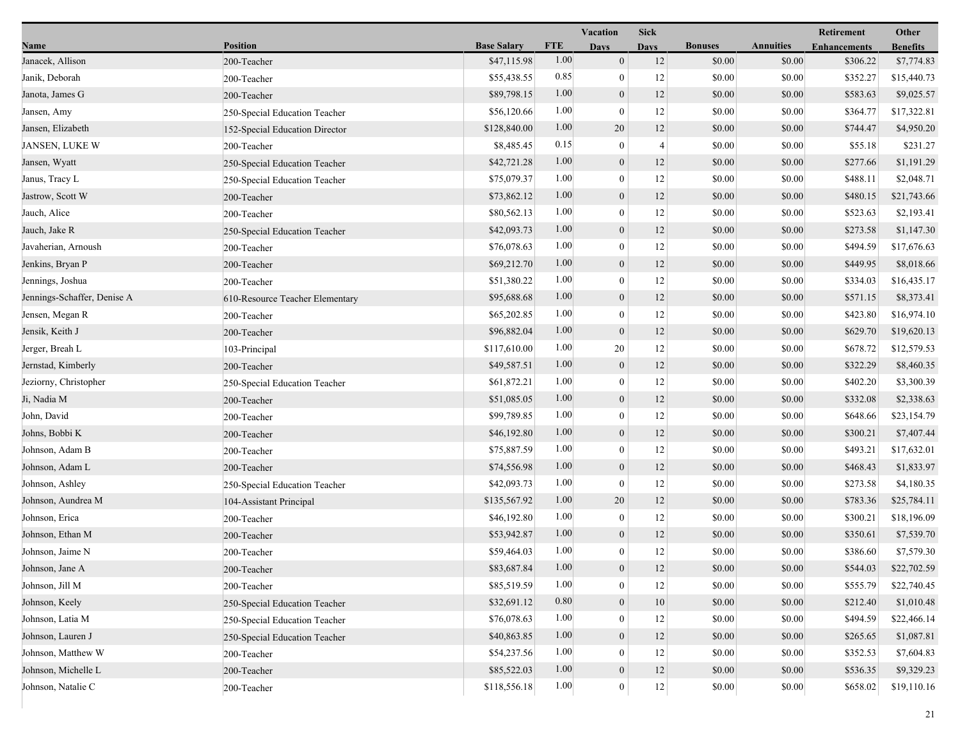|                             |                                 |                    |            | Vacation         | <b>Sick</b>    |                |                  | Retirement          | Other           |
|-----------------------------|---------------------------------|--------------------|------------|------------------|----------------|----------------|------------------|---------------------|-----------------|
| Name                        | <b>Position</b>                 | <b>Base Salary</b> | <b>FTE</b> | <b>Days</b>      | <b>Davs</b>    | <b>Bonuses</b> | <b>Annuities</b> | <b>Enhancements</b> | <b>Benefits</b> |
| Janacek, Allison            | 200-Teacher                     | \$47,115.98        | 1.00       | $\mathbf{0}$     | 12             | \$0.00         | \$0.00           | \$306.22            | \$7,774.83      |
| Janik, Deborah              | 200-Teacher                     | \$55,438.55        | 0.85       | $\boldsymbol{0}$ | 12             | \$0.00         | \$0.00           | \$352.27            | \$15,440.73     |
| Janota, James G             | 200-Teacher                     | \$89,798.15        | 1.00       | $\boldsymbol{0}$ | 12             | \$0.00         | \$0.00           | \$583.63            | \$9,025.57      |
| Jansen, Amy                 | 250-Special Education Teacher   | \$56,120.66        | 1.00       | $\mathbf{0}$     | 12             | \$0.00         | \$0.00           | \$364.77            | \$17,322.81     |
| Jansen, Elizabeth           | 152-Special Education Director  | \$128,840.00       | 1.00       | 20               | 12             | \$0.00         | \$0.00           | \$744.47            | \$4,950.20      |
| JANSEN, LUKE W              | 200-Teacher                     | \$8,485.45         | 0.15       | $\bf{0}$         | $\overline{4}$ | \$0.00         | \$0.00           | \$55.18             | \$231.27        |
| Jansen, Wyatt               | 250-Special Education Teacher   | \$42,721.28        | 1.00       | $\mathbf{0}$     | 12             | \$0.00         | \$0.00           | \$277.66            | \$1,191.29      |
| Janus, Tracy L              | 250-Special Education Teacher   | \$75,079.37        | 1.00       | $\boldsymbol{0}$ | 12             | \$0.00         | \$0.00           | \$488.11            | \$2,048.71      |
| Jastrow, Scott W            | 200-Teacher                     | \$73,862.12        | 1.00       | $\boldsymbol{0}$ | 12             | \$0.00         | \$0.00           | \$480.15            | \$21,743.66     |
| Jauch, Alice                | 200-Teacher                     | \$80,562.13        | 1.00       | $\mathbf{0}$     | 12             | \$0.00         | \$0.00           | \$523.63            | \$2,193.41      |
| Jauch, Jake R               | 250-Special Education Teacher   | \$42,093.73        | 1.00       | $\boldsymbol{0}$ | 12             | \$0.00         | \$0.00           | \$273.58            | \$1,147.30      |
| Javaherian, Arnoush         | 200-Teacher                     | \$76,078.63        | 1.00       | $\bf{0}$         | 12             | \$0.00         | \$0.00           | \$494.59            | \$17,676.63     |
| Jenkins, Bryan P            | 200-Teacher                     | \$69,212.70        | 1.00       | $\mathbf{0}$     | 12             | \$0.00         | \$0.00           | \$449.95            | \$8,018.66      |
| Jennings, Joshua            | 200-Teacher                     | \$51,380.22        | 1.00       | $\boldsymbol{0}$ | 12             | \$0.00         | \$0.00           | \$334.03            | \$16,435.17     |
| Jennings-Schaffer, Denise A | 610-Resource Teacher Elementary | \$95,688.68        | 1.00       | $\boldsymbol{0}$ | 12             | \$0.00         | \$0.00           | \$571.15            | \$8,373.41      |
| Jensen, Megan R             | 200-Teacher                     | \$65,202.85        | 1.00       | $\mathbf{0}$     | 12             | \$0.00         | \$0.00           | \$423.80            | \$16,974.10     |
| Jensik, Keith J             | 200-Teacher                     | \$96,882.04        | 1.00       | $\mathbf{0}$     | 12             | \$0.00         | \$0.00           | \$629.70            | \$19,620.13     |
| Jerger, Breah L             | 103-Principal                   | \$117,610.00       | 1.00       | 20               | 12             | \$0.00         | \$0.00           | \$678.72            | \$12,579.53     |
| Jernstad, Kimberly          | 200-Teacher                     | \$49,587.51        | 1.00       | $\mathbf{0}$     | 12             | \$0.00         | \$0.00           | \$322.29            | \$8,460.35      |
| Jeziorny, Christopher       | 250-Special Education Teacher   | \$61,872.21        | 1.00       | $\mathbf{0}$     | 12             | \$0.00         | \$0.00           | \$402.20            | \$3,300.39      |
| Ji, Nadia M                 | 200-Teacher                     | \$51,085.05        | 1.00       | $\mathbf{0}$     | 12             | \$0.00         | \$0.00           | \$332.08            | \$2,338.63      |
| John, David                 | 200-Teacher                     | \$99,789.85        | 1.00       | $\mathbf{0}$     | 12             | \$0.00         | \$0.00           | \$648.66            | \$23,154.79     |
| Johns, Bobbi K              | 200-Teacher                     | \$46,192.80        | 1.00       | $\mathbf{0}$     | 12             | \$0.00         | \$0.00           | \$300.21            | \$7,407.44      |
| Johnson, Adam B             | 200-Teacher                     | \$75,887.59        | 1.00       | $\boldsymbol{0}$ | 12             | \$0.00         | \$0.00           | \$493.21            | \$17,632.01     |
| Johnson, Adam L             | 200-Teacher                     | \$74,556.98        | 1.00       | $\mathbf{0}$     | 12             | \$0.00         | \$0.00           | \$468.43            | \$1,833.97      |
| Johnson, Ashley             | 250-Special Education Teacher   | \$42,093.73        | 1.00       | $\mathbf{0}$     | 12             | \$0.00         | \$0.00           | \$273.58            | \$4,180.35      |
| Johnson, Aundrea M          | 104-Assistant Principal         | \$135,567.92       | 1.00       | 20               | 12             | \$0.00         | \$0.00           | \$783.36            | \$25,784.11     |
| Johnson, Erica              | 200-Teacher                     | \$46,192.80        | 1.00       | $\bf{0}$         | 12             | \$0.00         | \$0.00           | \$300.21            | \$18,196.09     |
| Johnson, Ethan M            | 200-Teacher                     | \$53,942.87        | 1.00       | $\mathbf{0}$     | 12             | \$0.00         | \$0.00           | \$350.61            | \$7,539.70      |
| Johnson, Jaime N            | 200-Teacher                     | \$59,464.03        | 1.00       | $\mathbf{0}$     | 12             | \$0.00         | \$0.00           | \$386.60            | \$7,579.30      |
| Johnson, Jane A             | 200-Teacher                     | \$83,687.84        | 1.00       | $\theta$         | 12             | \$0.00         | \$0.00           | \$544.03            | \$22,702.59     |
| Johnson, Jill M             | 200-Teacher                     | \$85,519.59        | 1.00       | $\mathbf{0}$     | $12\,$         | \$0.00         | \$0.00           | \$555.79            | \$22,740.45     |
| Johnson, Keely              | 250-Special Education Teacher   | \$32,691.12        | 0.80       | $\mathbf{0}$     | 10             | \$0.00         | \$0.00           | \$212.40            | \$1,010.48      |
| Johnson, Latia M            | 250-Special Education Teacher   | \$76,078.63        | 1.00       | $\mathbf{0}$     | 12             | \$0.00         | \$0.00           | \$494.59            | \$22,466.14     |
| Johnson, Lauren J           | 250-Special Education Teacher   | \$40,863.85        | 1.00       | $\mathbf{0}$     | 12             | \$0.00         | \$0.00           | \$265.65            | \$1,087.81      |
| Johnson, Matthew W          | 200-Teacher                     | \$54,237.56        | 1.00       |                  | 12             | \$0.00         | \$0.00           | \$352.53            | \$7,604.83      |
| Johnson, Michelle L         | 200-Teacher                     | \$85,522.03        | 1.00       | $\mathbf{0}$     | 12             | \$0.00         | \$0.00           | \$536.35            | \$9,329.23      |
| Johnson, Natalie C          | 200-Teacher                     | \$118,556.18       | 1.00       | $\boldsymbol{0}$ | $12\,$         | \$0.00         | \$0.00           | \$658.02            | \$19,110.16     |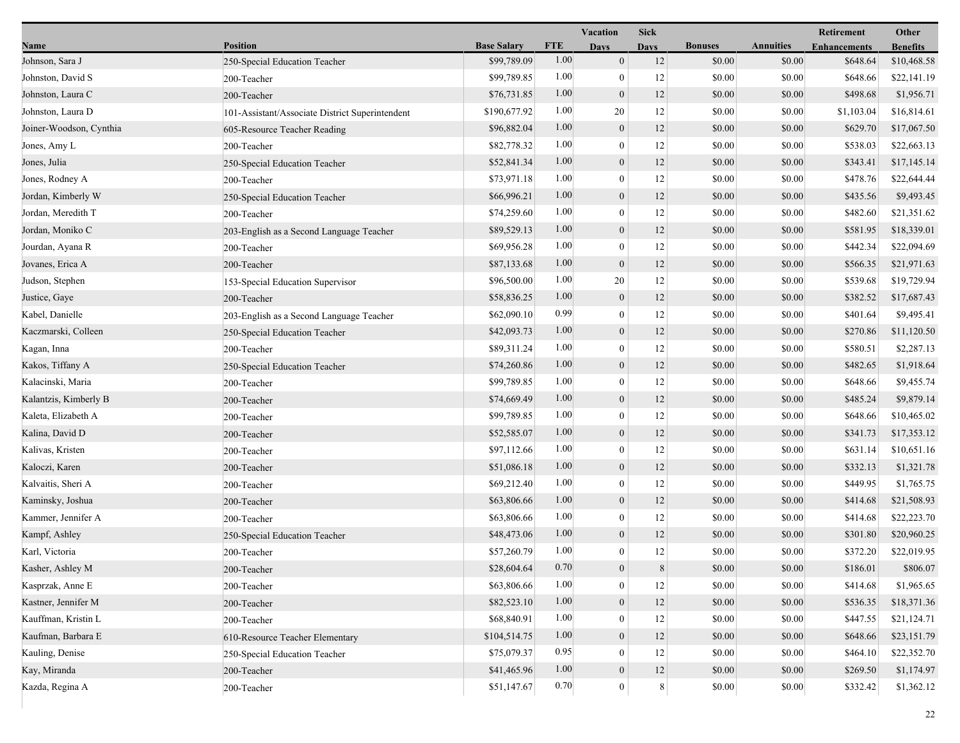|                         |                                                 |                    |            | Vacation         | Sick        |                |                  | Retirement          | Other           |  |
|-------------------------|-------------------------------------------------|--------------------|------------|------------------|-------------|----------------|------------------|---------------------|-----------------|--|
| Name                    | <b>Position</b>                                 | <b>Base Salary</b> | <b>FTE</b> | <b>Days</b>      | <b>Davs</b> | <b>Bonuses</b> | <b>Annuities</b> | <b>Enhancements</b> | <b>Benefits</b> |  |
| Johnson, Sara J         | 250-Special Education Teacher                   | \$99,789.09        | 1.00       | $\mathbf{0}$     | 12          | \$0.00         | \$0.00           | \$648.64            | \$10,468.58     |  |
| Johnston, David S       | 200-Teacher                                     | \$99,789.85        | 1.00       | $\boldsymbol{0}$ | 12          | \$0.00         | \$0.00           | \$648.66            | \$22,141.19     |  |
| Johnston, Laura C       | 200-Teacher                                     | \$76,731.85        | 1.00       | $\boldsymbol{0}$ | 12          | \$0.00         | \$0.00           | \$498.68            | \$1,956.71      |  |
| Johnston, Laura D       | 101-Assistant/Associate District Superintendent | \$190,677.92       | 1.00       | 20               | 12          | \$0.00         | \$0.00           | \$1,103.04          | \$16,814.61     |  |
| Joiner-Woodson, Cynthia | 605-Resource Teacher Reading                    | \$96,882.04        | 1.00       | $\boldsymbol{0}$ | 12          | \$0.00         | \$0.00           | \$629.70            | \$17,067.50     |  |
| Jones, Amy L            | 200-Teacher                                     | \$82,778.32        | 1.00       | $\boldsymbol{0}$ | 12          | \$0.00         | \$0.00           | \$538.03            | \$22,663.13     |  |
| Jones, Julia            | 250-Special Education Teacher                   | \$52,841.34        | 1.00       | $\boldsymbol{0}$ | 12          | \$0.00         | \$0.00           | \$343.41            | \$17,145.14     |  |
| Jones, Rodney A         | 200-Teacher                                     | \$73,971.18        | 1.00       | $\boldsymbol{0}$ | 12          | \$0.00         | \$0.00           | \$478.76            | \$22,644.44     |  |
| Jordan, Kimberly W      | 250-Special Education Teacher                   | \$66,996.21        | 1.00       | $\boldsymbol{0}$ | 12          | \$0.00         | \$0.00           | \$435.56            | \$9,493.45      |  |
| Jordan, Meredith T      | 200-Teacher                                     | \$74,259.60        | 1.00       | $\mathbf{0}$     | 12          | \$0.00         | \$0.00           | \$482.60            | \$21,351.62     |  |
| Jordan, Moniko C        | 203-English as a Second Language Teacher        | \$89,529.13        | 1.00       | $\boldsymbol{0}$ | 12          | \$0.00         | \$0.00           | \$581.95            | \$18,339.01     |  |
| Jourdan, Ayana R        | 200-Teacher                                     | \$69,956.28        | 1.00       | $\boldsymbol{0}$ | 12          | \$0.00         | \$0.00           | \$442.34            | \$22,094.69     |  |
| Jovanes, Erica A        | 200-Teacher                                     | \$87,133.68        | 1.00       | $\boldsymbol{0}$ | 12          | \$0.00         | \$0.00           | \$566.35            | \$21,971.63     |  |
| Judson, Stephen         | 153-Special Education Supervisor                | \$96,500.00        | 1.00       | 20               | 12          | \$0.00         | \$0.00           | \$539.68            | \$19,729.94     |  |
| Justice, Gaye           | 200-Teacher                                     | \$58,836.25        | 1.00       | $\boldsymbol{0}$ | 12          | \$0.00         | \$0.00           | \$382.52            | \$17,687.43     |  |
| Kabel, Danielle         | 203-English as a Second Language Teacher        | \$62,090.10        | 0.99       | $\mathbf{0}$     | 12          | \$0.00         | \$0.00           | \$401.64            | \$9,495.41      |  |
| Kaczmarski, Colleen     | 250-Special Education Teacher                   | \$42,093.73        | 1.00       | $\boldsymbol{0}$ | 12          | \$0.00         | \$0.00           | \$270.86            | \$11,120.50     |  |
| Kagan, Inna             | 200-Teacher                                     | \$89,311.24        | 1.00       | $\boldsymbol{0}$ | 12          | \$0.00         | \$0.00           | \$580.51            | \$2,287.13      |  |
| Kakos, Tiffany A        | 250-Special Education Teacher                   | \$74,260.86        | 1.00       | $\boldsymbol{0}$ | 12          | \$0.00         | \$0.00           | \$482.65            | \$1,918.64      |  |
| Kalacinski, Maria       | 200-Teacher                                     | \$99,789.85        | 1.00       | $\boldsymbol{0}$ | 12          | \$0.00         | \$0.00           | \$648.66            | \$9,455.74      |  |
| Kalantzis, Kimberly B   | 200-Teacher                                     | \$74,669.49        | 1.00       | $\boldsymbol{0}$ | 12          | \$0.00         | \$0.00           | \$485.24            | \$9,879.14      |  |
| Kaleta, Elizabeth A     | 200-Teacher                                     | \$99,789.85        | 1.00       | $\boldsymbol{0}$ | 12          | \$0.00         | \$0.00           | \$648.66            | \$10,465.02     |  |
| Kalina, David D         | 200-Teacher                                     | \$52,585.07        | 1.00       | $\boldsymbol{0}$ | 12          | \$0.00         | \$0.00           | \$341.73            | \$17,353.12     |  |
| Kalivas, Kristen        | 200-Teacher                                     | \$97,112.66        | 1.00       | $\boldsymbol{0}$ | 12          | \$0.00         | \$0.00           | \$631.14            | \$10,651.16     |  |
| Kaloczi, Karen          | 200-Teacher                                     | \$51,086.18        | 1.00       | $\boldsymbol{0}$ | 12          | \$0.00         | \$0.00           | \$332.13            | \$1,321.78      |  |
| Kalvaitis, Sheri A      | 200-Teacher                                     | \$69,212.40        | 1.00       | $\boldsymbol{0}$ | 12          | \$0.00         | \$0.00           | \$449.95            | \$1,765.75      |  |
| Kaminsky, Joshua        | 200-Teacher                                     | \$63,806.66        | 1.00       | $\boldsymbol{0}$ | 12          | \$0.00         | \$0.00           | \$414.68            | \$21,508.93     |  |
| Kammer, Jennifer A      | 200-Teacher                                     | \$63,806.66        | 1.00       | $\boldsymbol{0}$ | 12          | \$0.00         | \$0.00           | \$414.68            | \$22,223.70     |  |
| Kampf, Ashley           | 250-Special Education Teacher                   | \$48,473.06        | 1.00       | $\mathbf{0}$     | 12          | \$0.00         | \$0.00           | \$301.80            | \$20,960.25     |  |
| Karl, Victoria          | 200-Teacher                                     | \$57,260.79        | 1.00       | $\mathbf{0}$     | 12          | \$0.00         | \$0.00           | \$372.20            | \$22,019.95     |  |
| Kasher, Ashley M        | 200-Teacher                                     | \$28,604.64        | 0.70       | $\boldsymbol{0}$ | 8           | \$0.00         | \$0.00           | \$186.01            | \$806.07        |  |
| Kasprzak, Anne E        | 200-Teacher                                     | \$63,806.66        | 1.00       | $\boldsymbol{0}$ | 12          | \$0.00         | \$0.00           | \$414.68            | \$1,965.65      |  |
| Kastner, Jennifer M     | 200-Teacher                                     | \$82,523.10        | 1.00       | $\boldsymbol{0}$ | 12          | \$0.00         | \$0.00           | \$536.35            | \$18,371.36     |  |
| Kauffman, Kristin L     | 200-Teacher                                     | \$68,840.91        | 1.00       | $\boldsymbol{0}$ | 12          | \$0.00         | \$0.00           | \$447.55            | \$21,124.71     |  |
| Kaufman, Barbara E      | 610-Resource Teacher Elementary                 | \$104,514.75       | 1.00       | $\boldsymbol{0}$ | 12          | \$0.00         | \$0.00           | \$648.66            | \$23,151.79     |  |
| Kauling, Denise         | 250-Special Education Teacher                   | \$75,079.37        | 0.95       | $\boldsymbol{0}$ | 12          | \$0.00         | \$0.00           | \$464.10            | \$22,352.70     |  |
| Kay, Miranda            | 200-Teacher                                     | \$41,465.96        | 1.00       | $\boldsymbol{0}$ | 12          | \$0.00         | \$0.00           | \$269.50            | \$1,174.97      |  |
| Kazda, Regina A         | 200-Teacher                                     | \$51,147.67        | 0.70       | $\mathbf{0}$     | 8           | \$0.00         | \$0.00           | \$332.42            | \$1,362.12      |  |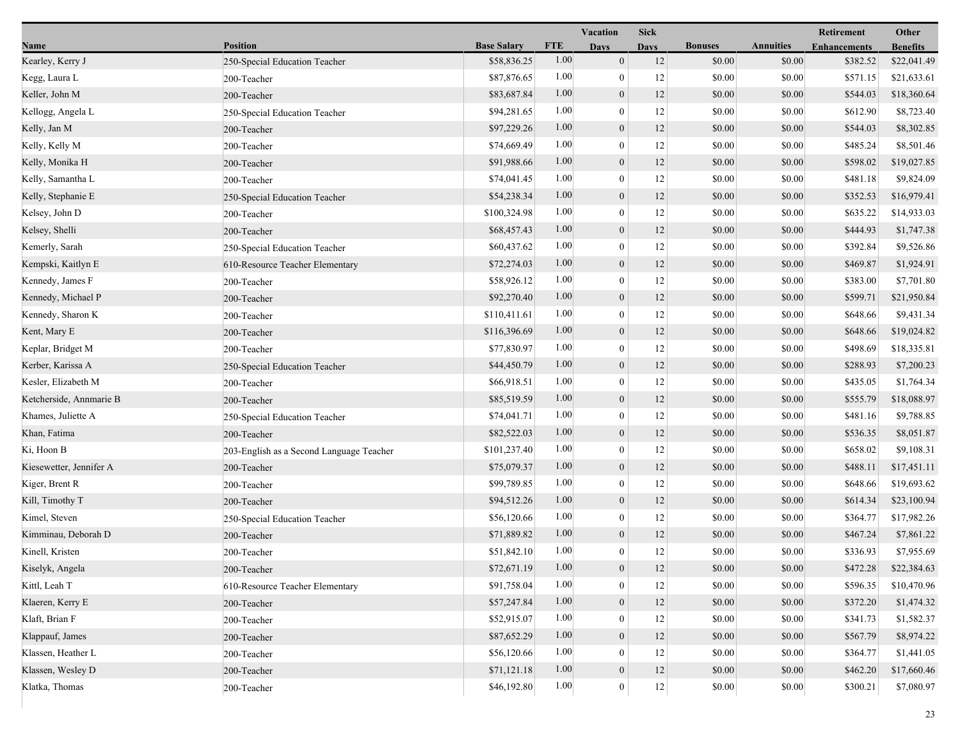|                         |                                          |                    |            | Vacation         | <b>Sick</b>       |                |                  | Retirement          | Other           |
|-------------------------|------------------------------------------|--------------------|------------|------------------|-------------------|----------------|------------------|---------------------|-----------------|
| Name                    | <b>Position</b>                          | <b>Base Salary</b> | <b>FTE</b> | <b>Days</b>      | <b>Davs</b>       | <b>Bonuses</b> | <b>Annuities</b> | <b>Enhancements</b> | <b>Benefits</b> |
| Kearley, Kerry J        | 250-Special Education Teacher            | \$58,836.25        | 1.00       | $\mathbf{0}$     | 12                | \$0.00         | \$0.00           | \$382.52            | \$22,041.49     |
| Kegg, Laura L           | 200-Teacher                              | \$87,876.65        | 1.00       | $\boldsymbol{0}$ | 12                | \$0.00         | \$0.00           | \$571.15            | \$21,633.61     |
| Keller, John M          | 200-Teacher                              | \$83,687.84        | 1.00       | $\boldsymbol{0}$ | 12                | \$0.00         | \$0.00           | \$544.03            | \$18,360.64     |
| Kellogg, Angela L       | 250-Special Education Teacher            | \$94,281.65        | 1.00       | $\mathbf{0}$     | 12                | \$0.00         | \$0.00           | \$612.90            | \$8,723.40      |
| Kelly, Jan M            | 200-Teacher                              | \$97,229.26        | 1.00       | $\mathbf{0}$     | 12                | \$0.00         | \$0.00           | \$544.03            | \$8,302.85      |
| Kelly, Kelly M          | 200-Teacher                              | \$74,669.49        | 1.00       | $\boldsymbol{0}$ | 12                | \$0.00         | \$0.00           | \$485.24            | \$8,501.46      |
| Kelly, Monika H         | 200-Teacher                              | \$91,988.66        | 1.00       | $\mathbf{0}$     | 12                | \$0.00         | \$0.00           | \$598.02            | \$19,027.85     |
| Kelly, Samantha L       | 200-Teacher                              | \$74,041.45        | 1.00       | $\boldsymbol{0}$ | 12                | \$0.00         | \$0.00           | \$481.18            | \$9,824.09      |
| Kelly, Stephanie E      | 250-Special Education Teacher            | \$54,238.34        | 1.00       | $\boldsymbol{0}$ | 12                | \$0.00         | \$0.00           | \$352.53            | \$16,979.41     |
| Kelsey, John D          | 200-Teacher                              | \$100,324.98       | 1.00       | $\mathbf{0}$     | 12                | \$0.00         | \$0.00           | \$635.22            | \$14,933.03     |
| Kelsey, Shelli          | 200-Teacher                              | \$68,457.43        | 1.00       | $\boldsymbol{0}$ | 12                | \$0.00         | \$0.00           | \$444.93            | \$1,747.38      |
| Kemerly, Sarah          | 250-Special Education Teacher            | \$60,437.62        | 1.00       | $\bf{0}$         | 12                | \$0.00         | \$0.00           | \$392.84            | \$9,526.86      |
| Kempski, Kaitlyn E      | 610-Resource Teacher Elementary          | \$72,274.03        | 1.00       | $\mathbf{0}$     | 12                | \$0.00         | \$0.00           | \$469.87            | \$1,924.91      |
| Kennedy, James F        | 200-Teacher                              | \$58,926.12        | 1.00       | $\boldsymbol{0}$ | 12                | \$0.00         | \$0.00           | \$383.00            | \$7,701.80      |
| Kennedy, Michael P      | 200-Teacher                              | \$92,270.40        | 1.00       | $\boldsymbol{0}$ | 12                | \$0.00         | \$0.00           | \$599.71            | \$21,950.84     |
| Kennedy, Sharon K       | 200-Teacher                              | \$110,411.61       | 1.00       | $\mathbf{0}$     | 12                | \$0.00         | \$0.00           | \$648.66            | \$9,431.34      |
| Kent, Mary E            | 200-Teacher                              | \$116,396.69       | 1.00       | $\mathbf{0}$     | 12                | \$0.00         | \$0.00           | \$648.66            | \$19,024.82     |
| Keplar, Bridget M       | 200-Teacher                              | \$77,830.97        | 1.00       | $\bf{0}$         | 12                | \$0.00         | \$0.00           | \$498.69            | \$18,335.81     |
| Kerber, Karissa A       | 250-Special Education Teacher            | \$44,450.79        | 1.00       | $\mathbf{0}$     | 12                | \$0.00         | \$0.00           | \$288.93            | \$7,200.23      |
| Kesler, Elizabeth M     | 200-Teacher                              | \$66,918.51        | 1.00       | $\mathbf{0}$     | 12                | \$0.00         | \$0.00           | \$435.05            | \$1,764.34      |
| Ketcherside, Annmarie B | 200-Teacher                              | \$85,519.59        | 1.00       | $\mathbf{0}$     | 12                | \$0.00         | \$0.00           | \$555.79            | \$18,088.97     |
| Khames, Juliette A      | 250-Special Education Teacher            | \$74,041.71        | 1.00       | $\mathbf{0}$     | 12                | \$0.00         | \$0.00           | \$481.16            | \$9,788.85      |
| Khan, Fatima            | 200-Teacher                              | \$82,522.03        | 1.00       | $\mathbf{0}$     | 12                | \$0.00         | \$0.00           | \$536.35            | \$8,051.87      |
| Ki, Hoon B              | 203-English as a Second Language Teacher | \$101,237.40       | 1.00       | $\boldsymbol{0}$ | 12                | \$0.00         | \$0.00           | \$658.02            | \$9,108.31      |
| Kiesewetter, Jennifer A | 200-Teacher                              | \$75,079.37        | 1.00       | $\mathbf{0}$     | 12                | \$0.00         | \$0.00           | \$488.11            | \$17,451.11     |
| Kiger, Brent R          | 200-Teacher                              | \$99,789.85        | 1.00       | $\mathbf{0}$     | 12                | \$0.00         | \$0.00           | \$648.66            | \$19,693.62     |
| Kill, Timothy T         | 200-Teacher                              | \$94,512.26        | 1.00       | $\mathbf{0}$     | 12                | \$0.00         | \$0.00           | \$614.34            | \$23,100.94     |
| Kimel, Steven           | 250-Special Education Teacher            | \$56,120.66        | 1.00       | $\bf{0}$         | 12                | \$0.00         | \$0.00           | \$364.77            | \$17,982.26     |
| Kimminau, Deborah D     | 200-Teacher                              | \$71,889.82        | 1.00       | $\mathbf{0}$     | 12                | \$0.00         | \$0.00           | \$467.24            | \$7,861.22      |
| Kinell, Kristen         | 200-Teacher                              | \$51,842.10        | 1.00       | $\mathbf{0}$     | 12                | \$0.00         | \$0.00           | \$336.93            | \$7,955.69      |
| Kiselyk, Angela         | 200-Teacher                              | \$72,671.19        | $1.00\,$   | $\theta$         | 12                | \$0.00         | \$0.00           | \$472.28            | \$22,384.63     |
| Kittl, Leah T           | 610-Resource Teacher Elementary          | \$91,758.04        | 1.00       | $\mathbf{0}$     | $12\,$            | \$0.00         | \$0.00           | \$596.35            | \$10,470.96     |
| Klaeren, Kerry E        | 200-Teacher                              | \$57,247.84        | 1.00       | $\mathbf{0}$     | 12                | \$0.00         | \$0.00           | \$372.20            | \$1,474.32      |
| Klaft, Brian F          | 200-Teacher                              | \$52,915.07        | 1.00       | $\mathbf{0}$     | 12                | \$0.00         | \$0.00           | \$341.73            | \$1,582.37      |
| Klappauf, James         | 200-Teacher                              | \$87,652.29        | 1.00       | $\overline{0}$   | 12                | \$0.00         | \$0.00           | \$567.79            | \$8,974.22      |
| Klassen, Heather L      | 200-Teacher                              | \$56,120.66        | 1.00       | $\mathbf{0}$     | 12                | \$0.00         | \$0.00           | \$364.77            | \$1,441.05      |
| Klassen, Wesley D       | 200-Teacher                              | \$71,121.18        | 1.00       | $\mathbf{0}$     | 12                | \$0.00         | \$0.00           | \$462.20            | \$17,660.46     |
| Klatka, Thomas          | 200-Teacher                              | \$46,192.80        | 1.00       | $\boldsymbol{0}$ | $12 \overline{ }$ | \$0.00         | \$0.00           | \$300.21            | \$7,080.97      |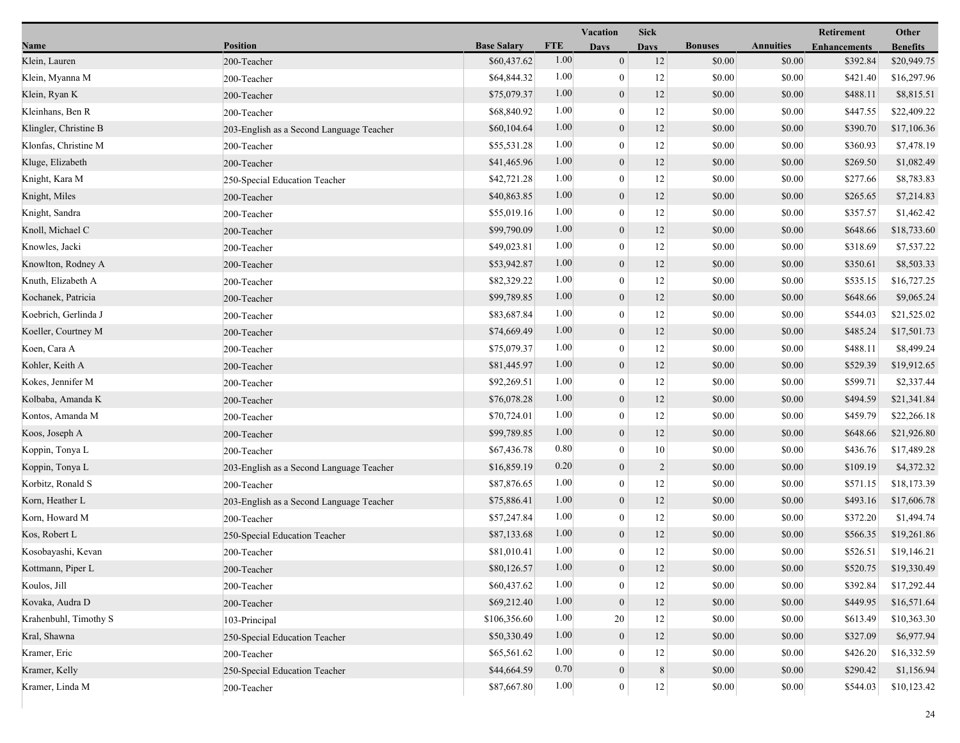|                       |                                          |                    |            | <b>Vacation</b>  | <b>Sick</b>    |                |                  | Retirement          | Other           |
|-----------------------|------------------------------------------|--------------------|------------|------------------|----------------|----------------|------------------|---------------------|-----------------|
| Name                  | <b>Position</b>                          | <b>Base Salary</b> | <b>FTE</b> | <b>Days</b>      | <b>Days</b>    | <b>Bonuses</b> | <b>Annuities</b> | <b>Enhancements</b> | <b>Benefits</b> |
| Klein, Lauren         | 200-Teacher                              | \$60,437.62        | 1.00       | $\mathbf{0}$     | 12             | \$0.00         | \$0.00           | \$392.84            | \$20,949.75     |
| Klein, Myanna M       | 200-Teacher                              | \$64,844.32        | 1.00       | $\mathbf{0}$     | 12             | \$0.00         | \$0.00           | \$421.40            | \$16,297.96     |
| Klein, Ryan K         | 200-Teacher                              | \$75,079.37        | 1.00       | $\boldsymbol{0}$ | 12             | \$0.00         | \$0.00           | \$488.11            | \$8,815.51      |
| Kleinhans, Ben R      | 200-Teacher                              | \$68,840.92        | 1.00       | $\theta$         | 12             | \$0.00         | \$0.00           | \$447.55            | \$22,409.22     |
| Klingler, Christine B | 203-English as a Second Language Teacher | \$60,104.64        | 1.00       | $\mathbf{0}$     | 12             | \$0.00         | \$0.00           | \$390.70            | \$17,106.36     |
| Klonfas, Christine M  | 200-Teacher                              | \$55,531.28        | 1.00       | $\boldsymbol{0}$ | 12             | \$0.00         | \$0.00           | \$360.93            | \$7,478.19      |
| Kluge, Elizabeth      | 200-Teacher                              | \$41,465.96        | 1.00       | $\mathbf{0}$     | 12             | \$0.00         | \$0.00           | \$269.50            | \$1,082.49      |
| Knight, Kara M        | 250-Special Education Teacher            | \$42,721.28        | 1.00       | $\mathbf{0}$     | 12             | \$0.00         | \$0.00           | \$277.66            | \$8,783.83      |
| Knight, Miles         | 200-Teacher                              | \$40,863.85        | 1.00       | $\boldsymbol{0}$ | 12             | \$0.00         | \$0.00           | \$265.65            | \$7,214.83      |
| Knight, Sandra        | 200-Teacher                              | \$55,019.16        | 1.00       | $\theta$         | 12             | \$0.00         | \$0.00           | \$357.57            | \$1,462.42      |
| Knoll, Michael C      | 200-Teacher                              | \$99,790.09        | 1.00       | $\mathbf{0}$     | 12             | \$0.00         | \$0.00           | \$648.66            | \$18,733.60     |
| Knowles, Jacki        | 200-Teacher                              | \$49,023.81        | 1.00       | $\mathbf{0}$     | 12             | \$0.00         | \$0.00           | \$318.69            | \$7,537.22      |
| Knowlton, Rodney A    | 200-Teacher                              | \$53,942.87        | 1.00       | $\mathbf{0}$     | 12             | \$0.00         | \$0.00           | \$350.61            | \$8,503.33      |
| Knuth, Elizabeth A    | 200-Teacher                              | \$82,329.22        | 1.00       | $\mathbf{0}$     | 12             | \$0.00         | \$0.00           | \$535.15            | \$16,727.25     |
| Kochanek, Patricia    | 200-Teacher                              | \$99,789.85        | 1.00       | $\mathbf{0}$     | 12             | \$0.00         | \$0.00           | \$648.66            | \$9,065.24      |
| Koebrich, Gerlinda J  | 200-Teacher                              | \$83,687.84        | 1.00       | $\mathbf{0}$     | 12             | \$0.00         | \$0.00           | \$544.03            | \$21,525.02     |
| Koeller, Courtney M   | 200-Teacher                              | \$74,669.49        | 1.00       | $\mathbf{0}$     | 12             | \$0.00         | \$0.00           | \$485.24            | \$17,501.73     |
| Koen, Cara A          | 200-Teacher                              | \$75,079.37        | 1.00       | $\mathbf{0}$     | 12             | \$0.00         | \$0.00           | \$488.11            | \$8,499.24      |
| Kohler, Keith A       | 200-Teacher                              | \$81,445.97        | 1.00       | $\mathbf{0}$     | 12             | \$0.00         | \$0.00           | \$529.39            | \$19,912.65     |
| Kokes, Jennifer M     | 200-Teacher                              | \$92,269.51        | 1.00       | $\mathbf{0}$     | 12             | \$0.00         | \$0.00           | \$599.71            | \$2,337.44      |
| Kolbaba, Amanda K     | 200-Teacher                              | \$76,078.28        | 1.00       | $\boldsymbol{0}$ | 12             | \$0.00         | \$0.00           | \$494.59            | \$21,341.84     |
| Kontos, Amanda M      | 200-Teacher                              | \$70,724.01        | 1.00       | $\mathbf{0}$     | 12             | \$0.00         | \$0.00           | \$459.79            | \$22,266.18     |
| Koos, Joseph A        | 200-Teacher                              | \$99,789.85        | 1.00       | $\mathbf{0}$     | 12             | \$0.00         | \$0.00           | \$648.66            | \$21,926.80     |
| Koppin, Tonya L       | 200-Teacher                              | \$67,436.78        | 0.80       | $\mathbf{0}$     | $10\,$         | \$0.00         | \$0.00           | \$436.76            | \$17,489.28     |
| Koppin, Tonya L       | 203-English as a Second Language Teacher | \$16,859.19        | 0.20       | $\mathbf{0}$     | $\overline{2}$ | \$0.00         | \$0.00           | \$109.19            | \$4,372.32      |
| Korbitz, Ronald S     | 200-Teacher                              | \$87,876.65        | 1.00       | $\theta$         | 12             | \$0.00         | \$0.00           | \$571.15            | \$18,173.39     |
| Korn, Heather L       | 203-English as a Second Language Teacher | \$75,886.41        | 1.00       | $\mathbf{0}$     | 12             | \$0.00         | \$0.00           | \$493.16            | \$17,606.78     |
| Korn, Howard M        | 200-Teacher                              | \$57,247.84        | 1.00       | $\mathbf{0}$     | 12             | \$0.00         | \$0.00           | \$372.20            | \$1,494.74      |
| Kos, Robert L         | 250-Special Education Teacher            | \$87,133.68        | 1.00       | $\mathbf{0}$     | 12             | \$0.00         | \$0.00           | \$566.35            | \$19,261.86     |
| Kosobayashi, Kevan    | 200-Teacher                              | \$81,010.41        | 1.00       | $\mathbf{0}$     | 12             | \$0.00         | \$0.00           | \$526.51            | \$19,146.21     |
| Kottmann, Piper L     | 200-Teacher                              | \$80,126.57        | $1.00\,$   | $\theta$         | 12             | \$0.00         | \$0.00           | \$520.75            | \$19,330.49     |
| Koulos, Jill          | 200-Teacher                              | \$60,437.62        | 1.00       | $\theta$         | 12             | \$0.00         | \$0.00           | \$392.84            | \$17,292.44     |
| Kovaka, Audra D       | 200-Teacher                              | \$69,212.40        | 1.00       | $\mathbf{0}$     | $12\,$         | \$0.00         | \$0.00           | \$449.95            | \$16,571.64     |
| Krahenbuhl, Timothy S | 103-Principal                            | \$106,356.60       | 1.00       | 20               | 12             | \$0.00         | \$0.00           | \$613.49            | \$10,363.30     |
| Kral, Shawna          | 250-Special Education Teacher            | \$50,330.49        | 1.00       | $\mathbf{0}$     | 12             | \$0.00         | \$0.00           | \$327.09            | \$6,977.94      |
| Kramer, Eric          | 200-Teacher                              | \$65,561.62        | 1.00       | $\theta$         | 12             | \$0.00         | \$0.00           | \$426.20            | \$16,332.59     |
| Kramer, Kelly         | 250-Special Education Teacher            | \$44,664.59        | 0.70       | $\mathbf{0}$     | $\,$ 8 $\,$    | \$0.00         | \$0.00           | \$290.42            | \$1,156.94      |
| Kramer, Linda M       | 200-Teacher                              | \$87,667.80        | 1.00       | $\mathbf{0}$     | 12             | \$0.00         | $\$0.00$         | \$544.03            | \$10,123.42     |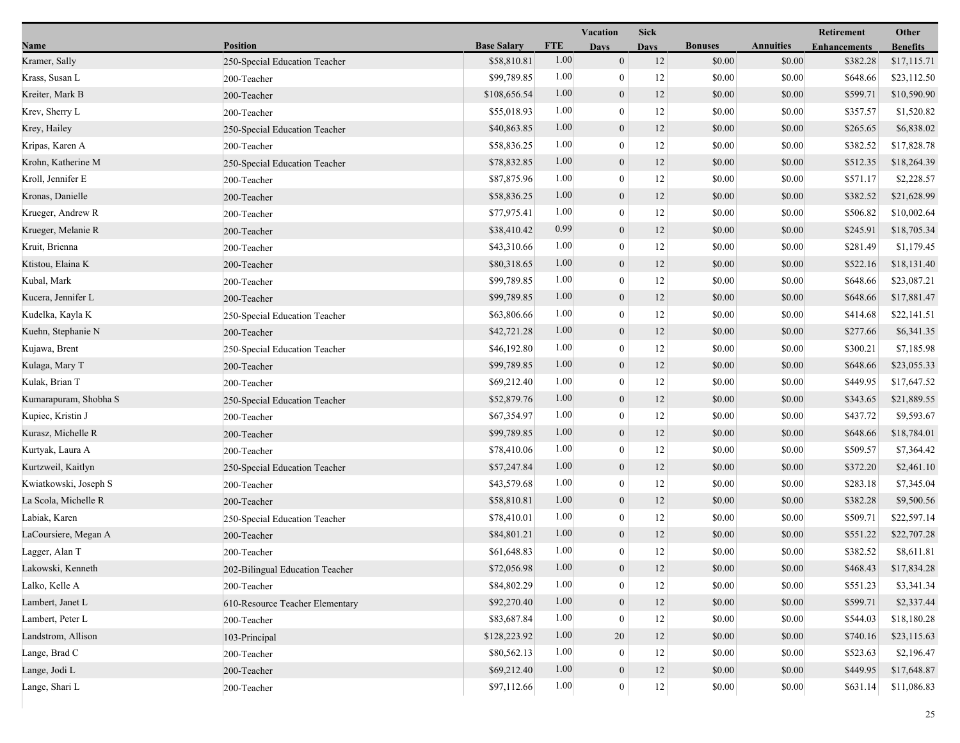|                       |                                 |                    |            | <b>Vacation</b>  | <b>Sick</b> |                |                  | Other               |                 |
|-----------------------|---------------------------------|--------------------|------------|------------------|-------------|----------------|------------------|---------------------|-----------------|
| Name                  | <b>Position</b>                 | <b>Base Salary</b> | <b>FTE</b> | <b>Days</b>      | <b>Days</b> | <b>Bonuses</b> | <b>Annuities</b> | <b>Enhancements</b> | <b>Benefits</b> |
| Kramer, Sally         | 250-Special Education Teacher   | \$58,810.81        | 1.00       | $\mathbf{0}$     | 12          | \$0.00         | \$0.00           | \$382.28            | \$17,115.71     |
| Krass, Susan L        | 200-Teacher                     | \$99,789.85        | 1.00       | $\mathbf{0}$     | 12          | \$0.00         | \$0.00           | \$648.66            | \$23,112.50     |
| Kreiter, Mark B       | 200-Teacher                     | \$108,656.54       | 1.00       | $\boldsymbol{0}$ | 12          | \$0.00         | \$0.00           | \$599.71            | \$10,590.90     |
| Krev, Sherry L        | 200-Teacher                     | \$55,018.93        | 1.00       | $\mathbf{0}$     | 12          | \$0.00         | \$0.00           | \$357.57            | \$1,520.82      |
| Krey, Hailey          | 250-Special Education Teacher   | \$40,863.85        | 1.00       | $\mathbf{0}$     | 12          | \$0.00         | \$0.00           | \$265.65            | \$6,838.02      |
| Kripas, Karen A       | 200-Teacher                     | \$58,836.25        | 1.00       | $\boldsymbol{0}$ | 12          | \$0.00         | \$0.00           | \$382.52            | \$17,828.78     |
| Krohn, Katherine M    | 250-Special Education Teacher   | \$78,832.85        | 1.00       | $\mathbf{0}$     | 12          | \$0.00         | \$0.00           | \$512.35            | \$18,264.39     |
| Kroll, Jennifer E     | 200-Teacher                     | \$87,875.96        | 1.00       | $\mathbf{0}$     | 12          | \$0.00         | \$0.00           | \$571.17            | \$2,228.57      |
| Kronas, Danielle      | 200-Teacher                     | \$58,836.25        | 1.00       | $\boldsymbol{0}$ | 12          | \$0.00         | \$0.00           | \$382.52            | \$21,628.99     |
| Krueger, Andrew R     | 200-Teacher                     | \$77,975.41        | 1.00       | $\theta$         | 12          | \$0.00         | \$0.00           | \$506.82            | \$10,002.64     |
| Krueger, Melanie R    | 200-Teacher                     | \$38,410.42        | 0.99       | $\mathbf{0}$     | 12          | \$0.00         | \$0.00           | \$245.91            | \$18,705.34     |
| Kruit, Brienna        | 200-Teacher                     | \$43,310.66        | 1.00       | $\mathbf{0}$     | 12          | \$0.00         | \$0.00           | \$281.49            | \$1,179.45      |
| Ktistou, Elaina K     | 200-Teacher                     | \$80,318.65        | 1.00       | $\mathbf{0}$     | 12          | \$0.00         | \$0.00           | \$522.16            | \$18,131.40     |
| Kubal, Mark           | 200-Teacher                     | \$99,789.85        | 1.00       | $\mathbf{0}$     | 12          | \$0.00         | \$0.00           | \$648.66            | \$23,087.21     |
| Kucera, Jennifer L    | 200-Teacher                     | \$99,789.85        | 1.00       | $\mathbf{0}$     | 12          | \$0.00         | \$0.00           | \$648.66            | \$17,881.47     |
| Kudelka, Kayla K      | 250-Special Education Teacher   | \$63,806.66        | 1.00       | $\mathbf{0}$     | 12          | \$0.00         | \$0.00           | \$414.68            | \$22,141.51     |
| Kuehn, Stephanie N    | 200-Teacher                     | \$42,721.28        | 1.00       | $\mathbf{0}$     | 12          | \$0.00         | \$0.00           | \$277.66            | \$6,341.35      |
| Kujawa, Brent         | 250-Special Education Teacher   | \$46,192.80        | 1.00       | $\mathbf{0}$     | 12          | \$0.00         | \$0.00           | \$300.21            | \$7,185.98      |
| Kulaga, Mary T        | 200-Teacher                     | \$99,789.85        | 1.00       | $\mathbf{0}$     | 12          | \$0.00         | \$0.00           | \$648.66            | \$23,055.33     |
| Kulak, Brian T        | 200-Teacher                     | \$69,212.40        | 1.00       | $\boldsymbol{0}$ | 12          | \$0.00         | \$0.00           | \$449.95            | \$17,647.52     |
| Kumarapuram, Shobha S | 250-Special Education Teacher   | \$52,879.76        | 1.00       | $\boldsymbol{0}$ | 12          | \$0.00         | \$0.00           | \$343.65            | \$21,889.55     |
| Kupiec, Kristin J     | 200-Teacher                     | \$67,354.97        | 1.00       | $\theta$         | 12          | \$0.00         | \$0.00           | \$437.72            | \$9,593.67      |
| Kurasz, Michelle R    | 200-Teacher                     | \$99,789.85        | 1.00       | $\boldsymbol{0}$ | 12          | \$0.00         | \$0.00           | \$648.66            | \$18,784.01     |
| Kurtyak, Laura A      | 200-Teacher                     | \$78,410.06        | 1.00       | $\mathbf{0}$     | 12          | \$0.00         | \$0.00           | \$509.57            | \$7,364.42      |
| Kurtzweil, Kaitlyn    | 250-Special Education Teacher   | \$57,247.84        | 1.00       | $\mathbf{0}$     | 12          | \$0.00         | \$0.00           | \$372.20            | \$2,461.10      |
| Kwiatkowski, Joseph S | 200-Teacher                     | \$43,579.68        | 1.00       | $\mathbf{0}$     | 12          | \$0.00         | \$0.00           | \$283.18            | \$7,345.04      |
| La Scola, Michelle R  | 200-Teacher                     | \$58,810.81        | 1.00       | $\mathbf{0}$     | 12          | \$0.00         | \$0.00           | \$382.28            | \$9,500.56      |
| Labiak, Karen         | 250-Special Education Teacher   | \$78,410.01        | 1.00       | $\mathbf{0}$     | 12          | \$0.00         | \$0.00           | \$509.71            | \$22,597.14     |
| LaCoursiere, Megan A  | 200-Teacher                     | \$84,801.21        | 1.00       | $\mathbf{0}$     | 12          | \$0.00         | \$0.00           | \$551.22            | \$22,707.28     |
| Lagger, Alan T        | 200-Teacher                     | \$61,648.83        | 1.00       | $\mathbf{0}$     | 12          | \$0.00         | \$0.00           | \$382.52            | \$8,611.81      |
| Lakowski, Kenneth     | 202-Bilingual Education Teacher | \$72,056.98        | $1.00\,$   | $\mathbf{0}$     | 12          | \$0.00         | \$0.00           | \$468.43            | \$17,834.28     |
| Lalko, Kelle A        | 200-Teacher                     | \$84,802.29        | 1.00       | $\theta$         | 12          | \$0.00         | \$0.00           | \$551.23            | \$3,341.34      |
| Lambert, Janet L      | 610-Resource Teacher Elementary | \$92,270.40        | 1.00       | $\mathbf{0}$     | $12\,$      | \$0.00         | \$0.00           | \$599.71            | \$2,337.44      |
| Lambert, Peter L      | 200-Teacher                     | \$83,687.84        | 1.00       | $\theta$         | 12          | \$0.00         | \$0.00           | \$544.03            | \$18,180.28     |
| Landstrom, Allison    | 103-Principal                   | \$128,223.92       | 1.00       | 20               | 12          | \$0.00         | \$0.00           | \$740.16            | \$23,115.63     |
| Lange, Brad C         | 200-Teacher                     | \$80,562.13        | 1.00       | $\overline{0}$   | 12          | \$0.00         | \$0.00           | \$523.63            | \$2,196.47      |
| Lange, Jodi L         | 200-Teacher                     | \$69,212.40        | 1.00       | $\mathbf{0}$     | 12          | \$0.00         | \$0.00           | \$449.95            | \$17,648.87     |
| Lange, Shari L        | 200-Teacher                     | \$97,112.66        | 1.00       | $\boldsymbol{0}$ | $12\,$      | \$0.00         | \$0.00           | \$631.14            | \$11,086.83     |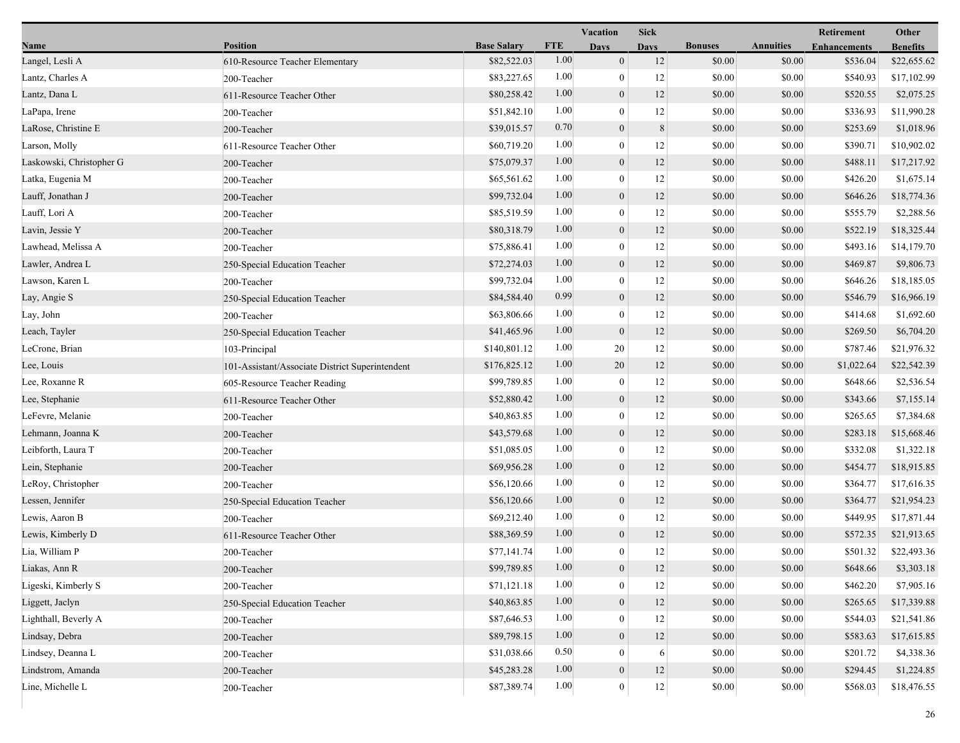|                          |                                                 |                    |            | Vacation         | <b>Sick</b> |                |                  | Retirement          | Other           |  |
|--------------------------|-------------------------------------------------|--------------------|------------|------------------|-------------|----------------|------------------|---------------------|-----------------|--|
| Name                     | <b>Position</b>                                 | <b>Base Salary</b> | <b>FTE</b> | <b>Days</b>      | <b>Davs</b> | <b>Bonuses</b> | <b>Annuities</b> | <b>Enhancements</b> | <b>Benefits</b> |  |
| Langel, Lesli A          | 610-Resource Teacher Elementary                 | \$82,522.03        | 1.00       | $\mathbf{0}$     | 12          | \$0.00         | \$0.00           | \$536.04            | \$22,655.62     |  |
| Lantz, Charles A         | 200-Teacher                                     | \$83,227.65        | 1.00       | $\boldsymbol{0}$ | 12          | \$0.00         | \$0.00           | \$540.93            | \$17,102.99     |  |
| Lantz, Dana L            | 611-Resource Teacher Other                      | \$80,258.42        | 1.00       | $\boldsymbol{0}$ | 12          | \$0.00         | \$0.00           | \$520.55            | \$2,075.25      |  |
| LaPapa, Irene            | 200-Teacher                                     | \$51,842.10        | 1.00       | $\mathbf{0}$     | 12          | \$0.00         | \$0.00           | \$336.93            | \$11,990.28     |  |
| LaRose, Christine E      | 200-Teacher                                     | \$39,015.57        | 0.70       | $\mathbf{0}$     | $\,8\,$     | \$0.00         | \$0.00           | \$253.69            | \$1,018.96      |  |
| Larson, Molly            | 611-Resource Teacher Other                      | \$60,719.20        | 1.00       | $\boldsymbol{0}$ | 12          | \$0.00         | \$0.00           | \$390.71            | \$10,902.02     |  |
| Laskowski, Christopher G | 200-Teacher                                     | \$75,079.37        | 1.00       | $\mathbf{0}$     | 12          | \$0.00         | \$0.00           | \$488.11            | \$17,217.92     |  |
| Latka, Eugenia M         | 200-Teacher                                     | \$65,561.62        | 1.00       | $\boldsymbol{0}$ | 12          | \$0.00         | \$0.00           | \$426.20            | \$1,675.14      |  |
| Lauff, Jonathan J        | 200-Teacher                                     | \$99,732.04        | 1.00       | $\boldsymbol{0}$ | 12          | \$0.00         | \$0.00           | \$646.26            | \$18,774.36     |  |
| Lauff, Lori A            | 200-Teacher                                     | \$85,519.59        | 1.00       | $\mathbf{0}$     | 12          | \$0.00         | \$0.00           | \$555.79            | \$2,288.56      |  |
| Lavin, Jessie Y          | 200-Teacher                                     | \$80,318.79        | 1.00       | $\boldsymbol{0}$ | 12          | \$0.00         | \$0.00           | \$522.19            | \$18,325.44     |  |
| Lawhead, Melissa A       | 200-Teacher                                     | \$75,886.41        | 1.00       | $\bf{0}$         | 12          | \$0.00         | \$0.00           | \$493.16            | \$14,179.70     |  |
| Lawler, Andrea L         | 250-Special Education Teacher                   | \$72,274.03        | 1.00       | $\mathbf{0}$     | 12          | \$0.00         | \$0.00           | \$469.87            | \$9,806.73      |  |
| Lawson, Karen L          | 200-Teacher                                     | \$99,732.04        | 1.00       | $\boldsymbol{0}$ | 12          | \$0.00         | \$0.00           | \$646.26            | \$18,185.05     |  |
| Lay, Angie S             | 250-Special Education Teacher                   | \$84,584.40        | 0.99       | $\mathbf{0}$     | 12          | \$0.00         | \$0.00           | \$546.79            | \$16,966.19     |  |
| Lay, John                | 200-Teacher                                     | \$63,806.66        | 1.00       | $\mathbf{0}$     | 12          | \$0.00         | \$0.00           | \$414.68            | \$1,692.60      |  |
| Leach, Tayler            | 250-Special Education Teacher                   | \$41,465.96        | 1.00       | $\mathbf{0}$     | 12          | \$0.00         | \$0.00           | \$269.50            | \$6,704.20      |  |
| LeCrone, Brian           | 103-Principal                                   | \$140,801.12       | 1.00       | 20               | 12          | \$0.00         | \$0.00           | \$787.46            | \$21,976.32     |  |
| Lee, Louis               | 101-Assistant/Associate District Superintendent | \$176,825.12       | 1.00       | 20               | 12          | \$0.00         | \$0.00           | \$1,022.64          | \$22,542.39     |  |
| Lee, Roxanne R           | 605-Resource Teacher Reading                    | \$99,789.85        | 1.00       | $\boldsymbol{0}$ | 12          | \$0.00         | \$0.00           | \$648.66            | \$2,536.54      |  |
| Lee, Stephanie           | 611-Resource Teacher Other                      | \$52,880.42        | 1.00       | $\mathbf{0}$     | 12          | \$0.00         | \$0.00           | \$343.66            | \$7,155.14      |  |
| LeFevre, Melanie         | 200-Teacher                                     | \$40,863.85        | 1.00       | $\mathbf{0}$     | 12          | \$0.00         | \$0.00           | \$265.65            | \$7,384.68      |  |
| Lehmann, Joanna K        | 200-Teacher                                     | \$43,579.68        | 1.00       | $\mathbf{0}$     | 12          | \$0.00         | \$0.00           | \$283.18            | \$15,668.46     |  |
| Leibforth, Laura T       | 200-Teacher                                     | \$51,085.05        | 1.00       | $\boldsymbol{0}$ | 12          | \$0.00         | \$0.00           | \$332.08            | \$1,322.18      |  |
| Lein, Stephanie          | 200-Teacher                                     | \$69,956.28        | 1.00       | $\mathbf{0}$     | 12          | \$0.00         | \$0.00           | \$454.77            | \$18,915.85     |  |
| LeRoy, Christopher       | 200-Teacher                                     | \$56,120.66        | 1.00       | $\mathbf{0}$     | 12          | \$0.00         | \$0.00           | \$364.77            | \$17,616.35     |  |
| Lessen, Jennifer         | 250-Special Education Teacher                   | \$56,120.66        | 1.00       | $\mathbf{0}$     | 12          | \$0.00         | \$0.00           | \$364.77            | \$21,954.23     |  |
| Lewis, Aaron B           | 200-Teacher                                     | \$69,212.40        | 1.00       | $\bf{0}$         | 12          | \$0.00         | \$0.00           | \$449.95            | \$17,871.44     |  |
| Lewis, Kimberly D        | 611-Resource Teacher Other                      | \$88,369.59        | 1.00       | $\mathbf{0}$     | 12          | \$0.00         | \$0.00           | \$572.35            | \$21,913.65     |  |
| Lia, William P           | 200-Teacher                                     | \$77,141.74        | 1.00       | $\mathbf{0}$     | 12          | \$0.00         | \$0.00           | \$501.32            | \$22,493.36     |  |
| Liakas, Ann R            | 200-Teacher                                     | \$99,789.85        | 1.00       | $\theta$         | 12          | \$0.00         | \$0.00           | \$648.66            | \$3,303.18      |  |
| Ligeski, Kimberly S      | 200-Teacher                                     | \$71,121.18        | 1.00       | $\bf{0}$         | 12          | \$0.00         | \$0.00           | \$462.20            | \$7,905.16      |  |
| Liggett, Jaclyn          | 250-Special Education Teacher                   | \$40,863.85        | 1.00       | $\mathbf{0}$     | 12          | \$0.00         | \$0.00           | \$265.65            | \$17,339.88     |  |
| Lighthall, Beverly A     | 200-Teacher                                     | \$87,646.53        | 1.00       | $\mathbf{0}$     | 12          | \$0.00         | \$0.00           | \$544.03            | \$21,541.86     |  |
| Lindsay, Debra           | 200-Teacher                                     | \$89,798.15        | 1.00       | $\mathbf{0}$     | 12          | \$0.00         | \$0.00           | \$583.63            | \$17,615.85     |  |
| Lindsey, Deanna L        | 200-Teacher                                     | \$31,038.66        | 0.50       | $\theta$         | 6           | \$0.00         | \$0.00           | \$201.72            | \$4,338.36      |  |
| Lindstrom, Amanda        | 200-Teacher                                     | \$45,283.28        | 1.00       | $\mathbf{0}$     | 12          | \$0.00         | \$0.00           | \$294.45            | \$1,224.85      |  |
| Line, Michelle L         | 200-Teacher                                     | \$87,389.74        | 1.00       | $\boldsymbol{0}$ | $12\,$      | \$0.00         | \$0.00           | \$568.03            | \$18,476.55     |  |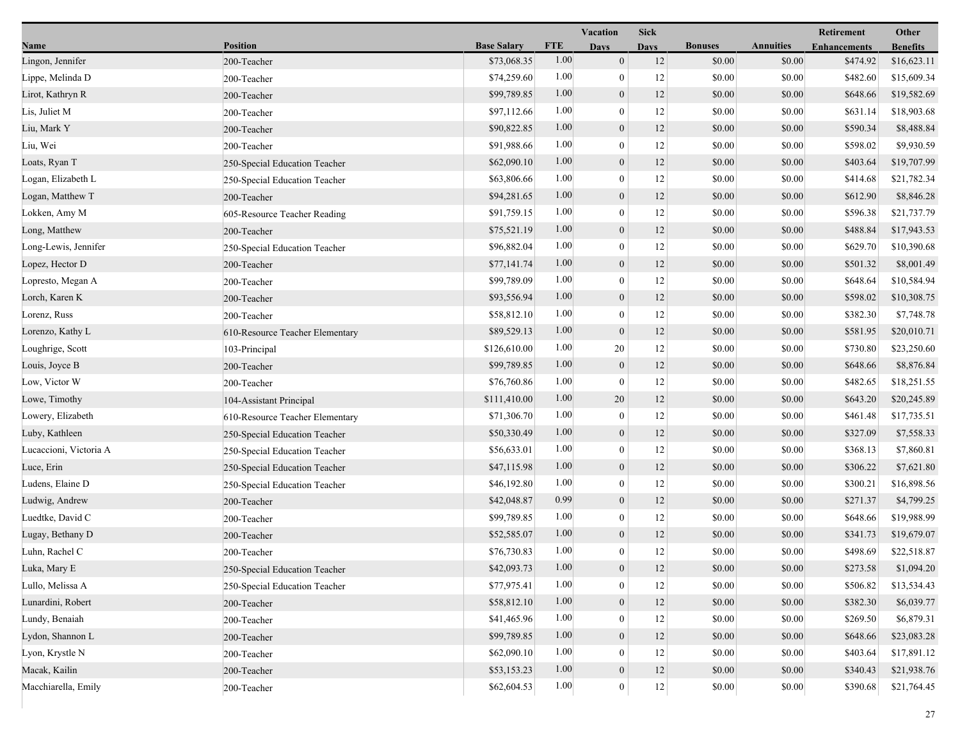|                        |                                 |                    |            | Vacation         | <b>Sick</b> |                |                  | Retirement          | Other           |
|------------------------|---------------------------------|--------------------|------------|------------------|-------------|----------------|------------------|---------------------|-----------------|
| Name                   | <b>Position</b>                 | <b>Base Salary</b> | <b>FTE</b> | <b>Days</b>      | <b>Davs</b> | <b>Bonuses</b> | <b>Annuities</b> | <b>Enhancements</b> | <b>Benefits</b> |
| Lingon, Jennifer       | 200-Teacher                     | \$73,068.35        | 1.00       | $\boldsymbol{0}$ | 12          | \$0.00         | \$0.00           | \$474.92            | \$16,623.11     |
| Lippe, Melinda D       | 200-Teacher                     | \$74,259.60        | 1.00       | $\boldsymbol{0}$ | 12          | \$0.00         | \$0.00           | \$482.60            | \$15,609.34     |
| Lirot, Kathryn R       | 200-Teacher                     | \$99,789.85        | 1.00       | $\boldsymbol{0}$ | 12          | \$0.00         | \$0.00           | \$648.66            | \$19,582.69     |
| Lis, Juliet M          | 200-Teacher                     | \$97,112.66        | 1.00       | $\mathbf{0}$     | 12          | \$0.00         | \$0.00           | \$631.14            | \$18,903.68     |
| Liu, Mark Y            | 200-Teacher                     | \$90,822.85        | 1.00       | $\boldsymbol{0}$ | 12          | \$0.00         | \$0.00           | \$590.34            | \$8,488.84      |
| Liu, Wei               | 200-Teacher                     | \$91,988.66        | 1.00       | $\boldsymbol{0}$ | 12          | \$0.00         | \$0.00           | \$598.02            | \$9,930.59      |
| Loats, Ryan T          | 250-Special Education Teacher   | \$62,090.10        | 1.00       | $\boldsymbol{0}$ | 12          | \$0.00         | \$0.00           | \$403.64            | \$19,707.99     |
| Logan, Elizabeth L     | 250-Special Education Teacher   | \$63,806.66        | 1.00       | $\boldsymbol{0}$ | 12          | \$0.00         | \$0.00           | \$414.68            | \$21,782.34     |
| Logan, Matthew T       | 200-Teacher                     | \$94,281.65        | 1.00       | $\boldsymbol{0}$ | 12          | \$0.00         | \$0.00           | \$612.90            | \$8,846.28      |
| Lokken, Amy M          | 605-Resource Teacher Reading    | \$91,759.15        | 1.00       | $\mathbf{0}$     | 12          | \$0.00         | \$0.00           | \$596.38            | \$21,737.79     |
| Long, Matthew          | 200-Teacher                     | \$75,521.19        | 1.00       | $\boldsymbol{0}$ | 12          | \$0.00         | \$0.00           | \$488.84            | \$17,943.53     |
| Long-Lewis, Jennifer   | 250-Special Education Teacher   | \$96,882.04        | 1.00       | $\boldsymbol{0}$ | 12          | \$0.00         | \$0.00           | \$629.70            | \$10,390.68     |
| Lopez, Hector D        | 200-Teacher                     | \$77,141.74        | 1.00       | $\boldsymbol{0}$ | 12          | \$0.00         | \$0.00           | \$501.32            | \$8,001.49      |
| Lopresto, Megan A      | 200-Teacher                     | \$99,789.09        | 1.00       | $\boldsymbol{0}$ | 12          | \$0.00         | \$0.00           | \$648.64            | \$10,584.94     |
| Lorch, Karen K         | 200-Teacher                     | \$93,556.94        | 1.00       | $\boldsymbol{0}$ | 12          | \$0.00         | \$0.00           | \$598.02            | \$10,308.75     |
| Lorenz, Russ           | 200-Teacher                     | \$58,812.10        | 1.00       | $\boldsymbol{0}$ | 12          | \$0.00         | \$0.00           | \$382.30            | \$7,748.78      |
| Lorenzo, Kathy L       | 610-Resource Teacher Elementary | \$89,529.13        | 1.00       | $\boldsymbol{0}$ | 12          | \$0.00         | \$0.00           | \$581.95            | \$20,010.71     |
| Loughrige, Scott       | 103-Principal                   | \$126,610.00       | 1.00       | $20\,$           | 12          | \$0.00         | \$0.00           | \$730.80            | \$23,250.60     |
| Louis, Joyce B         | 200-Teacher                     | \$99,789.85        | 1.00       | $\boldsymbol{0}$ | 12          | \$0.00         | \$0.00           | \$648.66            | \$8,876.84      |
| Low, Victor W          | 200-Teacher                     | \$76,760.86        | 1.00       | $\boldsymbol{0}$ | 12          | \$0.00         | \$0.00           | \$482.65            | \$18,251.55     |
| Lowe, Timothy          | 104-Assistant Principal         | \$111,410.00       | 1.00       | 20               | 12          | \$0.00         | \$0.00           | \$643.20            | \$20,245.89     |
| Lowery, Elizabeth      | 610-Resource Teacher Elementary | \$71,306.70        | 1.00       | $\boldsymbol{0}$ | 12          | \$0.00         | \$0.00           | \$461.48            | \$17,735.51     |
| Luby, Kathleen         | 250-Special Education Teacher   | \$50,330.49        | 1.00       | $\boldsymbol{0}$ | 12          | \$0.00         | \$0.00           | \$327.09            | \$7,558.33      |
| Lucaccioni, Victoria A | 250-Special Education Teacher   | \$56,633.01        | 1.00       | $\boldsymbol{0}$ | 12          | \$0.00         | \$0.00           | \$368.13            | \$7,860.81      |
| Luce, Erin             | 250-Special Education Teacher   | \$47,115.98        | 1.00       | $\boldsymbol{0}$ | 12          | \$0.00         | \$0.00           | \$306.22            | \$7,621.80      |
| Ludens, Elaine D       | 250-Special Education Teacher   | \$46,192.80        | 1.00       | $\boldsymbol{0}$ | 12          | \$0.00         | \$0.00           | \$300.21            | \$16,898.56     |
| Ludwig, Andrew         | 200-Teacher                     | \$42,048.87        | 0.99       | $\boldsymbol{0}$ | 12          | \$0.00         | \$0.00           | \$271.37            | \$4,799.25      |
| Luedtke, David C       | 200-Teacher                     | \$99,789.85        | 1.00       | $\boldsymbol{0}$ | 12          | \$0.00         | \$0.00           | \$648.66            | \$19,988.99     |
| Lugay, Bethany D       | 200-Teacher                     | \$52,585.07        | 1.00       | $\mathbf{0}$     | 12          | \$0.00         | \$0.00           | \$341.73            | \$19,679.07     |
| Luhn, Rachel C         | 200-Teacher                     | \$76,730.83        | 1.00       | $\mathbf{0}$     | 12          | \$0.00         | \$0.00           | \$498.69            | \$22,518.87     |
| Luka, Mary E           | 250-Special Education Teacher   | \$42,093.73        | $1.00\,$   | $\boldsymbol{0}$ | 12          | \$0.00         | \$0.00           | \$273.58            | \$1,094.20      |
| Lullo, Melissa A       | 250-Special Education Teacher   | \$77,975.41        | 1.00       | $\boldsymbol{0}$ | 12          | \$0.00         | \$0.00           | \$506.82            | \$13,534.43     |
| Lunardini, Robert      | 200-Teacher                     | \$58,812.10        | 1.00       | $\boldsymbol{0}$ | 12          | \$0.00         | \$0.00           | \$382.30            | \$6,039.77      |
| Lundy, Benaiah         | 200-Teacher                     | \$41,465.96        | 1.00       | $\boldsymbol{0}$ | 12          | \$0.00         | \$0.00           | \$269.50            | \$6,879.31      |
| Lydon, Shannon L       | 200-Teacher                     | \$99,789.85        | 1.00       | $\boldsymbol{0}$ | 12          | \$0.00         | \$0.00           | \$648.66            | \$23,083.28     |
| Lyon, Krystle N        | 200-Teacher                     | \$62,090.10        | 1.00       | $\boldsymbol{0}$ | 12          | \$0.00         | \$0.00           | \$403.64            | \$17,891.12     |
| Macak, Kailin          | 200-Teacher                     | \$53,153.23        | 1.00       | $\boldsymbol{0}$ | 12          | \$0.00         | \$0.00           | \$340.43            | \$21,938.76     |
| Macchiarella, Emily    | 200-Teacher                     | \$62,604.53        | 1.00       | $\mathbf{0}$     | $12 \mid$   | \$0.00         | \$0.00           | \$390.68            | \$21,764.45     |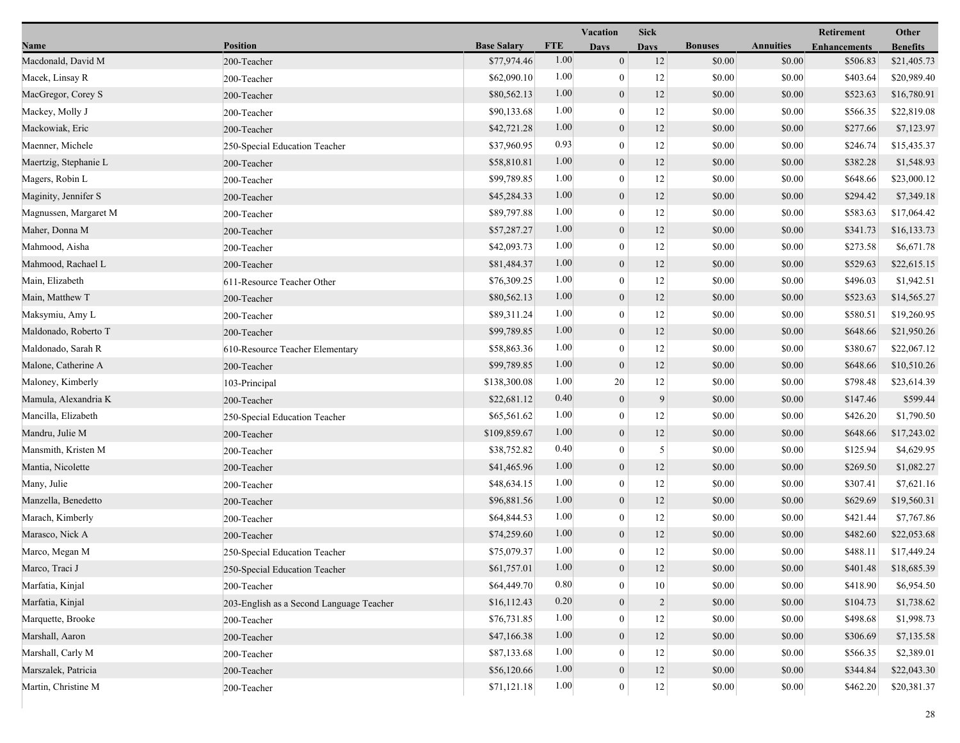|                       |                                          |                    |            | <b>Vacation</b>  | <b>Sick</b>    |                |                  | Retirement          | Other           |
|-----------------------|------------------------------------------|--------------------|------------|------------------|----------------|----------------|------------------|---------------------|-----------------|
| Name                  | <b>Position</b>                          | <b>Base Salary</b> | <b>FTE</b> | Days             | <b>Days</b>    | <b>Bonuses</b> | <b>Annuities</b> | <b>Enhancements</b> | <b>Benefits</b> |
| Macdonald, David M    | 200-Teacher                              | \$77,974.46        | 1.00       | $\boldsymbol{0}$ | 12             | \$0.00         | \$0.00           | \$506.83            | \$21,405.73     |
| Macek, Linsay R       | 200-Teacher                              | \$62,090.10        | 1.00       | $\boldsymbol{0}$ | 12             | \$0.00         | \$0.00           | \$403.64            | \$20,989.40     |
| MacGregor, Corey S    | 200-Teacher                              | \$80,562.13        | 1.00       | $\boldsymbol{0}$ | 12             | \$0.00         | \$0.00           | \$523.63            | \$16,780.91     |
| Mackey, Molly J       | 200-Teacher                              | \$90,133.68        | 1.00       | $\mathbf{0}$     | 12             | \$0.00         | \$0.00           | \$566.35            | \$22,819.08     |
| Mackowiak, Eric       | 200-Teacher                              | \$42,721.28        | 1.00       | $\boldsymbol{0}$ | 12             | \$0.00         | \$0.00           | \$277.66            | \$7,123.97      |
| Maenner, Michele      | 250-Special Education Teacher            | \$37,960.95        | 0.93       | $\boldsymbol{0}$ | 12             | \$0.00         | \$0.00           | \$246.74            | \$15,435.37     |
| Maertzig, Stephanie L | 200-Teacher                              | \$58,810.81        | 1.00       | $\mathbf{0}$     | 12             | \$0.00         | \$0.00           | \$382.28            | \$1,548.93      |
| Magers, Robin L       | 200-Teacher                              | \$99,789.85        | 1.00       | $\boldsymbol{0}$ | 12             | \$0.00         | \$0.00           | \$648.66            | \$23,000.12     |
| Maginity, Jennifer S  | 200-Teacher                              | \$45,284.33        | 1.00       | $\boldsymbol{0}$ | 12             | \$0.00         | \$0.00           | \$294.42            | \$7,349.18      |
| Magnussen, Margaret M | 200-Teacher                              | \$89,797.88        | 1.00       | $\mathbf{0}$     | 12             | \$0.00         | \$0.00           | \$583.63            | \$17,064.42     |
| Maher, Donna M        | 200-Teacher                              | \$57,287.27        | 1.00       | $\boldsymbol{0}$ | 12             | \$0.00         | \$0.00           | \$341.73            | \$16,133.73     |
| Mahmood, Aisha        | 200-Teacher                              | \$42,093.73        | 1.00       | $\boldsymbol{0}$ | 12             | \$0.00         | \$0.00           | \$273.58            | \$6,671.78      |
| Mahmood, Rachael L    | 200-Teacher                              | \$81,484.37        | 1.00       | $\mathbf{0}$     | 12             | \$0.00         | \$0.00           | \$529.63            | \$22,615.15     |
| Main, Elizabeth       | 611-Resource Teacher Other               | \$76,309.25        | 1.00       | $\boldsymbol{0}$ | 12             | \$0.00         | \$0.00           | \$496.03            | \$1,942.51      |
| Main, Matthew T       | 200-Teacher                              | \$80,562.13        | 1.00       | $\boldsymbol{0}$ | 12             | \$0.00         | \$0.00           | \$523.63            | \$14,565.27     |
| Maksymiu, Amy L       | 200-Teacher                              | \$89,311.24        | 1.00       | $\boldsymbol{0}$ | 12             | \$0.00         | \$0.00           | \$580.51            | \$19,260.95     |
| Maldonado, Roberto T  | 200-Teacher                              | \$99,789.85        | 1.00       | $\boldsymbol{0}$ | 12             | \$0.00         | \$0.00           | \$648.66            | \$21,950.26     |
| Maldonado, Sarah R    | 610-Resource Teacher Elementary          | \$58,863.36        | 1.00       | $\boldsymbol{0}$ | 12             | \$0.00         | \$0.00           | \$380.67            | \$22,067.12     |
| Malone, Catherine A   | 200-Teacher                              | \$99,789.85        | 1.00       | $\mathbf{0}$     | 12             | \$0.00         | \$0.00           | \$648.66            | \$10,510.26     |
| Maloney, Kimberly     | 103-Principal                            | \$138,300.08       | 1.00       | 20               | 12             | \$0.00         | \$0.00           | \$798.48            | \$23,614.39     |
| Mamula, Alexandria K  | 200-Teacher                              | \$22,681.12        | 0.40       | $\boldsymbol{0}$ | 9              | \$0.00         | \$0.00           | \$147.46            | \$599.44        |
| Mancilla, Elizabeth   | 250-Special Education Teacher            | \$65,561.62        | 1.00       | $\boldsymbol{0}$ | 12             | \$0.00         | \$0.00           | \$426.20            | \$1,790.50      |
| Mandru, Julie M       | 200-Teacher                              | \$109,859.67       | 1.00       | $\boldsymbol{0}$ | 12             | \$0.00         | \$0.00           | \$648.66            | \$17,243.02     |
| Mansmith, Kristen M   | 200-Teacher                              | \$38,752.82        | 0.40       | $\boldsymbol{0}$ | 5              | \$0.00         | \$0.00           | \$125.94            | \$4,629.95      |
| Mantia, Nicolette     | 200-Teacher                              | \$41,465.96        | 1.00       | $\boldsymbol{0}$ | 12             | \$0.00         | \$0.00           | \$269.50            | \$1,082.27      |
| Many, Julie           | 200-Teacher                              | \$48,634.15        | 1.00       | $\boldsymbol{0}$ | 12             | \$0.00         | \$0.00           | \$307.41            | \$7,621.16      |
| Manzella, Benedetto   | 200-Teacher                              | \$96,881.56        | 1.00       | $\boldsymbol{0}$ | 12             | \$0.00         | \$0.00           | \$629.69            | \$19,560.31     |
| Marach, Kimberly      | 200-Teacher                              | \$64,844.53        | 1.00       | $\boldsymbol{0}$ | 12             | \$0.00         | \$0.00           | \$421.44            | \$7,767.86      |
| Marasco, Nick A       | 200-Teacher                              | \$74,259.60        | 1.00       | $\boldsymbol{0}$ | 12             | \$0.00         | \$0.00           | \$482.60            | \$22,053.68     |
| Marco, Megan M        | 250-Special Education Teacher            | \$75,079.37        | 1.00       | $\boldsymbol{0}$ | 12             | \$0.00         | \$0.00           | \$488.11            | \$17,449.24     |
| Marco, Traci J        | 250-Special Education Teacher            | \$61,757.01        | $1.00\,$   | $\boldsymbol{0}$ | 12             | \$0.00         | \$0.00           | \$401.48            | \$18,685.39     |
| Marfatia, Kinjal      | 200-Teacher                              | \$64,449.70        | 0.80       | $\mathbf{0}$     | $10\,$         | \$0.00         | \$0.00           | \$418.90            | \$6,954.50      |
| Marfatia, Kinjal      | 203-English as a Second Language Teacher | \$16,112.43        | 0.20       | $\boldsymbol{0}$ | $\overline{2}$ | \$0.00         | \$0.00           | \$104.73            | \$1,738.62      |
| Marquette, Brooke     | 200-Teacher                              | \$76,731.85        | 1.00       | $\boldsymbol{0}$ | 12             | \$0.00         | \$0.00           | \$498.68            | \$1,998.73      |
| Marshall, Aaron       | 200-Teacher                              | \$47,166.38        | 1.00       | $\boldsymbol{0}$ | 12             | \$0.00         | \$0.00           | \$306.69            | \$7,135.58      |
| Marshall, Carly M     | 200-Teacher                              | \$87,133.68        | 1.00       | $\boldsymbol{0}$ | 12             | \$0.00         | \$0.00           | \$566.35            | \$2,389.01      |
| Marszalek, Patricia   | 200-Teacher                              | \$56,120.66        | 1.00       | $\boldsymbol{0}$ | 12             | \$0.00         | \$0.00           | \$344.84            | \$22,043.30     |
| Martin, Christine M   | 200-Teacher                              | \$71,121.18        | 1.00       | $\mathbf{0}$     | $12 \mid$      | \$0.00         | \$0.00           | \$462.20            | \$20,381.37     |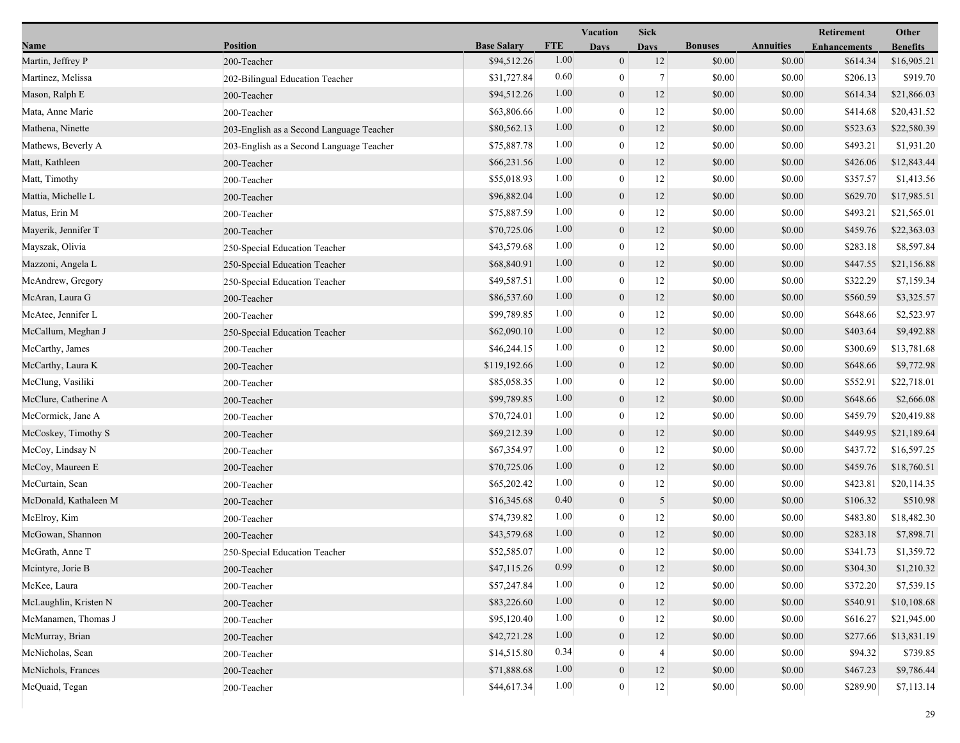|                       |                                          |                    |            | <b>Vacation</b>  | <b>Sick</b>    |                |                  | Other               |                 |
|-----------------------|------------------------------------------|--------------------|------------|------------------|----------------|----------------|------------------|---------------------|-----------------|
| Name                  | <b>Position</b>                          | <b>Base Salary</b> | <b>FTE</b> | <b>Days</b>      | <b>Days</b>    | <b>Bonuses</b> | <b>Annuities</b> | <b>Enhancements</b> | <b>Benefits</b> |
| Martin, Jeffrey P     | 200-Teacher                              | \$94,512.26        | 1.00       | $\mathbf{0}$     | 12             | \$0.00         | \$0.00           | \$614.34            | \$16,905.21     |
| Martinez, Melissa     | 202-Bilingual Education Teacher          | \$31,727.84        | 0.60       | $\mathbf{0}$     | $\overline{7}$ | \$0.00         | \$0.00           | \$206.13            | \$919.70        |
| Mason, Ralph E        | 200-Teacher                              | \$94,512.26        | 1.00       | $\boldsymbol{0}$ | 12             | \$0.00         | \$0.00           | \$614.34            | \$21,866.03     |
| Mata, Anne Marie      | 200-Teacher                              | \$63,806.66        | 1.00       | $\theta$         | 12             | \$0.00         | \$0.00           | \$414.68            | \$20,431.52     |
| Mathena, Ninette      | 203-English as a Second Language Teacher | \$80,562.13        | 1.00       | $\mathbf{0}$     | 12             | \$0.00         | \$0.00           | \$523.63            | \$22,580.39     |
| Mathews, Beverly A    | 203-English as a Second Language Teacher | \$75,887.78        | 1.00       | $\mathbf{0}$     | 12             | \$0.00         | \$0.00           | \$493.21            | \$1,931.20      |
| Matt, Kathleen        | 200-Teacher                              | \$66,231.56        | 1.00       | $\mathbf{0}$     | 12             | \$0.00         | \$0.00           | \$426.06            | \$12,843.44     |
| Matt, Timothy         | 200-Teacher                              | \$55,018.93        | 1.00       | $\mathbf{0}$     | 12             | \$0.00         | \$0.00           | \$357.57            | \$1,413.56      |
| Mattia, Michelle L    | 200-Teacher                              | \$96,882.04        | 1.00       | $\boldsymbol{0}$ | 12             | \$0.00         | \$0.00           | \$629.70            | \$17,985.51     |
| Matus, Erin M         | 200-Teacher                              | \$75,887.59        | 1.00       | $\theta$         | 12             | \$0.00         | \$0.00           | \$493.21            | \$21,565.01     |
| Mayerik, Jennifer T   | 200-Teacher                              | \$70,725.06        | 1.00       | $\mathbf{0}$     | 12             | \$0.00         | \$0.00           | \$459.76            | \$22,363.03     |
| Mayszak, Olivia       | 250-Special Education Teacher            | \$43,579.68        | 1.00       | $\mathbf{0}$     | 12             | \$0.00         | \$0.00           | \$283.18            | \$8,597.84      |
| Mazzoni, Angela L     | 250-Special Education Teacher            | \$68,840.91        | 1.00       | $\mathbf{0}$     | 12             | \$0.00         | \$0.00           | \$447.55            | \$21,156.88     |
| McAndrew, Gregory     | 250-Special Education Teacher            | \$49,587.51        | 1.00       | $\mathbf{0}$     | 12             | \$0.00         | \$0.00           | \$322.29            | \$7,159.34      |
| McAran, Laura G       | 200-Teacher                              | \$86,537.60        | 1.00       | $\mathbf{0}$     | 12             | \$0.00         | \$0.00           | \$560.59            | \$3,325.57      |
| McAtee, Jennifer L    | 200-Teacher                              | \$99,789.85        | 1.00       | $\theta$         | 12             | \$0.00         | \$0.00           | \$648.66            | \$2,523.97      |
| McCallum, Meghan J    | 250-Special Education Teacher            | \$62,090.10        | 1.00       | $\mathbf{0}$     | 12             | \$0.00         | \$0.00           | \$403.64            | \$9,492.88      |
| McCarthy, James       | 200-Teacher                              | \$46,244.15        | 1.00       | $\mathbf{0}$     | 12             | \$0.00         | \$0.00           | \$300.69            | \$13,781.68     |
| McCarthy, Laura K     | 200-Teacher                              | \$119,192.66       | 1.00       | $\mathbf{0}$     | 12             | \$0.00         | \$0.00           | \$648.66            | \$9,772.98      |
| McClung, Vasiliki     | 200-Teacher                              | \$85,058.35        | 1.00       | $\mathbf{0}$     | 12             | \$0.00         | \$0.00           | \$552.91            | \$22,718.01     |
| McClure, Catherine A  | 200-Teacher                              | \$99,789.85        | 1.00       | $\boldsymbol{0}$ | 12             | \$0.00         | \$0.00           | \$648.66            | \$2,666.08      |
| McCormick, Jane A     | 200-Teacher                              | \$70,724.01        | 1.00       | $\theta$         | 12             | \$0.00         | \$0.00           | \$459.79            | \$20,419.88     |
| McCoskey, Timothy S   | 200-Teacher                              | \$69,212.39        | 1.00       | $\mathbf{0}$     | 12             | \$0.00         | \$0.00           | \$449.95            | \$21,189.64     |
| McCoy, Lindsay N      | 200-Teacher                              | \$67,354.97        | 1.00       | $\mathbf{0}$     | 12             | \$0.00         | \$0.00           | \$437.72            | \$16,597.25     |
| McCoy, Maureen E      | 200-Teacher                              | \$70,725.06        | 1.00       | $\mathbf{0}$     | 12             | \$0.00         | \$0.00           | \$459.76            | \$18,760.51     |
| McCurtain, Sean       | 200-Teacher                              | \$65,202.42        | 1.00       | $\mathbf{0}$     | 12             | \$0.00         | \$0.00           | \$423.81            | \$20,114.35     |
| McDonald, Kathaleen M | 200-Teacher                              | \$16,345.68        | 0.40       | $\mathbf{0}$     | 5              | \$0.00         | \$0.00           | \$106.32            | \$510.98        |
| McElroy, Kim          | 200-Teacher                              | \$74,739.82        | 1.00       | $\mathbf{0}$     | 12             | \$0.00         | \$0.00           | \$483.80            | \$18,482.30     |
| McGowan, Shannon      | 200-Teacher                              | \$43,579.68        | 1.00       | $\mathbf{0}$     | 12             | \$0.00         | \$0.00           | \$283.18            | \$7,898.71      |
| McGrath, Anne T       | 250-Special Education Teacher            | \$52,585.07        | 1.00       | $\mathbf{0}$     | 12             | \$0.00         | \$0.00           | \$341.73            | \$1,359.72      |
| Mcintyre, Jorie B     | 200-Teacher                              | \$47,115.26        | 0.99       | $\mathbf{0}$     | 12             | \$0.00         | \$0.00           | \$304.30            | \$1,210.32      |
| McKee, Laura          | 200-Teacher                              | \$57,247.84        | 1.00       | $\theta$         | 12             | \$0.00         | \$0.00           | \$372.20            | \$7,539.15      |
| McLaughlin, Kristen N | 200-Teacher                              | \$83,226.60        | 1.00       | $\mathbf{0}$     | 12             | \$0.00         | \$0.00           | \$540.91            | \$10,108.68     |
| McManamen, Thomas J   | 200-Teacher                              | \$95,120.40        | 1.00       | $\overline{0}$   | 12             | \$0.00         | \$0.00           | \$616.27            | \$21,945.00     |
| McMurray, Brian       | 200-Teacher                              | \$42,721.28        | 1.00       | $\mathbf{0}$     | 12             | \$0.00         | \$0.00           | \$277.66            | \$13,831.19     |
| McNicholas, Sean      | 200-Teacher                              | \$14,515.80        | 0.34       | $\theta$         | 4              | \$0.00         | \$0.00           | \$94.32             | \$739.85        |
| McNichols, Frances    | 200-Teacher                              | \$71,888.68        | 1.00       | $\mathbf{0}$     | 12             | \$0.00         | \$0.00           | \$467.23            | \$9,786.44      |
| McQuaid, Tegan        | 200-Teacher                              | \$44,617.34        | 1.00       | $\boldsymbol{0}$ | 12             | \$0.00         | $\$0.00$         | \$289.90            | \$7,113.14      |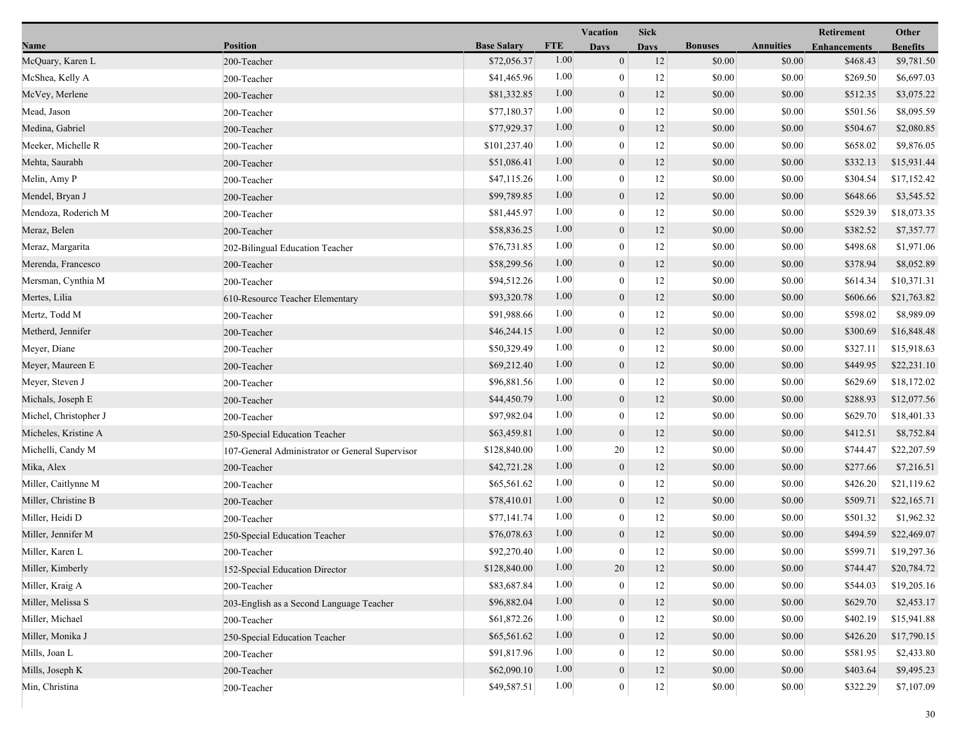|                       |                                                 |                    |            | Vacation<br><b>Sick</b> |             |                |                  | Retirement          | Other           |  |
|-----------------------|-------------------------------------------------|--------------------|------------|-------------------------|-------------|----------------|------------------|---------------------|-----------------|--|
| Name                  | <b>Position</b>                                 | <b>Base Salary</b> | <b>FTE</b> | <b>Days</b>             | <b>Davs</b> | <b>Bonuses</b> | <b>Annuities</b> | <b>Enhancements</b> | <b>Benefits</b> |  |
| McQuary, Karen L      | 200-Teacher                                     | \$72,056.37        | 1.00       | $\overline{0}$          | 12          | \$0.00         | \$0.00           | \$468.43            | \$9,781.50      |  |
| McShea, Kelly A       | 200-Teacher                                     | \$41,465.96        | 1.00       | $\boldsymbol{0}$        | 12          | \$0.00         | \$0.00           | \$269.50            | \$6,697.03      |  |
| McVey, Merlene        | 200-Teacher                                     | \$81,332.85        | 1.00       | $\boldsymbol{0}$        | 12          | \$0.00         | \$0.00           | \$512.35            | \$3,075.22      |  |
| Mead, Jason           | 200-Teacher                                     | \$77,180.37        | 1.00       | $\boldsymbol{0}$        | 12          | \$0.00         | \$0.00           | \$501.56            | \$8,095.59      |  |
| Medina, Gabriel       | 200-Teacher                                     | \$77,929.37        | 1.00       | $\boldsymbol{0}$        | 12          | \$0.00         | \$0.00           | \$504.67            | \$2,080.85      |  |
| Meeker, Michelle R    | 200-Teacher                                     | \$101,237.40       | 1.00       | $\boldsymbol{0}$        | 12          | \$0.00         | \$0.00           | \$658.02            | \$9,876.05      |  |
| Mehta, Saurabh        | 200-Teacher                                     | \$51,086.41        | 1.00       | $\boldsymbol{0}$        | 12          | \$0.00         | \$0.00           | \$332.13            | \$15,931.44     |  |
| Melin, Amy P          | 200-Teacher                                     | \$47,115.26        | 1.00       | $\mathbf{0}$            | 12          | \$0.00         | \$0.00           | \$304.54            | \$17,152.42     |  |
| Mendel, Bryan J       | 200-Teacher                                     | \$99,789.85        | 1.00       | $\boldsymbol{0}$        | 12          | \$0.00         | \$0.00           | \$648.66            | \$3,545.52      |  |
| Mendoza, Roderich M   | 200-Teacher                                     | \$81,445.97        | 1.00       | $\boldsymbol{0}$        | 12          | \$0.00         | \$0.00           | \$529.39            | \$18,073.35     |  |
| Meraz, Belen          | 200-Teacher                                     | \$58,836.25        | 1.00       | $\boldsymbol{0}$        | 12          | \$0.00         | \$0.00           | \$382.52            | \$7,357.77      |  |
| Meraz, Margarita      | 202-Bilingual Education Teacher                 | \$76,731.85        | 1.00       | $\boldsymbol{0}$        | 12          | \$0.00         | \$0.00           | \$498.68            | \$1,971.06      |  |
| Merenda, Francesco    | 200-Teacher                                     | \$58,299.56        | 1.00       | $\boldsymbol{0}$        | 12          | \$0.00         | \$0.00           | \$378.94            | \$8,052.89      |  |
| Mersman, Cynthia M    | 200-Teacher                                     | \$94,512.26        | 1.00       | $\mathbf{0}$            | 12          | \$0.00         | \$0.00           | \$614.34            | \$10,371.31     |  |
| Mertes, Lilia         | 610-Resource Teacher Elementary                 | \$93,320.78        | 1.00       | $\boldsymbol{0}$        | 12          | \$0.00         | \$0.00           | \$606.66            | \$21,763.82     |  |
| Mertz, Todd M         | 200-Teacher                                     | \$91,988.66        | 1.00       | $\boldsymbol{0}$        | 12          | \$0.00         | \$0.00           | \$598.02            | \$8,989.09      |  |
| Metherd, Jennifer     | 200-Teacher                                     | \$46,244.15        | 1.00       | $\boldsymbol{0}$        | 12          | \$0.00         | \$0.00           | \$300.69            | \$16,848.48     |  |
| Meyer, Diane          | 200-Teacher                                     | \$50,329.49        | 1.00       | $\boldsymbol{0}$        | 12          | \$0.00         | \$0.00           | \$327.11            | \$15,918.63     |  |
| Meyer, Maureen E      | 200-Teacher                                     | \$69,212.40        | 1.00       | $\boldsymbol{0}$        | 12          | \$0.00         | \$0.00           | \$449.95            | \$22,231.10     |  |
| Meyer, Steven J       | 200-Teacher                                     | \$96,881.56        | 1.00       | $\boldsymbol{0}$        | 12          | \$0.00         | \$0.00           | \$629.69            | \$18,172.02     |  |
| Michals, Joseph E     | 200-Teacher                                     | \$44,450.79        | 1.00       | $\boldsymbol{0}$        | 12          | \$0.00         | \$0.00           | \$288.93            | \$12,077.56     |  |
| Michel, Christopher J | 200-Teacher                                     | \$97,982.04        | 1.00       | $\boldsymbol{0}$        | 12          | \$0.00         | \$0.00           | \$629.70            | \$18,401.33     |  |
| Micheles, Kristine A  | 250-Special Education Teacher                   | \$63,459.81        | 1.00       | $\boldsymbol{0}$        | 12          | \$0.00         | \$0.00           | \$412.51            | \$8,752.84      |  |
| Michelli, Candy M     | 107-General Administrator or General Supervisor | \$128,840.00       | 1.00       | 20                      | 12          | \$0.00         | \$0.00           | \$744.47            | \$22,207.59     |  |
| Mika, Alex            | 200-Teacher                                     | \$42,721.28        | 1.00       | $\boldsymbol{0}$        | 12          | \$0.00         | \$0.00           | \$277.66            | \$7,216.51      |  |
| Miller, Caitlynne M   | 200-Teacher                                     | \$65,561.62        | 1.00       | $\boldsymbol{0}$        | 12          | \$0.00         | \$0.00           | \$426.20            | \$21,119.62     |  |
| Miller, Christine B   | 200-Teacher                                     | \$78,410.01        | 1.00       | $\boldsymbol{0}$        | 12          | \$0.00         | \$0.00           | \$509.71            | \$22,165.71     |  |
| Miller, Heidi D       | 200-Teacher                                     | \$77,141.74        | 1.00       | $\boldsymbol{0}$        | 12          | \$0.00         | \$0.00           | \$501.32            | \$1,962.32      |  |
| Miller, Jennifer M    | 250-Special Education Teacher                   | \$76,078.63        | 1.00       | $\boldsymbol{0}$        | 12          | \$0.00         | \$0.00           | \$494.59            | \$22,469.07     |  |
| Miller, Karen L       | 200-Teacher                                     | \$92,270.40        | 1.00       | $\boldsymbol{0}$        | 12          | \$0.00         | \$0.00           | \$599.71            | \$19,297.36     |  |
| Miller, Kimberly      | 152-Special Education Director                  | \$128,840.00       | 1.00       | 20                      | 12          | \$0.00         | \$0.00           | \$744.47            | \$20,784.72     |  |
| Miller, Kraig A       | 200-Teacher                                     | \$83,687.84        | 1.00       | $\boldsymbol{0}$        | 12          | \$0.00         | \$0.00           | \$544.03            | \$19,205.16     |  |
| Miller, Melissa S     | 203-English as a Second Language Teacher        | \$96,882.04        | 1.00       | $\boldsymbol{0}$        | 12          | \$0.00         | \$0.00           | \$629.70            | \$2,453.17      |  |
| Miller, Michael       | 200-Teacher                                     | \$61,872.26        | 1.00       | $\mathbf{0}$            | 12          | \$0.00         | \$0.00           | \$402.19            | \$15,941.88     |  |
| Miller, Monika J      | 250-Special Education Teacher                   | \$65,561.62        | 1.00       | $\boldsymbol{0}$        | 12          | \$0.00         | \$0.00           | \$426.20            | \$17,790.15     |  |
| Mills, Joan L         | 200-Teacher                                     | \$91,817.96        | 1.00       | $\mathbf{0}$            | 12          | \$0.00         | \$0.00           | \$581.95            | \$2,433.80      |  |
| Mills, Joseph K       | 200-Teacher                                     | \$62,090.10        | 1.00       | $\boldsymbol{0}$        | 12          | \$0.00         | \$0.00           | \$403.64            | \$9,495.23      |  |
| Min, Christina        | 200-Teacher                                     | \$49,587.51        | 1.00       | $\boldsymbol{0}$        | $12\,$      | \$0.00         | \$0.00           | \$322.29            | \$7,107.09      |  |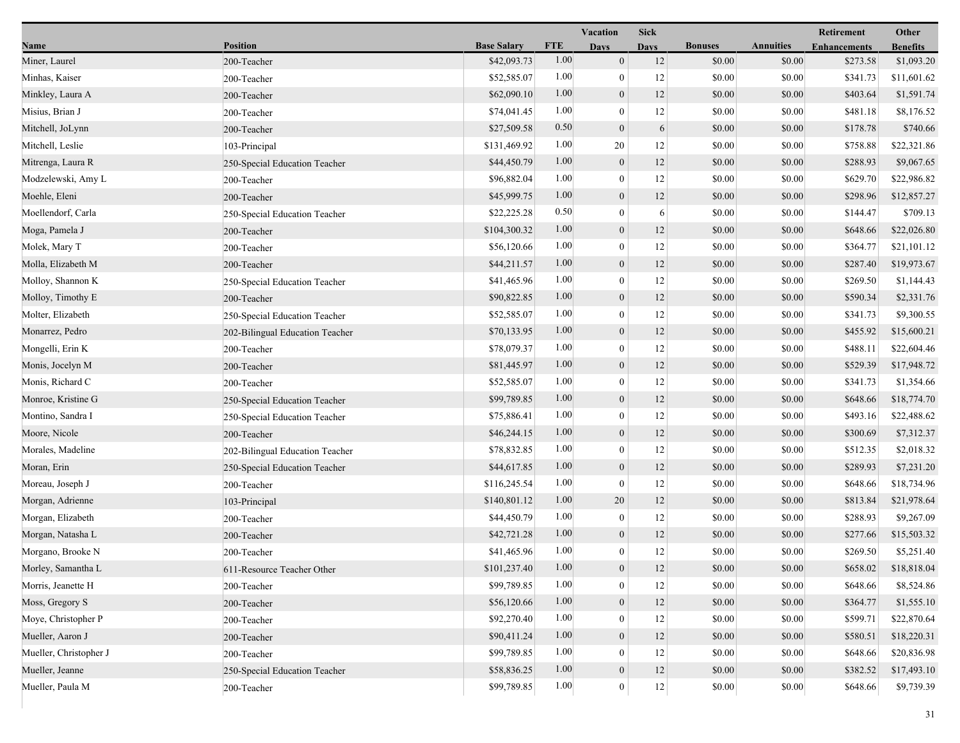|                        |                                 |                    |            | <b>Vacation</b><br><b>Sick</b> |             |                |                  | Retirement          |                 |
|------------------------|---------------------------------|--------------------|------------|--------------------------------|-------------|----------------|------------------|---------------------|-----------------|
| Name                   | <b>Position</b>                 | <b>Base Salary</b> | <b>FTE</b> | Days                           | <b>Days</b> | <b>Bonuses</b> | <b>Annuities</b> | <b>Enhancements</b> | <b>Benefits</b> |
| Miner, Laurel          | 200-Teacher                     | \$42,093.73        | 1.00       | $\boldsymbol{0}$               | 12          | \$0.00         | \$0.00           | \$273.58            | \$1,093.20      |
| Minhas, Kaiser         | 200-Teacher                     | \$52,585.07        | 1.00       | $\boldsymbol{0}$               | 12          | \$0.00         | \$0.00           | \$341.73            | \$11,601.62     |
| Minkley, Laura A       | 200-Teacher                     | \$62,090.10        | 1.00       | $\boldsymbol{0}$               | 12          | \$0.00         | \$0.00           | \$403.64            | \$1,591.74      |
| Misius, Brian J        | 200-Teacher                     | \$74,041.45        | 1.00       | $\mathbf{0}$                   | 12          | \$0.00         | \$0.00           | \$481.18            | \$8,176.52      |
| Mitchell, JoLynn       | 200-Teacher                     | \$27,509.58        | 0.50       | $\boldsymbol{0}$               | 6           | \$0.00         | \$0.00           | \$178.78            | \$740.66        |
| Mitchell, Leslie       | 103-Principal                   | \$131,469.92       | 1.00       | 20                             | 12          | \$0.00         | \$0.00           | \$758.88            | \$22,321.86     |
| Mitrenga, Laura R      | 250-Special Education Teacher   | \$44,450.79        | 1.00       | $\boldsymbol{0}$               | 12          | \$0.00         | \$0.00           | \$288.93            | \$9,067.65      |
| Modzelewski, Amy L     | 200-Teacher                     | \$96,882.04        | 1.00       | $\boldsymbol{0}$               | 12          | \$0.00         | \$0.00           | \$629.70            | \$22,986.82     |
| Moehle, Eleni          | 200-Teacher                     | \$45,999.75        | 1.00       | $\boldsymbol{0}$               | 12          | \$0.00         | \$0.00           | \$298.96            | \$12,857.27     |
| Moellendorf, Carla     | 250-Special Education Teacher   | \$22,225.28        | 0.50       | $\boldsymbol{0}$               | 6           | \$0.00         | \$0.00           | \$144.47            | \$709.13        |
| Moga, Pamela J         | 200-Teacher                     | \$104,300.32       | 1.00       | $\boldsymbol{0}$               | 12          | \$0.00         | \$0.00           | \$648.66            | \$22,026.80     |
| Molek, Mary T          | 200-Teacher                     | \$56,120.66        | 1.00       | $\boldsymbol{0}$               | 12          | \$0.00         | \$0.00           | \$364.77            | \$21,101.12     |
| Molla, Elizabeth M     | 200-Teacher                     | \$44,211.57        | 1.00       | $\mathbf{0}$                   | 12          | \$0.00         | \$0.00           | \$287.40            | \$19,973.67     |
| Molloy, Shannon K      | 250-Special Education Teacher   | \$41,465.96        | 1.00       | $\boldsymbol{0}$               | 12          | \$0.00         | \$0.00           | \$269.50            | \$1,144.43      |
| Molloy, Timothy E      | 200-Teacher                     | \$90,822.85        | 1.00       | $\boldsymbol{0}$               | 12          | \$0.00         | \$0.00           | \$590.34            | \$2,331.76      |
| Molter, Elizabeth      | 250-Special Education Teacher   | \$52,585.07        | 1.00       | $\boldsymbol{0}$               | 12          | \$0.00         | \$0.00           | \$341.73            | \$9,300.55      |
| Monarrez, Pedro        | 202-Bilingual Education Teacher | \$70,133.95        | 1.00       | $\boldsymbol{0}$               | 12          | \$0.00         | \$0.00           | \$455.92            | \$15,600.21     |
| Mongelli, Erin K       | 200-Teacher                     | \$78,079.37        | 1.00       | $\boldsymbol{0}$               | 12          | \$0.00         | \$0.00           | \$488.11            | \$22,604.46     |
| Monis, Jocelyn M       | 200-Teacher                     | \$81,445.97        | 1.00       | $\boldsymbol{0}$               | 12          | \$0.00         | \$0.00           | \$529.39            | \$17,948.72     |
| Monis, Richard C       | 200-Teacher                     | \$52,585.07        | 1.00       | $\boldsymbol{0}$               | 12          | \$0.00         | \$0.00           | \$341.73            | \$1,354.66      |
| Monroe, Kristine G     | 250-Special Education Teacher   | \$99,789.85        | 1.00       | $\boldsymbol{0}$               | 12          | \$0.00         | \$0.00           | \$648.66            | \$18,774.70     |
| Montino, Sandra I      | 250-Special Education Teacher   | \$75,886.41        | 1.00       | $\boldsymbol{0}$               | 12          | \$0.00         | \$0.00           | \$493.16            | \$22,488.62     |
| Moore, Nicole          | 200-Teacher                     | \$46,244.15        | 1.00       | $\boldsymbol{0}$               | 12          | \$0.00         | \$0.00           | \$300.69            | \$7,312.37      |
| Morales, Madeline      | 202-Bilingual Education Teacher | \$78,832.85        | 1.00       | $\boldsymbol{0}$               | 12          | \$0.00         | \$0.00           | \$512.35            | \$2,018.32      |
| Moran, Erin            | 250-Special Education Teacher   | \$44,617.85        | 1.00       | $\mathbf{0}$                   | 12          | \$0.00         | \$0.00           | \$289.93            | \$7,231.20      |
| Moreau, Joseph J       | 200-Teacher                     | \$116,245.54       | 1.00       | $\mathbf{0}$                   | 12          | \$0.00         | \$0.00           | \$648.66            | \$18,734.96     |
| Morgan, Adrienne       | 103-Principal                   | \$140,801.12       | 1.00       | 20                             | 12          | \$0.00         | \$0.00           | \$813.84            | \$21,978.64     |
| Morgan, Elizabeth      | 200-Teacher                     | \$44,450.79        | 1.00       | $\boldsymbol{0}$               | 12          | \$0.00         | \$0.00           | \$288.93            | \$9,267.09      |
| Morgan, Natasha L      | 200-Teacher                     | \$42,721.28        | 1.00       | $\boldsymbol{0}$               | 12          | \$0.00         | \$0.00           | \$277.66            | \$15,503.32     |
| Morgano, Brooke N      | 200-Teacher                     | \$41,465.96        | 1.00       | $\boldsymbol{0}$               | 12          | \$0.00         | \$0.00           | \$269.50            | \$5,251.40      |
| Morley, Samantha L     | 611-Resource Teacher Other      | \$101,237.40       | $1.00\,$   | $\boldsymbol{0}$               | 12          | \$0.00         | $\$0.00$         | \$658.02            | \$18,818.04     |
| Morris, Jeanette H     | 200-Teacher                     | \$99,789.85        | 1.00       | $\theta$                       | 12          | \$0.00         | \$0.00           | \$648.66            | \$8,524.86      |
| Moss, Gregory S        | 200-Teacher                     | \$56,120.66        | 1.00       | $\boldsymbol{0}$               | 12          | \$0.00         | \$0.00           | \$364.77            | \$1,555.10      |
| Moye, Christopher P    | 200-Teacher                     | \$92,270.40        | 1.00       | $\boldsymbol{0}$               | 12          | \$0.00         | \$0.00           | \$599.71            | \$22,870.64     |
| Mueller, Aaron J       | 200-Teacher                     | \$90,411.24        | 1.00       | $\boldsymbol{0}$               | 12          | \$0.00         | \$0.00           | \$580.51            | \$18,220.31     |
| Mueller, Christopher J | 200-Teacher                     | \$99,789.85        | 1.00       | $\boldsymbol{0}$               | 12          | \$0.00         | \$0.00           | \$648.66            | \$20,836.98     |
| Mueller, Jeanne        | 250-Special Education Teacher   | \$58,836.25        | 1.00       | $\boldsymbol{0}$               | 12          | \$0.00         | \$0.00           | \$382.52            | \$17,493.10     |
| Mueller, Paula M       | 200-Teacher                     | \$99,789.85        | 1.00       | $\mathbf{0}$                   | $12 \mid$   | \$0.00         | \$0.00           | \$648.66            | \$9,739.39      |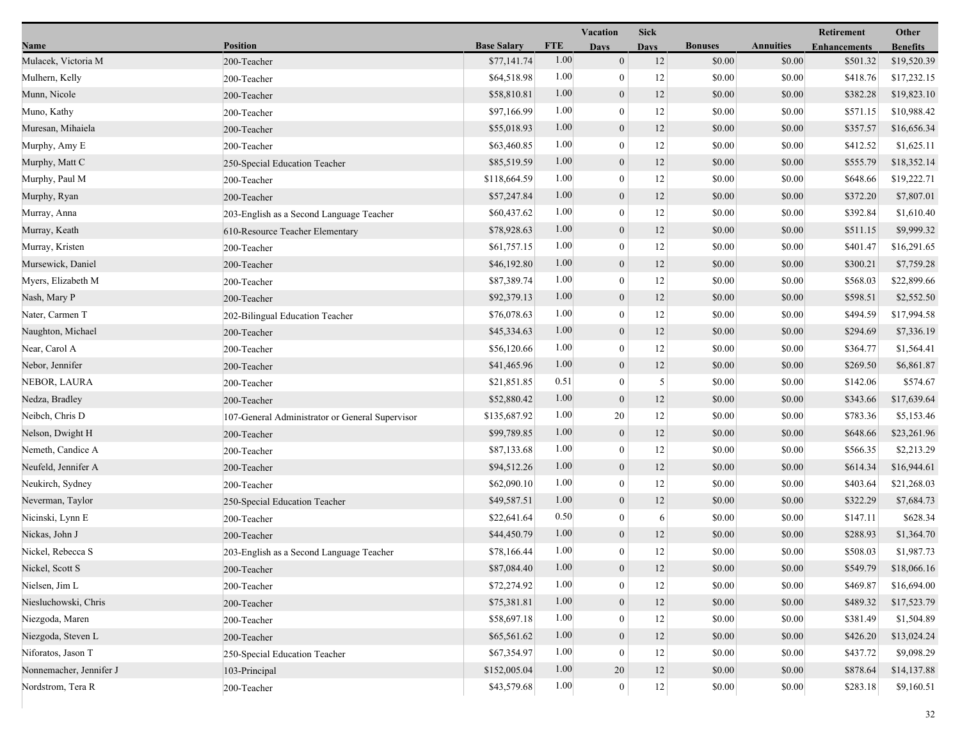|                         |                                                 |                    |            | <b>Vacation</b>  | <b>Sick</b>       |                |                  | <b>Retirement</b>   | Other           |
|-------------------------|-------------------------------------------------|--------------------|------------|------------------|-------------------|----------------|------------------|---------------------|-----------------|
| Name                    | <b>Position</b>                                 | <b>Base Salary</b> | <b>FTE</b> | Days             | <b>Days</b>       | <b>Bonuses</b> | <b>Annuities</b> | <b>Enhancements</b> | <b>Benefits</b> |
| Mulacek, Victoria M     | 200-Teacher                                     | \$77,141.74        | 1.00       | $\boldsymbol{0}$ | 12                | \$0.00         | \$0.00           | \$501.32            | \$19,520.39     |
| Mulhern, Kelly          | 200-Teacher                                     | \$64,518.98        | 1.00       | $\boldsymbol{0}$ | 12                | \$0.00         | \$0.00           | \$418.76            | \$17,232.15     |
| Munn, Nicole            | 200-Teacher                                     | \$58,810.81        | 1.00       | $\boldsymbol{0}$ | 12                | \$0.00         | \$0.00           | \$382.28            | \$19,823.10     |
| Muno, Kathy             | 200-Teacher                                     | \$97,166.99        | 1.00       | $\mathbf{0}$     | 12                | \$0.00         | \$0.00           | \$571.15            | \$10,988.42     |
| Muresan, Mihaiela       | 200-Teacher                                     | \$55,018.93        | 1.00       | $\boldsymbol{0}$ | 12                | \$0.00         | \$0.00           | \$357.57            | \$16,656.34     |
| Murphy, Amy E           | 200-Teacher                                     | \$63,460.85        | 1.00       | $\boldsymbol{0}$ | 12                | \$0.00         | \$0.00           | \$412.52            | \$1,625.11      |
| Murphy, Matt C          | 250-Special Education Teacher                   | \$85,519.59        | 1.00       | $\mathbf{0}$     | 12                | \$0.00         | \$0.00           | \$555.79            | \$18,352.14     |
| Murphy, Paul M          | 200-Teacher                                     | \$118,664.59       | 1.00       | $\boldsymbol{0}$ | 12                | \$0.00         | \$0.00           | \$648.66            | \$19,222.71     |
| Murphy, Ryan            | 200-Teacher                                     | \$57,247.84        | 1.00       | $\boldsymbol{0}$ | 12                | \$0.00         | \$0.00           | \$372.20            | \$7,807.01      |
| Murray, Anna            | 203-English as a Second Language Teacher        | \$60,437.62        | 1.00       | $\mathbf{0}$     | 12                | \$0.00         | \$0.00           | \$392.84            | \$1,610.40      |
| Murray, Keath           | 610-Resource Teacher Elementary                 | \$78,928.63        | 1.00       | $\boldsymbol{0}$ | 12                | \$0.00         | \$0.00           | \$511.15            | \$9,999.32      |
| Murray, Kristen         | 200-Teacher                                     | \$61,757.15        | 1.00       | $\boldsymbol{0}$ | 12                | \$0.00         | \$0.00           | \$401.47            | \$16,291.65     |
| Mursewick, Daniel       | 200-Teacher                                     | \$46,192.80        | 1.00       | $\boldsymbol{0}$ | 12                | \$0.00         | \$0.00           | \$300.21            | \$7,759.28      |
| Myers, Elizabeth M      | 200-Teacher                                     | \$87,389.74        | 1.00       | $\boldsymbol{0}$ | 12                | \$0.00         | \$0.00           | \$568.03            | \$22,899.66     |
| Nash, Mary P            | 200-Teacher                                     | \$92,379.13        | 1.00       | $\boldsymbol{0}$ | 12                | \$0.00         | \$0.00           | \$598.51            | \$2,552.50      |
| Nater, Carmen T         | 202-Bilingual Education Teacher                 | \$76,078.63        | 1.00       | $\boldsymbol{0}$ | 12                | \$0.00         | \$0.00           | \$494.59            | \$17,994.58     |
| Naughton, Michael       | 200-Teacher                                     | \$45,334.63        | 1.00       | $\boldsymbol{0}$ | 12                | \$0.00         | \$0.00           | \$294.69            | \$7,336.19      |
| Near, Carol A           | 200-Teacher                                     | \$56,120.66        | 1.00       | $\boldsymbol{0}$ | 12                | \$0.00         | \$0.00           | \$364.77            | \$1,564.41      |
| Nebor, Jennifer         | 200-Teacher                                     | \$41,465.96        | 1.00       | $\mathbf{0}$     | 12                | \$0.00         | \$0.00           | \$269.50            | \$6,861.87      |
| NEBOR, LAURA            | 200-Teacher                                     | \$21,851.85        | 0.51       | $\boldsymbol{0}$ | 5                 | \$0.00         | \$0.00           | \$142.06            | \$574.67        |
| Nedza, Bradley          | 200-Teacher                                     | \$52,880.42        | 1.00       | $\boldsymbol{0}$ | 12                | \$0.00         | \$0.00           | \$343.66            | \$17,639.64     |
| Neibch, Chris D         | 107-General Administrator or General Supervisor | \$135,687.92       | 1.00       | 20               | 12                | \$0.00         | \$0.00           | \$783.36            | \$5,153.46      |
| Nelson, Dwight H        | 200-Teacher                                     | \$99,789.85        | 1.00       | $\boldsymbol{0}$ | 12                | \$0.00         | \$0.00           | \$648.66            | \$23,261.96     |
| Nemeth, Candice A       | 200-Teacher                                     | \$87,133.68        | 1.00       | $\boldsymbol{0}$ | 12                | \$0.00         | \$0.00           | \$566.35            | \$2,213.29      |
| Neufeld, Jennifer A     | 200-Teacher                                     | \$94,512.26        | 1.00       | $\mathbf{0}$     | 12                | \$0.00         | \$0.00           | \$614.34            | \$16,944.61     |
| Neukirch, Sydney        | 200-Teacher                                     | \$62,090.10        | 1.00       | $\boldsymbol{0}$ | 12                | \$0.00         | \$0.00           | \$403.64            | \$21,268.03     |
| Neverman, Taylor        | 250-Special Education Teacher                   | \$49,587.51        | 1.00       | $\boldsymbol{0}$ | 12                | \$0.00         | \$0.00           | \$322.29            | \$7,684.73      |
| Nicinski, Lynn E        | 200-Teacher                                     | \$22,641.64        | 0.50       | $\boldsymbol{0}$ | 6                 | \$0.00         | \$0.00           | \$147.11            | \$628.34        |
| Nickas, John J          | 200-Teacher                                     | \$44,450.79        | 1.00       | $\boldsymbol{0}$ | 12                | \$0.00         | \$0.00           | \$288.93            | \$1,364.70      |
| Nickel, Rebecca S       | 203-English as a Second Language Teacher        | \$78,166.44        | 1.00       | $\boldsymbol{0}$ | 12                | \$0.00         | \$0.00           | \$508.03            | \$1,987.73      |
| Nickel, Scott S         | 200-Teacher                                     | \$87,084.40        | $1.00\,$   | $\boldsymbol{0}$ | 12                | \$0.00         | \$0.00           | \$549.79            | \$18,066.16     |
| Nielsen, Jim L          | 200-Teacher                                     | \$72,274.92        | 1.00       | $\theta$         | 12                | \$0.00         | \$0.00           | \$469.87            | \$16,694.00     |
| Niesluchowski, Chris    | 200-Teacher                                     | \$75,381.81        | 1.00       | $\boldsymbol{0}$ | 12                | \$0.00         | \$0.00           | \$489.32            | \$17,523.79     |
| Niezgoda, Maren         | 200-Teacher                                     | \$58,697.18        | 1.00       | $\boldsymbol{0}$ | 12                | \$0.00         | \$0.00           | \$381.49            | \$1,504.89      |
| Niezgoda, Steven L      | 200-Teacher                                     | \$65,561.62        | 1.00       | $\mathbf{0}$     | 12                | \$0.00         | \$0.00           | \$426.20            | \$13,024.24     |
| Niforatos, Jason T      | 250-Special Education Teacher                   | \$67,354.97        | 1.00       | $\boldsymbol{0}$ | 12                | \$0.00         | \$0.00           | \$437.72            | \$9,098.29      |
| Nonnemacher, Jennifer J | 103-Principal                                   | \$152,005.04       | 1.00       | 20               | 12                | \$0.00         | \$0.00           | \$878.64            | \$14,137.88     |
| Nordstrom, Tera R       | 200-Teacher                                     | \$43,579.68        | 1.00       | $\mathbf{0}$     | $12 \overline{ }$ | \$0.00         | \$0.00           | \$283.18            | \$9,160.51      |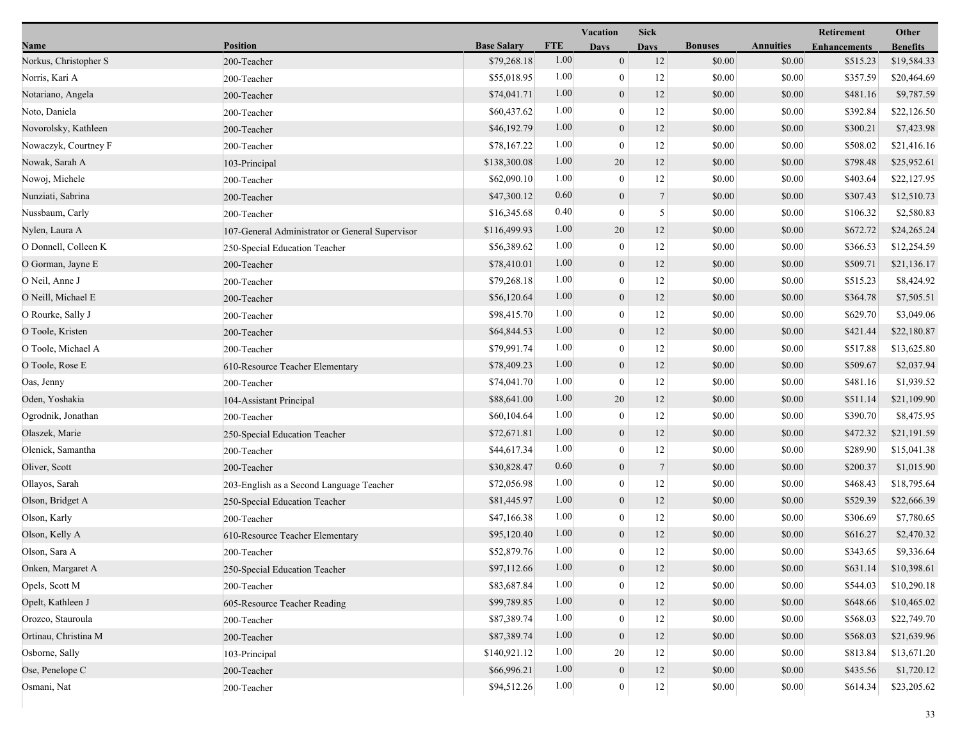|                       |                                                 |                    |            | Vacation         | <b>Sick</b>     |                |                  | Retirement          | Other           |
|-----------------------|-------------------------------------------------|--------------------|------------|------------------|-----------------|----------------|------------------|---------------------|-----------------|
| Name                  | <b>Position</b>                                 | <b>Base Salary</b> | <b>FTE</b> | <b>Days</b>      | <b>Days</b>     | <b>Bonuses</b> | <b>Annuities</b> | <b>Enhancements</b> | <b>Benefits</b> |
| Norkus, Christopher S | 200-Teacher                                     | \$79,268.18        | 1.00       | $\boldsymbol{0}$ | 12              | \$0.00         | \$0.00           | \$515.23            | \$19,584.33     |
| Norris, Kari A        | 200-Teacher                                     | \$55,018.95        | 1.00       | $\boldsymbol{0}$ | 12              | \$0.00         | \$0.00           | \$357.59            | \$20,464.69     |
| Notariano, Angela     | 200-Teacher                                     | \$74,041.71        | 1.00       | $\boldsymbol{0}$ | 12              | \$0.00         | \$0.00           | \$481.16            | \$9,787.59      |
| Noto, Daniela         | 200-Teacher                                     | \$60,437.62        | 1.00       | $\boldsymbol{0}$ | 12              | \$0.00         | \$0.00           | \$392.84            | \$22,126.50     |
| Novorolsky, Kathleen  | 200-Teacher                                     | \$46,192.79        | 1.00       | $\mathbf{0}$     | 12              | \$0.00         | \$0.00           | \$300.21            | \$7,423.98      |
| Nowaczyk, Courtney F  | 200-Teacher                                     | \$78,167.22        | 1.00       | $\mathbf{0}$     | 12              | \$0.00         | \$0.00           | \$508.02            | \$21,416.16     |
| Nowak, Sarah A        | 103-Principal                                   | \$138,300.08       | 1.00       | 20               | 12              | \$0.00         | \$0.00           | \$798.48            | \$25,952.61     |
| Nowoj, Michele        | 200-Teacher                                     | \$62,090.10        | 1.00       | $\boldsymbol{0}$ | 12              | \$0.00         | \$0.00           | \$403.64            | \$22,127.95     |
| Nunziati, Sabrina     | 200-Teacher                                     | \$47,300.12        | 0.60       | $\boldsymbol{0}$ | $7\phantom{.0}$ | \$0.00         | \$0.00           | \$307.43            | \$12,510.73     |
| Nussbaum, Carly       | 200-Teacher                                     | \$16,345.68        | 0.40       | $\boldsymbol{0}$ | 5 <sup>1</sup>  | \$0.00         | \$0.00           | \$106.32            | \$2,580.83      |
| Nylen, Laura A        | 107-General Administrator or General Supervisor | \$116,499.93       | 1.00       | 20               | 12              | \$0.00         | \$0.00           | \$672.72            | \$24,265.24     |
| O Donnell, Colleen K  | 250-Special Education Teacher                   | \$56,389.62        | 1.00       | $\mathbf{0}$     | 12              | \$0.00         | \$0.00           | \$366.53            | \$12,254.59     |
| O Gorman, Jayne E     | 200-Teacher                                     | \$78,410.01        | 1.00       | $\mathbf{0}$     | 12              | \$0.00         | \$0.00           | \$509.71            | \$21,136.17     |
| O Neil, Anne J        | 200-Teacher                                     | \$79,268.18        | 1.00       | $\boldsymbol{0}$ | 12              | \$0.00         | \$0.00           | \$515.23            | \$8,424.92      |
| O Neill, Michael E    | 200-Teacher                                     | \$56,120.64        | 1.00       | $\mathbf{0}$     | 12              | \$0.00         | \$0.00           | \$364.78            | \$7,505.51      |
| O Rourke, Sally J     | 200-Teacher                                     | \$98,415.70        | 1.00       | $\boldsymbol{0}$ | 12              | \$0.00         | \$0.00           | \$629.70            | \$3,049.06      |
| O Toole, Kristen      | 200-Teacher                                     | \$64,844.53        | 1.00       | $\boldsymbol{0}$ | 12              | \$0.00         | \$0.00           | \$421.44            | \$22,180.87     |
| O Toole, Michael A    | 200-Teacher                                     | \$79,991.74        | 1.00       | $\mathbf{0}$     | 12              | \$0.00         | \$0.00           | \$517.88            | \$13,625.80     |
| O Toole, Rose E       | 610-Resource Teacher Elementary                 | \$78,409.23        | 1.00       | $\mathbf{0}$     | 12              | \$0.00         | \$0.00           | \$509.67            | \$2,037.94      |
| Oas, Jenny            | 200-Teacher                                     | \$74,041.70        | 1.00       | $\mathbf{0}$     | 12              | \$0.00         | \$0.00           | \$481.16            | \$1,939.52      |
| Oden, Yoshakia        | 104-Assistant Principal                         | \$88,641.00        | 1.00       | 20               | 12              | \$0.00         | \$0.00           | \$511.14            | \$21,109.90     |
| Ogrodnik, Jonathan    | 200-Teacher                                     | \$60,104.64        | 1.00       | $\mathbf{0}$     | 12              | \$0.00         | \$0.00           | \$390.70            | \$8,475.95      |
| Olaszek, Marie        | 250-Special Education Teacher                   | \$72,671.81        | 1.00       | $\overline{0}$   | 12              | \$0.00         | \$0.00           | \$472.32            | \$21,191.59     |
| Olenick, Samantha     | 200-Teacher                                     | \$44,617.34        | 1.00       | $\bf{0}$         | 12              | \$0.00         | \$0.00           | \$289.90            | \$15,041.38     |
| Oliver, Scott         | 200-Teacher                                     | \$30,828.47        | 0.60       | $\mathbf{0}$     | $7\phantom{.0}$ | \$0.00         | \$0.00           | \$200.37            | \$1,015.90      |
| Ollayos, Sarah        | 203-English as a Second Language Teacher        | \$72,056.98        | 1.00       | $\mathbf{0}$     | 12              | \$0.00         | \$0.00           | \$468.43            | \$18,795.64     |
| Olson, Bridget A      | 250-Special Education Teacher                   | \$81,445.97        | 1.00       | $\mathbf{0}$     | 12              | \$0.00         | \$0.00           | \$529.39            | \$22,666.39     |
| Olson, Karly          | 200-Teacher                                     | \$47,166.38        | 1.00       | $\mathbf{0}$     | 12              | \$0.00         | \$0.00           | \$306.69            | \$7,780.65      |
| Olson, Kelly A        | 610-Resource Teacher Elementary                 | \$95,120.40        | 1.00       | $\mathbf{0}$     | 12              | \$0.00         | \$0.00           | \$616.27            | \$2,470.32      |
| Olson, Sara A         | 200-Teacher                                     | \$52,879.76        | 1.00       | $\mathbf{0}$     | 12              | \$0.00         | \$0.00           | \$343.65            | \$9,336.64      |
| Onken, Margaret A     | 250-Special Education Teacher                   | \$97,112.66        | $1.00\,$   | $\mathbf{0}$     | 12              | \$0.00         | \$0.00           | \$631.14            | \$10,398.61     |
| Opels, Scott M        | 200-Teacher                                     | \$83,687.84        | 1.00       | $\mathbf{0}$     | $12\,$          | \$0.00         | \$0.00           | \$544.03            | \$10,290.18     |
| Opelt, Kathleen J     | 605-Resource Teacher Reading                    | \$99,789.85        | 1.00       | $\mathbf{0}$     | $12\,$          | \$0.00         | \$0.00           | \$648.66            | \$10,465.02     |
| Orozco, Stauroula     | 200-Teacher                                     | \$87,389.74        | 1.00       | $\mathbf{0}$     | 12              | \$0.00         | \$0.00           | \$568.03            | \$22,749.70     |
| Ortinau, Christina M  | 200-Teacher                                     | \$87,389.74        | 1.00       | $\mathbf{0}$     | 12              | \$0.00         | \$0.00           | \$568.03            | \$21,639.96     |
| Osborne, Sally        | 103-Principal                                   | \$140,921.12       | 1.00       | 20               | 12              | \$0.00         | \$0.00           | \$813.84            | \$13,671.20     |
| Ose, Penelope C       | 200-Teacher                                     | \$66,996.21        | 1.00       | $\boldsymbol{0}$ | 12              | \$0.00         | \$0.00           | \$435.56            | \$1,720.12      |
| Osmani, Nat           | 200-Teacher                                     | \$94,512.26        | 1.00       | $\boldsymbol{0}$ | $12 \mid$       | \$0.00         | \$0.00           | \$614.34            | \$23,205.62     |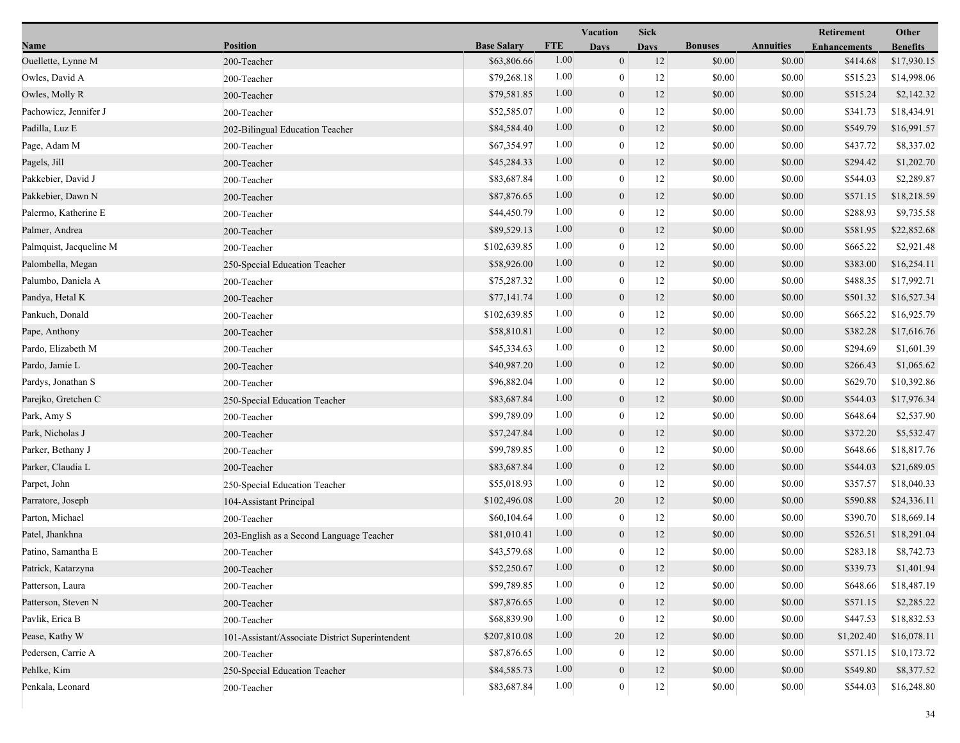|                         |                                                 |                    |            | Vacation         | Sick        |                |                  | <b>Retirement</b>   | Other           |  |
|-------------------------|-------------------------------------------------|--------------------|------------|------------------|-------------|----------------|------------------|---------------------|-----------------|--|
| Name                    | <b>Position</b>                                 | <b>Base Salary</b> | <b>FTE</b> | <b>Days</b>      | <b>Davs</b> | <b>Bonuses</b> | <b>Annuities</b> | <b>Enhancements</b> | <b>Benefits</b> |  |
| Ouellette, Lynne M      | 200-Teacher                                     | \$63,806.66        | 1.00       | $\boldsymbol{0}$ | 12          | \$0.00         | \$0.00           | \$414.68            | \$17,930.15     |  |
| Owles, David A          | 200-Teacher                                     | \$79,268.18        | 1.00       | $\boldsymbol{0}$ | 12          | \$0.00         | \$0.00           | \$515.23            | \$14,998.06     |  |
| Owles, Molly R          | 200-Teacher                                     | \$79,581.85        | 1.00       | $\boldsymbol{0}$ | 12          | \$0.00         | \$0.00           | \$515.24            | \$2,142.32      |  |
| Pachowicz, Jennifer J   | 200-Teacher                                     | \$52,585.07        | 1.00       | $\mathbf{0}$     | 12          | \$0.00         | \$0.00           | \$341.73            | \$18,434.91     |  |
| Padilla, Luz E          | 202-Bilingual Education Teacher                 | \$84,584.40        | 1.00       | $\boldsymbol{0}$ | 12          | \$0.00         | \$0.00           | \$549.79            | \$16,991.57     |  |
| Page, Adam M            | 200-Teacher                                     | \$67,354.97        | 1.00       | $\boldsymbol{0}$ | 12          | \$0.00         | \$0.00           | \$437.72            | \$8,337.02      |  |
| Pagels, Jill            | 200-Teacher                                     | \$45,284.33        | 1.00       | $\boldsymbol{0}$ | 12          | \$0.00         | \$0.00           | \$294.42            | \$1,202.70      |  |
| Pakkebier, David J      | 200-Teacher                                     | \$83,687.84        | 1.00       | $\boldsymbol{0}$ | 12          | \$0.00         | \$0.00           | \$544.03            | \$2,289.87      |  |
| Pakkebier, Dawn N       | 200-Teacher                                     | \$87,876.65        | 1.00       | $\boldsymbol{0}$ | 12          | \$0.00         | \$0.00           | \$571.15            | \$18,218.59     |  |
| Palermo, Katherine E    | 200-Teacher                                     | \$44,450.79        | 1.00       | $\mathbf{0}$     | 12          | \$0.00         | \$0.00           | \$288.93            | \$9,735.58      |  |
| Palmer, Andrea          | 200-Teacher                                     | \$89,529.13        | 1.00       | $\boldsymbol{0}$ | 12          | \$0.00         | \$0.00           | \$581.95            | \$22,852.68     |  |
| Palmquist, Jacqueline M | 200-Teacher                                     | \$102,639.85       | 1.00       | $\boldsymbol{0}$ | 12          | \$0.00         | \$0.00           | \$665.22            | \$2,921.48      |  |
| Palombella, Megan       | 250-Special Education Teacher                   | \$58,926.00        | 1.00       | $\boldsymbol{0}$ | 12          | \$0.00         | \$0.00           | \$383.00            | \$16,254.11     |  |
| Palumbo, Daniela A      | 200-Teacher                                     | \$75,287.32        | 1.00       | $\boldsymbol{0}$ | 12          | \$0.00         | \$0.00           | \$488.35            | \$17,992.71     |  |
| Pandya, Hetal K         | 200-Teacher                                     | \$77,141.74        | 1.00       | $\boldsymbol{0}$ | 12          | \$0.00         | \$0.00           | \$501.32            | \$16,527.34     |  |
| Pankuch, Donald         | 200-Teacher                                     | \$102,639.85       | 1.00       | $\mathbf{0}$     | 12          | \$0.00         | \$0.00           | \$665.22            | \$16,925.79     |  |
| Pape, Anthony           | 200-Teacher                                     | \$58,810.81        | 1.00       | $\boldsymbol{0}$ | 12          | \$0.00         | \$0.00           | \$382.28            | \$17,616.76     |  |
| Pardo, Elizabeth M      | 200-Teacher                                     | \$45,334.63        | 1.00       | $\boldsymbol{0}$ | 12          | \$0.00         | \$0.00           | \$294.69            | \$1,601.39      |  |
| Pardo, Jamie L          | 200-Teacher                                     | \$40,987.20        | 1.00       | $\boldsymbol{0}$ | 12          | \$0.00         | \$0.00           | \$266.43            | \$1,065.62      |  |
| Pardys, Jonathan S      | 200-Teacher                                     | \$96,882.04        | 1.00       | $\boldsymbol{0}$ | 12          | \$0.00         | \$0.00           | \$629.70            | \$10,392.86     |  |
| Parejko, Gretchen C     | 250-Special Education Teacher                   | \$83,687.84        | 1.00       | $\boldsymbol{0}$ | 12          | \$0.00         | \$0.00           | \$544.03            | \$17,976.34     |  |
| Park, Amy S             | 200-Teacher                                     | \$99,789.09        | 1.00       | $\boldsymbol{0}$ | 12          | \$0.00         | \$0.00           | \$648.64            | \$2,537.90      |  |
| Park, Nicholas J        | 200-Teacher                                     | \$57,247.84        | 1.00       | $\boldsymbol{0}$ | 12          | \$0.00         | \$0.00           | \$372.20            | \$5,532.47      |  |
| Parker, Bethany J       | 200-Teacher                                     | \$99,789.85        | 1.00       | $\boldsymbol{0}$ | 12          | \$0.00         | \$0.00           | \$648.66            | \$18,817.76     |  |
| Parker, Claudia L       | 200-Teacher                                     | \$83,687.84        | 1.00       | $\boldsymbol{0}$ | 12          | \$0.00         | \$0.00           | \$544.03            | \$21,689.05     |  |
| Parpet, John            | 250-Special Education Teacher                   | \$55,018.93        | 1.00       | $\boldsymbol{0}$ | 12          | \$0.00         | \$0.00           | \$357.57            | \$18,040.33     |  |
| Parratore, Joseph       | 104-Assistant Principal                         | \$102,496.08       | 1.00       | 20               | 12          | \$0.00         | \$0.00           | \$590.88            | \$24,336.11     |  |
| Parton, Michael         | 200-Teacher                                     | \$60,104.64        | 1.00       | $\boldsymbol{0}$ | 12          | \$0.00         | \$0.00           | \$390.70            | \$18,669.14     |  |
| Patel, Jhankhna         | 203-English as a Second Language Teacher        | \$81,010.41        | 1.00       | $\boldsymbol{0}$ | 12          | \$0.00         | \$0.00           | \$526.51            | \$18,291.04     |  |
| Patino, Samantha E      | 200-Teacher                                     | \$43,579.68        | 1.00       | $\mathbf{0}$     | 12          | \$0.00         | \$0.00           | \$283.18            | \$8,742.73      |  |
| Patrick, Katarzyna      | 200-Teacher                                     | \$52,250.67        | $1.00\,$   | $\boldsymbol{0}$ | 12          | \$0.00         | \$0.00           | \$339.73            | \$1,401.94      |  |
| Patterson, Laura        | 200-Teacher                                     | \$99,789.85        | 1.00       | $\mathbf{0}$     | 12          | \$0.00         | \$0.00           | \$648.66            | \$18,487.19     |  |
| Patterson, Steven N     | 200-Teacher                                     | \$87,876.65        | 1.00       | $\boldsymbol{0}$ | 12          | \$0.00         | \$0.00           | \$571.15            | \$2,285.22      |  |
| Pavlik, Erica B         | 200-Teacher                                     | \$68,839.90        | 1.00       | $\mathbf{0}$     | 12          | \$0.00         | \$0.00           | \$447.53            | \$18,832.53     |  |
| Pease, Kathy W          | 101-Assistant/Associate District Superintendent | \$207,810.08       | 1.00       | 20               | 12          | \$0.00         | \$0.00           | \$1,202.40          | \$16,078.11     |  |
| Pedersen, Carrie A      | 200-Teacher                                     | \$87,876.65        | 1.00       | $\boldsymbol{0}$ | 12          | \$0.00         | \$0.00           | \$571.15            | \$10,173.72     |  |
| Pehlke, Kim             | 250-Special Education Teacher                   | \$84,585.73        | 1.00       | $\boldsymbol{0}$ | 12          | \$0.00         | \$0.00           | \$549.80            | \$8,377.52      |  |
| Penkala, Leonard        | 200-Teacher                                     | \$83,687.84        | 1.00       | $\mathbf{0}$     | $12\,$      | \$0.00         | \$0.00           | \$544.03            | \$16,248.80     |  |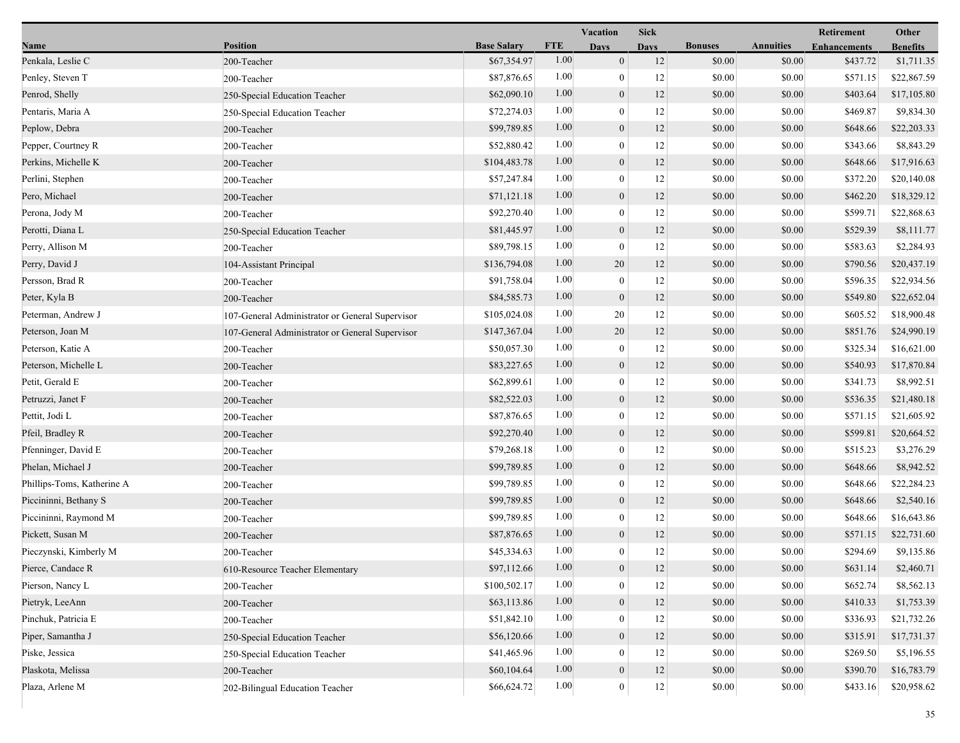|                            |                                                 |                    |            | Vacation         | <b>Sick</b> |                |                  | Retirement          | Other           |
|----------------------------|-------------------------------------------------|--------------------|------------|------------------|-------------|----------------|------------------|---------------------|-----------------|
| Name                       | <b>Position</b>                                 | <b>Base Salary</b> | <b>FTE</b> | <b>Days</b>      | <b>Days</b> | <b>Bonuses</b> | <b>Annuities</b> | <b>Enhancements</b> | <b>Benefits</b> |
| Penkala, Leslie C          | 200-Teacher                                     | \$67,354.97        | 1.00       | $\mathbf{0}$     | 12          | \$0.00         | \$0.00           | \$437.72            | \$1,711.35      |
| Penley, Steven T           | 200-Teacher                                     | \$87,876.65        | 1.00       | $\boldsymbol{0}$ | 12          | \$0.00         | \$0.00           | \$571.15            | \$22,867.59     |
| Penrod, Shelly             | 250-Special Education Teacher                   | \$62,090.10        | 1.00       | $\boldsymbol{0}$ | 12          | \$0.00         | \$0.00           | \$403.64            | \$17,105.80     |
| Pentaris, Maria A          | 250-Special Education Teacher                   | \$72,274.03        | 1.00       | $\mathbf{0}$     | 12          | \$0.00         | \$0.00           | \$469.87            | \$9,834.30      |
| Peplow, Debra              | 200-Teacher                                     | \$99,789.85        | 1.00       | $\mathbf{0}$     | 12          | \$0.00         | \$0.00           | \$648.66            | \$22,203.33     |
| Pepper, Courtney R         | 200-Teacher                                     | \$52,880.42        | 1.00       | $\bf{0}$         | 12          | \$0.00         | \$0.00           | \$343.66            | \$8,843.29      |
| Perkins, Michelle K        | 200-Teacher                                     | \$104,483.78       | 1.00       | $\mathbf{0}$     | 12          | \$0.00         | \$0.00           | \$648.66            | \$17,916.63     |
| Perlini, Stephen           | 200-Teacher                                     | \$57,247.84        | 1.00       | $\boldsymbol{0}$ | 12          | \$0.00         | \$0.00           | \$372.20            | \$20,140.08     |
| Pero, Michael              | 200-Teacher                                     | \$71,121.18        | 1.00       | $\boldsymbol{0}$ | 12          | \$0.00         | \$0.00           | \$462.20            | \$18,329.12     |
| Perona, Jody M             | 200-Teacher                                     | \$92,270.40        | 1.00       | $\mathbf{0}$     | 12          | \$0.00         | \$0.00           | \$599.71            | \$22,868.63     |
| Perotti, Diana L           | 250-Special Education Teacher                   | \$81,445.97        | 1.00       | $\boldsymbol{0}$ | 12          | \$0.00         | \$0.00           | \$529.39            | \$8,111.77      |
| Perry, Allison M           | 200-Teacher                                     | \$89,798.15        | 1.00       | $\bf{0}$         | 12          | \$0.00         | \$0.00           | \$583.63            | \$2,284.93      |
| Perry, David J             | 104-Assistant Principal                         | \$136,794.08       | 1.00       | 20               | 12          | \$0.00         | \$0.00           | \$790.56            | \$20,437.19     |
| Persson, Brad R            | 200-Teacher                                     | \$91,758.04        | 1.00       | $\boldsymbol{0}$ | 12          | \$0.00         | \$0.00           | \$596.35            | \$22,934.56     |
| Peter, Kyla B              | 200-Teacher                                     | \$84,585.73        | 1.00       | $\boldsymbol{0}$ | 12          | \$0.00         | \$0.00           | \$549.80            | \$22,652.04     |
| Peterman, Andrew J         | 107-General Administrator or General Supervisor | \$105,024.08       | 1.00       | 20               | 12          | \$0.00         | \$0.00           | \$605.52            | \$18,900.48     |
| Peterson, Joan M           | 107-General Administrator or General Supervisor | \$147,367.04       | 1.00       | 20               | 12          | \$0.00         | \$0.00           | \$851.76            | \$24,990.19     |
| Peterson, Katie A          | 200-Teacher                                     | \$50,057.30        | 1.00       | $\bf{0}$         | 12          | \$0.00         | \$0.00           | \$325.34            | \$16,621.00     |
| Peterson, Michelle L       | 200-Teacher                                     | \$83,227.65        | 1.00       | $\mathbf{0}$     | 12          | \$0.00         | \$0.00           | \$540.93            | \$17,870.84     |
| Petit, Gerald E            | 200-Teacher                                     | \$62,899.61        | 1.00       | $\bf{0}$         | 12          | \$0.00         | \$0.00           | \$341.73            | \$8,992.51      |
| Petruzzi, Janet F          | 200-Teacher                                     | \$82,522.03        | 1.00       | $\mathbf{0}$     | 12          | \$0.00         | \$0.00           | \$536.35            | \$21,480.18     |
| Pettit, Jodi L             | 200-Teacher                                     | \$87,876.65        | 1.00       | $\mathbf{0}$     | 12          | \$0.00         | \$0.00           | \$571.15            | \$21,605.92     |
| Pfeil, Bradley R           | 200-Teacher                                     | \$92,270.40        | 1.00       | $\mathbf{0}$     | 12          | \$0.00         | \$0.00           | \$599.81            | \$20,664.52     |
| Pfenninger, David E        | 200-Teacher                                     | \$79,268.18        | 1.00       | $\boldsymbol{0}$ | 12          | \$0.00         | \$0.00           | \$515.23            | \$3,276.29      |
| Phelan, Michael J          | 200-Teacher                                     | \$99,789.85        | 1.00       | $\mathbf{0}$     | 12          | \$0.00         | \$0.00           | \$648.66            | \$8,942.52      |
| Phillips-Toms, Katherine A | 200-Teacher                                     | \$99,789.85        | 1.00       | $\bf{0}$         | 12          | \$0.00         | \$0.00           | \$648.66            | \$22,284.23     |
| Piccininni, Bethany S      | 200-Teacher                                     | \$99,789.85        | 1.00       | $\mathbf{0}$     | 12          | \$0.00         | \$0.00           | \$648.66            | \$2,540.16      |
| Piccininni, Raymond M      | 200-Teacher                                     | \$99,789.85        | 1.00       | $\mathbf{0}$     | 12          | \$0.00         | \$0.00           | \$648.66            | \$16,643.86     |
| Pickett, Susan M           | 200-Teacher                                     | \$87,876.65        | 1.00       | $\mathbf{0}$     | 12          | \$0.00         | \$0.00           | \$571.15            | \$22,731.60     |
| Pieczynski, Kimberly M     | 200-Teacher                                     | \$45,334.63        | 1.00       | $\mathbf{0}$     | 12          | \$0.00         | \$0.00           | \$294.69            | \$9,135.86      |
| Pierce, Candace R          | 610-Resource Teacher Elementary                 | \$97,112.66        | $1.00\,$   | $\theta$         | 12          | \$0.00         | \$0.00           | \$631.14            | \$2,460.71      |
| Pierson, Nancy L           | 200-Teacher                                     | \$100,502.17       | 1.00       | $\mathbf{0}$     | 12          | \$0.00         | \$0.00           | \$652.74            | \$8,562.13      |
| Pietryk, LeeAnn            | 200-Teacher                                     | \$63,113.86        | 1.00       | $\mathbf{0}$     | 12          | \$0.00         | \$0.00           | \$410.33            | \$1,753.39      |
| Pinchuk, Patricia E        | 200-Teacher                                     | \$51,842.10        | 1.00       | $\mathbf{0}$     | 12          | \$0.00         | \$0.00           | \$336.93            | \$21,732.26     |
| Piper, Samantha J          | 250-Special Education Teacher                   | \$56,120.66        | 1.00       | $\mathbf{0}$     | 12          | \$0.00         | \$0.00           | \$315.91            | \$17,731.37     |
| Piske, Jessica             | 250-Special Education Teacher                   | \$41,465.96        | 1.00       | $\theta$         | 12          | \$0.00         | \$0.00           | \$269.50            | \$5,196.55      |
| Plaskota, Melissa          | 200-Teacher                                     | \$60,104.64        | 1.00       | $\mathbf{0}$     | 12          | \$0.00         | \$0.00           | \$390.70            | \$16,783.79     |
| Plaza, Arlene M            | 202-Bilingual Education Teacher                 | \$66,624.72        | 1.00       | $\boldsymbol{0}$ | $12\,$      | \$0.00         | \$0.00           | \$433.16            | \$20,958.62     |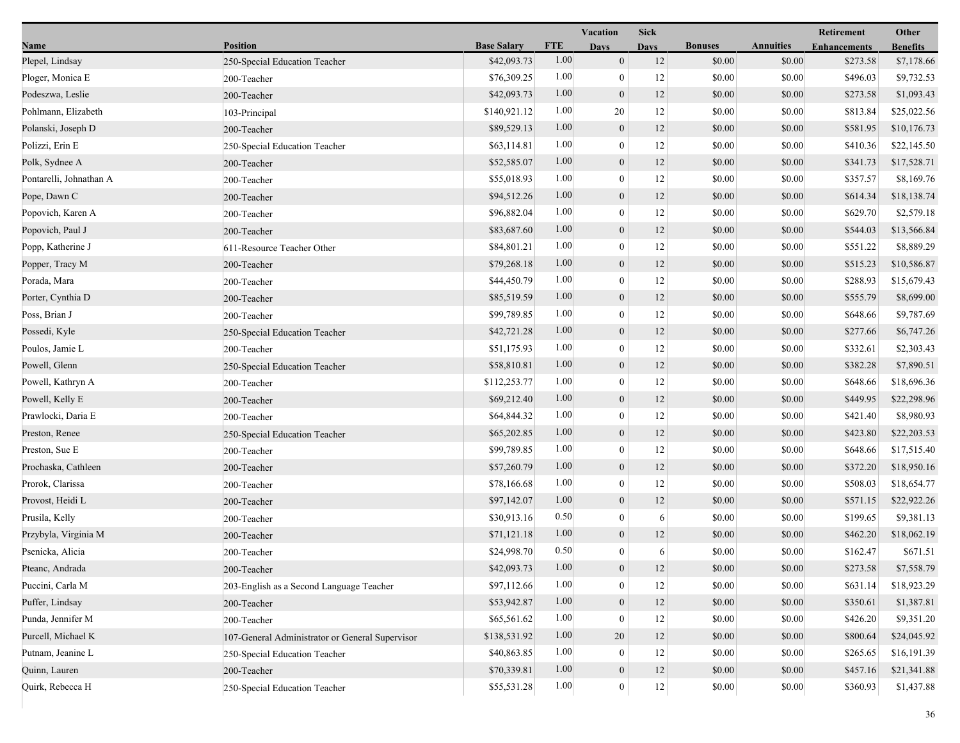|                         |                                                 |                    |            | <b>Vacation</b>  | <b>Sick</b> |                |                  | Other               |                 |
|-------------------------|-------------------------------------------------|--------------------|------------|------------------|-------------|----------------|------------------|---------------------|-----------------|
| Name                    | <b>Position</b>                                 | <b>Base Salary</b> | <b>FTE</b> | <b>Days</b>      | <b>Days</b> | <b>Bonuses</b> | <b>Annuities</b> | <b>Enhancements</b> | <b>Benefits</b> |
| Plepel, Lindsay         | 250-Special Education Teacher                   | \$42,093.73        | 1.00       | $\mathbf{0}$     | 12          | \$0.00         | \$0.00           | \$273.58            | \$7,178.66      |
| Ploger, Monica E        | 200-Teacher                                     | \$76,309.25        | 1.00       | $\boldsymbol{0}$ | 12          | \$0.00         | \$0.00           | \$496.03            | \$9,732.53      |
| Podeszwa, Leslie        | 200-Teacher                                     | \$42,093.73        | 1.00       | $\boldsymbol{0}$ | 12          | \$0.00         | \$0.00           | \$273.58            | \$1,093.43      |
| Pohlmann, Elizabeth     | 103-Principal                                   | \$140,921.12       | 1.00       | 20               | 12          | \$0.00         | \$0.00           | \$813.84            | \$25,022.56     |
| Polanski, Joseph D      | 200-Teacher                                     | \$89,529.13        | 1.00       | $\mathbf{0}$     | 12          | \$0.00         | \$0.00           | \$581.95            | \$10,176.73     |
| Polizzi, Erin E         | 250-Special Education Teacher                   | \$63,114.81        | 1.00       | $\boldsymbol{0}$ | 12          | \$0.00         | \$0.00           | \$410.36            | \$22,145.50     |
| Polk, Sydnee A          | 200-Teacher                                     | \$52,585.07        | 1.00       | $\mathbf{0}$     | 12          | \$0.00         | \$0.00           | \$341.73            | \$17,528.71     |
| Pontarelli, Johnathan A | 200-Teacher                                     | \$55,018.93        | 1.00       | $\mathbf{0}$     | 12          | \$0.00         | \$0.00           | \$357.57            | \$8,169.76      |
| Pope, Dawn C            | 200-Teacher                                     | \$94,512.26        | 1.00       | $\boldsymbol{0}$ | 12          | \$0.00         | \$0.00           | \$614.34            | \$18,138.74     |
| Popovich, Karen A       | 200-Teacher                                     | \$96,882.04        | 1.00       | $\mathbf{0}$     | 12          | \$0.00         | \$0.00           | \$629.70            | \$2,579.18      |
| Popovich, Paul J        | 200-Teacher                                     | \$83,687.60        | 1.00       | $\mathbf{0}$     | 12          | \$0.00         | \$0.00           | \$544.03            | \$13,566.84     |
| Popp, Katherine J       | 611-Resource Teacher Other                      | \$84,801.21        | 1.00       | $\mathbf{0}$     | 12          | \$0.00         | \$0.00           | \$551.22            | \$8,889.29      |
| Popper, Tracy M         | 200-Teacher                                     | \$79,268.18        | 1.00       | $\mathbf{0}$     | 12          | \$0.00         | \$0.00           | \$515.23            | \$10,586.87     |
| Porada, Mara            | 200-Teacher                                     | \$44,450.79        | 1.00       | $\mathbf{0}$     | 12          | \$0.00         | \$0.00           | \$288.93            | \$15,679.43     |
| Porter, Cynthia D       | 200-Teacher                                     | \$85,519.59        | 1.00       | $\mathbf{0}$     | 12          | \$0.00         | \$0.00           | \$555.79            | \$8,699.00      |
| Poss, Brian J           | 200-Teacher                                     | \$99,789.85        | 1.00       | $\mathbf{0}$     | 12          | \$0.00         | \$0.00           | \$648.66            | \$9,787.69      |
| Possedi, Kyle           | 250-Special Education Teacher                   | \$42,721.28        | 1.00       | $\mathbf{0}$     | 12          | \$0.00         | \$0.00           | \$277.66            | \$6,747.26      |
| Poulos, Jamie L         | 200-Teacher                                     | \$51,175.93        | 1.00       | $\boldsymbol{0}$ | 12          | \$0.00         | \$0.00           | \$332.61            | \$2,303.43      |
| Powell, Glenn           | 250-Special Education Teacher                   | \$58,810.81        | 1.00       | $\mathbf{0}$     | 12          | \$0.00         | \$0.00           | \$382.28            | \$7,890.51      |
| Powell, Kathryn A       | 200-Teacher                                     | \$112,253.77       | 1.00       | $\boldsymbol{0}$ | 12          | \$0.00         | \$0.00           | \$648.66            | \$18,696.36     |
| Powell, Kelly E         | 200-Teacher                                     | \$69,212.40        | 1.00       | $\boldsymbol{0}$ | 12          | \$0.00         | \$0.00           | \$449.95            | \$22,298.96     |
| Prawlocki, Daria E      | 200-Teacher                                     | \$64,844.32        | 1.00       | $\mathbf{0}$     | 12          | \$0.00         | \$0.00           | \$421.40            | \$8,980.93      |
| Preston, Renee          | 250-Special Education Teacher                   | \$65,202.85        | 1.00       | $\boldsymbol{0}$ | 12          | \$0.00         | \$0.00           | \$423.80            | \$22,203.53     |
| Preston, Sue E          | 200-Teacher                                     | \$99,789.85        | 1.00       | $\mathbf{0}$     | 12          | \$0.00         | \$0.00           | \$648.66            | \$17,515.40     |
| Prochaska, Cathleen     | 200-Teacher                                     | \$57,260.79        | 1.00       | $\mathbf{0}$     | 12          | \$0.00         | \$0.00           | \$372.20            | \$18,950.16     |
| Prorok, Clarissa        | 200-Teacher                                     | \$78,166.68        | 1.00       | $\overline{0}$   | 12          | \$0.00         | \$0.00           | \$508.03            | \$18,654.77     |
| Provost, Heidi L        | 200-Teacher                                     | \$97,142.07        | 1.00       | $\mathbf{0}$     | 12          | \$0.00         | \$0.00           | \$571.15            | \$22,922.26     |
| Prusila, Kelly          | 200-Teacher                                     | \$30,913.16        | 0.50       | $\mathbf{0}$     | 6           | \$0.00         | \$0.00           | \$199.65            | \$9,381.13      |
| Przybyla, Virginia M    | 200-Teacher                                     | \$71,121.18        | 1.00       | $\mathbf{0}$     | 12          | \$0.00         | \$0.00           | \$462.20            | \$18,062.19     |
| Psenicka, Alicia        | 200-Teacher                                     | \$24,998.70        | 0.50       | $\mathbf{0}$     | 6           | \$0.00         | \$0.00           | \$162.47            | \$671.51        |
| Pteanc, Andrada         | 200-Teacher                                     | \$42,093.73        | $1.00\,$   | $\theta$         | 12          | \$0.00         | \$0.00           | \$273.58            | \$7,558.79      |
| Puccini, Carla M        | 203-English as a Second Language Teacher        | \$97,112.66        | 1.00       | $\theta$         | 12          | \$0.00         | \$0.00           | \$631.14            | \$18,923.29     |
| Puffer, Lindsay         | 200-Teacher                                     | \$53,942.87        | 1.00       | $\mathbf{0}$     | 12          | \$0.00         | \$0.00           | \$350.61            | \$1,387.81      |
| Punda, Jennifer M       | 200-Teacher                                     | \$65,561.62        | 1.00       | $\theta$         | 12          | \$0.00         | \$0.00           | \$426.20            | \$9,351.20      |
| Purcell, Michael K      | 107-General Administrator or General Supervisor | \$138,531.92       | 1.00       | 20               | 12          | \$0.00         | \$0.00           | \$800.64            | \$24,045.92     |
| Putnam, Jeanine L       | 250-Special Education Teacher                   | \$40,863.85        | 1.00       | $\theta$         | 12          | \$0.00         | \$0.00           | \$265.65            | \$16,191.39     |
| Quinn, Lauren           | 200-Teacher                                     | \$70,339.81        | 1.00       | $\mathbf{0}$     | 12          | \$0.00         | \$0.00           | \$457.16            | \$21,341.88     |
| Quirk, Rebecca H        | 250-Special Education Teacher                   | \$55,531.28        | 1.00       | $\boldsymbol{0}$ | 12          | \$0.00         | \$0.00           | \$360.93            | \$1,437.88      |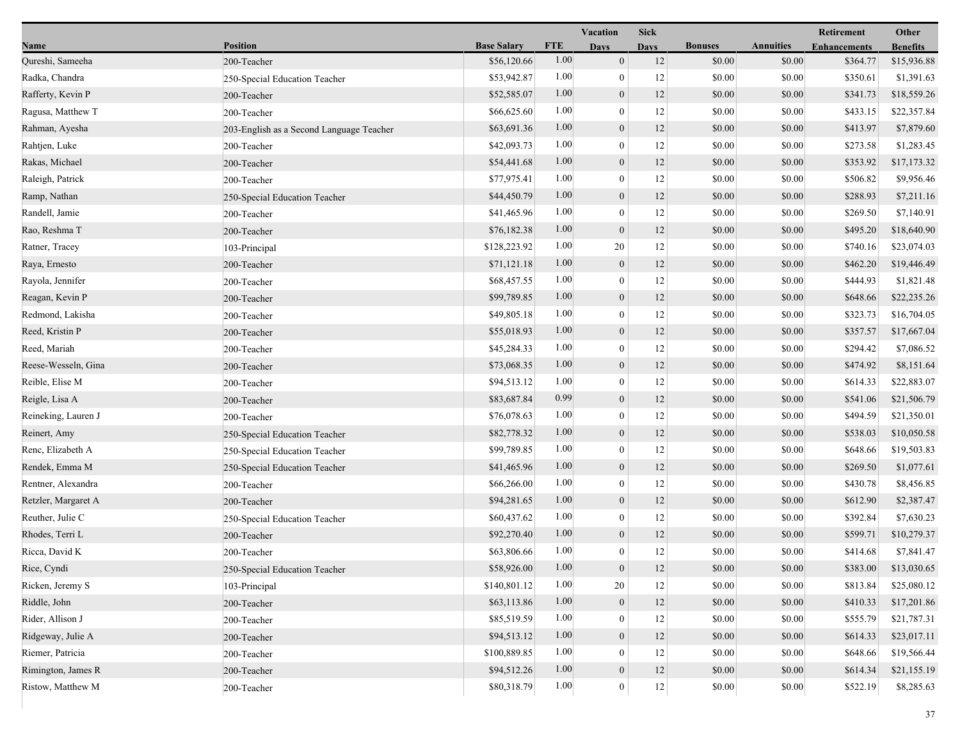|                     |                                          |                    |            | Vacation         | Sick        |                |                  | Retirement          | Other           |
|---------------------|------------------------------------------|--------------------|------------|------------------|-------------|----------------|------------------|---------------------|-----------------|
| Name                | <b>Position</b>                          | <b>Base Salary</b> | <b>FTE</b> | <b>Days</b>      | <b>Davs</b> | <b>Bonuses</b> | <b>Annuities</b> | <b>Enhancements</b> | <b>Benefits</b> |
| Qureshi, Sameeha    | 200-Teacher                              | \$56,120.66        | 1.00       | $\boldsymbol{0}$ | 12          | \$0.00         | \$0.00           | \$364.77            | \$15,936.88     |
| Radka, Chandra      | 250-Special Education Teacher            | \$53,942.87        | 1.00       | $\boldsymbol{0}$ | 12          | \$0.00         | \$0.00           | \$350.61            | \$1,391.63      |
| Rafferty, Kevin P   | 200-Teacher                              | \$52,585.07        | 1.00       | $\boldsymbol{0}$ | 12          | \$0.00         | \$0.00           | \$341.73            | \$18,559.26     |
| Ragusa, Matthew T   | 200-Teacher                              | \$66,625.60        | 1.00       | $\mathbf{0}$     | 12          | \$0.00         | \$0.00           | \$433.15            | \$22,357.84     |
| Rahman, Ayesha      | 203-English as a Second Language Teacher | \$63,691.36        | 1.00       | $\boldsymbol{0}$ | 12          | \$0.00         | \$0.00           | \$413.97            | \$7,879.60      |
| Rahtjen, Luke       | 200-Teacher                              | \$42,093.73        | 1.00       | $\boldsymbol{0}$ | 12          | \$0.00         | \$0.00           | \$273.58            | \$1,283.45      |
| Rakas, Michael      | 200-Teacher                              | \$54,441.68        | 1.00       | $\boldsymbol{0}$ | 12          | \$0.00         | \$0.00           | \$353.92            | \$17,173.32     |
| Raleigh, Patrick    | 200-Teacher                              | \$77,975.41        | 1.00       | $\boldsymbol{0}$ | 12          | \$0.00         | \$0.00           | \$506.82            | \$9,956.46      |
| Ramp, Nathan        | 250-Special Education Teacher            | \$44,450.79        | 1.00       | $\boldsymbol{0}$ | 12          | \$0.00         | \$0.00           | \$288.93            | \$7,211.16      |
| Randell, Jamie      | 200-Teacher                              | \$41,465.96        | 1.00       | $\mathbf{0}$     | 12          | \$0.00         | \$0.00           | \$269.50            | \$7,140.91      |
| Rao, Reshma T       | 200-Teacher                              | \$76,182.38        | 1.00       | $\boldsymbol{0}$ | 12          | \$0.00         | \$0.00           | \$495.20            | \$18,640.90     |
| Ratner, Tracey      | 103-Principal                            | \$128,223.92       | 1.00       | 20               | 12          | \$0.00         | \$0.00           | \$740.16            | \$23,074.03     |
| Raya, Ernesto       | 200-Teacher                              | \$71,121.18        | 1.00       | $\mathbf{0}$     | 12          | \$0.00         | \$0.00           | \$462.20            | \$19,446.49     |
| Rayola, Jennifer    | 200-Teacher                              | \$68,457.55        | 1.00       | $\boldsymbol{0}$ | 12          | \$0.00         | \$0.00           | \$444.93            | \$1,821.48      |
| Reagan, Kevin P     | 200-Teacher                              | \$99,789.85        | 1.00       | $\boldsymbol{0}$ | 12          | \$0.00         | \$0.00           | \$648.66            | \$22,235.26     |
| Redmond, Lakisha    | 200-Teacher                              | \$49,805.18        | 1.00       | $\mathbf{0}$     | 12          | \$0.00         | \$0.00           | \$323.73            | \$16,704.05     |
| Reed, Kristin P     | 200-Teacher                              | \$55,018.93        | 1.00       | $\boldsymbol{0}$ | 12          | \$0.00         | \$0.00           | \$357.57            | \$17,667.04     |
| Reed, Mariah        | 200-Teacher                              | \$45,284.33        | 1.00       | $\boldsymbol{0}$ | 12          | \$0.00         | \$0.00           | \$294.42            | \$7,086.52      |
| Reese-Wesseln, Gina | 200-Teacher                              | \$73,068.35        | 1.00       | $\boldsymbol{0}$ | 12          | \$0.00         | \$0.00           | \$474.92            | \$8,151.64      |
| Reible, Elise M     | 200-Teacher                              | \$94,513.12        | 1.00       | $\boldsymbol{0}$ | 12          | \$0.00         | \$0.00           | \$614.33            | \$22,883.07     |
| Reigle, Lisa A      | 200-Teacher                              | \$83,687.84        | 0.99       | $\boldsymbol{0}$ | 12          | \$0.00         | \$0.00           | \$541.06            | \$21,506.79     |
| Reineking, Lauren J | 200-Teacher                              | \$76,078.63        | 1.00       | $\boldsymbol{0}$ | 12          | \$0.00         | \$0.00           | \$494.59            | \$21,350.01     |
| Reinert, Amy        | 250-Special Education Teacher            | \$82,778.32        | 1.00       | $\boldsymbol{0}$ | 12          | \$0.00         | \$0.00           | \$538.03            | \$10,050.58     |
| Renc, Elizabeth A   | 250-Special Education Teacher            | \$99,789.85        | 1.00       | $\boldsymbol{0}$ | 12          | \$0.00         | \$0.00           | \$648.66            | \$19,503.83     |
| Rendek, Emma M      | 250-Special Education Teacher            | \$41,465.96        | 1.00       | $\boldsymbol{0}$ | 12          | \$0.00         | \$0.00           | \$269.50            | \$1,077.61      |
| Rentner, Alexandra  | 200-Teacher                              | \$66,266.00        | 1.00       | $\boldsymbol{0}$ | 12          | \$0.00         | \$0.00           | \$430.78            | \$8,456.85      |
| Retzler, Margaret A | 200-Teacher                              | \$94,281.65        | 1.00       | $\boldsymbol{0}$ | 12          | \$0.00         | \$0.00           | \$612.90            | \$2,387.47      |
| Reuther, Julie C    | 250-Special Education Teacher            | \$60,437.62        | 1.00       | $\boldsymbol{0}$ | 12          | \$0.00         | \$0.00           | \$392.84            | \$7,630.23      |
| Rhodes, Terri L     | 200-Teacher                              | \$92,270.40        | 1.00       | $\mathbf{0}$     | 12          | \$0.00         | \$0.00           | \$599.71            | \$10,279.37     |
| Ricca, David K      | 200-Teacher                              | \$63,806.66        | 1.00       | $\mathbf{0}$     | 12          | \$0.00         | \$0.00           | \$414.68            | \$7,841.47      |
| Rice, Cyndi         | 250-Special Education Teacher            | \$58,926.00        | $1.00\,$   | $\boldsymbol{0}$ | 12          | \$0.00         | \$0.00           | \$383.00            | \$13,030.65     |
| Ricken, Jeremy S    | 103-Principal                            | \$140,801.12       | 1.00       | 20               | 12          | \$0.00         | \$0.00           | \$813.84            | \$25,080.12     |
| Riddle, John        | 200-Teacher                              | \$63,113.86        | 1.00       | $\boldsymbol{0}$ | 12          | \$0.00         | \$0.00           | \$410.33            | \$17,201.86     |
| Rider, Allison J    | 200-Teacher                              | \$85,519.59        | 1.00       | $\boldsymbol{0}$ | 12          | \$0.00         | \$0.00           | \$555.79            | \$21,787.31     |
| Ridgeway, Julie A   | 200-Teacher                              | \$94,513.12        | 1.00       | $\boldsymbol{0}$ | 12          | \$0.00         | \$0.00           | \$614.33            | \$23,017.11     |
| Riemer, Patricia    | 200-Teacher                              | \$100,889.85       | 1.00       | $\boldsymbol{0}$ | 12          | \$0.00         | \$0.00           | \$648.66            | \$19,566.44     |
| Rimington, James R  | 200-Teacher                              | \$94,512.26        | 1.00       | $\boldsymbol{0}$ | 12          | \$0.00         | \$0.00           | \$614.34            | \$21,155.19     |
| Ristow, Matthew M   | 200-Teacher                              | \$80,318.79        | 1.00       | $\mathbf{0}$     | $12\,$      | \$0.00         | \$0.00           | \$522.19            | \$8,285.63      |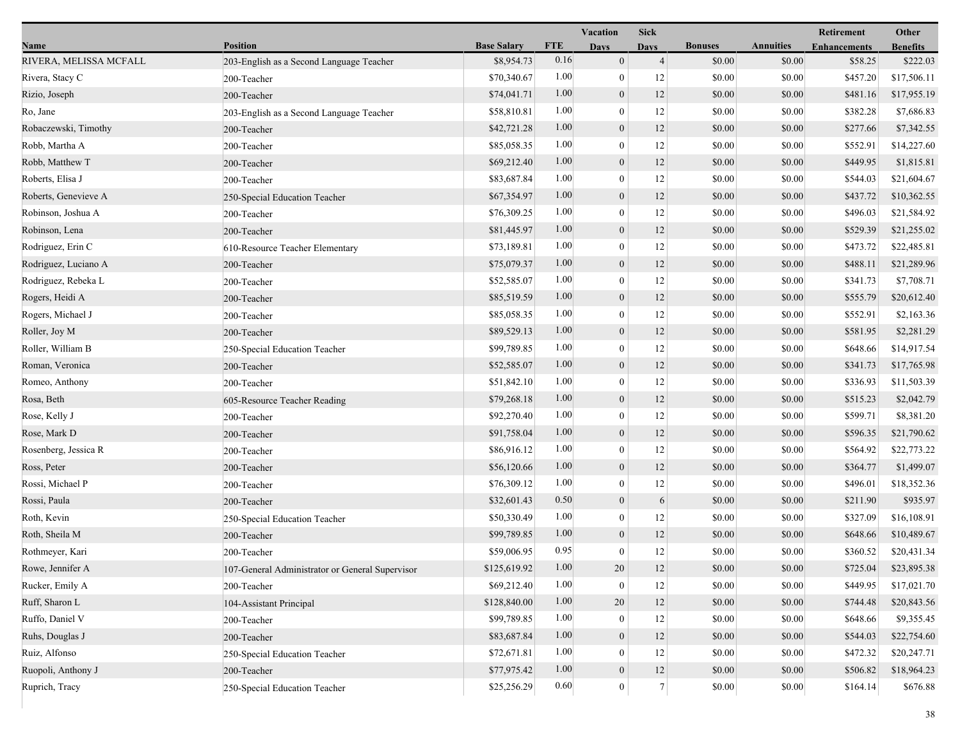|                        |                                                 |                    |            | Vacation         | <b>Sick</b>    |                |                  | Retirement          | Other           |
|------------------------|-------------------------------------------------|--------------------|------------|------------------|----------------|----------------|------------------|---------------------|-----------------|
| Name                   | Position                                        | <b>Base Salary</b> | <b>FTE</b> | <b>Days</b>      | <b>Davs</b>    | <b>Bonuses</b> | <b>Annuities</b> | <b>Enhancements</b> | <b>Benefits</b> |
| RIVERA, MELISSA MCFALL | 203-English as a Second Language Teacher        | \$8,954.73         | 0.16       | $\boldsymbol{0}$ | $\overline{4}$ | \$0.00         | \$0.00           | \$58.25             | \$222.03        |
| Rivera, Stacy C        | 200-Teacher                                     | \$70,340.67        | 1.00       | $\boldsymbol{0}$ | 12             | \$0.00         | \$0.00           | \$457.20            | \$17,506.11     |
| Rizio, Joseph          | 200-Teacher                                     | \$74,041.71        | 1.00       | $\boldsymbol{0}$ | 12             | \$0.00         | \$0.00           | \$481.16            | \$17,955.19     |
| Ro, Jane               | 203-English as a Second Language Teacher        | \$58,810.81        | 1.00       | $\mathbf{0}$     | 12             | \$0.00         | \$0.00           | \$382.28            | \$7,686.83      |
| Robaczewski, Timothy   | 200-Teacher                                     | \$42,721.28        | 1.00       | $\boldsymbol{0}$ | 12             | \$0.00         | \$0.00           | \$277.66            | \$7,342.55      |
| Robb, Martha A         | 200-Teacher                                     | \$85,058.35        | 1.00       | $\boldsymbol{0}$ | 12             | \$0.00         | \$0.00           | \$552.91            | \$14,227.60     |
| Robb, Matthew T        | 200-Teacher                                     | \$69,212.40        | 1.00       | $\boldsymbol{0}$ | 12             | \$0.00         | \$0.00           | \$449.95            | \$1,815.81      |
| Roberts, Elisa J       | 200-Teacher                                     | \$83,687.84        | 1.00       | $\mathbf{0}$     | 12             | \$0.00         | \$0.00           | \$544.03            | \$21,604.67     |
| Roberts, Genevieve A   | 250-Special Education Teacher                   | \$67,354.97        | 1.00       | $\boldsymbol{0}$ | 12             | \$0.00         | \$0.00           | \$437.72            | \$10,362.55     |
| Robinson, Joshua A     | 200-Teacher                                     | \$76,309.25        | 1.00       | $\mathbf{0}$     | 12             | \$0.00         | \$0.00           | \$496.03            | \$21,584.92     |
| Robinson, Lena         | 200-Teacher                                     | \$81,445.97        | 1.00       | $\boldsymbol{0}$ | 12             | \$0.00         | \$0.00           | \$529.39            | \$21,255.02     |
| Rodriguez, Erin C      | 610-Resource Teacher Elementary                 | \$73,189.81        | 1.00       | $\boldsymbol{0}$ | 12             | \$0.00         | \$0.00           | \$473.72            | \$22,485.81     |
| Rodriguez, Luciano A   | 200-Teacher                                     | \$75,079.37        | 1.00       | $\boldsymbol{0}$ | 12             | \$0.00         | \$0.00           | \$488.11            | \$21,289.96     |
| Rodriguez, Rebeka L    | 200-Teacher                                     | \$52,585.07        | 1.00       | $\mathbf{0}$     | 12             | \$0.00         | \$0.00           | \$341.73            | \$7,708.71      |
| Rogers, Heidi A        | 200-Teacher                                     | \$85,519.59        | 1.00       | $\boldsymbol{0}$ | 12             | \$0.00         | \$0.00           | \$555.79            | \$20,612.40     |
| Rogers, Michael J      | 200-Teacher                                     | \$85,058.35        | 1.00       | $\mathbf{0}$     | 12             | \$0.00         | \$0.00           | \$552.91            | \$2,163.36      |
| Roller, Joy M          | 200-Teacher                                     | \$89,529.13        | 1.00       | $\boldsymbol{0}$ | 12             | \$0.00         | \$0.00           | \$581.95            | \$2,281.29      |
| Roller, William B      | 250-Special Education Teacher                   | \$99,789.85        | 1.00       | $\boldsymbol{0}$ | 12             | \$0.00         | \$0.00           | \$648.66            | \$14,917.54     |
| Roman, Veronica        | 200-Teacher                                     | \$52,585.07        | 1.00       | $\boldsymbol{0}$ | 12             | \$0.00         | \$0.00           | \$341.73            | \$17,765.98     |
| Romeo, Anthony         | 200-Teacher                                     | \$51,842.10        | 1.00       | $\boldsymbol{0}$ | 12             | \$0.00         | \$0.00           | \$336.93            | \$11,503.39     |
| Rosa, Beth             | 605-Resource Teacher Reading                    | \$79,268.18        | 1.00       | $\boldsymbol{0}$ | 12             | \$0.00         | \$0.00           | \$515.23            | \$2,042.79      |
| Rose, Kelly J          | 200-Teacher                                     | \$92,270.40        | 1.00       | $\boldsymbol{0}$ | 12             | \$0.00         | \$0.00           | \$599.71            | \$8,381.20      |
| Rose, Mark D           | 200-Teacher                                     | \$91,758.04        | 1.00       | $\boldsymbol{0}$ | 12             | \$0.00         | \$0.00           | \$596.35            | \$21,790.62     |
| Rosenberg, Jessica R   | 200-Teacher                                     | \$86,916.12        | 1.00       | $\boldsymbol{0}$ | 12             | \$0.00         | \$0.00           | \$564.92            | \$22,773.22     |
| Ross, Peter            | 200-Teacher                                     | \$56,120.66        | 1.00       | $\boldsymbol{0}$ | 12             | \$0.00         | \$0.00           | \$364.77            | \$1,499.07      |
| Rossi, Michael P       | 200-Teacher                                     | \$76,309.12        | 1.00       | $\boldsymbol{0}$ | 12             | \$0.00         | \$0.00           | \$496.01            | \$18,352.36     |
| Rossi, Paula           | 200-Teacher                                     | \$32,601.43        | 0.50       | $\boldsymbol{0}$ | 6              | \$0.00         | \$0.00           | \$211.90            | \$935.97        |
| Roth, Kevin            | 250-Special Education Teacher                   | \$50,330.49        | 1.00       | $\boldsymbol{0}$ | 12             | \$0.00         | \$0.00           | \$327.09            | \$16,108.91     |
| Roth, Sheila M         | 200-Teacher                                     | \$99,789.85        | 1.00       | $\boldsymbol{0}$ | 12             | \$0.00         | \$0.00           | \$648.66            | \$10,489.67     |
| Rothmeyer, Kari        | 200-Teacher                                     | \$59,006.95        | 0.95       | $\mathbf{0}$     | 12             | \$0.00         | \$0.00           | \$360.52            | \$20,431.34     |
| Rowe, Jennifer A       | 107-General Administrator or General Supervisor | \$125,619.92       | 1.00       | 20               | 12             | \$0.00         | \$0.00           | \$725.04            | \$23,895.38     |
| Rucker, Emily A        | 200-Teacher                                     | \$69,212.40        | 1.00       | $\boldsymbol{0}$ | 12             | \$0.00         | \$0.00           | \$449.95            | \$17,021.70     |
| Ruff, Sharon L         | 104-Assistant Principal                         | \$128,840.00       | 1.00       | 20               | 12             | \$0.00         | \$0.00           | \$744.48            | \$20,843.56     |
| Ruffo, Daniel V        | 200-Teacher                                     | \$99,789.85        | 1.00       | $\bf{0}$         | 12             | \$0.00         | \$0.00           | \$648.66            | \$9,355.45      |
| Ruhs, Douglas J        | 200-Teacher                                     | \$83,687.84        | 1.00       | $\boldsymbol{0}$ | 12             | \$0.00         | \$0.00           | \$544.03            | \$22,754.60     |
| Ruiz, Alfonso          | 250-Special Education Teacher                   | \$72,671.81        | 1.00       | $\mathbf{0}$     | 12             | \$0.00         | \$0.00           | \$472.32            | \$20,247.71     |
| Ruopoli, Anthony J     | 200-Teacher                                     | \$77,975.42        | 1.00       | $\boldsymbol{0}$ | 12             | \$0.00         | \$0.00           | \$506.82            | \$18,964.23     |
| Ruprich, Tracy         | 250-Special Education Teacher                   | \$25,256.29        | 0.60       | $\mathbf{0}$     | $7\vert$       | \$0.00         | \$0.00           | \$164.14            | \$676.88        |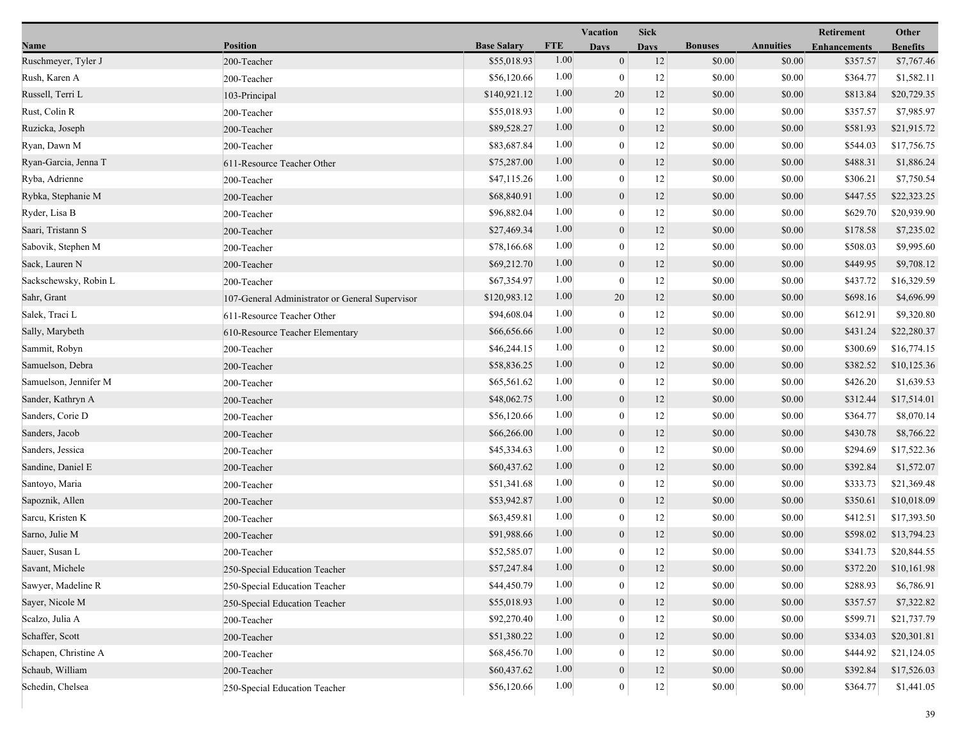|                       |                                                 |                    |            | Vacation         | <b>Sick</b> |                |                  | Retirement          | Other           |
|-----------------------|-------------------------------------------------|--------------------|------------|------------------|-------------|----------------|------------------|---------------------|-----------------|
| Name                  | <b>Position</b>                                 | <b>Base Salary</b> | <b>FTE</b> | <b>Days</b>      | <b>Days</b> | <b>Bonuses</b> | <b>Annuities</b> | <b>Enhancements</b> | <b>Benefits</b> |
| Ruschmeyer, Tyler J   | 200-Teacher                                     | \$55,018.93        | 1.00       | $\mathbf{0}$     | 12          | \$0.00         | \$0.00           | \$357.57            | \$7,767.46      |
| Rush, Karen A         | 200-Teacher                                     | \$56,120.66        | 1.00       | $\mathbf{0}$     | 12          | \$0.00         | \$0.00           | \$364.77            | \$1,582.11      |
| Russell, Terri L      | 103-Principal                                   | \$140,921.12       | 1.00       | 20               | 12          | \$0.00         | \$0.00           | \$813.84            | \$20,729.35     |
| Rust, Colin R         | 200-Teacher                                     | \$55,018.93        | 1.00       | $\mathbf{0}$     | 12          | \$0.00         | \$0.00           | \$357.57            | \$7,985.97      |
| Ruzicka, Joseph       | 200-Teacher                                     | \$89,528.27        | 1.00       | $\mathbf{0}$     | 12          | \$0.00         | \$0.00           | \$581.93            | \$21,915.72     |
| Ryan, Dawn M          | 200-Teacher                                     | \$83,687.84        | 1.00       | $\mathbf{0}$     | 12          | \$0.00         | \$0.00           | \$544.03            | \$17,756.75     |
| Ryan-Garcia, Jenna T  | 611-Resource Teacher Other                      | \$75,287.00        | 1.00       | $\mathbf{0}$     | 12          | \$0.00         | \$0.00           | \$488.31            | \$1,886.24      |
| Ryba, Adrienne        | 200-Teacher                                     | \$47,115.26        | 1.00       | $\bf{0}$         | 12          | \$0.00         | \$0.00           | \$306.21            | \$7,750.54      |
| Rybka, Stephanie M    | 200-Teacher                                     | \$68,840.91        | 1.00       | $\boldsymbol{0}$ | 12          | \$0.00         | \$0.00           | \$447.55            | \$22,323.25     |
| Ryder, Lisa B         | 200-Teacher                                     | \$96,882.04        | 1.00       | $\boldsymbol{0}$ | 12          | \$0.00         | \$0.00           | \$629.70            | \$20,939.90     |
| Saari, Tristann S     | 200-Teacher                                     | \$27,469.34        | 1.00       | $\mathbf{0}$     | 12          | \$0.00         | \$0.00           | \$178.58            | \$7,235.02      |
| Sabovik, Stephen M    | 200-Teacher                                     | \$78,166.68        | 1.00       | $\mathbf{0}$     | 12          | \$0.00         | \$0.00           | \$508.03            | \$9,995.60      |
| Sack, Lauren N        | 200-Teacher                                     | \$69,212.70        | 1.00       | $\mathbf{0}$     | 12          | \$0.00         | \$0.00           | \$449.95            | \$9,708.12      |
| Sackschewsky, Robin L | 200-Teacher                                     | \$67,354.97        | 1.00       | $\mathbf{0}$     | 12          | \$0.00         | \$0.00           | \$437.72            | \$16,329.59     |
| Sahr, Grant           | 107-General Administrator or General Supervisor | \$120,983.12       | 1.00       | $20\,$           | 12          | \$0.00         | \$0.00           | \$698.16            | \$4,696.99      |
| Salek, Traci L        | 611-Resource Teacher Other                      | \$94,608.04        | 1.00       | $\mathbf{0}$     | 12          | \$0.00         | \$0.00           | \$612.91            | \$9,320.80      |
| Sally, Marybeth       | 610-Resource Teacher Elementary                 | \$66,656.66        | 1.00       | $\boldsymbol{0}$ | 12          | \$0.00         | \$0.00           | \$431.24            | \$22,280.37     |
| Sammit, Robyn         | 200-Teacher                                     | \$46,244.15        | 1.00       | $\bf{0}$         | 12          | \$0.00         | \$0.00           | \$300.69            | \$16,774.15     |
| Samuelson, Debra      | 200-Teacher                                     | \$58,836.25        | 1.00       | $\mathbf{0}$     | 12          | \$0.00         | \$0.00           | \$382.52            | \$10,125.36     |
| Samuelson, Jennifer M | 200-Teacher                                     | \$65,561.62        | 1.00       | $\mathbf{0}$     | 12          | \$0.00         | \$0.00           | \$426.20            | \$1,639.53      |
| Sander, Kathryn A     | 200-Teacher                                     | \$48,062.75        | 1.00       | $\boldsymbol{0}$ | 12          | \$0.00         | \$0.00           | \$312.44            | \$17,514.01     |
| Sanders, Corie D      | 200-Teacher                                     | \$56,120.66        | 1.00       | $\mathbf{0}$     | 12          | \$0.00         | \$0.00           | \$364.77            | \$8,070.14      |
| Sanders, Jacob        | 200-Teacher                                     | \$66,266.00        | 1.00       | $\boldsymbol{0}$ | 12          | \$0.00         | \$0.00           | \$430.78            | \$8,766.22      |
| Sanders, Jessica      | 200-Teacher                                     | \$45,334.63        | 1.00       | $\mathbf{0}$     | 12          | \$0.00         | \$0.00           | \$294.69            | \$17,522.36     |
| Sandine, Daniel E     | 200-Teacher                                     | \$60,437.62        | 1.00       | $\mathbf{0}$     | 12          | \$0.00         | \$0.00           | \$392.84            | \$1,572.07      |
| Santoyo, Maria        | 200-Teacher                                     | \$51,341.68        | 1.00       | $\mathbf{0}$     | 12          | \$0.00         | \$0.00           | \$333.73            | \$21,369.48     |
| Sapoznik, Allen       | 200-Teacher                                     | \$53,942.87        | 1.00       | $\mathbf{0}$     | 12          | \$0.00         | \$0.00           | \$350.61            | \$10,018.09     |
| Sarcu, Kristen K      | 200-Teacher                                     | \$63,459.81        | 1.00       | $\boldsymbol{0}$ | 12          | \$0.00         | \$0.00           | \$412.51            | \$17,393.50     |
| Sarno, Julie M        | 200-Teacher                                     | \$91,988.66        | 1.00       | $\mathbf{0}$     | 12          | \$0.00         | \$0.00           | \$598.02            | \$13,794.23     |
| Sauer, Susan L        | 200-Teacher                                     | \$52,585.07        | 1.00       | $\mathbf{0}$     | 12          | \$0.00         | \$0.00           | \$341.73            | \$20,844.55     |
| Savant, Michele       | 250-Special Education Teacher                   | \$57,247.84        | $1.00\,$   | $\boldsymbol{0}$ | 12          | \$0.00         | \$0.00           | \$372.20            | \$10,161.98     |
| Sawyer, Madeline R    | 250-Special Education Teacher                   | \$44,450.79        | 1.00       | $\boldsymbol{0}$ | 12          | \$0.00         | \$0.00           | \$288.93            | \$6,786.91      |
| Sayer, Nicole M       | 250-Special Education Teacher                   | \$55,018.93        | 1.00       | $\mathbf{0}$     | 12          | \$0.00         | \$0.00           | \$357.57            | \$7,322.82      |
| Scalzo, Julia A       | 200-Teacher                                     | \$92,270.40        | 1.00       | $\boldsymbol{0}$ | 12          | \$0.00         | \$0.00           | \$599.71            | \$21,737.79     |
| Schaffer, Scott       | 200-Teacher                                     | \$51,380.22        | 1.00       | $\overline{0}$   | 12          | \$0.00         | \$0.00           | \$334.03            | \$20,301.81     |
| Schapen, Christine A  | 200-Teacher                                     | \$68,456.70        | 1.00       | $\boldsymbol{0}$ | 12          | \$0.00         | \$0.00           | \$444.92            | \$21,124.05     |
| Schaub, William       | 200-Teacher                                     | \$60,437.62        | 1.00       | $\boldsymbol{0}$ | 12          | \$0.00         | \$0.00           | \$392.84            | \$17,526.03     |
| Schedin, Chelsea      | 250-Special Education Teacher                   | \$56,120.66        | 1.00       | $\boldsymbol{0}$ | $12\,$      | \$0.00         | \$0.00           | \$364.77            | \$1,441.05      |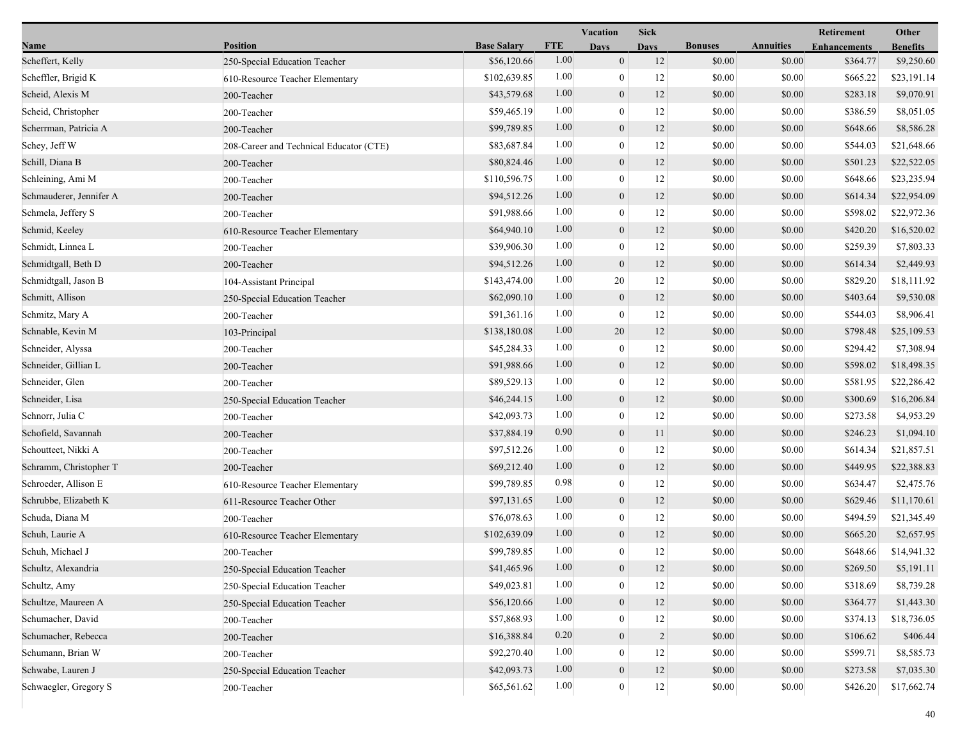|                         |                                         |                    |            | Vacation<br><b>Sick</b> |                |                |                  | <b>Retirement</b>   | Other           |  |
|-------------------------|-----------------------------------------|--------------------|------------|-------------------------|----------------|----------------|------------------|---------------------|-----------------|--|
| Name                    | <b>Position</b>                         | <b>Base Salary</b> | <b>FTE</b> | <b>Days</b>             | <b>Days</b>    | <b>Bonuses</b> | <b>Annuities</b> | <b>Enhancements</b> | <b>Benefits</b> |  |
| Scheffert, Kelly        | 250-Special Education Teacher           | \$56,120.66        | 1.00       | $\overline{0}$          | 12             | \$0.00         | \$0.00           | \$364.77            | \$9,250.60      |  |
| Scheffler, Brigid K     | 610-Resource Teacher Elementary         | \$102,639.85       | 1.00       | $\bf{0}$                | 12             | \$0.00         | \$0.00           | \$665.22            | \$23,191.14     |  |
| Scheid, Alexis M        | 200-Teacher                             | \$43,579.68        | 1.00       | $\boldsymbol{0}$        | 12             | \$0.00         | \$0.00           | \$283.18            | \$9,070.91      |  |
| Scheid, Christopher     | 200-Teacher                             | \$59,465.19        | 1.00       | $\overline{0}$          | 12             | \$0.00         | \$0.00           | \$386.59            | \$8,051.05      |  |
| Scherrman, Patricia A   | 200-Teacher                             | \$99,789.85        | 1.00       | $\boldsymbol{0}$        | 12             | \$0.00         | \$0.00           | \$648.66            | \$8,586.28      |  |
| Schey, Jeff W           | 208-Career and Technical Educator (CTE) | \$83,687.84        | 1.00       | $\boldsymbol{0}$        | 12             | \$0.00         | \$0.00           | \$544.03            | \$21,648.66     |  |
| Schill, Diana B         | 200-Teacher                             | \$80,824.46        | 1.00       | $\overline{0}$          | 12             | \$0.00         | \$0.00           | \$501.23            | \$22,522.05     |  |
| Schleining, Ami M       | 200-Teacher                             | \$110,596.75       | 1.00       | $\bf{0}$                | 12             | \$0.00         | \$0.00           | \$648.66            | \$23,235.94     |  |
| Schmauderer, Jennifer A | 200-Teacher                             | \$94,512.26        | 1.00       | $\boldsymbol{0}$        | 12             | \$0.00         | \$0.00           | \$614.34            | \$22,954.09     |  |
| Schmela, Jeffery S      | 200-Teacher                             | \$91,988.66        | 1.00       | $\overline{0}$          | 12             | \$0.00         | \$0.00           | \$598.02            | \$22,972.36     |  |
| Schmid, Keeley          | 610-Resource Teacher Elementary         | \$64,940.10        | 1.00       | $\overline{0}$          | 12             | \$0.00         | \$0.00           | \$420.20            | \$16,520.02     |  |
| Schmidt, Linnea L       | 200-Teacher                             | \$39,906.30        | 1.00       | $\boldsymbol{0}$        | 12             | \$0.00         | \$0.00           | \$259.39            | \$7,803.33      |  |
| Schmidtgall, Beth D     | 200-Teacher                             | \$94,512.26        | 1.00       | $\mathbf{0}$            | 12             | \$0.00         | \$0.00           | \$614.34            | \$2,449.93      |  |
| Schmidtgall, Jason B    | 104-Assistant Principal                 | \$143,474.00       | 1.00       | 20                      | 12             | \$0.00         | \$0.00           | \$829.20            | \$18,111.92     |  |
| Schmitt, Allison        | 250-Special Education Teacher           | \$62,090.10        | 1.00       | $\mathbf{0}$            | 12             | \$0.00         | \$0.00           | \$403.64            | \$9,530.08      |  |
| Schmitz, Mary A         | 200-Teacher                             | \$91,361.16        | 1.00       | $\overline{0}$          | 12             | \$0.00         | \$0.00           | \$544.03            | \$8,906.41      |  |
| Schnable, Kevin M       | 103-Principal                           | \$138,180.08       | 1.00       | 20                      | 12             | \$0.00         | \$0.00           | \$798.48            | \$25,109.53     |  |
| Schneider, Alyssa       | 200-Teacher                             | \$45,284.33        | 1.00       | $\boldsymbol{0}$        | 12             | \$0.00         | \$0.00           | \$294.42            | \$7,308.94      |  |
| Schneider, Gillian L    | 200-Teacher                             | \$91,988.66        | 1.00       | $\mathbf{0}$            | 12             | \$0.00         | \$0.00           | \$598.02            | \$18,498.35     |  |
| Schneider, Glen         | 200-Teacher                             | \$89,529.13        | 1.00       | $\theta$                | 12             | \$0.00         | \$0.00           | \$581.95            | \$22,286.42     |  |
| Schneider, Lisa         | 250-Special Education Teacher           | \$46,244.15        | 1.00       | $\boldsymbol{0}$        | 12             | \$0.00         | \$0.00           | \$300.69            | \$16,206.84     |  |
| Schnorr, Julia C        | 200-Teacher                             | \$42,093.73        | 1.00       | $\overline{0}$          | 12             | \$0.00         | \$0.00           | \$273.58            | \$4,953.29      |  |
| Schofield, Savannah     | 200-Teacher                             | \$37,884.19        | 0.90       | $\overline{0}$          | 11             | \$0.00         | \$0.00           | \$246.23            | \$1,094.10      |  |
| Schoutteet, Nikki A     | 200-Teacher                             | \$97,512.26        | 1.00       | $\boldsymbol{0}$        | 12             | \$0.00         | \$0.00           | \$614.34            | \$21,857.51     |  |
| Schramm, Christopher T  | 200-Teacher                             | \$69,212.40        | 1.00       | $\mathbf{0}$            | 12             | \$0.00         | \$0.00           | \$449.95            | \$22,388.83     |  |
| Schroeder, Allison E    | 610-Resource Teacher Elementary         | \$99,789.85        | 0.98       | $\theta$                | 12             | \$0.00         | \$0.00           | \$634.47            | \$2,475.76      |  |
| Schrubbe, Elizabeth K   | 611-Resource Teacher Other              | \$97,131.65        | 1.00       | $\boldsymbol{0}$        | 12             | \$0.00         | \$0.00           | \$629.46            | \$11,170.61     |  |
| Schuda, Diana M         | 200-Teacher                             | \$76,078.63        | 1.00       | $\bf{0}$                | 12             | \$0.00         | \$0.00           | \$494.59            | \$21,345.49     |  |
| Schuh, Laurie A         | 610-Resource Teacher Elementary         | \$102,639.09       | 1.00       | $\overline{0}$          | 12             | \$0.00         | \$0.00           | \$665.20            | \$2,657.95      |  |
| Schuh, Michael J        | 200-Teacher                             | \$99,789.85        | 1.00       | $\overline{0}$          | 12             | \$0.00         | \$0.00           | \$648.66            | \$14,941.32     |  |
| Schultz, Alexandria     | 250-Special Education Teacher           | \$41,465.96        | $1.00\,$   | $\mathbf{0}$            | 12             | \$0.00         | $\$0.00$         | \$269.50            | \$5,191.11      |  |
| Schultz, Amy            | 250-Special Education Teacher           | \$49,023.81        | 1.00       | $\theta$                | 12             | \$0.00         | \$0.00           | \$318.69            | \$8,739.28      |  |
| Schultze, Maureen A     | 250-Special Education Teacher           | \$56,120.66        | 1.00       | $\boldsymbol{0}$        | 12             | \$0.00         | \$0.00           | \$364.77            | \$1,443.30      |  |
| Schumacher, David       | 200-Teacher                             | \$57,868.93        | 1.00       | $\theta$                | 12             | \$0.00         | \$0.00           | \$374.13            | \$18,736.05     |  |
| Schumacher, Rebecca     | 200-Teacher                             | \$16,388.84        | 0.20       | $\mathbf{0}$            | $\overline{c}$ | \$0.00         | \$0.00           | \$106.62            | \$406.44        |  |
| Schumann, Brian W       | 200-Teacher                             | \$92,270.40        | 1.00       | $\theta$                | 12             | \$0.00         | \$0.00           | \$599.71            | \$8,585.73      |  |
| Schwabe, Lauren J       | 250-Special Education Teacher           | \$42,093.73        | 1.00       | $\boldsymbol{0}$        | 12             | \$0.00         | \$0.00           | \$273.58            | \$7,035.30      |  |
| Schwaegler, Gregory S   | 200-Teacher                             | \$65,561.62        | 1.00       | $\mathbf{0}$            | $12\,$         | \$0.00         | \$0.00           | \$426.20            | \$17,662.74     |  |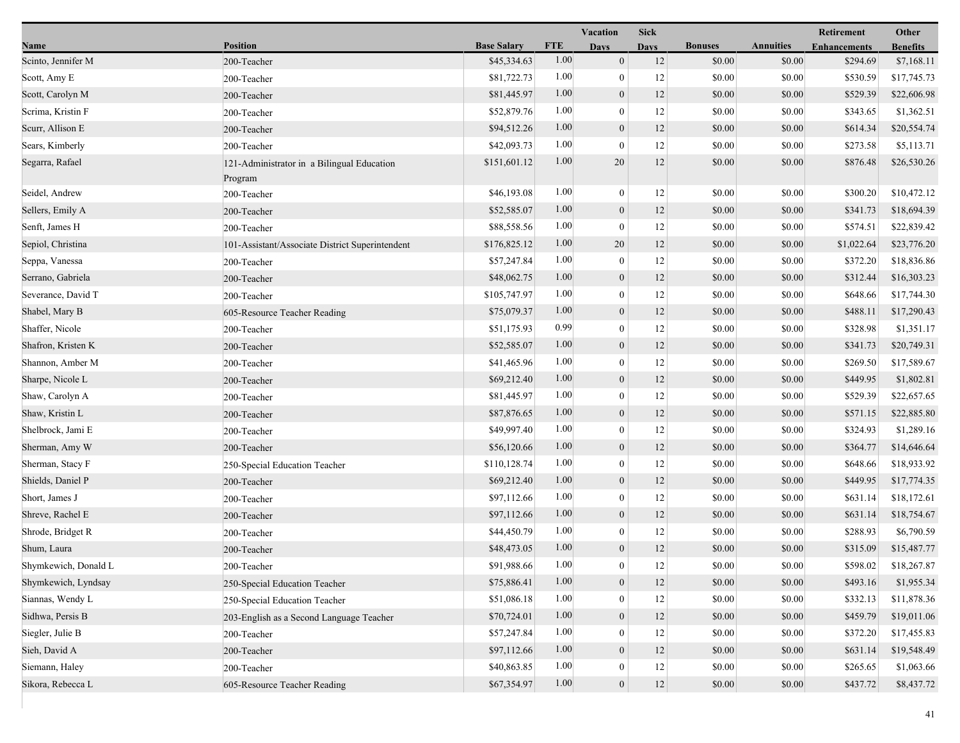|                      |                                                       |                    |            | Vacation         | <b>Sick</b> |                |                  | Retirement          | Other           |
|----------------------|-------------------------------------------------------|--------------------|------------|------------------|-------------|----------------|------------------|---------------------|-----------------|
| Name                 | <b>Position</b>                                       | <b>Base Salary</b> | <b>FTE</b> | <b>Days</b>      | <b>Days</b> | <b>Bonuses</b> | <b>Annuities</b> | <b>Enhancements</b> | <b>Benefits</b> |
| Scinto, Jennifer M   | 200-Teacher                                           | \$45,334.63        | 1.00       | $\mathbf{0}$     | 12          | \$0.00         | \$0.00           | \$294.69            | \$7,168.11      |
| Scott, Amy E         | 200-Teacher                                           | \$81,722.73        | 1.00       | $\overline{0}$   | 12          | \$0.00         | \$0.00           | \$530.59            | \$17,745.73     |
| Scott, Carolyn M     | 200-Teacher                                           | \$81,445.97        | 1.00       | $\mathbf{0}$     | 12          | \$0.00         | \$0.00           | \$529.39            | \$22,606.98     |
| Scrima, Kristin F    | 200-Teacher                                           | \$52,879.76        | 1.00       | $\overline{0}$   | 12          | \$0.00         | \$0.00           | \$343.65            | \$1,362.51      |
| Scurr, Allison E     | 200-Teacher                                           | \$94,512.26        | 1.00       | $\boldsymbol{0}$ | 12          | \$0.00         | \$0.00           | \$614.34            | \$20,554.74     |
| Sears, Kimberly      | 200-Teacher                                           | \$42,093.73        | 1.00       | $\boldsymbol{0}$ | 12          | \$0.00         | \$0.00           | \$273.58            | \$5,113.71      |
| Segarra, Rafael      | 121-Administrator in a Bilingual Education<br>Program | \$151,601.12       | 1.00       | 20               | 12          | \$0.00         | \$0.00           | \$876.48            | \$26,530.26     |
| Seidel, Andrew       | 200-Teacher                                           | \$46,193.08        | 1.00       | $\boldsymbol{0}$ | 12          | \$0.00         | \$0.00           | \$300.20            | \$10,472.12     |
| Sellers, Emily A     | 200-Teacher                                           | \$52,585.07        | 1.00       | $\mathbf{0}$     | 12          | \$0.00         | \$0.00           | \$341.73            | \$18,694.39     |
| Senft, James H       | 200-Teacher                                           | \$88,558.56        | 1.00       | $\overline{0}$   | 12          | \$0.00         | \$0.00           | \$574.51            | \$22,839.42     |
| Sepiol, Christina    | 101-Assistant/Associate District Superintendent       | \$176,825.12       | 1.00       | 20               | 12          | \$0.00         | \$0.00           | \$1,022.64          | \$23,776.20     |
| Seppa, Vanessa       | 200-Teacher                                           | \$57,247.84        | 1.00       | $\boldsymbol{0}$ | 12          | \$0.00         | \$0.00           | \$372.20            | \$18,836.86     |
| Serrano, Gabriela    | 200-Teacher                                           | \$48,062.75        | 1.00       | $\theta$         | 12          | \$0.00         | \$0.00           | \$312.44            | \$16,303.23     |
| Severance, David T   | 200-Teacher                                           | \$105,747.97       | 1.00       | $\mathbf{0}$     | 12          | \$0.00         | \$0.00           | \$648.66            | \$17,744.30     |
| Shabel, Mary B       | 605-Resource Teacher Reading                          | \$75,079.37        | 1.00       | $\mathbf{0}$     | 12          | \$0.00         | \$0.00           | \$488.11            | \$17,290.43     |
| Shaffer, Nicole      | 200-Teacher                                           | \$51,175.93        | 0.99       | $\overline{0}$   | 12          | \$0.00         | \$0.00           | \$328.98            | \$1,351.17      |
| Shafron, Kristen K   | 200-Teacher                                           | \$52,585.07        | 1.00       | $\mathbf{0}$     | 12          | \$0.00         | \$0.00           | \$341.73            | \$20,749.31     |
| Shannon, Amber M     | 200-Teacher                                           | \$41,465.96        | 1.00       | $\boldsymbol{0}$ | 12          | \$0.00         | \$0.00           | \$269.50            | \$17,589.67     |
| Sharpe, Nicole L     | 200-Teacher                                           | \$69,212.40        | 1.00       | $\mathbf{0}$     | 12          | \$0.00         | \$0.00           | \$449.95            | \$1,802.81      |
| Shaw, Carolyn A      | 200-Teacher                                           | \$81,445.97        | 1.00       | $\mathbf{0}$     | 12          | \$0.00         | \$0.00           | \$529.39            | \$22,657.65     |
| Shaw, Kristin L      | 200-Teacher                                           | \$87,876.65        | 1.00       | $\boldsymbol{0}$ | 12          | \$0.00         | \$0.00           | \$571.15            | \$22,885.80     |
| Shelbrock, Jami E    | 200-Teacher                                           | \$49,997.40        | 1.00       | $\boldsymbol{0}$ | 12          | \$0.00         | \$0.00           | \$324.93            | \$1,289.16      |
| Sherman, Amy W       | 200-Teacher                                           | \$56,120.66        | 1.00       | $\mathbf{0}$     | 12          | \$0.00         | \$0.00           | \$364.77            | \$14,646.64     |
| Sherman, Stacy F     | 250-Special Education Teacher                         | \$110,128.74       | 1.00       | $\boldsymbol{0}$ | 12          | \$0.00         | \$0.00           | \$648.66            | \$18,933.92     |
| Shields, Daniel P    | 200-Teacher                                           | \$69,212.40        | 1.00       | $\overline{0}$   | 12          | \$0.00         | \$0.00           | \$449.95            | \$17,774.35     |
| Short, James J       | 200-Teacher                                           | \$97,112.66        | 1.00       | $\overline{0}$   | 12          | \$0.00         | \$0.00           | \$631.14            | \$18,172.61     |
| Shreve, Rachel E     | 200-Teacher                                           | \$97,112.66        | 1.00       | $\boldsymbol{0}$ | 12          | \$0.00         | \$0.00           | \$631.14            | \$18,754.67     |
| Shrode, Bridget R    | 200-Teacher                                           | \$44,450.79        | 1.00       | $\bf{0}$         | 12          | \$0.00         | \$0.00           | \$288.93            | \$6,790.59      |
| Shum, Laura          | 200-Teacher                                           | \$48,473.05        | 1.00       | $\boldsymbol{0}$ | 12          | \$0.00         | \$0.00           | \$315.09            | \$15,487.77     |
| Shymkewich, Donald L | 200-Teacher                                           | \$91,988.66        | 1.00       | $\bf{0}$         | 12          | \$0.00         | \$0.00           | \$598.02            | \$18,267.87     |
| Shymkewich, Lyndsay  | 250-Special Education Teacher                         | \$75,886.41        | 1.00       | $\boldsymbol{0}$ | 12          | \$0.00         | \$0.00           | \$493.16            | \$1,955.34      |
| Siannas, Wendy L     | 250-Special Education Teacher                         | \$51,086.18        | 1.00       | $\theta$         | 12          | \$0.00         | \$0.00           | \$332.13            | \$11,878.36     |
| Sidhwa, Persis B     | 203-English as a Second Language Teacher              | \$70,724.01        | 1.00       | $\overline{0}$   | 12          | \$0.00         | \$0.00           | \$459.79            | \$19,011.06     |
| Siegler, Julie B     | 200-Teacher                                           | \$57,247.84        | 1.00       | $\theta$         | 12          | \$0.00         | \$0.00           | \$372.20            | \$17,455.83     |
| Sieh, David A        | 200-Teacher                                           | \$97,112.66        | 1.00       | $\mathbf{0}$     | 12          | \$0.00         | \$0.00           | \$631.14            | \$19,548.49     |
| Siemann, Haley       | 200-Teacher                                           | \$40,863.85        | 1.00       | 0                | 12          | \$0.00         | \$0.00           | \$265.65            | \$1,063.66      |
| Sikora, Rebecca L    | 605-Resource Teacher Reading                          | \$67,354.97        | 1.00       | $\mathbf{0}$     | 12          | \$0.00         | \$0.00           | \$437.72            | \$8,437.72      |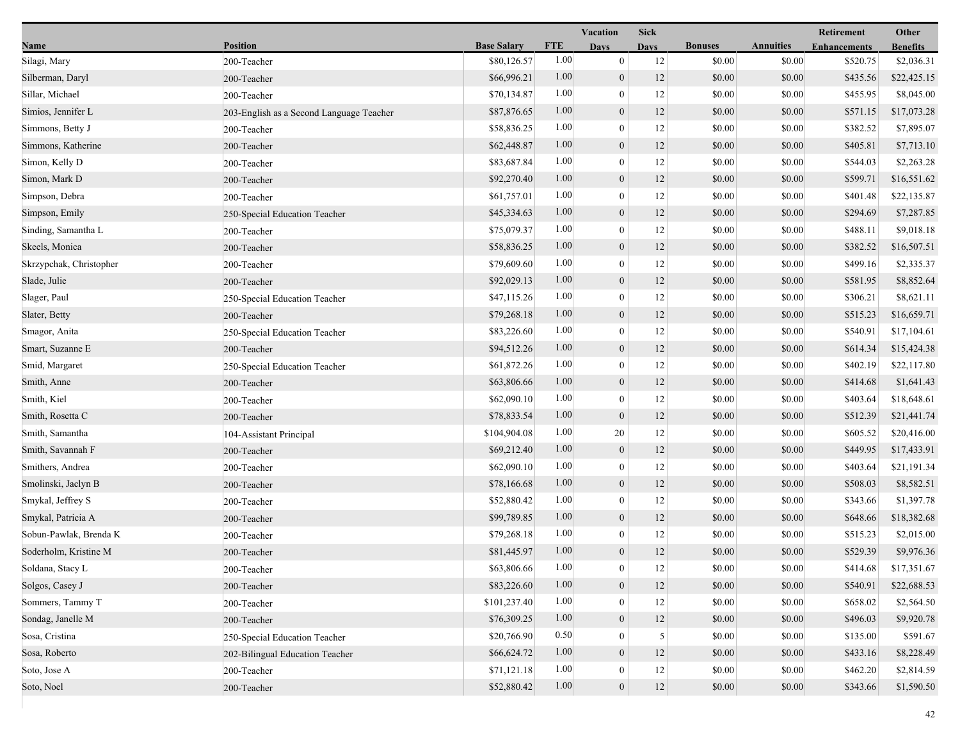|                         |                                          |                    |            | Vacation         | <b>Sick</b>    |                |                  | Retirement          | Other           |
|-------------------------|------------------------------------------|--------------------|------------|------------------|----------------|----------------|------------------|---------------------|-----------------|
| Name                    | <b>Position</b>                          | <b>Base Salary</b> | <b>FTE</b> | <b>Days</b>      | <b>Days</b>    | <b>Bonuses</b> | <b>Annuities</b> | <b>Enhancements</b> | <b>Benefits</b> |
| Silagi, Mary            | 200-Teacher                              | \$80,126.57        | 1.00       | $\mathbf{0}$     | 12             | \$0.00         | \$0.00           | \$520.75            | \$2,036.31      |
| Silberman, Daryl        | 200-Teacher                              | \$66,996.21        | 1.00       | $\mathbf{0}$     | 12             | \$0.00         | \$0.00           | \$435.56            | \$22,425.15     |
| Sillar, Michael         | 200-Teacher                              | \$70,134.87        | 1.00       | $\bf{0}$         | 12             | \$0.00         | \$0.00           | \$455.95            | \$8,045.00      |
| Simios, Jennifer L      | 203-English as a Second Language Teacher | \$87,876.65        | 1.00       | $\mathbf{0}$     | 12             | \$0.00         | \$0.00           | \$571.15            | \$17,073.28     |
| Simmons, Betty J        | 200-Teacher                              | \$58,836.25        | 1.00       | $\boldsymbol{0}$ | 12             | \$0.00         | \$0.00           | \$382.52            | \$7,895.07      |
| Simmons, Katherine      | 200-Teacher                              | \$62,448.87        | 1.00       | $\mathbf{0}$     | 12             | \$0.00         | \$0.00           | \$405.81            | \$7,713.10      |
| Simon, Kelly D          | 200-Teacher                              | \$83,687.84        | 1.00       | $\mathbf{0}$     | 12             | \$0.00         | \$0.00           | \$544.03            | \$2,263.28      |
| Simon, Mark D           | 200-Teacher                              | \$92,270.40        | 1.00       | $\mathbf{0}$     | 12             | \$0.00         | \$0.00           | \$599.71            | \$16,551.62     |
| Simpson, Debra          | 200-Teacher                              | \$61,757.01        | 1.00       | $\boldsymbol{0}$ | 12             | \$0.00         | \$0.00           | \$401.48            | \$22,135.87     |
| Simpson, Emily          | 250-Special Education Teacher            | \$45,334.63        | 1.00       | $\mathbf{0}$     | 12             | \$0.00         | \$0.00           | \$294.69            | \$7,287.85      |
| Sinding, Samantha L     | 200-Teacher                              | \$75,079.37        | 1.00       | $\bf{0}$         | 12             | \$0.00         | \$0.00           | \$488.11            | \$9,018.18      |
| Skeels, Monica          | 200-Teacher                              | \$58,836.25        | 1.00       | $\mathbf{0}$     | 12             | \$0.00         | \$0.00           | \$382.52            | \$16,507.51     |
| Skrzypchak, Christopher | 200-Teacher                              | \$79,609.60        | 1.00       | $\mathbf{0}$     | 12             | \$0.00         | \$0.00           | \$499.16            | \$2,335.37      |
| Slade, Julie            | 200-Teacher                              | \$92,029.13        | 1.00       | $\mathbf{0}$     | 12             | \$0.00         | \$0.00           | \$581.95            | \$8,852.64      |
| Slager, Paul            | 250-Special Education Teacher            | \$47,115.26        | 1.00       | $\boldsymbol{0}$ | 12             | \$0.00         | \$0.00           | \$306.21            | \$8,621.11      |
| Slater, Betty           | 200-Teacher                              | \$79,268.18        | 1.00       | $\mathbf{0}$     | 12             | \$0.00         | \$0.00           | \$515.23            | \$16,659.71     |
| Smagor, Anita           | 250-Special Education Teacher            | \$83,226.60        | 1.00       | $\bf{0}$         | 12             | \$0.00         | \$0.00           | \$540.91            | \$17,104.61     |
| Smart, Suzanne E        | 200-Teacher                              | \$94,512.26        | 1.00       | $\mathbf{0}$     | 12             | \$0.00         | \$0.00           | \$614.34            | \$15,424.38     |
| Smid, Margaret          | 250-Special Education Teacher            | \$61,872.26        | 1.00       | $\mathbf{0}$     | 12             | \$0.00         | \$0.00           | \$402.19            | \$22,117.80     |
| Smith, Anne             | 200-Teacher                              | \$63,806.66        | 1.00       | $\mathbf{0}$     | 12             | \$0.00         | \$0.00           | \$414.68            | \$1,641.43      |
| Smith, Kiel             | 200-Teacher                              | \$62,090.10        | 1.00       | $\boldsymbol{0}$ | 12             | \$0.00         | \$0.00           | \$403.64            | \$18,648.61     |
| Smith, Rosetta C        | 200-Teacher                              | \$78,833.54        | 1.00       | $\mathbf{0}$     | 12             | \$0.00         | \$0.00           | \$512.39            | \$21,441.74     |
| Smith, Samantha         | 104-Assistant Principal                  | \$104,904.08       | 1.00       | 20               | 12             | \$0.00         | \$0.00           | \$605.52            | \$20,416.00     |
| Smith, Savannah F       | 200-Teacher                              | \$69,212.40        | 1.00       | $\mathbf{0}$     | 12             | \$0.00         | \$0.00           | \$449.95            | \$17,433.91     |
| Smithers, Andrea        | 200-Teacher                              | \$62,090.10        | 1.00       | $\mathbf{0}$     | 12             | \$0.00         | \$0.00           | \$403.64            | \$21,191.34     |
| Smolinski, Jaclyn B     | 200-Teacher                              | \$78,166.68        | 1.00       | $\mathbf{0}$     | 12             | \$0.00         | \$0.00           | \$508.03            | \$8,582.51      |
| Smykal, Jeffrey S       | 200-Teacher                              | \$52,880.42        | 1.00       | $\boldsymbol{0}$ | 12             | \$0.00         | \$0.00           | \$343.66            | \$1,397.78      |
| Smykal, Patricia A      | 200-Teacher                              | \$99,789.85        | 1.00       | $\mathbf{0}$     | 12             | \$0.00         | \$0.00           | \$648.66            | \$18,382.68     |
| Sobun-Pawlak, Brenda K  | 200-Teacher                              | \$79,268.18        | 1.00       | $\bf{0}$         | 12             | \$0.00         | \$0.00           | \$515.23            | \$2,015.00      |
| Soderholm, Kristine M   | 200-Teacher                              | \$81,445.97        | 1.00       | $\overline{0}$   | 12             | \$0.00         | \$0.00           | \$529.39            | \$9,976.36      |
| Soldana, Stacy L        | 200-Teacher                              | \$63,806.66        | 1.00       | $\bf{0}$         | 12             | \$0.00         | \$0.00           | \$414.68            | \$17,351.67     |
| Solgos, Casey J         | 200-Teacher                              | \$83,226.60        | 1.00       | $\mathbf{0}$     | 12             | \$0.00         | \$0.00           | \$540.91            | \$22,688.53     |
| Sommers, Tammy T        | 200-Teacher                              | \$101,237.40       | 1.00       | $\mathbf{0}$     | 12             | \$0.00         | \$0.00           | \$658.02            | \$2,564.50      |
| Sondag, Janelle M       | 200-Teacher                              | \$76,309.25        | 1.00       | $\mathbf{0}$     | 12             | \$0.00         | \$0.00           | \$496.03            | \$9,920.78      |
| Sosa, Cristina          | 250-Special Education Teacher            | \$20,766.90        | 0.50       | $\theta$         | 5 <sup>5</sup> | \$0.00         | \$0.00           | \$135.00            | \$591.67        |
| Sosa, Roberto           | 202-Bilingual Education Teacher          | \$66,624.72        | 1.00       | $\overline{0}$   | 12             | \$0.00         | \$0.00           | \$433.16            | \$8,228.49      |
| Soto, Jose A            | 200-Teacher                              | \$71,121.18        | 1.00       | $\mathbf{0}$     | 12             | \$0.00         | \$0.00           | \$462.20            | \$2,814.59      |
| Soto, Noel              | 200-Teacher                              | \$52,880.42        | 1.00       | $\overline{0}$   | 12             | \$0.00         | \$0.00           | \$343.66            | \$1,590.50      |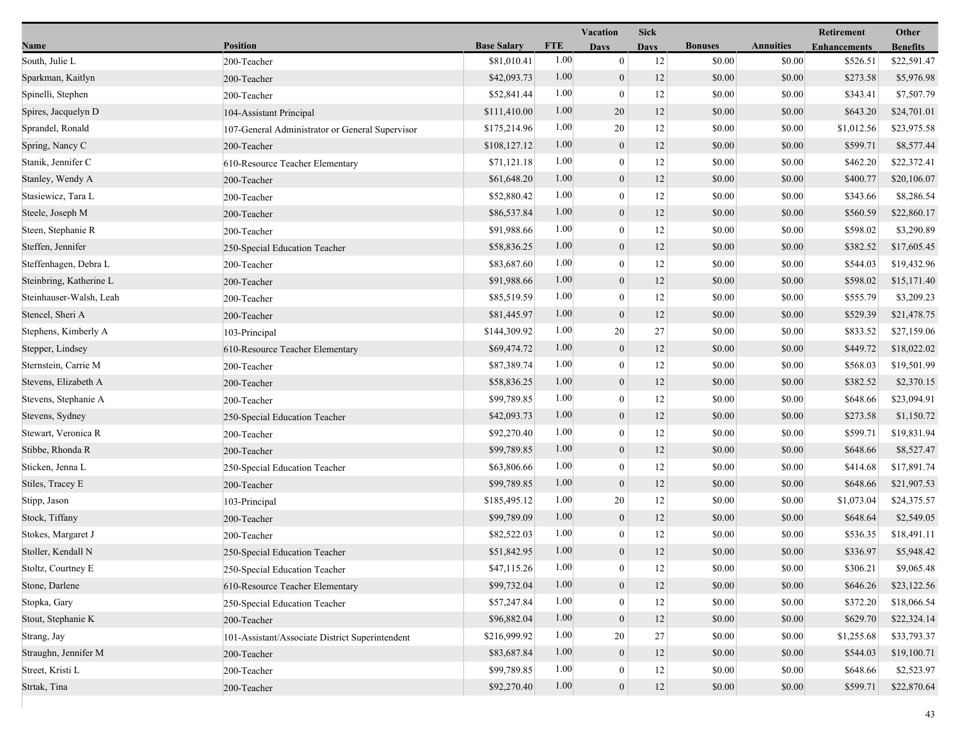|                         |                                                 |                    |            | Vacation         | <b>Sick</b> |                |                  | Retirement          | Other           |
|-------------------------|-------------------------------------------------|--------------------|------------|------------------|-------------|----------------|------------------|---------------------|-----------------|
| Name                    | <b>Position</b>                                 | <b>Base Salary</b> | <b>FTE</b> | <b>Days</b>      | <b>Days</b> | <b>Bonuses</b> | <b>Annuities</b> | <b>Enhancements</b> | <b>Benefits</b> |
| South, Julie L          | 200-Teacher                                     | \$81,010.41        | 1.00       | $\overline{0}$   | 12          | \$0.00         | \$0.00           | \$526.51            | \$22,591.47     |
| Sparkman, Kaitlyn       | 200-Teacher                                     | \$42,093.73        | 1.00       | $\mathbf{0}$     | 12          | \$0.00         | \$0.00           | \$273.58            | \$5,976.98      |
| Spinelli, Stephen       | 200-Teacher                                     | \$52,841.44        | 1.00       | $\bf{0}$         | 12          | \$0.00         | \$0.00           | \$343.41            | \$7,507.79      |
| Spires, Jacquelyn D     | 104-Assistant Principal                         | \$111,410.00       | 1.00       | 20               | 12          | \$0.00         | \$0.00           | \$643.20            | \$24,701.01     |
| Sprandel, Ronald        | 107-General Administrator or General Supervisor | \$175,214.96       | 1.00       | 20               | 12          | \$0.00         | \$0.00           | \$1,012.56          | \$23,975.58     |
| Spring, Nancy C         | 200-Teacher                                     | \$108,127.12       | 1.00       | $\boldsymbol{0}$ | 12          | \$0.00         | \$0.00           | \$599.71            | \$8,577.44      |
| Stanik, Jennifer C      | 610-Resource Teacher Elementary                 | \$71,121.18        | 1.00       | $\mathbf{0}$     | 12          | \$0.00         | \$0.00           | \$462.20            | \$22,372.41     |
| Stanley, Wendy A        | 200-Teacher                                     | \$61,648.20        | 1.00       | $\mathbf{0}$     | 12          | \$0.00         | \$0.00           | \$400.77            | \$20,106.07     |
| Stasiewicz, Tara L      | 200-Teacher                                     | \$52,880.42        | 1.00       | $\mathbf{0}$     | 12          | \$0.00         | \$0.00           | \$343.66            | \$8,286.54      |
| Steele, Joseph M        | 200-Teacher                                     | \$86,537.84        | 1.00       | $\mathbf{0}$     | 12          | \$0.00         | \$0.00           | \$560.59            | \$22,860.17     |
| Steen, Stephanie R      | 200-Teacher                                     | \$91,988.66        | 1.00       | $\mathbf{0}$     | 12          | \$0.00         | \$0.00           | \$598.02            | \$3,290.89      |
| Steffen, Jennifer       | 250-Special Education Teacher                   | \$58,836.25        | 1.00       | $\boldsymbol{0}$ | 12          | \$0.00         | \$0.00           | \$382.52            | \$17,605.45     |
| Steffenhagen, Debra L   | 200-Teacher                                     | \$83,687.60        | 1.00       | $\mathbf{0}$     | 12          | \$0.00         | \$0.00           | \$544.03            | \$19,432.96     |
| Steinbring, Katherine L | 200-Teacher                                     | \$91,988.66        | 1.00       | $\mathbf{0}$     | 12          | \$0.00         | \$0.00           | \$598.02            | \$15,171.40     |
| Steinhauser-Walsh, Leah | 200-Teacher                                     | \$85,519.59        | 1.00       | $\mathbf{0}$     | 12          | \$0.00         | \$0.00           | \$555.79            | \$3,209.23      |
| Stencel, Sheri A        | 200-Teacher                                     | \$81,445.97        | 1.00       | $\mathbf{0}$     | 12          | \$0.00         | \$0.00           | \$529.39            | \$21,478.75     |
| Stephens, Kimberly A    | 103-Principal                                   | \$144,309.92       | 1.00       | 20               | 27          | \$0.00         | \$0.00           | \$833.52            | \$27,159.06     |
| Stepper, Lindsey        | 610-Resource Teacher Elementary                 | \$69,474.72        | 1.00       | $\boldsymbol{0}$ | 12          | \$0.00         | \$0.00           | \$449.72            | \$18,022.02     |
| Sternstein, Carrie M    | 200-Teacher                                     | \$87,389.74        | 1.00       | $\boldsymbol{0}$ | 12          | \$0.00         | \$0.00           | \$568.03            | \$19,501.99     |
| Stevens, Elizabeth A    | 200-Teacher                                     | \$58,836.25        | 1.00       | $\mathbf{0}$     | 12          | \$0.00         | \$0.00           | \$382.52            | \$2,370.15      |
| Stevens, Stephanie A    | 200-Teacher                                     | \$99,789.85        | 1.00       | $\overline{0}$   | 12          | \$0.00         | \$0.00           | \$648.66            | \$23,094.91     |
| Stevens, Sydney         | 250-Special Education Teacher                   | \$42,093.73        | 1.00       | $\mathbf{0}$     | 12          | \$0.00         | \$0.00           | \$273.58            | \$1,150.72      |
| Stewart, Veronica R     | 200-Teacher                                     | \$92,270.40        | 1.00       | $\mathbf{0}$     | 12          | \$0.00         | \$0.00           | \$599.71            | \$19,831.94     |
| Stibbe, Rhonda R        | 200-Teacher                                     | \$99,789.85        | 1.00       | $\mathbf{0}$     | 12          | \$0.00         | \$0.00           | \$648.66            | \$8,527.47      |
| Sticken, Jenna L        | 250-Special Education Teacher                   | \$63,806.66        | 1.00       | $\theta$         | 12          | \$0.00         | \$0.00           | \$414.68            | \$17,891.74     |
| Stiles, Tracey E        | 200-Teacher                                     | \$99,789.85        | 1.00       | $\mathbf{0}$     | 12          | \$0.00         | \$0.00           | \$648.66            | \$21,907.53     |
| Stipp, Jason            | 103-Principal                                   | \$185,495.12       | 1.00       | 20               | 12          | \$0.00         | \$0.00           | \$1,073.04          | \$24,375.57     |
| Stock, Tiffany          | 200-Teacher                                     | \$99,789.09        | 1.00       | $\boldsymbol{0}$ | 12          | \$0.00         | \$0.00           | \$648.64            | \$2,549.05      |
| Stokes, Margaret J      | 200-Teacher                                     | \$82,522.03        | 1.00       | $\theta$         | 12          | \$0.00         | \$0.00           | \$536.35            | \$18,491.11     |
| Stoller, Kendall N      | 250-Special Education Teacher                   | \$51,842.95        | 1.00       | $\overline{0}$   | 12          | \$0.00         | \$0.00           | \$336.97            | \$5,948.42      |
| Stoltz, Courtney E      | 250-Special Education Teacher                   | \$47,115.26        | 1.00       | $\mathbf{0}$     | 12          | \$0.00         | \$0.00           | \$306.21            | \$9,065.48      |
| Stone, Darlene          | 610-Resource Teacher Elementary                 | \$99,732.04        | 1.00       | $\mathbf{0}$     | 12          | \$0.00         | \$0.00           | \$646.26            | \$23,122.56     |
| Stopka, Gary            | 250-Special Education Teacher                   | \$57,247.84        | 1.00       | $\mathbf{0}$     | 12          | \$0.00         | \$0.00           | \$372.20            | \$18,066.54     |
| Stout, Stephanie K      | 200-Teacher                                     | \$96,882.04        | 1.00       | $\mathbf{0}$     | 12          | \$0.00         | \$0.00           | \$629.70            | \$22,324.14     |
| Strang, Jay             | 101-Assistant/Associate District Superintendent | \$216,999.92       | 1.00       | 20               | 27          | \$0.00         | \$0.00           | \$1,255.68          | \$33,793.37     |
| Straughn, Jennifer M    | 200-Teacher                                     | \$83,687.84        | 1.00       | $\boldsymbol{0}$ | 12          | \$0.00         | \$0.00           | \$544.03            | \$19,100.71     |
| Street, Kristi L        | 200-Teacher                                     | \$99,789.85        | 1.00       | $\boldsymbol{0}$ | 12          | \$0.00         | \$0.00           | \$648.66            | \$2,523.97      |
| Strtak, Tina            | 200-Teacher                                     | \$92,270.40        | 1.00       | $\boldsymbol{0}$ | 12          | \$0.00         | \$0.00           | \$599.71            | \$22,870.64     |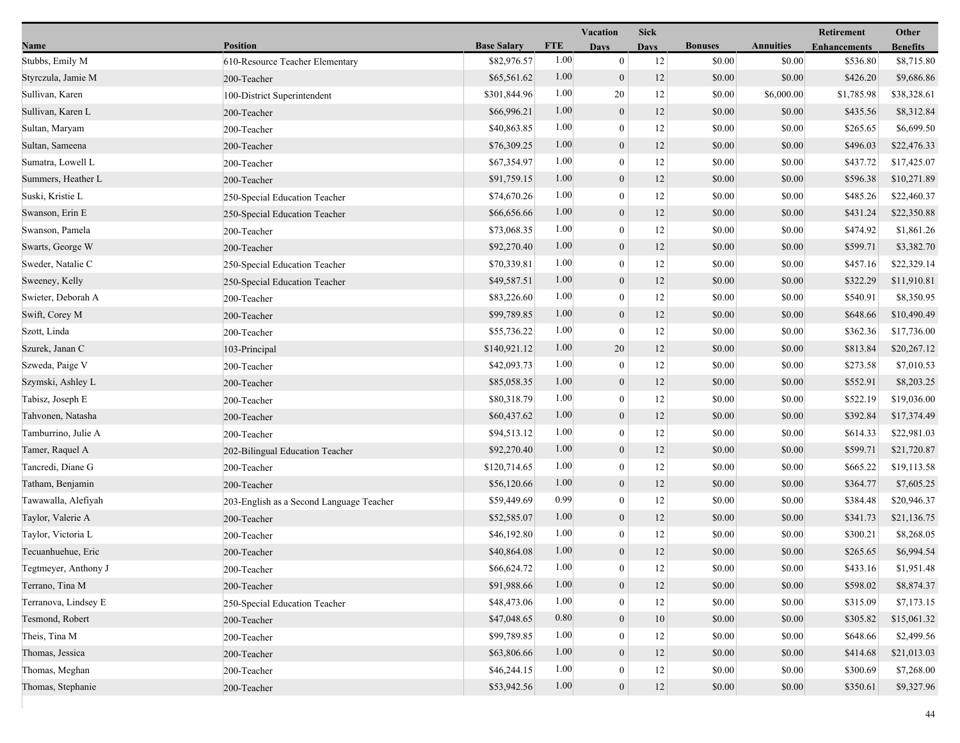|                      |                                          |                    |            | Vacation         | <b>Sick</b> |                |                  | Retirement          | Other           |
|----------------------|------------------------------------------|--------------------|------------|------------------|-------------|----------------|------------------|---------------------|-----------------|
| Name                 | <b>Position</b>                          | <b>Base Salary</b> | <b>FTE</b> | <b>Days</b>      | <b>Days</b> | <b>Bonuses</b> | <b>Annuities</b> | <b>Enhancements</b> | <b>Benefits</b> |
| Stubbs, Emily M      | 610-Resource Teacher Elementary          | \$82,976.57        | 1.00       | $\mathbf{0}$     | 12          | \$0.00         | \$0.00           | \$536.80            | \$8,715.80      |
| Styrczula, Jamie M   | 200-Teacher                              | \$65,561.62        | 1.00       | $\mathbf{0}$     | 12          | \$0.00         | \$0.00           | \$426.20            | \$9,686.86      |
| Sullivan, Karen      | 100-District Superintendent              | \$301,844.96       | 1.00       | 20               | 12          | \$0.00         | \$6,000.00       | \$1,785.98          | \$38,328.61     |
| Sullivan, Karen L    | 200-Teacher                              | \$66,996.21        | 1.00       | $\boldsymbol{0}$ | 12          | \$0.00         | \$0.00           | \$435.56            | \$8,312.84      |
| Sultan, Maryam       | 200-Teacher                              | \$40,863.85        | 1.00       | $\mathbf{0}$     | 12          | \$0.00         | \$0.00           | \$265.65            | \$6,699.50      |
| Sultan, Sameena      | 200-Teacher                              | \$76,309.25        | 1.00       | $\mathbf{0}$     | 12          | \$0.00         | \$0.00           | \$496.03            | \$22,476.33     |
| Sumatra, Lowell L    | 200-Teacher                              | \$67,354.97        | 1.00       | $\theta$         | 12          | \$0.00         | \$0.00           | \$437.72            | \$17,425.07     |
| Summers, Heather L   | 200-Teacher                              | \$91,759.15        | 1.00       | $\mathbf{0}$     | 12          | \$0.00         | \$0.00           | \$596.38            | \$10,271.89     |
| Suski, Kristie L     | 250-Special Education Teacher            | \$74,670.26        | 1.00       | $\boldsymbol{0}$ | 12          | \$0.00         | \$0.00           | \$485.26            | \$22,460.37     |
| Swanson, Erin E      | 250-Special Education Teacher            | \$66,656.66        | 1.00       | $\boldsymbol{0}$ | 12          | \$0.00         | \$0.00           | \$431.24            | \$22,350.88     |
| Swanson, Pamela      | 200-Teacher                              | \$73,068.35        | 1.00       | $\mathbf{0}$     | 12          | \$0.00         | \$0.00           | \$474.92            | \$1,861.26      |
| Swarts, George W     | 200-Teacher                              | \$92,270.40        | 1.00       | $\mathbf{0}$     | 12          | \$0.00         | \$0.00           | \$599.71            | \$3,382.70      |
| Sweder, Natalie C    | 250-Special Education Teacher            | \$70,339.81        | 1.00       | $\mathbf{0}$     | 12          | \$0.00         | \$0.00           | \$457.16            | \$22,329.14     |
| Sweeney, Kelly       | 250-Special Education Teacher            | \$49,587.51        | 1.00       | $\mathbf{0}$     | 12          | \$0.00         | \$0.00           | \$322.29            | \$11,910.81     |
| Swieter, Deborah A   | 200-Teacher                              | \$83,226.60        | 1.00       | $\boldsymbol{0}$ | 12          | \$0.00         | \$0.00           | \$540.91            | \$8,350.95      |
| Swift, Corey M       | 200-Teacher                              | \$99,789.85        | 1.00       | $\boldsymbol{0}$ | 12          | \$0.00         | \$0.00           | \$648.66            | \$10,490.49     |
| Szott, Linda         | 200-Teacher                              | \$55,736.22        | 1.00       | $\theta$         | 12          | \$0.00         | \$0.00           | \$362.36            | \$17,736.00     |
| Szurek, Janan C      | 103-Principal                            | \$140,921.12       | 1.00       | 20               | 12          | \$0.00         | \$0.00           | \$813.84            | \$20,267.12     |
| Szweda, Paige V      | 200-Teacher                              | \$42,093.73        | 1.00       | $\mathbf{0}$     | 12          | \$0.00         | \$0.00           | \$273.58            | \$7,010.53      |
| Szymski, Ashley L    | 200-Teacher                              | \$85,058.35        | 1.00       | $\mathbf{0}$     | 12          | \$0.00         | \$0.00           | \$552.91            | \$8,203.25      |
| Tabisz, Joseph E     | 200-Teacher                              | \$80,318.79        | 1.00       | $\boldsymbol{0}$ | 12          | \$0.00         | \$0.00           | \$522.19            | \$19,036.00     |
| Tahvonen, Natasha    | 200-Teacher                              | \$60,437.62        | 1.00       | $\mathbf{0}$     | 12          | \$0.00         | \$0.00           | \$392.84            | \$17,374.49     |
| Tamburrino, Julie A  | 200-Teacher                              | \$94,513.12        | 1.00       | $\mathbf{0}$     | 12          | \$0.00         | \$0.00           | \$614.33            | \$22,981.03     |
| Tamer, Raquel A      | 202-Bilingual Education Teacher          | \$92,270.40        | 1.00       | $\mathbf{0}$     | 12          | \$0.00         | \$0.00           | \$599.71            | \$21,720.87     |
| Tancredi, Diane G    | 200-Teacher                              | \$120,714.65       | 1.00       | $\theta$         | 12          | \$0.00         | \$0.00           | \$665.22            | \$19,113.58     |
| Tatham, Benjamin     | 200-Teacher                              | \$56,120.66        | 1.00       | $\mathbf{0}$     | 12          | \$0.00         | \$0.00           | \$364.77            | \$7,605.25      |
| Tawawalla, Alefiyah  | 203-English as a Second Language Teacher | \$59,449.69        | 0.99       | $\overline{0}$   | 12          | \$0.00         | \$0.00           | \$384.48            | \$20,946.37     |
| Taylor, Valerie A    | 200-Teacher                              | \$52,585.07        | 1.00       | $\mathbf{0}$     | 12          | \$0.00         | \$0.00           | \$341.73            | \$21,136.75     |
| Taylor, Victoria L   | 200-Teacher                              | \$46,192.80        | 1.00       | $\mathbf{0}$     | 12          | \$0.00         | \$0.00           | \$300.21            | \$8,268.05      |
| Tecuanhuehue, Eric   | 200-Teacher                              | \$40,864.08        | 1.00       | $\overline{0}$   | 12          | \$0.00         | \$0.00           | \$265.65            | \$6,994.54      |
| Tegtmeyer, Anthony J | 200-Teacher                              | \$66,624.72        | 1.00       | $\theta$         | 12          | \$0.00         | \$0.00           | \$433.16            | \$1,951.48      |
| Terrano, Tina M      | 200-Teacher                              | \$91,988.66        | 1.00       | $\mathbf{0}$     | 12          | \$0.00         | \$0.00           | \$598.02            | \$8,874.37      |
| Terranova, Lindsey E | 250-Special Education Teacher            | \$48,473.06        | 1.00       | $\theta$         | 12          | \$0.00         | \$0.00           | \$315.09            | \$7,173.15      |
| Tesmond, Robert      | 200-Teacher                              | \$47,048.65        | 0.80       | $\mathbf{0}$     | 10          | \$0.00         | \$0.00           | \$305.82            | \$15,061.32     |
| Theis, Tina M        | 200-Teacher                              | \$99,789.85        | 1.00       | $\theta$         | 12          | \$0.00         | \$0.00           | \$648.66            | \$2,499.56      |
| Thomas, Jessica      | 200-Teacher                              | \$63,806.66        | 1.00       | $\mathbf{0}$     | 12          | \$0.00         | \$0.00           | \$414.68            | \$21,013.03     |
| Thomas, Meghan       | 200-Teacher                              | \$46,244.15        | 1.00       | $\boldsymbol{0}$ | 12          | \$0.00         | \$0.00           | \$300.69            | \$7,268.00      |
| Thomas, Stephanie    | 200-Teacher                              | \$53,942.56        | 1.00       | $\mathbf{0}$     | 12          | \$0.00         | \$0.00           | \$350.61            | \$9,327.96      |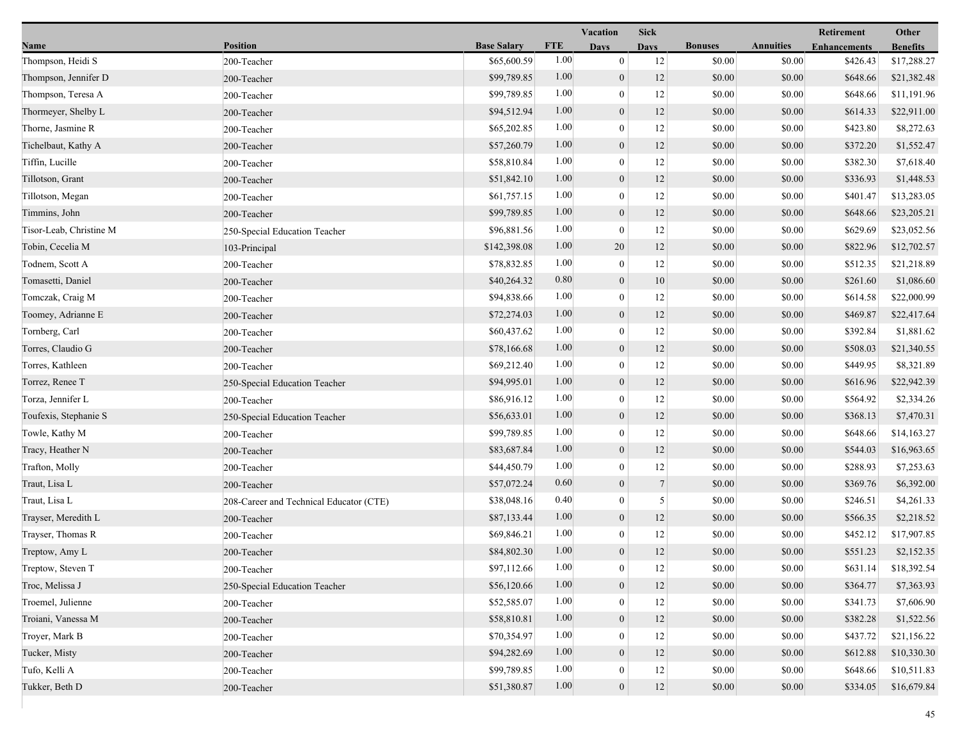|                         |                                         |                    |            | Vacation         | <b>Sick</b>    |                |                  | Retirement          | Other           |
|-------------------------|-----------------------------------------|--------------------|------------|------------------|----------------|----------------|------------------|---------------------|-----------------|
| Name                    | <b>Position</b>                         | <b>Base Salary</b> | <b>FTE</b> | <b>Days</b>      | <b>Days</b>    | <b>Bonuses</b> | <b>Annuities</b> | <b>Enhancements</b> | <b>Benefits</b> |
| Thompson, Heidi S       | 200-Teacher                             | \$65,600.59        | 1.00       | $\mathbf{0}$     | 12             | \$0.00         | \$0.00           | \$426.43            | \$17,288.27     |
| Thompson, Jennifer D    | 200-Teacher                             | \$99,789.85        | 1.00       | $\mathbf{0}$     | 12             | \$0.00         | \$0.00           | \$648.66            | \$21,382.48     |
| Thompson, Teresa A      | 200-Teacher                             | \$99,789.85        | 1.00       | $\bf{0}$         | 12             | \$0.00         | \$0.00           | \$648.66            | \$11,191.96     |
| Thormeyer, Shelby L     | 200-Teacher                             | \$94,512.94        | 1.00       | $\mathbf{0}$     | 12             | \$0.00         | \$0.00           | \$614.33            | \$22,911.00     |
| Thorne, Jasmine R       | 200-Teacher                             | \$65,202.85        | 1.00       | $\boldsymbol{0}$ | 12             | \$0.00         | \$0.00           | \$423.80            | \$8,272.63      |
| Tichelbaut, Kathy A     | 200-Teacher                             | \$57,260.79        | 1.00       | $\mathbf{0}$     | 12             | \$0.00         | \$0.00           | \$372.20            | \$1,552.47      |
| Tiffin, Lucille         | 200-Teacher                             | \$58,810.84        | 1.00       | $\mathbf{0}$     | 12             | \$0.00         | \$0.00           | \$382.30            | \$7,618.40      |
| Tillotson, Grant        | 200-Teacher                             | \$51,842.10        | 1.00       | $\mathbf{0}$     | 12             | \$0.00         | \$0.00           | \$336.93            | \$1,448.53      |
| Tillotson, Megan        | 200-Teacher                             | \$61,757.15        | 1.00       | $\bf{0}$         | 12             | \$0.00         | \$0.00           | \$401.47            | \$13,283.05     |
| Timmins, John           | 200-Teacher                             | \$99,789.85        | 1.00       | $\mathbf{0}$     | 12             | \$0.00         | \$0.00           | \$648.66            | \$23,205.21     |
| Tisor-Leab, Christine M | 250-Special Education Teacher           | \$96,881.56        | 1.00       | $\mathbf{0}$     | 12             | \$0.00         | \$0.00           | \$629.69            | \$23,052.56     |
| Tobin, Cecelia M        | 103-Principal                           | \$142,398.08       | 1.00       | 20               | 12             | \$0.00         | \$0.00           | \$822.96            | \$12,702.57     |
| Todnem, Scott A         | 200-Teacher                             | \$78,832.85        | 1.00       | $\mathbf{0}$     | 12             | \$0.00         | \$0.00           | \$512.35            | \$21,218.89     |
| Tomasetti, Daniel       | 200-Teacher                             | \$40,264.32        | 0.80       | $\mathbf{0}$     | 10             | \$0.00         | \$0.00           | \$261.60            | \$1,086.60      |
| Tomczak, Craig M        | 200-Teacher                             | \$94,838.66        | 1.00       | $\boldsymbol{0}$ | 12             | \$0.00         | \$0.00           | \$614.58            | \$22,000.99     |
| Toomey, Adrianne E      | 200-Teacher                             | \$72,274.03        | 1.00       | $\mathbf{0}$     | 12             | \$0.00         | \$0.00           | \$469.87            | \$22,417.64     |
| Tornberg, Carl          | 200-Teacher                             | \$60,437.62        | 1.00       | $\bf{0}$         | 12             | \$0.00         | \$0.00           | \$392.84            | \$1,881.62      |
| Torres, Claudio G       | 200-Teacher                             | \$78,166.68        | 1.00       | $\mathbf{0}$     | 12             | \$0.00         | \$0.00           | \$508.03            | \$21,340.55     |
| Torres, Kathleen        | 200-Teacher                             | \$69,212.40        | 1.00       | $\mathbf{0}$     | 12             | \$0.00         | \$0.00           | \$449.95            | \$8,321.89      |
| Torrez, Renee T         | 250-Special Education Teacher           | \$94,995.01        | 1.00       | $\mathbf{0}$     | 12             | \$0.00         | \$0.00           | \$616.96            | \$22,942.39     |
| Torza, Jennifer L       | 200-Teacher                             | \$86,916.12        | 1.00       | $\boldsymbol{0}$ | 12             | \$0.00         | \$0.00           | \$564.92            | \$2,334.26      |
| Toufexis, Stephanie S   | 250-Special Education Teacher           | \$56,633.01        | 1.00       | $\mathbf{0}$     | 12             | \$0.00         | \$0.00           | \$368.13            | \$7,470.31      |
| Towle, Kathy M          | 200-Teacher                             | \$99,789.85        | 1.00       | $\bf{0}$         | 12             | \$0.00         | \$0.00           | \$648.66            | \$14,163.27     |
| Tracy, Heather N        | 200-Teacher                             | \$83,687.84        | 1.00       | $\mathbf{0}$     | 12             | \$0.00         | \$0.00           | \$544.03            | \$16,963.65     |
| Trafton, Molly          | 200-Teacher                             | \$44,450.79        | 1.00       | $\mathbf{0}$     | 12             | \$0.00         | \$0.00           | \$288.93            | \$7,253.63      |
| Traut, Lisa L           | 200-Teacher                             | \$57,072.24        | 0.60       | $\mathbf{0}$     | $\tau$         | \$0.00         | \$0.00           | \$369.76            | \$6,392.00      |
| Traut, Lisa L           | 208-Career and Technical Educator (CTE) | \$38,048.16        | 0.40       | $\mathbf{0}$     | 5 <sup>5</sup> | \$0.00         | \$0.00           | \$246.51            | \$4,261.33      |
| Trayser, Meredith L     | 200-Teacher                             | \$87,133.44        | 1.00       | $\mathbf{0}$     | 12             | \$0.00         | \$0.00           | \$566.35            | \$2,218.52      |
| Trayser, Thomas R       | 200-Teacher                             | \$69,846.21        | 1.00       | $\bf{0}$         | 12             | \$0.00         | \$0.00           | \$452.12            | \$17,907.85     |
| Treptow, Amy L          | 200-Teacher                             | \$84,802.30        | 1.00       | $\overline{0}$   | 12             | \$0.00         | \$0.00           | \$551.23            | \$2,152.35      |
| Treptow, Steven T       | 200-Teacher                             | \$97,112.66        | 1.00       | $\bf{0}$         | 12             | \$0.00         | \$0.00           | \$631.14            | \$18,392.54     |
| Troc, Melissa J         | 250-Special Education Teacher           | \$56,120.66        | 1.00       | $\mathbf{0}$     | 12             | \$0.00         | \$0.00           | \$364.77            | \$7,363.93      |
| Troemel, Julienne       | 200-Teacher                             | \$52,585.07        | 1.00       | $\mathbf{0}$     | 12             | \$0.00         | \$0.00           | \$341.73            | \$7,606.90      |
| Troiani, Vanessa M      | 200-Teacher                             | \$58,810.81        | 1.00       | $\mathbf{0}$     | 12             | \$0.00         | \$0.00           | \$382.28            | \$1,522.56      |
| Troyer, Mark B          | 200-Teacher                             | \$70,354.97        | 1.00       | $\mathbf{0}$     | 12             | \$0.00         | \$0.00           | \$437.72            | \$21,156.22     |
| Tucker, Misty           | 200-Teacher                             | \$94,282.69        | 1.00       | $\mathbf{0}$     | 12             | \$0.00         | \$0.00           | \$612.88            | \$10,330.30     |
| Tufo, Kelli A           | 200-Teacher                             | \$99,789.85        | 1.00       | $\mathbf{0}$     | 12             | \$0.00         | \$0.00           | \$648.66            | \$10,511.83     |
| Tukker, Beth D          | 200-Teacher                             | \$51,380.87        | 1.00       | $\mathbf{0}$     | 12             | \$0.00         | \$0.00           | \$334.05            | \$16,679.84     |
|                         |                                         |                    |            |                  |                |                |                  |                     |                 |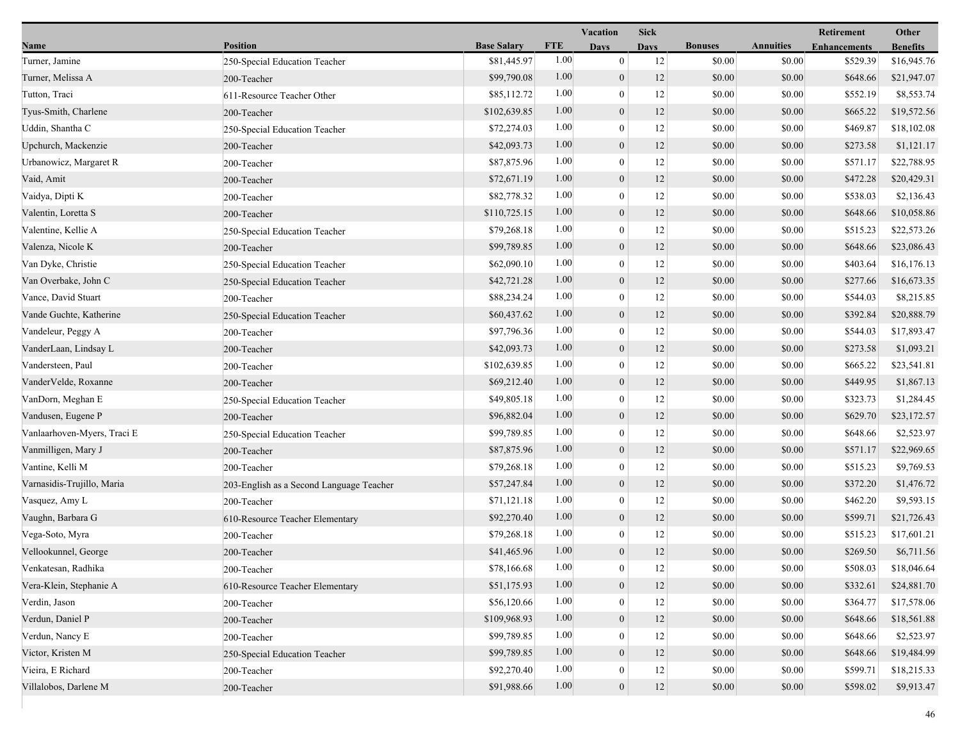|                             |                                          |                    |            | Vacation         | <b>Sick</b> |                |                  | Retirement          | Other           |
|-----------------------------|------------------------------------------|--------------------|------------|------------------|-------------|----------------|------------------|---------------------|-----------------|
| Name                        | <b>Position</b>                          | <b>Base Salary</b> | <b>FTE</b> | <b>Days</b>      | <b>Days</b> | <b>Bonuses</b> | <b>Annuities</b> | <b>Enhancements</b> | <b>Benefits</b> |
| Turner, Jamine              | 250-Special Education Teacher            | \$81,445.97        | 1.00       | $\overline{0}$   | 12          | \$0.00         | \$0.00           | \$529.39            | \$16,945.76     |
| Turner, Melissa A           | 200-Teacher                              | \$99,790.08        | 1.00       | $\mathbf{0}$     | 12          | \$0.00         | \$0.00           | \$648.66            | \$21,947.07     |
| Tutton, Traci               | 611-Resource Teacher Other               | \$85,112.72        | 1.00       | $\mathbf{0}$     | 12          | \$0.00         | \$0.00           | \$552.19            | \$8,553.74      |
| Tyus-Smith, Charlene        | 200-Teacher                              | \$102,639.85       | 1.00       | $\mathbf{0}$     | 12          | \$0.00         | \$0.00           | \$665.22            | \$19,572.56     |
| Uddin, Shantha C            | 250-Special Education Teacher            | \$72,274.03        | 1.00       | $\mathbf{0}$     | 12          | \$0.00         | \$0.00           | \$469.87            | \$18,102.08     |
| Upchurch, Mackenzie         | 200-Teacher                              | \$42,093.73        | 1.00       | $\mathbf{0}$     | 12          | \$0.00         | \$0.00           | \$273.58            | \$1,121.17      |
| Urbanowicz, Margaret R      | 200-Teacher                              | \$87,875.96        | 1.00       | $\theta$         | 12          | \$0.00         | \$0.00           | \$571.17            | \$22,788.95     |
| Vaid, Amit                  | 200-Teacher                              | \$72,671.19        | 1.00       | $\boldsymbol{0}$ | 12          | \$0.00         | \$0.00           | \$472.28            | \$20,429.31     |
| Vaidya, Dipti K             | 200-Teacher                              | \$82,778.32        | 1.00       | $\mathbf{0}$     | 12          | \$0.00         | \$0.00           | \$538.03            | \$2,136.43      |
| Valentin, Loretta S         | 200-Teacher                              | \$110,725.15       | 1.00       | $\mathbf{0}$     | 12          | \$0.00         | \$0.00           | \$648.66            | \$10,058.86     |
| Valentine, Kellie A         | 250-Special Education Teacher            | \$79,268.18        | 1.00       | $\overline{0}$   | 12          | \$0.00         | \$0.00           | \$515.23            | \$22,573.26     |
| Valenza, Nicole K           | 200-Teacher                              | \$99,789.85        | 1.00       | $\mathbf{0}$     | 12          | \$0.00         | \$0.00           | \$648.66            | \$23,086.43     |
| Van Dyke, Christie          | 250-Special Education Teacher            | \$62,090.10        | 1.00       | $\theta$         | 12          | \$0.00         | \$0.00           | \$403.64            | \$16,176.13     |
| Van Overbake, John C        | 250-Special Education Teacher            | \$42,721.28        | 1.00       | $\boldsymbol{0}$ | 12          | \$0.00         | \$0.00           | \$277.66            | \$16,673.35     |
| Vance, David Stuart         | 200-Teacher                              | \$88,234.24        | 1.00       | $\boldsymbol{0}$ | 12          | \$0.00         | \$0.00           | \$544.03            | \$8,215.85      |
| Vande Guchte, Katherine     | 250-Special Education Teacher            | \$60,437.62        | 1.00       | $\mathbf{0}$     | 12          | \$0.00         | \$0.00           | \$392.84            | \$20,888.79     |
| Vandeleur, Peggy A          | 200-Teacher                              | \$97,796.36        | 1.00       | 0                | 12          | \$0.00         | \$0.00           | \$544.03            | \$17,893.47     |
| VanderLaan, Lindsay L       | 200-Teacher                              | \$42,093.73        | 1.00       | $\mathbf{0}$     | 12          | \$0.00         | \$0.00           | \$273.58            | \$1,093.21      |
| Vandersteen, Paul           | 200-Teacher                              | \$102,639.85       | 1.00       | $\overline{0}$   | 12          | \$0.00         | \$0.00           | \$665.22            | \$23,541.81     |
| VanderVelde, Roxanne        | 200-Teacher                              | \$69,212.40        | 1.00       | $\mathbf{0}$     | 12          | \$0.00         | \$0.00           | \$449.95            | \$1,867.13      |
| VanDorn, Meghan E           | 250-Special Education Teacher            | \$49,805.18        | 1.00       | $\overline{0}$   | 12          | \$0.00         | \$0.00           | \$323.73            | \$1,284.45      |
| Vandusen, Eugene P          | 200-Teacher                              | \$96,882.04        | 1.00       | $\mathbf{0}$     | 12          | \$0.00         | \$0.00           | \$629.70            | \$23,172.57     |
| Vanlaarhoven-Myers, Traci E | 250-Special Education Teacher            | \$99,789.85        | 1.00       | $\overline{0}$   | 12          | \$0.00         | \$0.00           | \$648.66            | \$2,523.97      |
| Vanmilligen, Mary J         | 200-Teacher                              | \$87,875.96        | 1.00       | $\mathbf{0}$     | 12          | \$0.00         | \$0.00           | \$571.17            | \$22,969.65     |
| Vantine, Kelli M            | 200-Teacher                              | \$79,268.18        | 1.00       | $\overline{0}$   | 12          | \$0.00         | \$0.00           | \$515.23            | \$9,769.53      |
| Varnasidis-Trujillo, Maria  | 203-English as a Second Language Teacher | \$57,247.84        | 1.00       | $\mathbf{0}$     | 12          | \$0.00         | \$0.00           | \$372.20            | \$1,476.72      |
| Vasquez, Amy L              | 200-Teacher                              | \$71,121.18        | 1.00       | $\overline{0}$   | 12          | \$0.00         | \$0.00           | \$462.20            | \$9,593.15      |
| Vaughn, Barbara G           | 610-Resource Teacher Elementary          | \$92,270.40        | 1.00       | $\boldsymbol{0}$ | 12          | \$0.00         | \$0.00           | \$599.71            | \$21,726.43     |
| Vega-Soto, Myra             | 200-Teacher                              | \$79,268.18        | 1.00       | $\theta$         | 12          | \$0.00         | \$0.00           | \$515.23            | \$17,601.21     |
| Vellookunnel, George        | 200-Teacher                              | \$41,465.96        | 1.00       | $\mathbf{0}$     | 12          | \$0.00         | \$0.00           | \$269.50            | \$6,711.56      |
| Venkatesan, Radhika         | 200-Teacher                              | \$78,166.68        | 1.00       | $\bf{0}$         | 12          | \$0.00         | \$0.00           | \$508.03            | \$18,046.64     |
| Vera-Klein, Stephanie A     | 610-Resource Teacher Elementary          | \$51,175.93        | 1.00       | $\boldsymbol{0}$ | 12          | \$0.00         | \$0.00           | \$332.61            | \$24,881.70     |
| Verdin, Jason               | 200-Teacher                              | \$56,120.66        | 1.00       | $\overline{0}$   | 12          | \$0.00         | \$0.00           | \$364.77            | \$17,578.06     |
| Verdun, Daniel P            | 200-Teacher                              | \$109,968.93       | 1.00       | $\boldsymbol{0}$ | 12          | \$0.00         | \$0.00           | \$648.66            | \$18,561.88     |
| Verdun, Nancy E             | 200-Teacher                              | \$99,789.85        | 1.00       | $\theta$         | 12          | \$0.00         | \$0.00           | \$648.66            | \$2,523.97      |
| Victor, Kristen M           | 250-Special Education Teacher            | \$99,789.85        | 1.00       | $\mathbf{0}$     | 12          | \$0.00         | \$0.00           | \$648.66            | \$19,484.99     |
| Vieira, E Richard           | 200-Teacher                              | \$92,270.40        | 1.00       | $\mathbf{0}$     | 12          | \$0.00         | \$0.00           | \$599.71            | \$18,215.33     |
| Villalobos, Darlene M       | 200-Teacher                              | \$91,988.66        | 1.00       | $\mathbf{0}$     | 12          | \$0.00         | \$0.00           | \$598.02            | \$9,913.47      |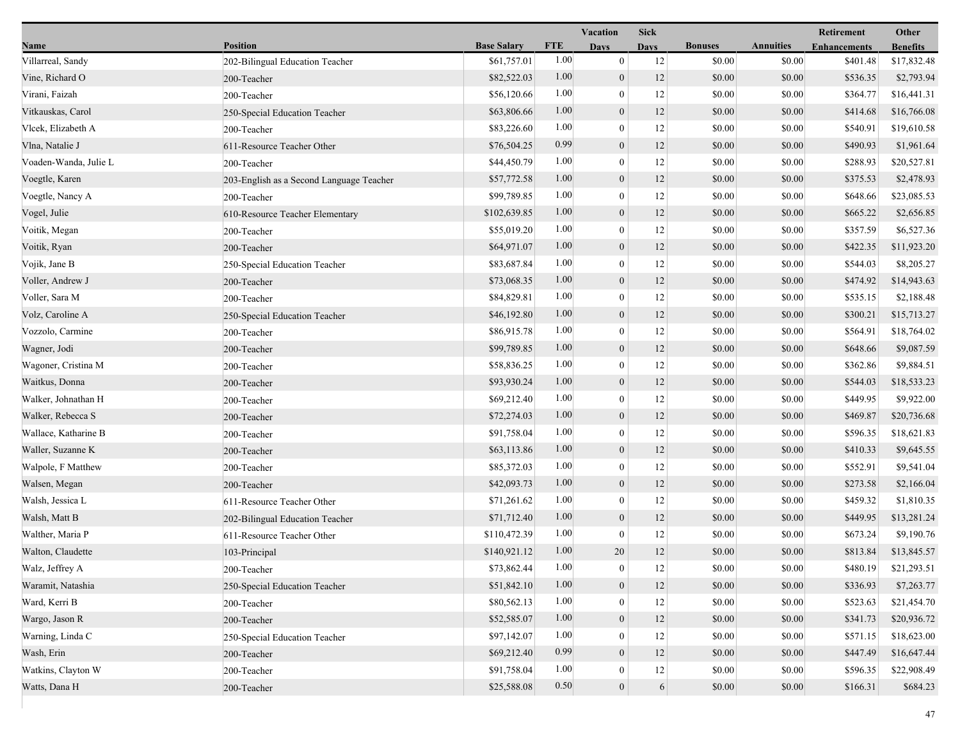|                       |                                          |                    |            | Vacation         | <b>Sick</b> |                |                  | Retirement          | Other           |
|-----------------------|------------------------------------------|--------------------|------------|------------------|-------------|----------------|------------------|---------------------|-----------------|
| Name                  | <b>Position</b>                          | <b>Base Salary</b> | <b>FTE</b> | <b>Days</b>      | <b>Days</b> | <b>Bonuses</b> | <b>Annuities</b> | <b>Enhancements</b> | <b>Benefits</b> |
| Villarreal, Sandy     | 202-Bilingual Education Teacher          | \$61,757.01        | 1.00       | $\mathbf{0}$     | 12          | \$0.00         | \$0.00           | \$401.48            | \$17,832.48     |
| Vine, Richard O       | 200-Teacher                              | \$82,522.03        | 1.00       | $\overline{0}$   | 12          | \$0.00         | \$0.00           | \$536.35            | \$2,793.94      |
| Virani, Faizah        | 200-Teacher                              | \$56,120.66        | 1.00       | $\bf{0}$         | 12          | \$0.00         | \$0.00           | \$364.77            | \$16,441.31     |
| Vitkauskas, Carol     | 250-Special Education Teacher            | \$63,806.66        | 1.00       | $\overline{0}$   | 12          | \$0.00         | \$0.00           | \$414.68            | \$16,766.08     |
| Vlcek, Elizabeth A    | 200-Teacher                              | \$83,226.60        | 1.00       | $\boldsymbol{0}$ | 12          | \$0.00         | \$0.00           | \$540.91            | \$19,610.58     |
| Vlna, Natalie J       | 611-Resource Teacher Other               | \$76,504.25        | 0.99       | $\overline{0}$   | 12          | \$0.00         | \$0.00           | \$490.93            | \$1,961.64      |
| Voaden-Wanda, Julie L | 200-Teacher                              | \$44,450.79        | 1.00       | $\overline{0}$   | 12          | \$0.00         | \$0.00           | \$288.93            | \$20,527.81     |
| Voegtle, Karen        | 203-English as a Second Language Teacher | \$57,772.58        | 1.00       | $\overline{0}$   | 12          | \$0.00         | \$0.00           | \$375.53            | \$2,478.93      |
| Voegtle, Nancy A      | 200-Teacher                              | \$99,789.85        | 1.00       | $\boldsymbol{0}$ | 12          | \$0.00         | \$0.00           | \$648.66            | \$23,085.53     |
| Vogel, Julie          | 610-Resource Teacher Elementary          | \$102,639.85       | 1.00       | $\overline{0}$   | 12          | \$0.00         | \$0.00           | \$665.22            | \$2,656.85      |
| Voitik, Megan         | 200-Teacher                              | \$55,019.20        | 1.00       | $\bf{0}$         | 12          | \$0.00         | \$0.00           | \$357.59            | \$6,527.36      |
| Voitik, Ryan          | 200-Teacher                              | \$64,971.07        | 1.00       | $\overline{0}$   | 12          | \$0.00         | \$0.00           | \$422.35            | \$11,923.20     |
| Vojik, Jane B         | 250-Special Education Teacher            | \$83,687.84        | 1.00       | $\overline{0}$   | 12          | \$0.00         | \$0.00           | \$544.03            | \$8,205.27      |
| Voller, Andrew J      | 200-Teacher                              | \$73,068.35        | 1.00       | $\mathbf{0}$     | 12          | \$0.00         | \$0.00           | \$474.92            | \$14,943.63     |
| Voller, Sara M        | 200-Teacher                              | \$84,829.81        | 1.00       | $\overline{0}$   | 12          | \$0.00         | \$0.00           | \$535.15            | \$2,188.48      |
| Volz, Caroline A      | 250-Special Education Teacher            | \$46,192.80        | 1.00       | $\overline{0}$   | 12          | \$0.00         | \$0.00           | \$300.21            | \$15,713.27     |
| Vozzolo, Carmine      | 200-Teacher                              | \$86,915.78        | 1.00       | 0                | 12          | \$0.00         | \$0.00           | \$564.91            | \$18,764.02     |
| Wagner, Jodi          | 200-Teacher                              | \$99,789.85        | 1.00       | $\boldsymbol{0}$ | 12          | \$0.00         | \$0.00           | \$648.66            | \$9,087.59      |
| Wagoner, Cristina M   | 200-Teacher                              | \$58,836.25        | 1.00       | $\overline{0}$   | 12          | \$0.00         | \$0.00           | \$362.86            | \$9,884.51      |
| Waitkus, Donna        | 200-Teacher                              | \$93,930.24        | 1.00       | $\overline{0}$   | 12          | \$0.00         | \$0.00           | \$544.03            | \$18,533.23     |
| Walker, Johnathan H   | 200-Teacher                              | \$69,212.40        | 1.00       | $\boldsymbol{0}$ | 12          | \$0.00         | \$0.00           | \$449.95            | \$9,922.00      |
| Walker, Rebecca S     | 200-Teacher                              | \$72,274.03        | 1.00       | $\boldsymbol{0}$ | 12          | \$0.00         | \$0.00           | \$469.87            | \$20,736.68     |
| Wallace, Katharine B  | 200-Teacher                              | \$91,758.04        | 1.00       | 0                | 12          | \$0.00         | \$0.00           | \$596.35            | \$18,621.83     |
| Waller, Suzanne K     | 200-Teacher                              | \$63,113.86        | 1.00       | $\overline{0}$   | 12          | \$0.00         | \$0.00           | \$410.33            | \$9,645.55      |
| Walpole, F Matthew    | 200-Teacher                              | \$85,372.03        | 1.00       | $\overline{0}$   | 12          | \$0.00         | \$0.00           | \$552.91            | \$9,541.04      |
| Walsen, Megan         | 200-Teacher                              | \$42,093.73        | 1.00       | $\overline{0}$   | 12          | \$0.00         | \$0.00           | \$273.58            | \$2,166.04      |
| Walsh, Jessica L      | 611-Resource Teacher Other               | \$71,261.62        | 1.00       | $\overline{0}$   | 12          | \$0.00         | \$0.00           | \$459.32            | \$1,810.35      |
| Walsh, Matt B         | 202-Bilingual Education Teacher          | \$71,712.40        | 1.00       | $\boldsymbol{0}$ | 12          | \$0.00         | \$0.00           | \$449.95            | \$13,281.24     |
| Walther, Maria P      | 611-Resource Teacher Other               | \$110,472.39       | 1.00       | $\boldsymbol{0}$ | 12          | \$0.00         | \$0.00           | \$673.24            | \$9,190.76      |
| Walton, Claudette     | 103-Principal                            | \$140,921.12       | 1.00       | 20               | 12          | \$0.00         | \$0.00           | \$813.84            | \$13,845.57     |
| Walz, Jeffrey A       | 200-Teacher                              | \$73,862.44        | 1.00       | $\bf{0}$         | 12          | \$0.00         | \$0.00           | \$480.19            | \$21,293.51     |
| Waramit, Natashia     | 250-Special Education Teacher            | \$51,842.10        | 1.00       | $\overline{0}$   | 12          | \$0.00         | \$0.00           | \$336.93            | \$7,263.77      |
| Ward, Kerri B         | 200-Teacher                              | \$80,562.13        | 1.00       | 0                | 12          | \$0.00         | \$0.00           | \$523.63            | \$21,454.70     |
| Wargo, Jason R        | 200-Teacher                              | \$52,585.07        | 1.00       | $\mathbf{0}$     | 12          | \$0.00         | \$0.00           | \$341.73            | \$20,936.72     |
| Warning, Linda C      | 250-Special Education Teacher            | \$97,142.07        | 1.00       | $\theta$         | 12          | \$0.00         | \$0.00           | \$571.15            | \$18,623.00     |
| Wash, Erin            | 200-Teacher                              | \$69,212.40        | 0.99       | $\overline{0}$   | 12          | \$0.00         | \$0.00           | \$447.49            | \$16,647.44     |
| Watkins, Clayton W    | 200-Teacher                              | \$91,758.04        | 1.00       | 0                | 12          | \$0.00         | \$0.00           | \$596.35            | \$22,908.49     |
| Watts, Dana H         | 200-Teacher                              | \$25,588.08        | 0.50       | $\mathbf{0}$     | 6           | \$0.00         | \$0.00           | \$166.31            | \$684.23        |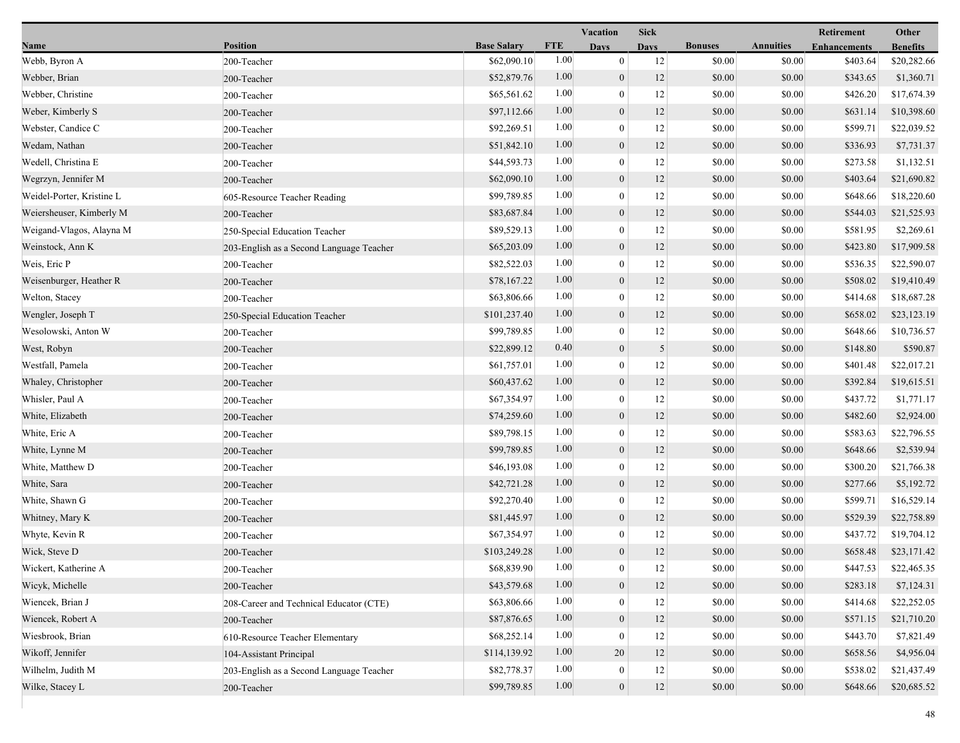|                           |                                          |                    |            | Vacation         | <b>Sick</b> |                |                  | Retirement          | Other           |
|---------------------------|------------------------------------------|--------------------|------------|------------------|-------------|----------------|------------------|---------------------|-----------------|
| Name                      | <b>Position</b>                          | <b>Base Salary</b> | <b>FTE</b> | <b>Days</b>      | <b>Days</b> | <b>Bonuses</b> | <b>Annuities</b> | <b>Enhancements</b> | <b>Benefits</b> |
| Webb, Byron A             | 200-Teacher                              | \$62,090.10        | 1.00       | $\mathbf{0}$     | 12          | \$0.00         | \$0.00           | \$403.64            | \$20,282.66     |
| Webber, Brian             | 200-Teacher                              | \$52,879.76        | 1.00       | $\mathbf{0}$     | 12          | \$0.00         | \$0.00           | \$343.65            | \$1,360.71      |
| Webber, Christine         | 200-Teacher                              | \$65,561.62        | 1.00       | $\mathbf{0}$     | 12          | \$0.00         | \$0.00           | \$426.20            | \$17,674.39     |
| Weber, Kimberly S         | 200-Teacher                              | \$97,112.66        | 1.00       | $\boldsymbol{0}$ | 12          | \$0.00         | \$0.00           | \$631.14            | \$10,398.60     |
| Webster, Candice C        | 200-Teacher                              | \$92,269.51        | 1.00       | $\mathbf{0}$     | 12          | \$0.00         | \$0.00           | \$599.71            | \$22,039.52     |
| Wedam, Nathan             | 200-Teacher                              | \$51,842.10        | 1.00       | $\boldsymbol{0}$ | 12          | \$0.00         | \$0.00           | \$336.93            | \$7,731.37      |
| Wedell, Christina E       | 200-Teacher                              | \$44,593.73        | 1.00       | $\mathbf{0}$     | 12          | \$0.00         | \$0.00           | \$273.58            | \$1,132.51      |
| Wegrzyn, Jennifer M       | 200-Teacher                              | \$62,090.10        | 1.00       | $\boldsymbol{0}$ | 12          | \$0.00         | \$0.00           | \$403.64            | \$21,690.82     |
| Weidel-Porter, Kristine L | 605-Resource Teacher Reading             | \$99,789.85        | 1.00       | $\mathbf{0}$     | 12          | \$0.00         | \$0.00           | \$648.66            | \$18,220.60     |
| Weiersheuser, Kimberly M  | 200-Teacher                              | \$83,687.84        | 1.00       | $\boldsymbol{0}$ | 12          | \$0.00         | \$0.00           | \$544.03            | \$21,525.93     |
| Weigand-Vlagos, Alayna M  | 250-Special Education Teacher            | \$89,529.13        | 1.00       | $\mathbf{0}$     | 12          | \$0.00         | \$0.00           | \$581.95            | \$2,269.61      |
| Weinstock, Ann K          | 203-English as a Second Language Teacher | \$65,203.09        | 1.00       | $\boldsymbol{0}$ | 12          | \$0.00         | \$0.00           | \$423.80            | \$17,909.58     |
| Weis, Eric P              | 200-Teacher                              | \$82,522.03        | 1.00       | $\overline{0}$   | 12          | \$0.00         | \$0.00           | \$536.35            | \$22,590.07     |
| Weisenburger, Heather R   | 200-Teacher                              | \$78,167.22        | 1.00       | $\boldsymbol{0}$ | 12          | \$0.00         | \$0.00           | \$508.02            | \$19,410.49     |
| Welton, Stacey            | 200-Teacher                              | \$63,806.66        | 1.00       | $\mathbf{0}$     | 12          | \$0.00         | \$0.00           | \$414.68            | \$18,687.28     |
| Wengler, Joseph T         | 250-Special Education Teacher            | \$101,237.40       | 1.00       | $\mathbf{0}$     | 12          | \$0.00         | \$0.00           | \$658.02            | \$23,123.19     |
| Wesolowski, Anton W       | 200-Teacher                              | \$99,789.85        | 1.00       | $\mathbf{0}$     | 12          | \$0.00         | \$0.00           | \$648.66            | \$10,736.57     |
| West, Robyn               | 200-Teacher                              | \$22,899.12        | 0.40       | $\mathbf{0}$     | 5           | \$0.00         | \$0.00           | \$148.80            | \$590.87        |
| Westfall, Pamela          | 200-Teacher                              | \$61,757.01        | 1.00       | $\overline{0}$   | 12          | \$0.00         | \$0.00           | \$401.48            | \$22,017.21     |
| Whaley, Christopher       | 200-Teacher                              | \$60,437.62        | 1.00       | $\boldsymbol{0}$ | 12          | \$0.00         | \$0.00           | \$392.84            | \$19,615.51     |
| Whisler, Paul A           | 200-Teacher                              | \$67,354.97        | 1.00       | $\mathbf{0}$     | 12          | \$0.00         | \$0.00           | \$437.72            | \$1,771.17      |
| White, Elizabeth          | 200-Teacher                              | \$74,259.60        | 1.00       | $\mathbf{0}$     | 12          | \$0.00         | \$0.00           | \$482.60            | \$2,924.00      |
| White, Eric A             | 200-Teacher                              | \$89,798.15        | 1.00       | $\bf{0}$         | 12          | \$0.00         | \$0.00           | \$583.63            | \$22,796.55     |
| White, Lynne M            | 200-Teacher                              | \$99,789.85        | 1.00       | $\mathbf{0}$     | 12          | \$0.00         | \$0.00           | \$648.66            | \$2,539.94      |
| White, Matthew D          | 200-Teacher                              | \$46,193.08        | 1.00       | $\overline{0}$   | 12          | \$0.00         | \$0.00           | \$300.20            | \$21,766.38     |
| White, Sara               | 200-Teacher                              | \$42,721.28        | 1.00       | $\mathbf{0}$     | 12          | \$0.00         | \$0.00           | \$277.66            | \$5,192.72      |
| White, Shawn G            | 200-Teacher                              | \$92,270.40        | 1.00       | $\mathbf{0}$     | 12          | \$0.00         | \$0.00           | \$599.71            | \$16,529.14     |
| Whitney, Mary K           | 200-Teacher                              | \$81,445.97        | 1.00       | $\boldsymbol{0}$ | 12          | \$0.00         | \$0.00           | \$529.39            | \$22,758.89     |
| Whyte, Kevin R            | 200-Teacher                              | \$67,354.97        | 1.00       | $\boldsymbol{0}$ | 12          | \$0.00         | \$0.00           | \$437.72            | \$19,704.12     |
| Wick, Steve D             | 200-Teacher                              | \$103,249.28       | 1.00       | $\mathbf{0}$     | 12          | \$0.00         | \$0.00           | \$658.48            | \$23,171.42     |
| Wickert, Katherine A      | 200-Teacher                              | \$68,839.90        | 1.00       | $\bf{0}$         | 12          | \$0.00         | \$0.00           | \$447.53            | \$22,465.35     |
| Wicyk, Michelle           | 200-Teacher                              | \$43,579.68        | 1.00       | $\boldsymbol{0}$ | 12          | \$0.00         | \$0.00           | \$283.18            | \$7,124.31      |
| Wiencek, Brian J          | 208-Career and Technical Educator (CTE)  | \$63,806.66        | 1.00       | $\mathbf{0}$     | 12          | \$0.00         | \$0.00           | \$414.68            | \$22,252.05     |
| Wiencek, Robert A         | 200-Teacher                              | \$87,876.65        | 1.00       | $\boldsymbol{0}$ | 12          | \$0.00         | \$0.00           | \$571.15            | \$21,710.20     |
| Wiesbrook, Brian          | 610-Resource Teacher Elementary          | \$68,252.14        | 1.00       | $\mathbf{0}$     | 12          | \$0.00         | \$0.00           | \$443.70            | \$7,821.49      |
| Wikoff, Jennifer          | 104-Assistant Principal                  | \$114,139.92       | 1.00       | 20               | 12          | \$0.00         | \$0.00           | \$658.56            | \$4,956.04      |
| Wilhelm, Judith M         | 203-English as a Second Language Teacher | \$82,778.37        | 1.00       | $\boldsymbol{0}$ | 12          | \$0.00         | \$0.00           | \$538.02            | \$21,437.49     |
| Wilke, Stacey L           | 200-Teacher                              | \$99,789.85        | 1.00       | $\mathbf{0}$     | 12          | \$0.00         | \$0.00           | \$648.66            | \$20,685.52     |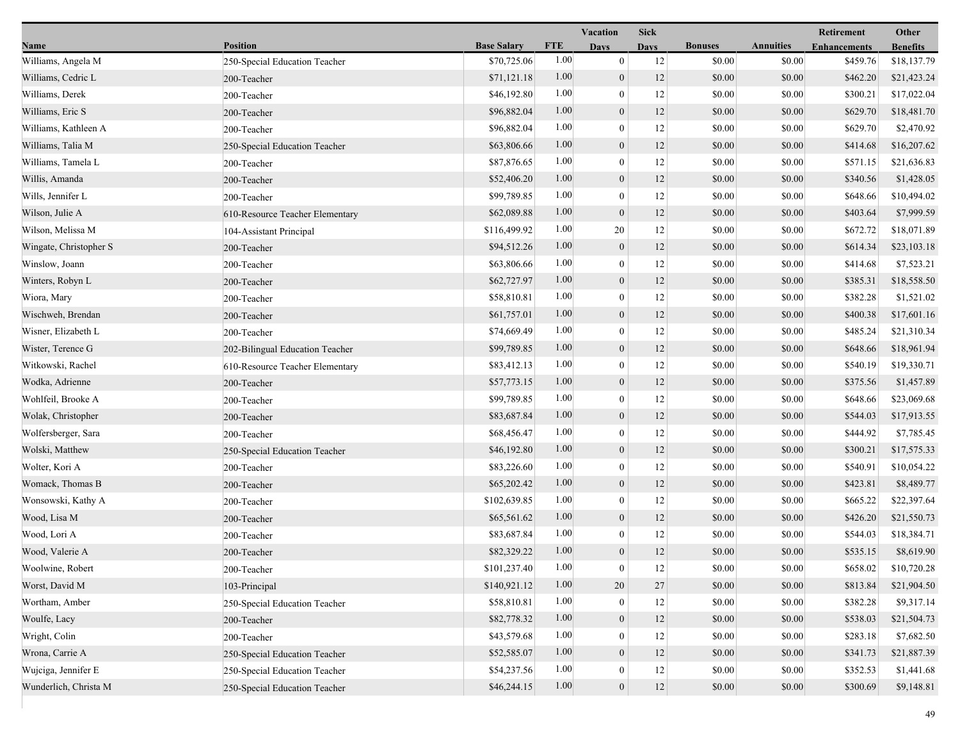|                        |                                 |                    | <b>Vacation</b> |                  | <b>Sick</b> |                |                  | Retirement          | Other           |
|------------------------|---------------------------------|--------------------|-----------------|------------------|-------------|----------------|------------------|---------------------|-----------------|
| Name                   | Position                        | <b>Base Salary</b> | <b>FTE</b>      | <b>Days</b>      | <b>Days</b> | <b>Bonuses</b> | <b>Annuities</b> | <b>Enhancements</b> | <b>Benefits</b> |
| Williams, Angela M     | 250-Special Education Teacher   | \$70,725.06        | 1.00            | $\boldsymbol{0}$ | 12          | \$0.00         | \$0.00           | \$459.76            | \$18,137.79     |
| Williams, Cedric L     | 200-Teacher                     | \$71,121.18        | 1.00            | $\mathbf{0}$     | 12          | \$0.00         | \$0.00           | \$462.20            | \$21,423.24     |
| Williams, Derek        | 200-Teacher                     | \$46,192.80        | 1.00            | $\boldsymbol{0}$ | 12          | \$0.00         | \$0.00           | \$300.21            | \$17,022.04     |
| Williams, Eric S       | 200-Teacher                     | \$96,882.04        | 1.00            | $\boldsymbol{0}$ | 12          | \$0.00         | \$0.00           | \$629.70            | \$18,481.70     |
| Williams, Kathleen A   | 200-Teacher                     | \$96,882.04        | 1.00            | $\boldsymbol{0}$ | 12          | \$0.00         | \$0.00           | \$629.70            | \$2,470.92      |
| Williams, Talia M      | 250-Special Education Teacher   | \$63,806.66        | 1.00            | $\mathbf{0}$     | 12          | \$0.00         | \$0.00           | \$414.68            | \$16,207.62     |
| Williams, Tamela L     | 200-Teacher                     | \$87,876.65        | 1.00            | $\theta$         | 12          | \$0.00         | \$0.00           | \$571.15            | \$21,636.83     |
| Willis, Amanda         | 200-Teacher                     | \$52,406.20        | 1.00            | $\boldsymbol{0}$ | 12          | \$0.00         | \$0.00           | \$340.56            | \$1,428.05      |
| Wills, Jennifer L      | 200-Teacher                     | \$99,789.85        | 1.00            | $\boldsymbol{0}$ | 12          | \$0.00         | \$0.00           | \$648.66            | \$10,494.02     |
| Wilson, Julie A        | 610-Resource Teacher Elementary | \$62,089.88        | 1.00            | $\mathbf{0}$     | 12          | \$0.00         | \$0.00           | \$403.64            | \$7,999.59      |
| Wilson, Melissa M      | 104-Assistant Principal         | \$116,499.92       | 1.00            | 20               | 12          | \$0.00         | \$0.00           | \$672.72            | \$18,071.89     |
| Wingate, Christopher S | 200-Teacher                     | \$94,512.26        | 1.00            | $\mathbf{0}$     | 12          | \$0.00         | \$0.00           | \$614.34            | \$23,103.18     |
| Winslow, Joann         | 200-Teacher                     | \$63,806.66        | 1.00            | $\theta$         | 12          | \$0.00         | \$0.00           | \$414.68            | \$7,523.21      |
| Winters, Robyn L       | 200-Teacher                     | \$62,727.97        | 1.00            | $\boldsymbol{0}$ | 12          | \$0.00         | \$0.00           | \$385.31            | \$18,558.50     |
| Wiora, Mary            | 200-Teacher                     | \$58,810.81        | 1.00            | $\boldsymbol{0}$ | 12          | \$0.00         | \$0.00           | \$382.28            | \$1,521.02      |
| Wischweh, Brendan      | 200-Teacher                     | \$61,757.01        | 1.00            | $\mathbf{0}$     | 12          | \$0.00         | \$0.00           | \$400.38            | \$17,601.16     |
| Wisner, Elizabeth L    | 200-Teacher                     | \$74,669.49        | 1.00            | $\boldsymbol{0}$ | 12          | \$0.00         | \$0.00           | \$485.24            | \$21,310.34     |
| Wister, Terence G      | 202-Bilingual Education Teacher | \$99,789.85        | 1.00            | $\boldsymbol{0}$ | 12          | \$0.00         | \$0.00           | \$648.66            | \$18,961.94     |
| Witkowski, Rachel      | 610-Resource Teacher Elementary | \$83,412.13        | 1.00            | $\mathbf{0}$     | 12          | \$0.00         | \$0.00           | \$540.19            | \$19,330.71     |
| Wodka, Adrienne        | 200-Teacher                     | \$57,773.15        | 1.00            | $\boldsymbol{0}$ | 12          | \$0.00         | \$0.00           | \$375.56            | \$1,457.89      |
| Wohlfeil, Brooke A     | 200-Teacher                     | \$99,789.85        | 1.00            | $\boldsymbol{0}$ | 12          | \$0.00         | \$0.00           | \$648.66            | \$23,069.68     |
| Wolak, Christopher     | 200-Teacher                     | \$83,687.84        | 1.00            | $\mathbf{0}$     | 12          | \$0.00         | \$0.00           | \$544.03            | \$17,913.55     |
| Wolfersberger, Sara    | 200-Teacher                     | \$68,456.47        | 1.00            | $\mathbf{0}$     | 12          | \$0.00         | \$0.00           | \$444.92            | \$7,785.45      |
| Wolski, Matthew        | 250-Special Education Teacher   | \$46,192.80        | 1.00            | $\mathbf{0}$     | 12          | \$0.00         | \$0.00           | \$300.21            | \$17,575.33     |
| Wolter, Kori A         | 200-Teacher                     | \$83,226.60        | 1.00            | $\mathbf{0}$     | 12          | \$0.00         | \$0.00           | \$540.91            | \$10,054.22     |
| Womack, Thomas B       | 200-Teacher                     | \$65,202.42        | 1.00            | $\overline{0}$   | 12          | \$0.00         | \$0.00           | \$423.81            | \$8,489.77      |
| Wonsowski, Kathy A     | 200-Teacher                     | \$102,639.85       | 1.00            | $\overline{0}$   | 12          | \$0.00         | \$0.00           | \$665.22            | \$22,397.64     |
| Wood, Lisa M           | 200-Teacher                     | \$65,561.62        | 1.00            | $\mathbf{0}$     | 12          | \$0.00         | \$0.00           | \$426.20            | \$21,550.73     |
| Wood, Lori A           | 200-Teacher                     | \$83,687.84        | 1.00            | $\mathbf{0}$     | 12          | \$0.00         | \$0.00           | \$544.03            | \$18,384.71     |
| Wood, Valerie A        | 200-Teacher                     | \$82,329.22        | 1.00            | $\mathbf{0}$     | 12          | \$0.00         | \$0.00           | \$535.15            | \$8,619.90      |
| Woolwine, Robert       | 200-Teacher                     | \$101,237.40       | 1.00            | $\bf{0}$         | 12          | \$0.00         | \$0.00           | \$658.02            | \$10,720.28     |
| Worst, David M         | 103-Principal                   | \$140,921.12       | 1.00            | 20               | 27          | \$0.00         | \$0.00           | \$813.84            | \$21,904.50     |
| Wortham, Amber         | 250-Special Education Teacher   | \$58,810.81        | 1.00            | $\mathbf{0}$     | 12          | \$0.00         | \$0.00           | \$382.28            | \$9,317.14      |
| Woulfe, Lacy           | 200-Teacher                     | \$82,778.32        | 1.00            | $\theta$         | 12          | \$0.00         | \$0.00           | \$538.03            | \$21,504.73     |
| Wright, Colin          | 200-Teacher                     | \$43,579.68        | 1.00            | $\theta$         | 12          | \$0.00         | \$0.00           | \$283.18            | \$7,682.50      |
| Wrona, Carrie A        | 250-Special Education Teacher   | \$52,585.07        | 1.00            | $\overline{0}$   | 12          | \$0.00         | \$0.00           | \$341.73            | \$21,887.39     |
| Wujciga, Jennifer E    | 250-Special Education Teacher   | \$54,237.56        | 1.00            | $\bf{0}$         | 12          | \$0.00         | \$0.00           | \$352.53            | \$1,441.68      |
| Wunderlich, Christa M  | 250-Special Education Teacher   | \$46,244.15        | 1.00            | $\boldsymbol{0}$ | 12          | \$0.00         | \$0.00           | \$300.69            | \$9,148.81      |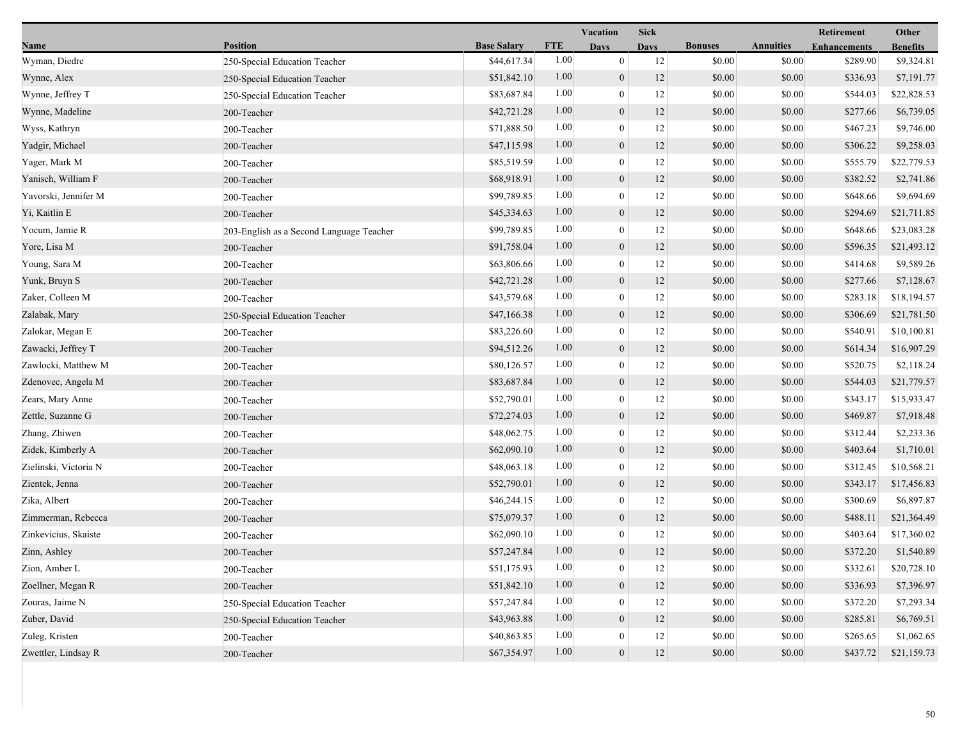|                       |                                          |                    | Vacation   |                  | <b>Sick</b> |                |                  | Retirement          | Other           |
|-----------------------|------------------------------------------|--------------------|------------|------------------|-------------|----------------|------------------|---------------------|-----------------|
| Name                  | <b>Position</b>                          | <b>Base Salary</b> | <b>FTE</b> | <b>Days</b>      | <b>Days</b> | <b>Bonuses</b> | <b>Annuities</b> | <b>Enhancements</b> | <b>Benefits</b> |
| Wyman, Diedre         | 250-Special Education Teacher            | \$44,617.34        | 1.00       | $\mathbf{0}$     | 12          | \$0.00         | \$0.00           | \$289.90            | \$9,324.81      |
| Wynne, Alex           | 250-Special Education Teacher            | \$51,842.10        | 1.00       | $\mathbf{0}$     | 12          | \$0.00         | \$0.00           | \$336.93            | \$7,191.77      |
| Wynne, Jeffrey T      | 250-Special Education Teacher            | \$83,687.84        | 1.00       | $\boldsymbol{0}$ | 12          | \$0.00         | \$0.00           | \$544.03            | \$22,828.53     |
| Wynne, Madeline       | 200-Teacher                              | \$42,721.28        | 1.00       | $\boldsymbol{0}$ | 12          | \$0.00         | \$0.00           | \$277.66            | \$6,739.05      |
| Wyss, Kathryn         | 200-Teacher                              | \$71,888.50        | 1.00       | $\mathbf{0}$     | 12          | \$0.00         | \$0.00           | \$467.23            | \$9,746.00      |
| Yadgir, Michael       | 200-Teacher                              | \$47,115.98        | 1.00       | $\boldsymbol{0}$ | 12          | \$0.00         | \$0.00           | \$306.22            | \$9,258.03      |
| Yager, Mark M         | 200-Teacher                              | \$85,519.59        | 1.00       | $\mathbf{0}$     | 12          | \$0.00         | \$0.00           | \$555.79            | \$22,779.53     |
| Yanisch, William F    | 200-Teacher                              | \$68,918.91        | 1.00       | $\mathbf{0}$     | 12          | \$0.00         | \$0.00           | \$382.52            | \$2,741.86      |
| Yavorski, Jennifer M  | 200-Teacher                              | \$99,789.85        | 1.00       | $\mathbf{0}$     | 12          | \$0.00         | \$0.00           | \$648.66            | \$9,694.69      |
| Yi, Kaitlin E         | 200-Teacher                              | \$45,334.63        | 1.00       | $\boldsymbol{0}$ | 12          | \$0.00         | \$0.00           | \$294.69            | \$21,711.85     |
| Yocum, Jamie R        | 203-English as a Second Language Teacher | \$99,789.85        | 1.00       | $\bf{0}$         | 12          | \$0.00         | \$0.00           | \$648.66            | \$23,083.28     |
| Yore, Lisa M          | 200-Teacher                              | \$91,758.04        | 1.00       | $\boldsymbol{0}$ | 12          | \$0.00         | \$0.00           | \$596.35            | \$21,493.12     |
| Young, Sara M         | 200-Teacher                              | \$63,806.66        | 1.00       | $\mathbf{0}$     | 12          | \$0.00         | \$0.00           | \$414.68            | \$9,589.26      |
| Yunk, Bruyn S         | 200-Teacher                              | \$42,721.28        | 1.00       | $\mathbf{0}$     | 12          | \$0.00         | \$0.00           | \$277.66            | \$7,128.67      |
| Zaker, Colleen M      | 200-Teacher                              | \$43,579.68        | 1.00       | $\mathbf{0}$     | 12          | \$0.00         | \$0.00           | \$283.18            | \$18,194.57     |
| Zalabak, Mary         | 250-Special Education Teacher            | \$47,166.38        | 1.00       | $\boldsymbol{0}$ | 12          | \$0.00         | \$0.00           | \$306.69            | \$21,781.50     |
| Zalokar, Megan E      | 200-Teacher                              | \$83,226.60        | 1.00       | $\bf{0}$         | 12          | \$0.00         | \$0.00           | \$540.91            | \$10,100.81     |
| Zawacki, Jeffrey T    | 200-Teacher                              | \$94,512.26        | 1.00       | $\boldsymbol{0}$ | 12          | \$0.00         | \$0.00           | \$614.34            | \$16,907.29     |
| Zawlocki, Matthew M   | 200-Teacher                              | \$80,126.57        | 1.00       | $\mathbf{0}$     | 12          | \$0.00         | \$0.00           | \$520.75            | \$2,118.24      |
| Zdenovec, Angela M    | 200-Teacher                              | \$83,687.84        | 1.00       | $\boldsymbol{0}$ | 12          | \$0.00         | \$0.00           | \$544.03            | \$21,779.57     |
| Zears, Mary Anne      | 200-Teacher                              | \$52,790.01        | 1.00       | $\mathbf{0}$     | 12          | \$0.00         | \$0.00           | \$343.17            | \$15,933.47     |
| Zettle, Suzanne G     | 200-Teacher                              | \$72,274.03        | 1.00       | $\boldsymbol{0}$ | 12          | \$0.00         | \$0.00           | \$469.87            | \$7,918.48      |
| Zhang, Zhiwen         | 200-Teacher                              | \$48,062.75        | 1.00       | $\bf{0}$         | 12          | \$0.00         | \$0.00           | \$312.44            | \$2,233.36      |
| Zidek, Kimberly A     | 200-Teacher                              | \$62,090.10        | 1.00       | $\mathbf{0}$     | 12          | \$0.00         | \$0.00           | \$403.64            | \$1,710.01      |
| Zielinski, Victoria N | 200-Teacher                              | \$48,063.18        | 1.00       | $\mathbf{0}$     | 12          | \$0.00         | \$0.00           | \$312.45            | \$10,568.21     |
| Zientek, Jenna        | 200-Teacher                              | \$52,790.01        | 1.00       | $\mathbf{0}$     | 12          | \$0.00         | \$0.00           | \$343.17            | \$17,456.83     |
| Zika, Albert          | 200-Teacher                              | \$46,244.15        | 1.00       | $\boldsymbol{0}$ | 12          | \$0.00         | \$0.00           | \$300.69            | \$6,897.87      |
| Zimmerman, Rebecca    | 200-Teacher                              | \$75,079.37        | 1.00       | $\boldsymbol{0}$ | 12          | \$0.00         | \$0.00           | \$488.11            | \$21,364.49     |
| Zinkevicius, Skaiste  | 200-Teacher                              | \$62,090.10        | 1.00       | $\bf{0}$         | 12          | \$0.00         | \$0.00           | \$403.64            | \$17,360.02     |
| Zinn, Ashley          | 200-Teacher                              | \$57,247.84        | 1.00       | $\mathbf{0}$     | 12          | \$0.00         | \$0.00           | \$372.20            | \$1,540.89      |
| Zion, Amber L         | 200-Teacher                              | \$51,175.93        | $1.00\,$   | $\theta$         | 12          | \$0.00         | \$0.00           | \$332.61            | \$20,728.10     |
| Zoellner, Megan R     | 200-Teacher                              | \$51,842.10        | 1.00       | $\overline{0}$   | 12          | \$0.00         | \$0.00           | \$336.93            | \$7,396.97      |
| Zouras, Jaime N       | 250-Special Education Teacher            | \$57,247.84        | 1.00       | $\theta$         | 12          | \$0.00         | \$0.00           | \$372.20            | \$7,293.34      |
| Zuber, David          | 250-Special Education Teacher            | \$43,963.88        | 1.00       | $\boldsymbol{0}$ | 12          | \$0.00         | \$0.00           | \$285.81            | \$6,769.51      |
| Zuleg, Kristen        | 200-Teacher                              | \$40,863.85        | 1.00       | $\bf{0}$         | 12          | \$0.00         | \$0.00           | \$265.65            | \$1,062.65      |
| Zwettler, Lindsay R   | 200-Teacher                              | \$67,354.97        | 1.00       | $\mathbf{0}$     | $12\,$      | \$0.00         | \$0.00           | \$437.72            | \$21,159.73     |